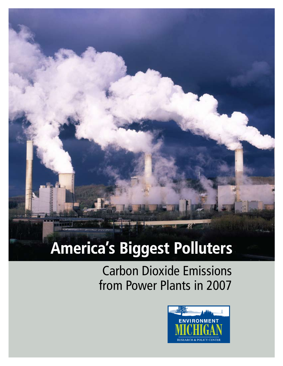# **America's Biggest Polluters**

Carbon Dioxide Emissions from Power Plants in 2007

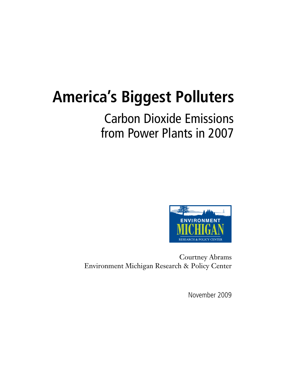# **America's Biggest Polluters**

# Carbon Dioxide Emissions from Power Plants in 2007



Courtney Abrams Environment Michigan Research & Policy Center

November 2009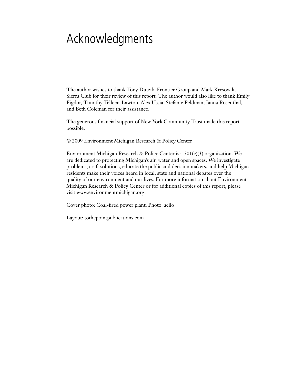# Acknowledgments

The author wishes to thank Tony Dutzik, Frontier Group and Mark Kresowik, Sierra Club for their review of this report. The author would also like to thank Emily Figdor, Timothy Telleen-Lawton, Alex Ussia, Stefanie Feldman, Janna Rosenthal, and Beth Coleman for their assistance.

The generous financial support of New York Community Trust made this report possible.

© 2009 Environment Michigan Research & Policy Center

Environment Michigan Research & Policy Center is a  $501(c)(3)$  organization. We are dedicated to protecting Michigan's air, water and open spaces. We investigate problems, craft solutions, educate the public and decision makers, and help Michigan residents make their voices heard in local, state and national debates over the quality of our environment and our lives. For more information about Environment Michigan Research & Policy Center or for additional copies of this report, please visit www.environmentmichigan.org.

Cover photo: Coal-fired power plant. Photo: acilo

Layout: tothepointpublications.com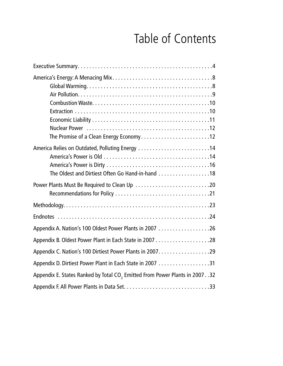# Table of Contents

| America Relies on Outdated, Polluting Energy 14<br>The Oldest and Dirtiest Often Go Hand-in-hand 18 |
|-----------------------------------------------------------------------------------------------------|
| Power Plants Must Be Required to Clean Up 20                                                        |
|                                                                                                     |
|                                                                                                     |
|                                                                                                     |
|                                                                                                     |
|                                                                                                     |
|                                                                                                     |
| Appendix E. States Ranked by Total CO <sub>2</sub> Emitted From Power Plants in 2007. .32           |
|                                                                                                     |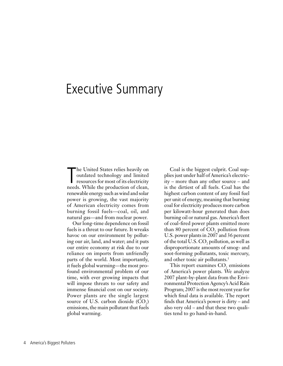## Executive Summary

The United States relies heavily on<br>
outdated technology and limited<br>
resources for most of its electricity<br>
needs. While the production of clean, he United States relies heavily on outdated technology and limited resources for most of its electricity renewable energy such as wind and solar power is growing, the vast majority of American electricity comes from burning fossil fuels—coal, oil, and natural gas—and from nuclear power.

Our long-time dependence on fossil fuels is a threat to our future. It wreaks havoc on our environment by polluting our air, land, and water; and it puts our entire economy at risk due to our reliance on imports from unfriendly parts of the world. Most importantly, it fuels global warming—the most profound environmental problem of our time, with ever growing impacts that will impose threats to our safety and immense financial cost on our society. Power plants are the single largest source of U.S. carbon dioxide  $(CO<sub>2</sub>)$ emissions, the main pollutant that fuels global warming.

Coal is the biggest culprit. Coal supplies just under half of America's electricity – more than any other source – and is the dirtiest of all fuels. Coal has the highest carbon content of any fossil fuel per unit of energy, meaning that burning coal for electricity produces more carbon per kilowatt-hour generated than does burning oil or natural gas. America's fleet of coal-fired power plants emitted more than 80 percent of  $CO<sub>2</sub>$  pollution from U.S. power plants in 2007 and 36 percent of the total U.S.  $\text{CO}_2$  pollution, as well as disproportionate amounts of smog- and soot-forming pollutants, toxic mercury, and other toxic air pollutants.<sup>1</sup>

This report examines  $CO<sub>2</sub>$  emissions of America's power plants. We analyze 2007 plant-by-plant data from the Environmental Protection Agency's Acid Rain Program; 2007 is the most recent year for which final data is available. The report finds that America's power is dirty – and also very old – and that these two qualities tend to go hand-in-hand.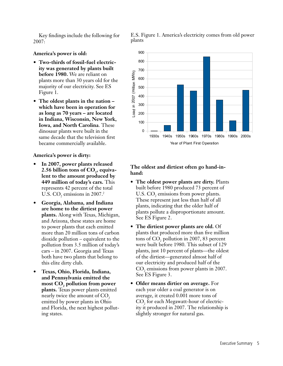Key findings include the following for 2007:

#### **America's power is old:**

- **• Two-thirds of fossil-fuel electricity was generated by plants built before 1980.** We are reliant on plants more than 30 years old for the majority of our electricity. See ES Figure 1.
- **• The oldest plants in the nation which have been in operation for as long as 70 years – are located in Indiana, Wisconsin, New York, Iowa, and North Carolina**. These dinosaur plants were built in the same decade that the television first became commercially available.

#### **America's power is dirty:**

- In 2007, power plants released 2.56 billion tons of CO<sub>2</sub>, equiva**lent to the amount produced by 449 million of today's cars.** This represents 42 percent of the total U.S.  $\text{CO}_2$  emissions in 2007.<sup>2</sup>
- **• Georgia, Alabama, and Indiana are home to the dirtiest power plants.** Along with Texas, Michigan, and Arizona, these states are home to power plants that each emitted more than 20 million tons of carbon dioxide pollution – equivalent to the pollution from 3.5 million of today's cars – in 2007. Georgia and Texas both have two plants that belong to this elite dirty club.
- **• Texas, Ohio, Florida, Indiana, and Pennsylvania emitted the**  most CO<sub>2</sub> pollution from power **plants.** Texas power plants emitted nearly twice the amount of CO<sub>2</sub> emitted by power plants in Ohio and Florida, the next highest polluting states.

E.S. Figure 1. America's electricity comes from old power plants



#### **The oldest and dirtiest often go hand-inhand:**

- **• The oldest power plants are dirty.** Plants built before 1980 produced 73 percent of U.S.  $CO<sub>2</sub>$  emissions from power plants. These represent just less than half of all plants, indicating that the older half of plants pollute a disproportionate amount. See ES Figure 2.
- **• The dirtiest power plants are old.** Of plants that produced more than five million tons of  $CO<sub>2</sub>$  pollution in 2007, 83 percent were built before 1980. This subset of 129 plants, just 10 percent of plants—the oldest of the dirtiest—generated almost half of our electricity and produced half of the  $CO<sub>2</sub>$  emissions from power plants in 2007. See ES Figure 3.
- **• Older means dirtier on average.** For each year older a coal generator is on average, it created 0.001 more tons of  $\mathrm{CO}_2$  for each Megawatt-hour of electricity it produced in 2007. The relationship is slightly stronger for natural gas.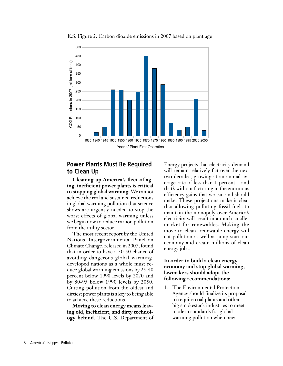

E.S. Figure 2. Carbon dioxide emissions in 2007 based on plant age

#### **Power Plants Must Be Required to Clean Up**

**Cleaning up America's fleet of aging, inefficient power plants is critical to stopping global warming.** We cannot achieve the real and sustained reductions in global warming pollution that science shows are urgently needed to stop the worst effects of global warming unless we begin now to reduce carbon pollution from the utility sector.

The most recent report by the United Nations' Intergovernmental Panel on Climate Change, released in 2007, found that in order to have a 50-50 chance of avoiding dangerous global warming, developed nations as a whole must reduce global warming emissions by 25-40 percent below 1990 levels by 2020 and by 80-95 below 1990 levels by 2050. Cutting pollution from the oldest and dirtiest power plants is a key to being able to achieve these reductions.

**Moving to clean energy means leaving old, inefficient, and dirty technology behind.** The U.S. Department of Energy projects that electricity demand will remain relatively flat over the next two decades, growing at an annual average rate of less than 1 percent – and that's without factoring in the enormous efficiency gains that we can and should make. These projections make it clear that allowing polluting fossil fuels to maintain the monopoly over America's electricity will result in a much smaller market for renewables. Making the move to clean, renewable energy will cut pollution as well as jump-start our economy and create millions of clean energy jobs.

#### **In order to build a clean energy economy and stop global warming, lawmakers should adopt the following recommendations:**

1. The Environmental Protection Agency should finalize its proposal to require coal plants and other big smokestack industries to meet modern standards for global warming pollution when new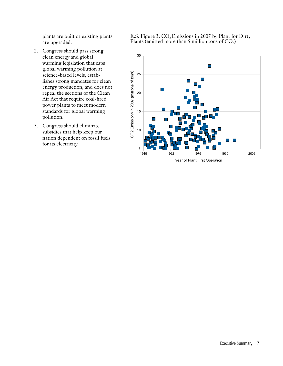plants are built or existing plants are upgraded.

- 2. Congress should pass strong clean energy and global warming legislation that caps global warming pollution at science-based levels, establishes strong mandates for clean energy production, and does not repeal the sections of the Clean Air Act that require coal-fired power plants to meet modern standards for global warming pollution.
- 3. Congress should eliminate subsidies that help keep our nation dependent on fossil fuels for its electricity.

E.S. Figure 3.  $CO<sub>2</sub>$  Emissions in 2007 by Plant for Dirty Plants (emitted more than 5 million tons of  $CO<sub>2</sub>$ )

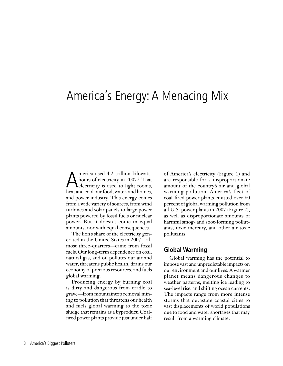## America's Energy: A Menacing Mix

America used 4.2 trillion kilowatt-<br>hours of electricity in 2007.<sup>3</sup> That<br>electricity is used to light rooms, hours of electricity in 2007.<sup>3</sup> That heat and cool our food, water, and homes, and power industry. This energy comes from a wide variety of sources, from wind turbines and solar panels to large power plants powered by fossil fuels or nuclear power. But it doesn't come in equal amounts, nor with equal consequences.

The lion's share of the electricity generated in the United States in 2007—almost three-quarters—came from fossil fuels. Our long-term dependence on coal, natural gas, and oil pollutes our air and water, threatens public health, drains our economy of precious resources, and fuels global warming.

Producing energy by burning coal is dirty and dangerous from cradle to grave—from mountaintop removal mining to pollution that threatens our health and fuels global warming to the toxic sludge that remains as a byproduct. Coalfired power plants provide just under half of America's electricity (Figure 1) and are responsible for a disproportionate amount of the country's air and global warming pollution. America's fleet of coal-fired power plants emitted over 80 percent of global warming pollution from all U.S. power plants in 2007 (Figure 2), as well as disproportionate amounts of harmful smog- and soot-forming pollutants, toxic mercury, and other air toxic pollutants.

#### **Global Warming**

Global warming has the potential to impose vast and unpredictable impacts on our environment and our lives. A warmer planet means dangerous changes to weather patterns, melting ice leading to sea-level rise, and shifting ocean currents. The impacts range from more intense storms that devastate coastal cities to vast displacements of world populations due to food and water shortages that may result from a warming climate.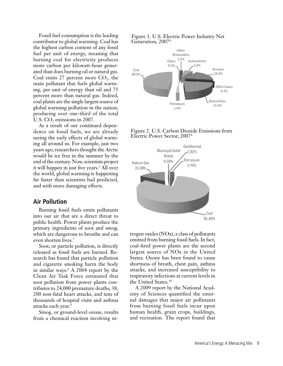Fossil fuel consumption is the leading contributor to global warming. Coal has the highest carbon content of any fossil fuel per unit of energy, meaning that burning coal for electricity produces more carbon per kilowatt-hour generated than does burning oil or natural gas. Coal emits 27 percent more  $CO<sub>2</sub>$ , the main pollutant that fuels global warming, per unit of energy than oil and 75 percent more than natural gas. Indeed, coal plants are the single largest source of global warming pollution in the nation, producing over one-third of the total U.S. CO<sub>2</sub> emissions in 2007.

As a result of our continued dependence on fossil fuels, we are already seeing the early effects of global warming all around us. For example, just two years ago, researchers thought the Arctic would be ice free in the summer by the end of the century. Now, scientists project it will happen in just five years.<sup>5</sup> All over the world, global warming is happening far faster than scientists had predicted, and with more damaging effects.

#### **Air Pollution**

Burning fossil fuels emits pollutants into our air that are a direct threat to public health. Power plants produce the primary ingredients of soot and smog, which are dangerous to breathe and can even shorten lives.7

Soot, or particle pollution, is directly released as fossil fuels are burned. Research has found that particle pollution and cigarette smoking harm the body in similar ways.8 A 2004 report by the Clean Air Task Force estimated that soot pollution from power plants contributes to 24,000 premature deaths, 38, 200 non-fatal heart attacks, and tens of thousands of hospital visits and asthma attacks each year.9

Smog, or ground-level ozone, results from a chemical reaction involving ni-

#### Figure 1. U.S. Electric Power Industry Net Generation, 20074



Figure 2. U.S. Carbon Dioxide Emissions from Electric Power Sector, 20076



trogen oxides (NOx), a class of pollutants emitted from burning fossil fuels. In fact, coal-fired power plants are the second largest source of NOx in the United States. Ozone has been found to cause shortness of breath, chest pain, asthma attacks, and increased susceptibility to respiratory infections at current levels in the United States.10

A 2009 report by the National Academy of Sciences quantified the external damages that major air pollutants from burning fossil fuels incur upon human health, grain crops, buildings, and recreation. The report found that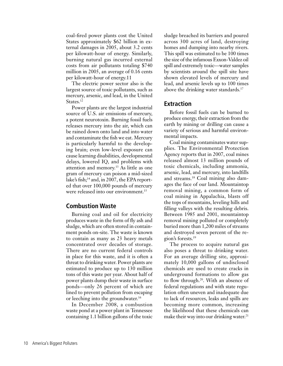coal-fired power plants cost the United States approximately \$62 billion in external damages in 2005, about 3.2 cents per kilowatt-hour of energy. Similarly, burning natural gas incurred external costs from air pollutants totaling \$740 million in 2005, an average of 0.16 cents per kilowatt-hour of energy.11

The electric power sector also is the largest source of toxic pollutants, such as mercury, arsenic, and lead, in the United States.<sup>12</sup>

Power plants are the largest industrial source of U.S. air emissions of mercury, a potent neurotoxin. Burning fossil fuels releases mercury into the air, which can be rained down onto land and into water and contaminate the fish we eat. Mercury is particularly harmful to the developing brain; even low-level exposure can cause learning disabilities, developmental delays, lowered IQ, and problems with attention and memory.13 As little as one gram of mercury can poison a mid-sized lake's fish;<sup>14</sup> and, in 2007, the EPA reported that over 100,000 pounds of mercury were released into our environment.<sup>15</sup>

#### **Combustion Waste**

Burning coal and oil for electricity produces waste in the form of fly ash and sludge, which are often stored in containment ponds on-site. The waste is known to contain as many as 23 heavy metals concentrated over decades of storage. There are no current federal controls in place for this waste, and it is often a threat to drinking water. Power plants are estimated to produce up to 130 million tons of this waste per year. About half of power plants dump their waste in surface ponds—only 26 percent of which are lined to prevent pollution from escaping or leeching into the groundwater.<sup>16</sup>

In December 2008, a combustion waste pond at a power plant in Tennessee containing 1.1 billion gallons of the toxic sludge breached its barriers and poured across 300 acres of land, destroying homes and dumping into nearby rivers. This spill was estimated to be 100 times the size of the infamous Exxon-Valdez oil spill and extremely toxic—water samples by scientists around the spill site have shown elevated levels of mercury and lead, and arsenic levels up to 100 times above the drinking water standards.<sup>17</sup>

#### **Extraction**

Before fossil fuels can be burned to produce energy, their extraction from the earth by mining or drilling can cause a variety of serious and harmful environmental impacts.

Coal mining contaminates water supplies. The Environmental Protection Agency reports that in 2007, coal mines released almost 13 million pounds of toxic chemicals, including ammonia, arsenic, lead, and mercury, into landfills and streams.18 Coal mining also damages the face of our land. Mountaintop removal mining, a common form of coal mining in Appalachia, blasts off the tops of mountains, leveling hills and filling valleys with the resulting debris. Between 1985 and 2001, mountaintop removal mining polluted or completely buried more than 1,200 miles of streams and destroyed seven percent of the region's forests.19

The process to acquire natural gas also poses a threat to drinking water. For an average drilling site, approximately 10,000 gallons of undisclosed chemicals are used to create cracks in underground formations to allow gas to flow through.20. With an absence of federal regulations and with state regulation often uneven and inadequate due to lack of resources, leaks and spills are becoming more common, increasing the likelihood that these chemicals can make their way into our drinking water.<sup>21</sup>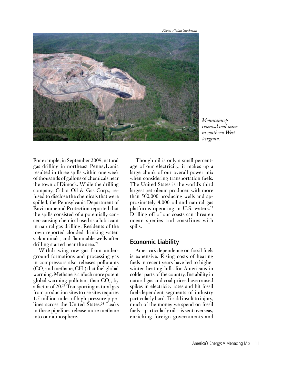*Photo: Vivian Stockman*



*Mountaintop removal coal mine in southern West Virginia.*

For example, in September 2009, natural gas drilling in northeast Pennsylvania resulted in three spills within one week of thousands of gallons of chemicals near the town of Dimock. While the drilling company, Cabot Oil & Gas Corp., refused to disclose the chemicals that were spilled, the Pennsylvania Department of Environmental Protection reported that the spills consisted of a potentially cancer-causing chemical used as a lubricant in natural gas drilling. Residents of the town reported clouded drinking water, sick animals, and flammable wells after drilling started near the area.<sup>22</sup>

Withdrawing raw gas from underground formations and processing gas in compressors also releases pollutants  $({\rm CO}_2$  and methane, CH  $)$  that fuel global warming. Methane is a much more potent global warming pollutant than  $CO<sub>2</sub>$ , by a factor of 20.23 Transporting natural gas from production sites to use sites requires 1.5 million miles of high-pressure pipelines across the United States.<sup>24</sup> Leaks in these pipelines release more methane into our atmosphere.

Though oil is only a small percentage of our electricity, it makes up a large chunk of our overall power mix when considering transportation fuels. The United States is the world's third largest petroleum producer, with more than 500,000 producing wells and approximately 4,000 oil and natural gas platforms operating in U.S. waters.<sup>25</sup> Drilling off of our coasts can threaten ocean species and coastlines with spills.

#### **Economic Liability**

America's dependence on fossil fuels is expensive. Rising costs of heating fuels in recent years have led to higher winter heating bills for Americans in colder parts of the country. Instability in natural gas and coal prices have caused spikes in electricity rates and hit fossil fuel-dependent segments of industry particularly hard. To add insult to injury, much of the money we spend on fossil fuels—particularly oil—is sent overseas, enriching foreign governments and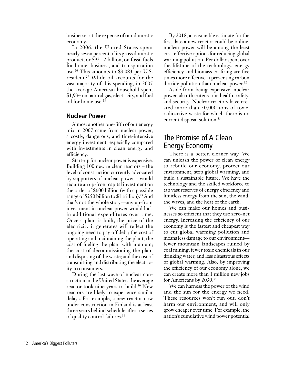businesses at the expense of our domestic economy.

In 2006, the United States spent nearly seven percent of its gross domestic product, or \$921.2 billion, on fossil fuels for home, business, and transportation use.26 This amounts to \$3,083 per U.S. resident.27 While oil accounts for the vast majority of this spending, in 2007 the average American household spent \$1,934 on natural gas, electricity, and fuel oil for home use.28

#### **Nuclear Power**

Almost another one-fifth of our energy mix in 2007 came from nuclear power, a costly, dangerous, and time-intensive energy investment, especially compared with investments in clean energy and efficiency.

Start-up for nuclear power is expensive. Building 100 new nuclear reactors – the level of construction currently advocated by supporters of nuclear power – would require an up-front capital investment on the order of \$600 billion (with a possible range of \$250 billion to \$1 trillion).<sup>29</sup> And that's not the whole story—any up-front investment in nuclear power would lock in additional expenditures over time. Once a plant is built, the price of the electricity it generates will reflect the ongoing need to pay off debt; the cost of operating and maintaining the plant, the cost of fueling the plant with uranium; the cost of decommissioning the plant and disposing of the waste; and the cost of transmitting and distributing the electricity to consumers.

During the last wave of nuclear construction in the United States, the average reactor took nine years to build.<sup>30</sup> New reactors are likely to experience similar delays. For example, a new reactor now under construction in Finland is at least three years behind schedule after a series of quality control failures.31

By 2018, a reasonable estimate for the first date a new reactor could be online, nuclear power will be among the least cost-effective options for reducing global warming pollution. Per dollar spent over the lifetime of the technology, energy efficiency and biomass co-firing are five times more effective at preventing carbon dioxide pollution than nuclear power.<sup>32</sup>

Aside from being expensive, nuclear power also threatens our health, safety, and security. Nuclear reactors have created more than 50,000 tons of toxic, radioactive waste for which there is no current disposal solution.33

#### The Promise of A Clean Energy Economy

There is a better, cleaner way. We can unleash the power of clean energy to rebuild our economy, protect our environment, stop global warming, and build a sustainable future. We have the technology and the skilled workforce to tap vast reserves of energy efficiency and limitless energy from the sun, the wind, the waves, and the heat of the earth.

We can make our homes and businesses so efficient that they use zero-net energy. Increasing the efficiency of our economy is the fastest and cheapest way to cut global warming pollution and means less damage to our environment fewer mountain landscapes ruined by coal mining, fewer toxic chemicals in our drinking water, and less disastrous effects of global warming. Also, by improving the efficiency of our economy alone, we can create more than 1 million new jobs for Americans by 2030.34

We can harness the power of the wind and the sun for the energy we need. These resources won't run out, don't harm our environment, and will only grow cheaper over time. For example, the nation's cumulative wind power potential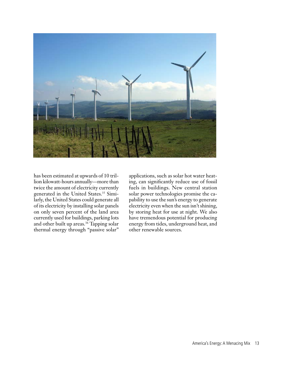

has been estimated at upwards of 10 trillion kilowatt-hours annually—more than twice the amount of electricity currently generated in the United States.<sup>35</sup> Similarly, the United States could generate all of its electricity by installing solar panels on only seven percent of the land area currently used for buildings, parking lots and other built up areas.<sup>36</sup> Tapping solar thermal energy through "passive solar"

applications, such as solar hot water heating, can significantly reduce use of fossil fuels in buildings. New central station solar power technologies promise the capability to use the sun's energy to generate electricity even when the sun isn't shining, by storing heat for use at night. We also have tremendous potential for producing energy from tides, underground heat, and other renewable sources.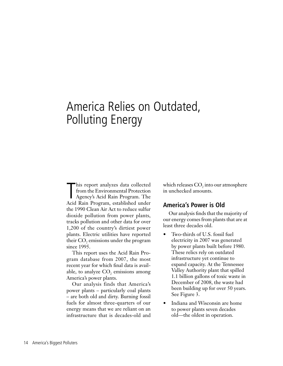# America Relies on Outdated, Polluting Energy

This report analyzes data collected<br>from the Environmental Protection<br>Agency's Acid Rain Program. The<br>Acid Rain Program, established under his report analyzes data collected from the Environmental Protection Agency's Acid Rain Program. The the 1990 Clean Air Act to reduce sulfur dioxide pollution from power plants, tracks pollution and other data for over 1,200 of the country's dirtiest power plants. Electric utilities have reported their CO<sub>2</sub> emissions under the program since 1995.

This report uses the Acid Rain Program database from 2007, the most recent year for which final data is available, to analyze  $CO<sub>2</sub>$  emissions among America's power plants.

Our analysis finds that America's power plants – particularly coal plants – are both old and dirty. Burning fossil fuels for almost three-quarters of our energy means that we are reliant on an infrastructure that is decades-old and

which releases  $\mathrm{CO}_2$  into our atmosphere in unchecked amounts.

#### **America's Power is Old**

Our analysis finds that the majority of our energy comes from plants that are at least three decades old.

- Two-thirds of U.S. fossil fuel electricity in 2007 was generated by power plants built before 1980. These relics rely on outdated infrastructure yet continue to expand capacity. At the Tennessee Valley Authority plant that spilled 1.1 billion gallons of toxic waste in December of 2008, the waste had been building up for over 50 years. See Figure 3.
- **Indiana and Wisconsin are home** to power plants seven decades old—the oldest in operation.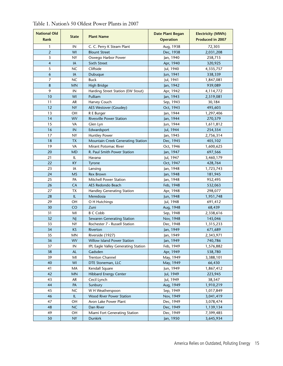| <b>National Old</b> | <b>State</b><br><b>Plant Name</b> |                                     | <b>Date Plant Began</b> | <b>Electricity (MWh)</b> |  |
|---------------------|-----------------------------------|-------------------------------------|-------------------------|--------------------------|--|
| Rank                |                                   |                                     | <b>Operation</b>        | Produced in 2007         |  |
| $\mathbf{1}$        | IN                                | C. C. Perry K Steam Plant           | Aug, 1938               | 72,303                   |  |
| $\overline{2}$      | WI                                | <b>Blount Street</b>                | Dec, 1938               | 2,031,208                |  |
| 3                   | <b>NY</b>                         | Oswego Harbor Power                 | Jan, 1940               | 258,715                  |  |
| $\overline{4}$      | IA                                | Sixth Street                        | Apr, 1940               | 320,925                  |  |
| $\sqrt{5}$          | <b>NC</b>                         | Cliffside                           | Jul, 1940               | 4,335,757                |  |
| 6                   | IA                                | Dubuque                             | Jun, 1941               | 338,339                  |  |
| 7                   | <b>NC</b>                         | <b>Buck</b>                         | Jul, 1941               | 1,847,081                |  |
| 8                   | <b>MN</b>                         | High Bridge                         | Jan, 1942               | 939,089                  |  |
| 9                   | IN                                | Harding Street Station (EW Stout)   | Apr, 1942               | 4,114,772                |  |
| 10                  | WI                                | Pulliam                             | Jan, 1943               | 2,519,081                |  |
| 11                  | AR                                | Harvey Couch                        | Sep, 1943               | 30,184                   |  |
| 12                  | <b>NY</b>                         | AES Westover (Goudey)               | Oct, 1943               | 495,603                  |  |
| 13                  | ОH                                | R E Burger                          | Jan, 1944               | 1,297,406                |  |
| 14                  | <b>WV</b>                         | Rivesville Power Station            | Jan, 1944               | 270,579                  |  |
| 15                  | VA                                | Glen Lyn                            | Jun, 1944               | 1,611,812                |  |
| 16                  | IN                                | Edwardsport                         | Jul, 1944               | 254,354                  |  |
| 17                  | NY                                | <b>Huntley Power</b>                | Jan, 1945               | 2,756,314                |  |
| 18                  | <b>TX</b>                         | Mountain Creek Generating Station   | Dec, 1945               | 405,102                  |  |
| 19                  | VA                                | Mirant Potomac River                | Oct, 1946               | 1,600,625                |  |
| 20                  | MD                                | R. Paul Smith Power Station         | Jan, 1947               | 697,566                  |  |
| 21                  | IL                                | Havana                              | Jul, 1947               | 3,460,179                |  |
| 22                  | KY                                | <b>Tyrone</b>                       | Oct, 1947               | 428,764                  |  |
| 23                  | IA                                | Lansing                             | Jan, 1948               | 1,723,743                |  |
| 24                  | <b>MS</b>                         | <b>Rex Brown</b>                    | Jan, 1948               | 181,945                  |  |
| 25                  | PA                                | <b>Mitchell Power Station</b>       | Jan, 1948               | 952,495                  |  |
| 26                  | CA                                | AES Redondo Beach                   | Feb, 1948               | 532,063                  |  |
| 27                  | ТX                                | Handley Generating Station          | Apr, 1948               | 298,077                  |  |
| 28                  | IL                                | Meredosia                           | Jun, 1948               | 1,951,748                |  |
| 29                  | ОH                                | O H Hutchings                       | Jul, 1948               | 691,412                  |  |
| 30                  | <b>CO</b>                         | Zuni                                | Aug, 1948               | 68,439                   |  |
| 31                  | MI                                | <b>B C Cobb</b>                     | Sep, 1948               | 2,338,616                |  |
| 32                  | <b>NJ</b>                         | Sewaren Generating Station          | Nov, 1948               | 145,046                  |  |
| 33                  | <b>NY</b>                         | Rochester 7 - Russell Station       | Dec, 1948               | 1,315,233                |  |
| 34                  | <b>KS</b>                         | Riverton                            | Jan, 1949               | 671,689                  |  |
| 35                  | ΜN                                | Riverside (1927)                    | Jan, 1949               | 2,343,971                |  |
| 36                  | <b>WV</b>                         | Willow Island Power Station         | Jan, 1949               | 740,786                  |  |
| 37                  | IN                                | IPL Eagle Valley Generating Station | Feb, 1949               | 1,576,882                |  |
| 38                  | <b>AL</b>                         | Gadsden                             | Apr, 1949               | 538,780                  |  |
| 39                  | MI                                | <b>Trenton Channel</b>              | May, 1949               | 3,388,101                |  |
| 40                  | WI                                | DTE Stoneman, LLC                   | May, 1949               | 66,430                   |  |
| 41                  | MA                                | Kendall Square                      | Jun, 1949               | 1,867,412                |  |
| 42                  | <b>MN</b>                         | <b>Hibbard Energy Center</b>        | Jul, 1949               | 223,945                  |  |
| 43                  | AR                                | Cecil Lynch                         | Jul, 1949               | 38,547                   |  |
| 44                  | PA                                | Sunbury                             | Aug, 1949               | 1,910,219                |  |
| 45                  | <b>NC</b>                         | W H Weatherspoon                    | Sep, 1949               | 1,017,849                |  |
| 46                  | IL                                | Wood River Power Station            | Nov, 1949               | 3,041,419                |  |
| 47                  | OH                                | Avon Lake Power Plant               | Dec, 1949               | 3,078,474                |  |
| 48                  | <b>NC</b>                         | Dan River                           | Dec, 1949               | 1,139,134                |  |
| 49                  | ОH                                | Miami Fort Generating Station       | Dec, 1949               | 7,399,485                |  |
| 50                  | <b>NY</b>                         | <b>Dunkirk</b>                      | Jan, 1950               | 3,645,934                |  |

Table 1. Nation's 50 Oldest Power Plants in 2007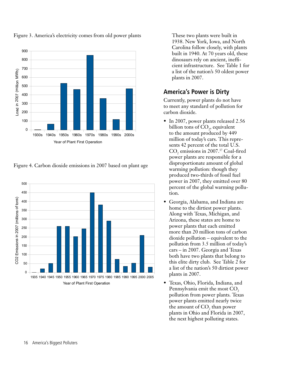

Figure 3. America's electricity comes from old power plants

Figure 4. Carbon dioxide emissions in 2007 based on plant age



These two plants were built in 1938. New York, Iowa, and North Carolina follow closely, with plants built in 1940. At 70 years old, these dinosaurs rely on ancient, inefficient infrastructure. See Table 1 for a list of the nation's 50 oldest power plants in 2007.

#### **America's Power is Dirty**

Currently, power plants do not have to meet any standard of pollution for carbon dioxide.

- In 2007, power plants released 2.56 billion tons of  $CO<sub>2</sub>$ , equivalent to the amount produced by 449 million of today's cars. This represents 42 percent of the total U.S.  $\rm CO_{2}$  emissions in 2007.<sup>37</sup> Coal-fired power plants are responsible for a disproportionate amount of global warming pollution: though they produced two-thirds of fossil fuel power in 2007, they emitted over 80 percent of the global warming pollution.
- Georgia, Alabama, and Indiana are home to the dirtiest power plants. Along with Texas, Michigan, and Arizona, these states are home to power plants that each emitted more than 20 million tons of carbon dioxide pollution – equivalent to the pollution from 3.5 million of today's cars – in 2007. Georgia and Texas both have two plants that belong to this elite dirty club. See Table 2 for a list of the nation's 50 dirtiest power plants in 2007.
- Texas, Ohio, Florida, Indiana, and Pennsylvania emit the most CO<sub>2</sub> pollution from power plants. Texas power plants emitted nearly twice the amount of  $CO<sub>2</sub>$  than power plants in Ohio and Florida in 2007, the next highest polluting states.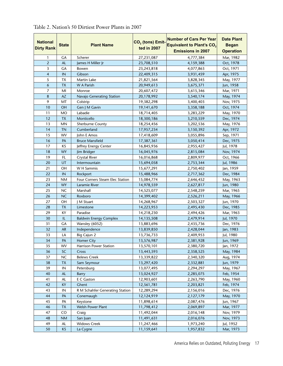| <b>National</b><br><b>Dirty Rank</b> | <b>State</b>        | <b>Plant Name</b>                    | $CO2$ (tons) Emit-<br>ted in 2007 | <b>Number of Cars Per Year</b><br>Equivalent to Plant's CO <sub>2</sub><br><b>Emissions in 2007</b> | <b>Date Plant</b><br><b>Began</b><br><b>Operation</b> |
|--------------------------------------|---------------------|--------------------------------------|-----------------------------------|-----------------------------------------------------------------------------------------------------|-------------------------------------------------------|
| 1                                    | GА                  | Scherer                              | 27,231,087                        | 4,777,384                                                                                           | Mar, 1982                                             |
| $\overline{2}$                       | <b>AL</b>           | James H Miller Jr                    | 23,708,510                        | 4,159,388                                                                                           | Oct, 1978                                             |
| 3                                    | GA                  | Bowen                                | 23,243,818                        | 4,077,863                                                                                           | Oct, 1971                                             |
| $\overline{4}$                       | IN                  | Gibson                               | 22,409,315                        | 3,931,459                                                                                           | Apr, 1975                                             |
| 5                                    | <b>TX</b>           | Martin Lake                          | 21,821,564                        | 3,828,345                                                                                           | May, 1977                                             |
| 6                                    | <b>TX</b>           | <b>W</b> A Parish                    | 20,949,613                        | 3,675,371                                                                                           | Jun, 1958                                             |
| 7                                    | MI                  | Monroe                               | 20,607,472                        | 3,615,346                                                                                           | Mar, 1971                                             |
| 8                                    | <b>AZ</b>           | Navajo Generating Station            | 20,178,992                        | 3,540,174                                                                                           | May, 1974                                             |
| 9<br>10                              | MT                  | Colstrip                             | 19,382,298                        | 3,400,403                                                                                           | Nov, 1975                                             |
|                                      | <b>OH</b>           | Gen J M Gavin                        | 19,141,670                        | 3,358,188                                                                                           | Oct, 1974                                             |
| 11                                   | <b>MO</b>           | Labadie                              | 18,714,405                        | 3,283,229                                                                                           | May, 1970                                             |
| 12                                   | <b>TX</b>           | Monticello                           | 18,300,186                        | 3,210,559                                                                                           | Dec, 1974                                             |
| 13                                   | <b>MN</b>           | Sherburne County                     | 18,254,456                        | 3,202,536                                                                                           | May, 1976                                             |
| 14                                   | <b>TN</b>           | Cumberland                           | 17,957,234                        | 3,150,392                                                                                           | Apr, 1972                                             |
| 15                                   | WV                  | John E Amos                          | 17,418,609                        | 3,055,896                                                                                           | Sep, 1971                                             |
| 16                                   | PA                  | <b>Bruce Mansfield</b>               | 17,387,361                        | 3,050,414                                                                                           | Dec, 1975                                             |
| 17                                   | KS                  | Jeffrey Energy Center                | 16,845,936                        | 2,955,427                                                                                           | Jul, 1978                                             |
| 18<br>19                             | <b>WY</b>           | Jim Bridger                          | 16,045,976                        | 2,815,084                                                                                           | Nov, 1974                                             |
| 20                                   | FL.<br>UT           | Crystal River                        | 16,016,868                        | 2,809,977                                                                                           | Oct, 1966                                             |
| 21                                   | OH                  | Intermountain                        | 15,694,058                        | 2,753,344                                                                                           | Jul, 1986                                             |
| 22                                   |                     | W H Sammis                           | 15,677,291                        | 2,750,402                                                                                           | Jan, 1959                                             |
| 23                                   | IN<br><b>NM</b>     | Rockport                             | 15,488,966                        | 2,717,362                                                                                           | Dec, 1984                                             |
| 24                                   | <b>WY</b>           | Four Corners Steam Elec Station      | 15,084,774                        | 2,646,452                                                                                           | May, 1963                                             |
| 25                                   | <b>NC</b>           | Laramie River                        | 14,978,559                        | 2,627,817                                                                                           | Jun, 1980                                             |
| 26                                   | <b>NC</b>           | Marshall                             | 14,525,077                        | 2,548,259                                                                                           | Mar, 1965                                             |
| 27                                   | OH                  | Roxboro                              | 14,399,402                        | 2,526,211                                                                                           | May, 1966                                             |
| 28                                   | <b>TX</b>           | M Stuart                             | 14,268,967                        | 2,503,327                                                                                           | Jun, 1970                                             |
| 29                                   | KY                  | Limestone                            | 14,223,953                        | 2,495,430                                                                                           | Dec, 1985                                             |
| 30                                   | IL                  | Paradise                             | 14,218,230                        | 2,494,426                                                                                           | Mar, 1963                                             |
| 31                                   | GA                  | <b>Baldwin Energy Complex</b>        | 14,135,508                        | 2,479,914                                                                                           | Jul, 1970                                             |
| 32                                   |                     | Wansley (6052)                       | 13,883,696                        | 2,435,736                                                                                           | Dec, 1976                                             |
|                                      | <b>AR</b>           | Independence                         | 13,839,850                        | 2,428,044                                                                                           | Jan, 1983                                             |
| 33<br>34                             | LA<br>$\mathsf{PA}$ | Big Cajun 2                          | 13,736,733                        | 2,409,953                                                                                           | Jul, 1980                                             |
|                                      | <b>WV</b>           | <b>Homer City</b>                    | 13,576,987                        | 2,381,928                                                                                           | Jun, 1969                                             |
| 35                                   |                     | Harrison Power Station               | 13,570,101                        | 2,380,720                                                                                           | Jan, 1972                                             |
| 36<br>37                             | SC<br><b>NC</b>     | Cross<br><b>Belews Creek</b>         | 13,443,593<br>13,339,822          | 2,358,525                                                                                           | May, 1984<br>Aug, 1974                                |
| 38                                   | <b>TX</b>           | Sam Seymour                          | 13,297,420                        | 2,340,320                                                                                           | Jun, 1979                                             |
| 39                                   | $\mathsf{IN}$       |                                      | 13,077,495                        | 2,332,881                                                                                           | May, 1967                                             |
| 40                                   | <b>AL</b>           | Petersburg                           | 13,024,927                        | 2,294,297                                                                                           | Feb, 1954                                             |
| 41                                   | AL                  | <b>Barry</b><br>E C Gaston           | 12,903,601                        | 2,285,075<br>2,263,790                                                                              | May, 1960                                             |
| 42                                   | KY                  | Ghent                                |                                   |                                                                                                     | Feb, 1974                                             |
| 43                                   | IN                  |                                      | 12,561,781<br>12,289,294          | 2,203,821                                                                                           |                                                       |
| 44                                   | PA                  | R M Schahfer Generating Station      | 12,124,919                        | 2,156,016                                                                                           | Dec, 1976<br>May, 1970                                |
| 45                                   | PA                  | Conemaugh                            | 11,898,614                        | 2,127,179<br>2,087,476                                                                              | Jun, 1967                                             |
| 46                                   | <b>TX</b>           | Keystone<br><b>Welsh Power Plant</b> | 11,798,412                        | 2,069,897                                                                                           | Mar, 1977                                             |
| 47                                   | CO                  | Craig                                | 11,492,044                        |                                                                                                     | Nov, 1979                                             |
| 48                                   | <b>NM</b>           |                                      | 11,491,631                        | 2,016,148                                                                                           | Nov, 1973                                             |
| 49                                   | AL                  | San Juan<br><b>Widows Creek</b>      | 11,247,466                        | 2,016,076<br>1,973,240                                                                              | Jul, 1952                                             |
| 50                                   | KS                  |                                      | 11,159,641                        | 1,957,832                                                                                           |                                                       |
|                                      |                     | La Cygne                             |                                   |                                                                                                     | Mar, 1973                                             |

Table 2. Nation's 50 Dirtiest Power Plants in 2007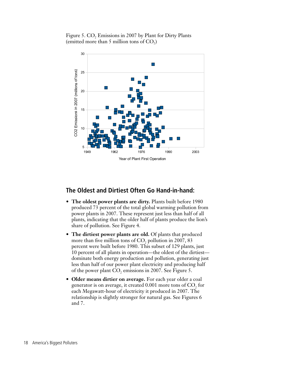Figure 5.  $CO<sub>2</sub>$  Emissions in 2007 by Plant for Dirty Plants (emitted more than 5 million tons of  $CO<sub>2</sub>$ )



#### **The Oldest and Dirtiest Often Go Hand-in-hand:**

- The oldest power plants are dirty. Plants built before 1980 produced 73 percent of the total global warming pollution from power plants in 2007. These represent just less than half of all plants, indicating that the older half of plants produce the lion's share of pollution. See Figure 4.
- The dirtiest power plants are old. Of plants that produced more than five million tons of  $CO_2$  pollution in 2007, 83 percent were built before 1980. This subset of 129 plants, just 10 percent of all plants in operation—the oldest of the dirtiest dominate both energy production and pollution, generating just less than half of our power plant electricity and producing half of the power plant  $\text{CO}_2$  emissions in 2007. See Figure 5.
- **• Older means dirtier on average.** For each year older a coal generator is on average, it created  $0.001$  more tons of  $\mathrm{CO}_2$  for each Megawatt-hour of electricity it produced in 2007. The relationship is slightly stronger for natural gas. See Figures 6 and 7.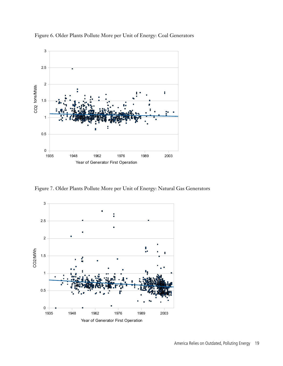

Figure 7. Older Plants Pollute More per Unit of Energy: Natural Gas Generators

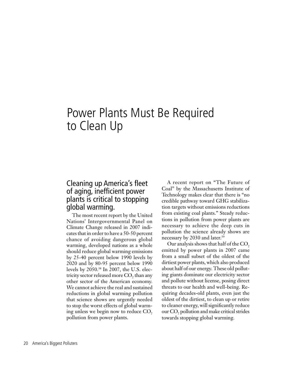## Power Plants Must Be Required to Clean Up

#### Cleaning up America's fleet of aging, inefficient power plants is critical to stopping global warming.

The most recent report by the United Nations' Intergovernmental Panel on Climate Change released in 2007 indicates that in order to have a 50-50 percent chance of avoiding dangerous global warming, developed nations as a whole should reduce global warming emissions by 25-40 percent below 1990 levels by 2020 and by 80-95 percent below 1990 levels by 2050.38 In 2007, the U.S. electricity sector released more  $CO$ , than any other sector of the American economy. We cannot achieve the real and sustained reductions in global warming pollution that science shows are urgently needed to stop the worst effects of global warming unless we begin now to reduce  $CO<sub>2</sub>$ pollution from power plants.

A recent report on "The Future of Coal" by the Massachusetts Institute of Technology makes clear that there is "no credible pathway toward GHG stabilization targets without emissions reductions from existing coal plants." Steady reductions in pollution from power plants are necessary to achieve the deep cuts in pollution the science already shows are necessary by 2030 and later.<sup>39</sup>

Our analysis shows that half of the CO<sub>2</sub> emitted by power plants in 2007 came from a small subset of the oldest of the dirtiest power plants, which also produced about half of our energy. These old polluting giants dominate our electricity sector and pollute without license, posing direct threats to our health and well-being. Requiring decades-old plants, even just the oldest of the dirtiest, to clean up or retire to cleaner energy, will significantly reduce our  $CO<sub>2</sub>$  pollution and make critical strides towards stopping global warming.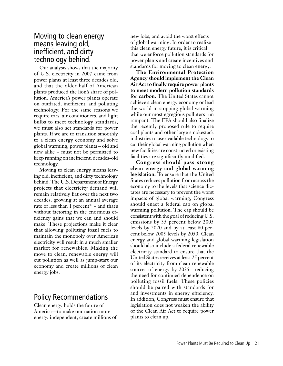#### Moving to clean energy means leaving old, inefficient, and dirty technology behind.

Our analysis shows that the majority of U.S. electricity in 2007 came from power plants at least three decades old, and that the older half of American plants produced the lion's share of pollution. America's power plants operate on outdated, inefficient, and polluting technology. For the same reasons we require cars, air conditioners, and light bulbs to meet technology standards, we must also set standards for power plants. If we are to transition smoothly to a clean energy economy and solve global warming, power plants – old and new alike – must not be permitted to keep running on inefficient, decades-old technology.

Moving to clean energy means leaving old, inefficient, and dirty technology behind. The U.S. Department of Energy projects that electricity demand will remain relatively flat over the next two decades, growing at an annual average rate of less than 1 percent<sup> $40$ </sup> – and that's without factoring in the enormous efficiency gains that we can and should make. These projections make it clear that allowing polluting fossil fuels to maintain the monopoly over America's electricity will result in a much smaller market for renewables. Making the move to clean, renewable energy will cut pollution as well as jump-start our economy and create millions of clean energy jobs.

#### Policy Recommendations

Clean energy holds the future of America—to make our nation more energy independent, create millions of new jobs, and avoid the worst effects of global warming. In order to realize this clean energy future, it is critical that we enforce pollution standards for power plants and create incentives and standards for moving to clean energy.

**The Environmental Protection Agency should implement the Clean Air Act to finally require power plants to meet modern pollution standards for carbon.** The United States cannot achieve a clean energy economy or lead the world in stopping global warming while our most egregious polluters run rampant. The EPA should also finalize the recently proposed rule to require coal plants and other large smokestack industries to use available technology to cut their global warming pollution when new facilities are constructed or existing facilities are significantly modified.

**Congress should pass strong clean energy and global warming legislation.** To ensure that the United States reduces pollution from across the economy to the levels that science dictates are necessary to prevent the worst impacts of global warming, Congress should enact a federal cap on global warming pollution. The cap should be consistent with the goal of reducing U.S. emissions by 35 percent below 2005 levels by 2020 and by at least 80 percent below 2005 levels by 2050. Clean energy and global warming legislation should also include a federal renewable electricity standard to ensure that the United States receives at least 25 percent of its electricity from clean renewable sources of energy by 2025—reducing the need for continued dependence on polluting fossil fuels. These policies should be paired with standards for and investments in energy efficiency. In addition, Congress must ensure that legislation does not weaken the ability of the Clean Air Act to require power plants to clean up.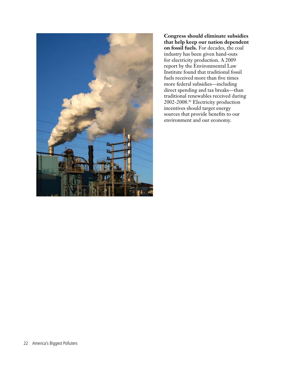

**Congress should eliminate subsidies that help keep our nation dependent on fossil fuels.** For decades, the coal industry has been given hand-outs for electricity production. A 2009 report by the Environmental Law Institute found that traditional fossil fuels received more than five times more federal subsidies—including direct spending and tax breaks—than traditional renewables received during 2002-2008.41 Electricity production incentives should target energy sources that provide benefits to our environment and our economy.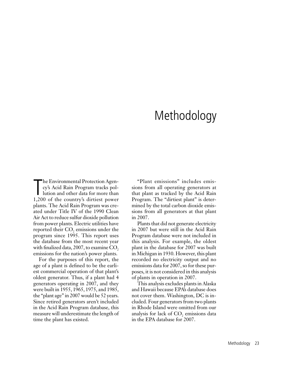# Methodology

The Environmental Protection Agen-<br>cy's Acid Rain Program tracks pol-<br>lution and other data for more than<br>1,200 of the country's dirtiest power he Environmental Protection Agency's Acid Rain Program tracks pollution and other data for more than plants. The Acid Rain Program was created under Title IV of the 1990 Clean Air Act to reduce sulfur dioxide pollution from power plants. Electric utilities have reported their  $\text{CO}_2$  emissions under the program since 1995. This report uses the database from the most recent year with finalized data,  $2007$ , to examine  $CO<sub>2</sub>$ , emissions for the nation's power plants.

For the purposes of this report, the age of a plant is defined to be the earliest commercial operation of that plant's oldest generator. Thus, if a plant had 4 generators operating in 2007, and they were built in 1955, 1965, 1975, and 1985, the "plant age" in 2007 would be 52 years. Since retired generators aren't included in the Acid Rain Program database, this measure will underestimate the length of time the plant has existed.

"Plant emissions" includes emissions from all operating generators at that plant as tracked by the Acid Rain Program. The "dirtiest plant" is determined by the total carbon dioxide emissions from all generators at that plant in 2007.

Plants that did not generate electricity in 2007 but were still in the Acid Rain Program database were not included in this analysis. For example, the oldest plant in the database for 2007 was built in Michigan in 1930. However, this plant recorded no electricity output and no emissions data for 2007, so for these purposes, it is not considered in this analysis of plants in operation in 2007.

This analysis excludes plants in Alaska and Hawaii because EPA's database does not cover them. Washington, DC is included. Four generators from two plants in Rhode Island were omitted from our analysis for lack of  $\mathrm{CO}_2$  emissions data in the EPA database for 2007.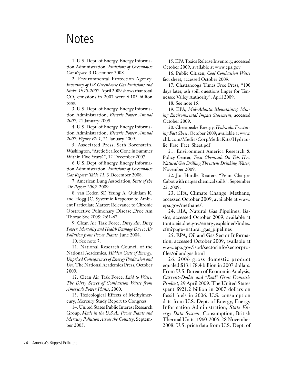### **Notes**

1. U.S. Dept. of Energy, Energy Information Administration, *Emissions of Greenhouse Gas Report,* 3 December 2008.

2. Environmental Protection Agency, *Inventory of US Greenhouse Gas Emissions and Sinks: 1990-2007*, April 2009 shows that total  $CO<sub>2</sub>$  emissions in 2007 were 6.103 billion tons.

3. U.S. Dept. of Energy, Energy Information Administration, *Electric Power Annual 2007,* 21 January 2009.

4. U.S. Dept. of Energy, Energy Information Administration, *Electric Power Annual 2007: Figure ES 1,* 21 January 2009.

5. Associated Press, Seth Borenstein, Washington, "Arctic Sea Ice Gone in Summer Within Five Years?", 12 December 2007.

6. U.S. Dept. of Energy, Energy Information Administration, *Emissions of Greenhouse Gas Report: Table 11,* 3 December 2008.

7. American Lung Association, *State of the Air Report 2009,* 2009.

8. van Eeden SF, Yeung A, Quinlam K, and Hogg JC, Systemic Response to Ambient Particulate Matter: Relevance to Chronic Obstructive Pulmonary Disease.,Proc Am Thorac Soc 2005; 2:61-67.

9. Clean Air Task Force, *Dirty Air, Dirty Power: Mortality and Health Damage Due to Air Pollution from Power Plants,* June 2004.

10. See note 7.

11. National Research Council of the National Academies, *Hidden Costs of Energy: Unpriced Consequences of Energy Production and Use*, The National Academies Press, October 2009.

12. Clean Air Task Force, *Laid to Waste: The Dirty Secret of Combustion Waste from America's Power Plants*, 2000.

13. Toxicological Effects of Methylmercury; Mercury Study Report to Congress.

14. United States Public Interest Research Group, *Made in the U.S.A.: Power Plants and Mercury Pollution Across the Country*, September 2005.

15. EPA Toxics Release Inventory, accessed October 2009; available at www.epa.gov

16. Public Citizen, *Coal Combustion Waste* fact sheet, accessed October 2009.

17. Chattanooga Times Free Press, "100 days later, ash spill questions linger for Tennessee Valley Authority", April 2009.

18. See note 15.

19. EPA, *Mid-Atlantic Mountaintop Mining Environmental Impact Statement*, accessed October 2009.

20. Chesapeake Energy, *Hydraulic Fracturing Fact Sheet*, October 2009; available at www. chk.com/Media/CorpMediaKits/Hydraulic\_Frac\_Fact\_Sheet.pdf

21. Environment America Research & Policy Center, *Toxic Chemicals On Tap: How Natural Gas Drilling Threatens Drinking Water*, November 2009.

22. Jon Hurdle, Reuters, "Penn. Charges Cabot with natgas chemical spills", September 22, 2009.

23. EPA, Climate Change, Methane, accessed October 2009, available at www. epa.gov/methane/.

24. EIA, Natural Gas Pipelines, Basics, accessed October 2009, available at tonto.eia.doe.gov/energyexplained/index. cfm?page=natural\_gas\_pipelines

25. EPA, Oil and Gas Sector Information, accessed October 2009, available at www.epa.gov/ispd/sectorinfo/sectorprofiles/oilandgas.html

26. 2006 gross domestic product equaled \$13,178.4 billion in 2007 dollars. From U.S. Bureau of Economic Analysis, *Current-Dollar and "Real" Gross Domestic Product*, 29 April 2009. The United States spent \$921.2 billion in 2007 dollars on fossil fuels in 2006. U.S. consumption data from U.S. Dept. of Energy, Energy Information Administration, *State Energy Data System*, Consumption, British Thermal Units, 1960-2006, 28 November 2008. U.S. price data from U.S. Dept. of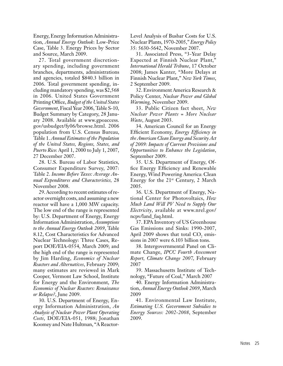Energy, Energy Information Administration, *Annual Energy Outlook*: Low-Price Case, Table 3. Energy Prices by Sector and Source, March 2009.

27. Total government discretionary spending, including government branches, departments, administrations and agencies, totaled \$840.3 billion in 2006. Total government spending, including mandatory spending, was \$2,568 in 2006. United States Government Printing Office, *Budget of the United States Government*, Fiscal Year 2006, Table S-10, Budget Summary by Category, 28 January 2008. Available at www.gpoaccess. gov/usbudget/fy06/browse.html. 2006 population from U.S. Census Bureau, Table 1. *Annual Estimates of the Population of the United States, Regions, States, and Puerto Rico*: April 1, 2000 to July 1, 2007, 27 December 2007.

28. U.S. Bureau of Labor Statistics, Consumer Expenditure Survey, 2007: Table 2. *Income Before Taxes: Average Annual Expenditures and Characteristics,* 28 November 2008.

29. According to recent estimates of reactor overnight costs, and assuming a new reactor will have a 1,000 MW capacity. The low end of the range is represented by: U.S. Department of Energy, Energy Information Administration, *Assumptions to the Annual Energy Outlook 2009*, Table 8.12, Cost Characteristics for Advanced Nuclear Technology: Three Cases, Report DOE/EIA-0554, March 2009; and the high end of the range is represented by Jim Harding, *Economics of Nuclear Reactors and Alternatives*, February 2009; many estimates are reviewed in Mark Cooper, Vermont Law School, Institute for Energy and the Environment, *The Economics of Nuclear Reactors: Renaissance or Relapse?*, June 2009.

30. U.S. Department of Energy, Energy Information Administration, *An Analysis of Nuclear Power Plant Operating Costs*, DOE/EIA-051, 1988; Jonathan Koomey and Nate Hultman, "A ReactorLevel Analysis of Busbar Costs for U.S. Nuclear Plants, 1970-2005," *Energy Policy* 35: 5630-5642, November 2007.

31. Associated Press, "3-Year Delay Expected at Finnish Nuclear Plant," *International Herald Tribune*, 17 October 2008; James Kanter, "More Delays at Finnish Nuclear Plant," *New York Times*, 2 September 2009.

32. Environment America Research & Policy Center, *Nuclear Power and Global Warming,* November 2009.

33. Public Citizen fact sheet, *New Nuclear Power Plants = More Nuclear Waste*, August 2003.

34. American Council for an Energy Efficient Economy, *Energy Efficiency in the American Clean Energy and Security Act of 2009: Impacts of Current Provisions and Opportunities to Enhance the Legislation*, September 2009.

35. U.S. Department of Energy, Office Energy Efficiency and Renewable Energy, Wind Powering America: Clean Energy for the  $21^{st}$  Century, 2 March 2005.

36. U.S. Department of Energy, National Center for Photovoltaics, *How Much Land Will PV Need to Supply Our Electricity*, available at www.nrel.gov/ ncpv/land\_faq.html.

37. EPA Inventory of US Greenhouse Gas Emissions and Sinks: 1990-2007, April 2009 shows that total  $\mathrm{CO}_2$  emissions in 2007 were 6.103 billion tons.

38. Intergovernmental Panel on Climate Change, *IPCC Fourth Assessment Report, Climate Change 2007,* February 2007

39. Massachusetts Institute of Technology, "Future of Coal," March 2007

40. Energy Information Administration, *Annual Energy Outlook 2009*, March 2009

41. Environmental Law Institute, *Estimating U.S. Government Subsidies to Energy Sources: 2002-2008*, September 2009.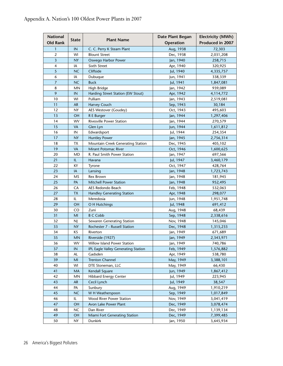| <b>National</b><br><b>Old Rank</b> | <b>State</b> | <b>Plant Name</b>                   | Date Plant Began<br>Operation | <b>Electricity (MWh)</b><br>Produced in 2007 |
|------------------------------------|--------------|-------------------------------------|-------------------------------|----------------------------------------------|
| 1                                  | IN           | C. C. Perry K Steam Plant           | Aug, 1938                     | 72,303                                       |
| $\overline{2}$                     | WI           | <b>Blount Street</b>                | Dec, 1938                     | 2,031,208                                    |
| $\overline{\mathbf{3}}$            | <b>NY</b>    | Oswego Harbor Power                 | Jan, 1940                     | 258,715                                      |
| 4                                  | IA           | Sixth Street                        | Apr, 1940                     | 320,925                                      |
| 5                                  | <b>NC</b>    | Cliffside                           | Jul, 1940                     | 4,335,757                                    |
| 6                                  | IA           | Dubuque                             | Jun, 1941                     | 338,339                                      |
| $\overline{7}$                     | <b>NC</b>    | <b>Buck</b>                         | Jul, 1941                     | 1,847,081                                    |
| 8                                  | MN           | High Bridge                         | Jan, 1942                     | 939,089                                      |
| 9                                  | IN           | Harding Street Station (EW Stout)   | Apr, 1942                     | 4,114,772                                    |
| 10                                 | WI           | Pulliam                             | Jan, 1943                     | 2,519,081                                    |
| 11                                 | <b>AR</b>    | Harvey Couch                        | Sep, 1943                     | 30,184                                       |
| 12                                 | NY           | AES Westover (Goudey)               | Oct, 1943                     | 495,603                                      |
| 13                                 | <b>OH</b>    | R E Burger                          | Jan, 1944                     | 1,297,406                                    |
| 14                                 | WV           | <b>Rivesville Power Station</b>     | Jan, 1944                     | 270,579                                      |
| 15                                 | <b>VA</b>    | Glen Lyn                            | Jun, 1944                     | 1,611,812                                    |
| 16                                 | IN           | Edwardsport                         | Jul, 1944                     | 254,354                                      |
| 17                                 | <b>NY</b>    | <b>Huntley Power</b>                | Jan, 1945                     | 2,756,314                                    |
| 18                                 | TХ           | Mountain Creek Generating Station   | Dec, 1945                     | 405,102                                      |
| 19                                 | <b>VA</b>    | Mirant Potomac River                | Oct, 1946                     | 1,600,625                                    |
| 20                                 | MD           | R. Paul Smith Power Station         | Jan, 1947                     | 697,566                                      |
| 21                                 | IL           | Havana                              | Jul, 1947                     | 3,460,179                                    |
| 22                                 | ΚY           | Tyrone                              | Oct, 1947                     | 428,764                                      |
| 23                                 | IA           | Lansing                             | Jan, 1948                     | 1,723,743                                    |
| 24                                 | MS           | Rex Brown                           | Jan, 1948                     | 181,945                                      |
| 25                                 | PA           | <b>Mitchell Power Station</b>       | Jan, 1948                     | 952,495                                      |
| 26                                 | CA           | AES Redondo Beach                   | Feb, 1948                     | 532,063                                      |
| 27                                 | <b>TX</b>    | <b>Handley Generating Station</b>   | Apr, 1948                     | 298,077                                      |
| 28                                 | IL           | Meredosia                           | Jun, 1948                     | 1,951,748                                    |
| 29                                 | OH           | O H Hutchings                       | Jul, 1948                     | 691,412                                      |
| 30                                 | CO           | Zuni                                | Aug, 1948                     | 68,439                                       |
| 31                                 | MI           | <b>B C Cobb</b>                     | Sep, 1948                     | 2,338,616                                    |
| 32                                 | NJ           | Sewaren Generating Station          | Nov, 1948                     | 145,046                                      |
| 33                                 | <b>NY</b>    | Rochester 7 - Russell Station       | Dec, 1948                     | 1,315,233                                    |
| 34                                 | ΚS           | Riverton                            | Jan, 1949                     | 671,689                                      |
| 35                                 | <b>MN</b>    | Riverside (1927)                    | Jan, 1949                     | 2,343,971                                    |
| 36                                 | WV           | Willow Island Power Station         | Jan, 1949                     | 740,786                                      |
| 37                                 | IN           | IPL Eagle Valley Generating Station | Feb, 1949                     | 1,576,882                                    |
| 38                                 | AL           | Gadsden                             | Apr, 1949                     | 538,780                                      |
| 39                                 | MI           | <b>Trenton Channel</b>              | May, 1949                     | 3,388,101                                    |
| 40                                 | WI           | DTE Stoneman, LLC                   | May, 1949                     | 66,430                                       |
| 41                                 | MA           | Kendall Square                      | Jun, 1949                     | 1,867,412                                    |
| 42                                 | MN           | <b>Hibbard Energy Center</b>        | Jul, 1949                     | 223,945                                      |
| 43                                 | <b>AR</b>    | Cecil Lynch                         | Jul, 1949                     | 38,547                                       |
| 44                                 | PA           | Sunbury                             | Aug, 1949                     | 1,910,219                                    |
| 45                                 | NC           | W H Weatherspoon                    | Sep, 1949                     | 1,017,849                                    |
| 46                                 | IL           | Wood River Power Station            | Nov, 1949                     | 3,041,419                                    |
| 47                                 | OH           | Avon Lake Power Plant               | Dec, 1949                     | 3,078,474                                    |
| 48                                 | <b>NC</b>    | Dan River                           | Dec, 1949                     | 1,139,134                                    |
| 49                                 | OH           | Miami Fort Generating Station       | Dec, 1949                     | 7,399,485                                    |
| 50                                 | <b>NY</b>    | Dunkirk                             | Jan, 1950                     | 3,645,934                                    |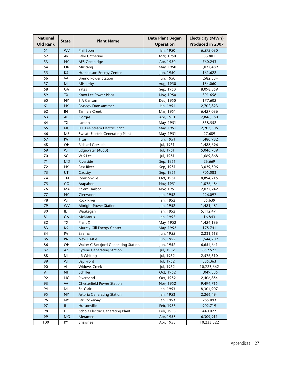| <b>National</b><br><b>Old Rank</b> | <b>State</b> | <b>Plant Name</b>                              | Date Plant Began<br>Operation | <b>Electricity (MWh)</b><br>Produced in 2007 |
|------------------------------------|--------------|------------------------------------------------|-------------------------------|----------------------------------------------|
| 51                                 | <b>WV</b>    | <b>Phil Sporn</b>                              | Jan, 1950                     | 6,572,030                                    |
| 52                                 | AR           | Lake Catherine                                 | Mar, 1950                     | 33,801                                       |
| 53                                 | <b>NY</b>    | <b>AES Greenidge</b>                           | Apr, 1950                     | 760,243                                      |
| 54                                 | OK           | Mustang                                        | May, 1950                     | 1,037,489                                    |
| 55                                 | <b>KS</b>    | <b>Hutchinson Energy Center</b>                | Jun, 1950                     | 161,622                                      |
| 56                                 | VA           | <b>Bremo Power Station</b>                     | Jun, 1950                     | 1,582,334                                    |
| 57                                 | MI           | Mistersky                                      | Aug, 1950                     | 134,060                                      |
| 58                                 | GA           | Yates                                          | Sep, 1950                     | 8,098,859                                    |
| 59                                 | <b>TX</b>    | Knox Lee Power Plant                           | Nov, 1950                     | 391,658                                      |
| 60                                 | <b>NY</b>    | S A Carlson                                    | Dec, 1950                     | 177,602                                      |
| 61                                 | <b>NY</b>    |                                                |                               |                                              |
|                                    |              | Dynegy Danskammer                              | Jan, 1951                     | 2,702,823                                    |
| 62                                 | IN           | <b>Tanners Creek</b>                           | Mar, 1951                     | 6,427,036                                    |
| 63                                 | <b>AL</b>    | Gorgas                                         | Apr, 1951                     | 7,846,560                                    |
| 64                                 | TX           | Laredo                                         | May, 1951                     | 858,552                                      |
| 65                                 | <b>NC</b>    | H F Lee Steam Electric Plant                   | May, 1951                     | 2,703,506                                    |
| 66                                 | <b>MS</b>    | <b>Sweatt Electric Generating Plant</b>        | May, 1951                     | 27,689                                       |
| 67                                 | PA           | Titus                                          | Jun, 1951                     | 1,480,982                                    |
| 68                                 | OH           | <b>Richard Gorsuch</b>                         | Jul, 1951                     | 1,488,696                                    |
| 69                                 | <b>WI</b>    | Edgewater (4050)                               | Jul, 1951                     | 5,046,739                                    |
| 70                                 | SC           | W S Lee                                        | Jul, 1951                     | 1,669,868                                    |
| 71                                 | <b>MD</b>    | Riverside                                      | Sep, 1951                     | 26,669                                       |
| 72                                 | <b>NY</b>    | <b>East River</b>                              | Sep, 1951                     | 3,039,506                                    |
| 73                                 | UT           | Gadsby                                         | Sep, 1951                     | 705,083                                      |
| 74                                 | <b>TN</b>    | Johnsonville                                   | Oct, 1951                     | 8,894,715                                    |
| 75                                 | <b>CO</b>    | Arapahoe                                       | Nov, 1951                     | 1,076,484                                    |
| 76                                 | MA           | Salem Harbor                                   | Nov, 1951                     | 2,037,242                                    |
| 77                                 | <b>NY</b>    | Glenwood                                       | Jan, 1952                     | 226,097                                      |
| 78                                 | WI           | <b>Rock River</b>                              | Jan, 1952                     | 35,639                                       |
| 79                                 | <b>WV</b>    | <b>Albright Power Station</b>                  | Jan, 1952                     | 1,481,481                                    |
| 80                                 | IL.          | Waukegan                                       | Jan, 1952                     | 5,112,471                                    |
| 81                                 | <b>GA</b>    | <b>McManus</b>                                 | Jan, 1952                     | 16,843                                       |
| 82                                 | TX           | Plant X                                        | May, 1952                     | 1,424,136                                    |
| 83                                 | <b>KS</b>    | Murray Gill Energy Center                      | May, 1952                     | 175,741                                      |
| 84                                 | PA           | Elrama                                         | Jun, 1952                     | 2,231,618                                    |
| 85                                 | PA           | <b>New Castle</b>                              | Jun, 1952                     | 1,544,709                                    |
| 86                                 | OH           | Walter C Beckjord Generating Station           | Jun, 1952                     | 6,654,641                                    |
| 87                                 | <b>AZ</b>    | <b>Kyrene Generating Station</b>               | Jul, 1952                     | 859,572                                      |
| 88                                 | MI           | J R Whiting                                    | Jul, 1952                     | 2,576,510                                    |
| 89                                 | WI           | <b>Bay Front</b>                               | Jul, 1952                     | 385,363                                      |
| 90                                 | AL           | <b>Widows Creek</b>                            | Jul, 1952                     | 10,723,662                                   |
| 91                                 | <b>NH</b>    | Schiller                                       | Oct, 1952                     | 1,049,335                                    |
| 92                                 | NC           | Riverbend                                      | Oct, 1952                     | 2,406,854                                    |
| 93                                 | <b>VA</b>    |                                                |                               |                                              |
| 94                                 | MI           | <b>Chesterfield Power Station</b><br>St. Clair | Nov, 1952                     | 9,494,715                                    |
|                                    |              |                                                | Jan, 1953                     | 8,304,907                                    |
| 95                                 | <b>NY</b>    | <b>Astoria Generating Station</b>              | Jan, 1953                     | 2,266,494                                    |
| 96                                 | <b>NY</b>    | Far Rockaway                                   | Jan, 1953                     | 265,093                                      |
| 97                                 | IL.          | Hutsonville                                    | Feb, 1953                     | 902,719                                      |
| 98                                 | FL.          | Scholz Electric Generating Plant               | Feb, 1953                     | 440,027                                      |
| 99                                 | <b>MO</b>    | Meramec                                        | Apr, 1953                     | 6,309,911                                    |
| 100                                | КY           | Shawnee                                        | Apr, 1953                     | 10,233,322                                   |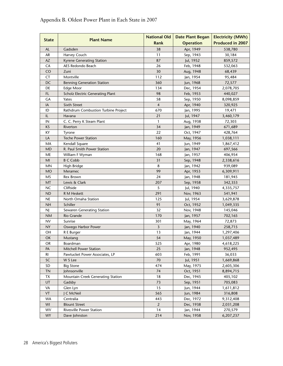| <b>State</b> | <b>Plant Name</b>                       | <b>National Old</b> | <b>Date Plant Began</b> | <b>Electricity (MWh)</b> |
|--------------|-----------------------------------------|---------------------|-------------------------|--------------------------|
|              |                                         | Rank                | <b>Operation</b>        | <b>Produced in 2007</b>  |
| <b>AL</b>    | Gadsden                                 | 38                  | Apr, 1949               | 538,780                  |
| AR           | Harvey Couch                            | 11                  | Sep, 1943               | 30,184                   |
| AZ           | Kyrene Generating Station               | 87                  | Jul, 1952               | 859,572                  |
| CA           | AES Redondo Beach                       | 26                  | Feb, 1948               | 532,063                  |
| CO           | Zuni                                    | 30                  | Aug, 1948               | 68,439                   |
| CT           | Montville                               | 112                 | Jan, 1954               | 95,484                   |
| DC           | <b>Benning Generation Station</b>       | 360                 | Jun, 1968               | 72,577                   |
| DE           | Edge Moor                               | 134                 | Dec, 1954               | 2,078,705                |
| FL           | <b>Scholz Electric Generating Plant</b> | 98                  | Feb, 1953               | 440,027                  |
| GА           | Yates                                   | 58                  | Sep, 1950               | 8,098,859                |
| IA           | Sixth Street                            | $\overline{4}$      | Apr, 1940               | 320,925                  |
| ID           | Rathdrum Combustion Turbine Project     | 670                 | Jan, 1995               | 19,471                   |
| IL           | Havana                                  | 21                  | Jul, 1947               | 3,460,179                |
| IN           | C. C. Perry K Steam Plant               | $\mathbf{1}$        | Aug, 1938               | 72,303                   |
| <b>KS</b>    | Riverton                                | 34                  | Jan, 1949               | 671,689                  |
| KY           | Tyrone                                  | 22                  | Oct, 1947               | 428,764                  |
| LA           | <b>Teche Power Station</b>              | 160                 | May, 1956               | 1,038,111                |
| MA           | Kendall Square                          | 41                  | Jun, 1949               | 1,867,412                |
| <b>MD</b>    | R. Paul Smith Power Station             | 20                  | Jan, 1947               | 697,566                  |
| ME           | William F Wyman                         | 168                 | Jan, 1957               | 406,954                  |
| MI           | <b>B C Cobb</b>                         | 31                  | Sep, 1948               | 2,338,616                |
| <b>MN</b>    | High Bridge                             | 8                   | Jan, 1942               | 939,089                  |
| <b>MO</b>    | Meramec                                 | 99                  | Apr, 1953               | 6,309,911                |
| MS           | Rex Brown                               | 24                  | Jan, 1948               | 181,945                  |
| <b>MT</b>    | Lewis & Clark                           | 207                 | Sep, 1958               | 342,353                  |
| <b>NC</b>    | Cliffside                               | 5                   | Jul, 1940               | 4,335,757                |
| <b>ND</b>    | R M Heskett                             | 291                 | Nov, 1963               | 541,941                  |
| <b>NE</b>    | North Omaha Station                     | 125                 | Jul, 1954               | 3,629,878                |
| <b>NH</b>    | Schiller                                | 91                  | Oct, 1952               | 1,049,335                |
| NJ           | Sewaren Generating Station              | 32                  | Nov, 1948               | 145,046                  |
| <b>NM</b>    | <b>Rio Grande</b>                       | 170                 | Jan, 1957               | 702,165                  |
| <b>NV</b>    | Sunrise                                 | 301                 | May, 1964               | 72,873                   |
| <b>NY</b>    | Oswego Harbor Power                     | 3                   | Jan, 1940               | 258,715                  |
| OН           | R E Burger                              | 13                  | Jan, 1944               | 1,297,406                |
| OK           | Mustang                                 | 54                  | May, 1950               | 1,037,489                |
| <b>OR</b>    | Boardman                                | 525                 | Apr, 1980               | 4,618,225                |
| PA           | Mitchell Power Station                  | 25                  | Jan, 1948               | 952,495                  |
| RI           | Pawtucket Power Associates, LP          | 603                 | Feb, 1991               | 36,033                   |
| SC           | W S Lee                                 | 70                  | Jul, 1951               | 1,669,868                |
| SD           | <b>Big Stone</b>                        | 474                 | May, 1975               | 2,605,306                |
| <b>TN</b>    | Johnsonville                            | 74                  | Oct, 1951               | 8,894,715                |
| <b>TX</b>    | Mountain Creek Generating Station       | 18                  | Dec, 1945               | 405,102                  |
| UT           | Gadsby                                  | 73                  | Sep, 1951               | 705,083                  |
| VA           | Glen Lyn                                | 15                  | Jun, 1944               | 1,611,812                |
| VT           | J C McNeil                              | 565                 | Jun, 1984               | 316,808                  |
| <b>WA</b>    | Centralia                               | 443                 | Dec, 1972               | 9,312,408                |
| WI           | <b>Blount Street</b>                    | $\overline{2}$      | Dec, 1938               | 2,031,208                |
| <b>WV</b>    | Rivesville Power Station                | 14                  | Jan, 1944               | 270,579                  |
| <b>WY</b>    | Dave Johnston                           | 214                 | Nov, 1958               | 6,207,237                |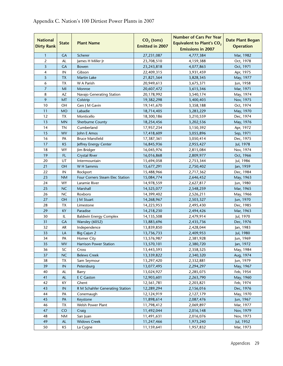| <b>National</b><br><b>Dirty Rank</b> | <b>State</b> | <b>Plant Name</b>               | $CO2$ (tons)<br><b>Emitted in 2007</b> | <b>Number of Cars Per Year</b><br><b>Equivalent to Plant's CO<sub>2</sub></b><br><b>Emissions in 2007</b> | <b>Date Plant Began</b><br><b>Operation</b> |
|--------------------------------------|--------------|---------------------------------|----------------------------------------|-----------------------------------------------------------------------------------------------------------|---------------------------------------------|
| $\mathbf{1}$                         | <b>GA</b>    | Scherer                         | 27,231,087                             | 4,777,384                                                                                                 | Mar, 1982                                   |
| $\overline{2}$                       | AL           | James H Miller Jr               | 23,708,510                             | 4,159,388                                                                                                 | Oct, 1978                                   |
| $\overline{\mathbf{3}}$              | <b>GA</b>    | Bowen                           | 23,243,818                             | 4,077,863                                                                                                 | Oct, 1971                                   |
| 4                                    | IN           | Gibson                          | 22,409,315                             | 3,931,459                                                                                                 | Apr, 1975                                   |
| 5                                    | <b>TX</b>    | Martin Lake                     | 21,821,564                             | 3,828,345                                                                                                 | May, 1977                                   |
| 6                                    | <b>TX</b>    | W A Parish                      | 20,949,613                             | 3,675,371                                                                                                 | Jun, 1958                                   |
| $\overline{7}$                       | MI           | Monroe                          | 20,607,472                             | 3,615,346                                                                                                 | Mar, 1971                                   |
| 8                                    | AZ           | Navajo Generating Station       | 20,178,992                             | 3,540,174                                                                                                 | May, 1974                                   |
| 9                                    | MT           | Colstrip                        | 19,382,298                             | 3,400,403                                                                                                 | Nov, 1975                                   |
| 10                                   | OН           | Gen J M Gavin                   | 19,141,670                             | 3,358,188                                                                                                 | Oct, 1974                                   |
| 11                                   | <b>MO</b>    | Labadie                         | 18,714,405                             | 3,283,229                                                                                                 | May, 1970                                   |
| 12                                   | TX           | Monticello                      | 18,300,186                             | 3,210,559                                                                                                 | Dec, 1974                                   |
| 13                                   | <b>MN</b>    | Sherburne County                | 18,254,456                             | 3,202,536                                                                                                 | May, 1976                                   |
| 14                                   | <b>TN</b>    | Cumberland                      | 17,957,234                             | 3,150,392                                                                                                 | Apr, 1972                                   |
| 15                                   | <b>WV</b>    | John E Amos                     | 17,418,609                             | 3,055,896                                                                                                 | Sep, 1971                                   |
| 16                                   | PA           | <b>Bruce Mansfield</b>          | 17,387,361                             | 3,050,414                                                                                                 | Dec, 1975                                   |
| 17                                   | KS           | Jeffrey Energy Center           | 16,845,936                             | 2,955,427                                                                                                 | Jul, 1978                                   |
| 18                                   | WY           | Jim Bridger                     | 16,045,976                             | 2,815,084                                                                                                 | Nov, 1974                                   |
| 19                                   | FL.          | <b>Crystal River</b>            | 16,016,868                             | 2,809,977                                                                                                 | Oct, 1966                                   |
| 20                                   | UT           | Intermountain                   | 15,694,058                             | 2,753,344                                                                                                 | Jul, 1986                                   |
| 21                                   | OH           | W H Sammis                      | 15,677,291                             | 2,750,402                                                                                                 | Jan, 1959                                   |
| 22                                   | IN           | Rockport                        | 15,488,966                             | 2,717,362                                                                                                 | Dec, 1984                                   |
| 23                                   | <b>NM</b>    | Four Corners Steam Elec Station | 15,084,774                             | 2,646,452                                                                                                 | May, 1963                                   |
| 24                                   | WY           | Laramie River                   | 14,978,559                             | 2,627,817                                                                                                 | Jun, 1980                                   |
| 25                                   | <b>NC</b>    | Marshall                        | 14,525,077                             | 2,548,259                                                                                                 | Mar, 1965                                   |
| 26                                   | <b>NC</b>    | Roxboro                         | 14,399,402                             | 2,526,211                                                                                                 | May, 1966                                   |
| 27                                   | OH           | J M Stuart                      | 14,268,967                             | 2,503,327                                                                                                 | Jun, 1970                                   |
| 28                                   | <b>TX</b>    | Limestone                       | 14,223,953                             | 2,495,430                                                                                                 | Dec, 1985                                   |
| 29                                   | KY           | Paradise                        | 14,218,230                             | 2,494,426                                                                                                 | Mar, 1963                                   |
| 30                                   | IL           | <b>Baldwin Energy Complex</b>   | 14,135,508                             | 2,479,914                                                                                                 | Jul, 1970                                   |
| 31                                   | <b>GA</b>    | Wansley (6052)                  | 13,883,696                             | 2,435,736                                                                                                 | Dec, 1976                                   |
| 32                                   | AR           | Independence                    | 13,839,850                             | 2,428,044                                                                                                 | Jan, 1983                                   |
| 33                                   | LA           | <b>Big Cajun 2</b>              | 13,736,733                             | 2,409,953                                                                                                 | Jul, 1980                                   |
| 34                                   | PA           | Homer City                      | 13,576,987                             | 2,381,928                                                                                                 | Jun, 1969                                   |
| 35                                   | <b>WV</b>    | <b>Harrison Power Station</b>   | 13,570,101                             | 2,380,720                                                                                                 | Jan, 1972                                   |
| 36                                   | SC           | Cross                           | 13,443,593                             | 2,358,525                                                                                                 | May, 1984                                   |
| 37                                   | <b>NC</b>    | <b>Belews Creek</b>             | 13,339,822                             | 2,340,320                                                                                                 | Aug, 1974                                   |
| 38                                   | TX           | Sam Seymour                     | 13,297,420                             | 2,332,881                                                                                                 | Jun, 1979                                   |
| 39                                   | IN           | Petersburg                      | 13,077,495                             | 2,294,297                                                                                                 | May, 1967                                   |
| 40                                   | AL           | Barry                           | 13,024,927                             | 2,285,075                                                                                                 | Feb, 1954                                   |
| 41                                   | AL           | E C Gaston                      | 12,903,601                             | 2,263,790                                                                                                 | May, 1960                                   |
| 42                                   | KY           | Ghent                           | 12,561,781                             | 2,203,821                                                                                                 | Feb, 1974                                   |
| 43                                   | IN           | R M Schahfer Generating Station | 12,289,294                             | 2,156,016                                                                                                 | Dec, 1976                                   |
| 44                                   | PA           | Conemaugh                       | 12,124,919                             | 2,127,179                                                                                                 | May, 1970                                   |
| 45                                   | PA           | Keystone                        | 11,898,614                             | 2,087,476                                                                                                 | Jun, 1967                                   |
| 46                                   | TX           | Welsh Power Plant               | 11,798,412                             | 2,069,897                                                                                                 | Mar, 1977                                   |
| 47                                   | CO           | Craig                           | 11,492,044                             | 2,016,148                                                                                                 | Nov, 1979                                   |
| 48                                   | <b>NM</b>    | San Juan                        | 11,491,631                             | 2,016,076                                                                                                 | Nov, 1973                                   |
| 49                                   | AL           | <b>Widows Creek</b>             | 11,247,466                             | 1,973,240                                                                                                 | Jul, 1952                                   |
| 50                                   | ΚS           | La Cygne                        | 11,159,641                             | 1,957,832                                                                                                 | Mar, 1973                                   |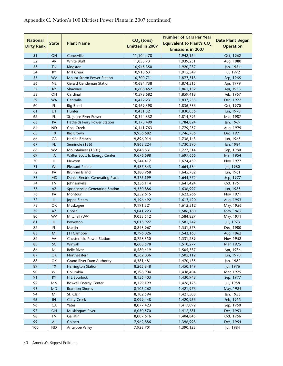| <b>National</b><br><b>Dirty Rank</b> | <b>State</b>           | <b>Plant Name</b>                 | $CO2$ (tons)<br><b>Emitted in 2007</b> | <b>Number of Cars Per Year</b><br><b>Equivalent to Plant's CO<sub>2</sub></b><br><b>Emissions in 2007</b> | <b>Date Plant Began</b><br><b>Operation</b> |
|--------------------------------------|------------------------|-----------------------------------|----------------------------------------|-----------------------------------------------------------------------------------------------------------|---------------------------------------------|
| 51                                   | <b>OH</b>              | Conesville                        | 11,104,478                             | 1,948,154                                                                                                 | Oct, 1962                                   |
| 52                                   | <b>AR</b>              | White Bluff                       | 11,053,731                             | 1,939,251                                                                                                 | Aug, 1980                                   |
| 53                                   | <b>TN</b>              | Kingston                          | 10,945,350                             | 1,920,237                                                                                                 | Jan, 1954                                   |
| 54                                   | KY                     | Mill Creek                        | 10,918,631                             | 1,915,549                                                                                                 | Jul, 1972                                   |
| 55                                   | <b>WV</b>              | Mount Storm Power Station         | 10,700,711                             | 1,877,318                                                                                                 | Sep, 1965                                   |
| 56                                   | <b>NE</b>              | <b>Gerald Gentleman Station</b>   | 10,684,738                             | 1,874,515                                                                                                 | Apr, 1979                                   |
| 57                                   | KY                     | Shawnee                           | 10,608,452                             | 1,861,132                                                                                                 | Apr, 1953                                   |
| 58                                   | OH                     | Cardinal                          | 10,598,682                             | 1,859,418                                                                                                 | Feb, 1967                                   |
| 59                                   | <b>WA</b>              | Centralia                         | 10,472,231                             | 1,837,233                                                                                                 | Dec, 1972                                   |
| 60                                   | FL                     | <b>Big Bend</b>                   | 10,469,398                             | 1,836,736                                                                                                 | Oct, 1970                                   |
| 61                                   | UT                     | Hunter                            | 10,431,321                             | 1,830,056                                                                                                 | Jun, 1978                                   |
| 62                                   | FL.                    | St. Johns River Power             | 10,344,332                             | 1,814,795                                                                                                 | Mar, 1987                                   |
| 63                                   | PA                     | Hatfields Ferry Power Station     | 10,173,499                             | 1,784,824                                                                                                 | Jan, 1969                                   |
| 64                                   | <b>ND</b>              | Coal Creek                        | 10,141,763                             | 1,779,257                                                                                                 | Aug, 1979                                   |
| 65                                   | <b>TX</b>              | <b>Big Brown</b>                  | 9,956,682                              | 1,746,786                                                                                                 | Dec, 1971                                   |
| 66                                   | GA                     | Harllee Branch                    | 9,896,014                              | 1,736,143                                                                                                 | Jun, 1965                                   |
| 67                                   | FL.                    | Seminole (136)                    | 9,863,224                              | 1,730,390                                                                                                 | Jan, 1984                                   |
| 68                                   | WV                     | Mountaineer (1301)                | 9,846,831                              | 1,727,514                                                                                                 | Sep, 1980                                   |
| 69                                   | IA                     | Walter Scott Jr. Energy Center    | 9,676,698                              | 1,697,666                                                                                                 | Mar, 1954                                   |
| 70                                   | IL                     | Newton                            | 9,544,417                              | 1,674,459                                                                                                 | Nov, 1977                                   |
| 71                                   | WI                     | <b>Pleasant Prairie</b>           |                                        |                                                                                                           |                                             |
| 72                                   | PA                     |                                   | 9,487,843                              | 1,664,534                                                                                                 | Jul, 1980                                   |
| 73                                   |                        | Brunner Island                    | 9,380,958                              | 1,645,782                                                                                                 | Jun, 1961                                   |
| 74                                   | <b>MS</b><br><b>TN</b> | Daniel Electric Generating Plant  | 9,375,199                              | 1,644,772                                                                                                 | Sep, 1977                                   |
| 75                                   | <b>AZ</b>              | Johnsonville                      | 9,356,114                              | 1,641,424                                                                                                 | Oct, 1951                                   |
| 76                                   | PA                     | Springerville Generating Station  | 9,330,886                              | 1,636,997                                                                                                 | Jun, 1985                                   |
| 77                                   | IL                     | Montour                           | 9,252,615                              | 1,623,266                                                                                                 | Nov, 1971                                   |
| 78                                   | OK                     | Joppa Steam                       | 9,196,492                              | 1,613,420                                                                                                 | Aug, 1953<br>May, 1956                      |
| 79                                   | <b>AZ</b>              | Muskogee<br>Cholla                | 9,191,321                              | 1,612,512                                                                                                 |                                             |
| 80                                   | WV                     |                                   | 9,041,223                              | 1,586,180                                                                                                 | May, 1962                                   |
|                                      |                        | Mitchell (WV)                     | 9,033,512                              | 1,584,827                                                                                                 | May, 1971                                   |
| 81                                   | IL                     | Powerton                          | 9,015,927                              | 1,581,742                                                                                                 | Jul, 1973                                   |
| 82                                   | FL                     | Martin                            | 8,843,967                              | 1,551,573                                                                                                 | Dec, 1980                                   |
| 83                                   | M <sub>l</sub>         | J H Campbell                      | 8,796,026                              | 1,543,163                                                                                                 | Aug, 1962                                   |
| 84                                   | VA                     | <b>Chesterfield Power Station</b> | 8,728,350                              | 1,531,289                                                                                                 | Nov, 1952                                   |
| 85                                   | SC                     | Winyah                            | 8,608,578                              | 1,510,277                                                                                                 | Mar, 1975                                   |
| 86                                   | M <sub>l</sub>         | <b>Belle River</b>                | 8,580,419                              | 1,505,337                                                                                                 | Apr, 1984                                   |
| 87                                   | OK                     | Northeastern                      | 8,562,036                              | 1,502,112                                                                                                 | Jun, 1970                                   |
| 88                                   | OK                     | <b>Grand River Dam Authority</b>  | 8,381,481                              | 1,470,435                                                                                                 | Jan, 1982                                   |
| 89                                   | TX                     | <b>Harrington Station</b>         | 8,265,848                              | 1,450,149                                                                                                 | Jul, 1976                                   |
| 90                                   | WI                     | Columbia                          | 8,198,904                              | 1,438,404                                                                                                 | Mar, 1975                                   |
| 91                                   | KY                     | H L Spurlock                      | 8,156,403                              | 1,430,948                                                                                                 | Sep, 1977                                   |
| 92                                   | MN                     | <b>Boswell Energy Center</b>      | 8,129,199                              | 1,426,175                                                                                                 | Jul, 1958                                   |
| 93                                   | MD                     | <b>Brandon Shores</b>             | 8,105,262                              | 1,421,976                                                                                                 | May, 1984                                   |
| 94                                   | MI                     | St. Clair                         | 8,102,594                              | 1,421,508                                                                                                 | Jan, 1953                                   |
| 95                                   | IN                     | <b>Clifty Creek</b>               | 8,099,448                              | 1,420,956                                                                                                 | Feb, 1955                                   |
| 96                                   | GA                     | Yates                             | 8,077,423                              | 1,417,092                                                                                                 | Sep, 1950                                   |
| 97                                   | OH                     | Muskingum River                   | 8,050,570                              | 1,412,381                                                                                                 | Dec, 1953                                   |
| 98                                   | <b>TN</b>              | Gallatin                          | 8,007,616                              | 1,404,845                                                                                                 | Oct, 1956                                   |
| 99                                   | $\mathsf{AL}$          | Colbert                           | 7,962,886                              | 1,396,998                                                                                                 | Dec, 1954                                   |
| 100                                  | ${\sf ND}$             | Antelope Valley                   | 7,923,701                              | 1,390,123                                                                                                 | Jul, 1984                                   |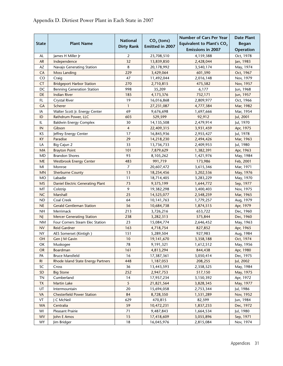|                |                                    |                                      |                                 | <b>Number of Cars Per Year</b>        | <b>Date Plant</b> |
|----------------|------------------------------------|--------------------------------------|---------------------------------|---------------------------------------|-------------------|
| <b>State</b>   | <b>Plant Name</b>                  | <b>National</b><br><b>Dirty Rank</b> | $CO2$ (tons)<br>Emitted in 2007 | Equivalent to Plant's CO <sub>2</sub> | <b>Began</b>      |
|                |                                    |                                      |                                 | <b>Emissions in 2007</b>              | <b>Operation</b>  |
| AL             | James H Miller Jr                  | 2                                    | 23,708,510                      | 4,159,388                             | Oct, 1978         |
| AR             | Independence                       | 32                                   | 13,839,850                      | 2,428,044                             | Jan, 1983         |
| AZ             | Navajo Generating Station          | 8                                    | 20,178,992                      | 3,540,174                             | May, 1974         |
| CA             | Moss Landing                       | 229                                  | 3,429,064                       | 601,590                               | Oct, 1967         |
| CO             | Craig                              | 47                                   | 11,492,044                      | 2,016,148                             | Nov, 1979         |
| CT             | <b>Bridgeport Harbor Station</b>   | 270                                  | 2,710,815                       | 475,582                               | Nov, 1957         |
| DC             | <b>Benning Generation Station</b>  | 998                                  | 35,209                          | 6,177                                 | Jun, 1968         |
| DE             | <b>Indian River</b>                | 185                                  | 4,173,376                       | 732,171                               | Jun, 1957         |
| FL             | <b>Crystal River</b>               | 19                                   | 16,016,868                      | 2,809,977                             | Oct, 1966         |
| <b>GA</b>      | Scherer                            | $\mathbf{1}$                         | 27,231,087                      | 4,777,384                             | Mar, 1982         |
| IA             | Walter Scott Jr. Energy Center     | 69                                   | 9,676,698                       | 1,697,666                             | Mar, 1954         |
| ID             | Rathdrum Power, LLC                | 603                                  | 529,599                         | 92,912                                | Jul, 2001         |
| IL             | <b>Baldwin Energy Complex</b>      | 30                                   | 14,135,508                      | 2,479,914                             | Jul, 1970         |
| IN             | Gibson                             | 4                                    | 22,409,315                      | 3,931,459                             | Apr, 1975         |
| KS             | Jeffrey Energy Center              | 17                                   | 16,845,936                      | 2,955,427                             | Jul, 1978         |
| KY             | Paradise                           | 29                                   | 14,218,230                      | 2,494,426                             | Mar, 1963         |
| LA             | Big Cajun 2                        | 33                                   | 13,736,733                      | 2,409,953                             | Jul, 1980         |
| MA             | <b>Brayton Point</b>               | 101                                  | 7,879,629                       | 1,382,391                             | Apr, 1963         |
| MD             | <b>Brandon Shores</b>              | 93                                   | 8,105,262                       | 1,421,976                             | May, 1984         |
| ME             | <b>Westbrook Energy Center</b>     | 483                                  | 991,719                         | 173,986                               | Feb, 2001         |
| MI             | Monroe                             | 7                                    | 20,607,472                      | 3,615,346                             | Mar, 1971         |
| <b>MN</b>      | <b>Sherburne County</b>            | 13                                   | 18,254,456                      | 3,202,536                             | May, 1976         |
| <b>MO</b>      | Labadie                            | 11                                   | 18,714,405                      | 3,283,229                             | May, 1970         |
| <b>MS</b>      | Daniel Electric Generating Plant   | 73                                   | 9,375,199                       | 1,644,772                             | Sep, 1977         |
| MT             | Colstrip                           | 9                                    | 19,382,298                      | 3,400,403                             | Nov, 1975         |
| <b>NC</b>      | Marshall                           | 25                                   | 14,525,077                      | 2,548,259                             | Mar, 1965         |
| <b>ND</b>      | Coal Creek                         | 64                                   | 10,141,763                      | 1,779,257                             | Aug, 1979         |
| <b>NE</b>      | <b>Gerald Gentleman Station</b>    | 56                                   | 10,684,738                      | 1,874,515                             | Apr, 1979         |
| <b>NH</b>      | Merrimack                          | 213                                  | 3,726,216                       | 653,722                               | Dec, 1960         |
| NJ             | <b>Mercer Generating Station</b>   | 238                                  | 3,282,313                       | 575,844                               | Dec, 1960         |
| <b>NM</b>      | Four Corners Steam Elec Station    | 23                                   | 15,084,774                      | 2,646,452                             | May, 1963         |
| <b>NV</b>      | <b>Reid Gardner</b>                | 163                                  | 4,718,754                       | 827,852                               | Apr, 1965         |
| <b>NY</b>      | AES Somerset (Kintigh)             | 151                                  | 5,289,504                       | 927,983                               | Aug, 1984         |
| OH             | Gen J M Gavin                      | 10                                   | 19,141,670                      | 3,358,188                             | Oct, 1974         |
| OK             | Muskogee                           | 78                                   | 9,191,321                       | 1,612,512                             | May, 1956         |
| OR.            | Boardman                           | 161                                  | 4,813,294                       | 844,438                               | Apr, 1980         |
| PA             | <b>Bruce Mansfield</b>             | 16                                   | 17,387,361                      | 3,050,414                             | Dec, 1975         |
| R <sub>l</sub> | Rhode Island State Energy Partners | 448                                  | 1,187,053                       | 208,255                               | Jul, 2002         |
| SC             | Cross                              | 36                                   | 13,443,593                      | 2,358,525                             | May, 1984         |
| SD             | <b>Big Stone</b>                   | 252                                  | 2,947,753                       | 517,150                               | May, 1975         |
| <b>TN</b>      | Cumberland                         | 14                                   | 17,957,234                      | 3,150,392                             | Apr, 1972         |
| <b>TX</b>      | Martin Lake                        | 5                                    | 21,821,564                      | 3,828,345                             | May, 1977         |
| UT             | Intermountain                      | 20                                   | 15,694,058                      | 2,753,344                             | Jul, 1986         |
| VA             | <b>Chesterfield Power Station</b>  | 84                                   | 8,728,350                       | 1,531,289                             | Nov, 1952         |
| VT             | I C McNeil                         | 629                                  | 470,815                         | 82,599                                | Jun, 1984         |
| <b>WA</b>      | Centralia                          | 59                                   | 10,472,231                      | 1,837,233                             | Dec, 1972         |
| WI             | Pleasant Prairie                   | 71                                   | 9,487,843                       | 1,664,534                             | Jul, 1980         |
| <b>WV</b>      | John E Amos                        | 15                                   | 17,418,609                      | 3,055,896                             | Sep, 1971         |
| <b>WY</b>      | Jim Bridger                        | 18                                   | 16,045,976                      | 2,815,084                             | Nov, 1974         |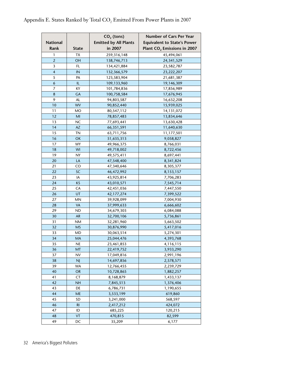|                         |                | $CO2$ (tons)                 | <b>Number of Cars Per Year</b>          |
|-------------------------|----------------|------------------------------|-----------------------------------------|
| National                |                | <b>Emitted by All Plants</b> | <b>Equivalent to State's Power</b>      |
| Rank                    | <b>State</b>   | in 2007                      | Plant CO <sub>2</sub> Emissions in 2007 |
| 1                       | ТX             | 259,316,148                  | 45,494,061                              |
| $\overline{2}$          | OН             | 138,746,713                  | 24, 341, 529                            |
| 3                       | FL             | 134,421,884                  | 23,582,787                              |
| $\overline{\mathbf{4}}$ | IN             | 132,366,579                  | 23,222,207                              |
| 5                       | PA             | 123,583,904                  | 21,681,387                              |
| 6                       | IL             | 109,133,960                  | 19,146,309                              |
| 7                       | ΚY             | 101,784,836                  | 17,856,989                              |
| 8                       | GA             | 100,758,584                  | 17,676,945                              |
| 9                       | AL             | 94,803,587                   | 16,632,208                              |
| 10                      | <b>WV</b>      | 90,852,440                   | 15,939,025                              |
| 11                      | MO             | 80,547,112                   | 14,131,072                              |
| 12                      | MI             | 78,857,483                   | 13,834,646                              |
| 13                      | <b>NC</b>      | 77,693,441                   | 13,630,428                              |
| 14                      | <b>AZ</b>      | 66,351,591                   | 11,640,630                              |
| 15                      | ΤN             | 63,711,756                   | 11,177,501                              |
| 16                      | OK             | 51,635,313                   | 9,058,827                               |
| 17                      | <b>WY</b>      | 49,966,375                   | 8,766,031                               |
| 18                      | WI             | 49,718,002                   | 8,722,456                               |
| 19                      | NY             | 49,575,411                   | 8,697,441                               |
| 20                      | LA             | 47,548,400                   | 8,341,824                               |
| 21                      | CO             | 47,340,646                   | 8,305,377                               |
| 22                      | <b>SC</b>      | 46,472,992                   | 8,153,157                               |
| 23                      | IA             | 43,925,814                   | 7,706,283                               |
| 24                      | KS             | 43,010,571                   | 7,545,714                               |
| 25                      | CA             | 42,451,036                   | 7,447,550                               |
| 26                      | UT             | 42,177,274                   | 7,399,522                               |
| 27                      | <b>MN</b>      | 39,928,099                   | 7,004,930                               |
| 28                      | <b>VA</b>      | 37,999,633                   | 6,666,602                               |
| 29                      | ND             | 34,679,303                   | 6,084,088                               |
| 30                      | <b>AR</b>      | 32,700,106                   | 5,736,861                               |
| 31                      | NM             | 32,281,960                   | 5,663,502                               |
| 32                      | <b>MS</b>      | 30,876,990                   | 5,417,016                               |
| 33                      | <b>MD</b>      | 30,063,514                   | 5,274,301                               |
| 34                      | MA             | 25,044,476                   | 4,393,768                               |
| 35                      | NE             | 23,461,853                   | 4,116,115                               |
| 36                      | <b>MT</b>      | 22,419,752                   | 3,933,290                               |
| 37                      | NV             | 17,049,816                   | 2,991,196                               |
| 38                      | <b>NJ</b>      | 14,697,856                   | 2,578,571                               |
| 39                      | WA             | 12,766,455                   | 2,239,729                               |
| 40                      | <b>OR</b>      | 10,728,865                   | 1,882,257                               |
| 41                      | CT             | 8,168,879                    | 1,433,137                               |
| 42                      | <b>NH</b>      | 7,845,513                    | 1,376,406                               |
| 43                      | DE             | 6,786,731                    | 1,190,655                               |
| 44                      | <b>ME</b>      | 3,533,199                    | 619,860                                 |
| 45                      | SD             | 3,241,000                    | 568,597                                 |
| 46                      | R <sub>l</sub> | 2,417,212                    | 424,072                                 |
| 47                      | ID             | 685,225                      | 120,215                                 |
| 48                      | VT             | 470,815                      | 82,599                                  |
| 49                      | DC             | 35,209                       | 6,177                                   |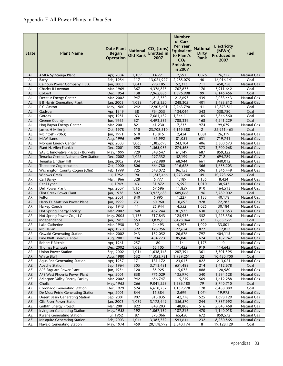| 117<br>2,285,075<br>AL<br>Feb, 1954<br>13,024,927<br>40<br>16,016,141<br>Coal<br>Barry<br>Calhoun Power Company I, LLC<br>AL<br>Jan, 2003<br>1,041<br>298,185<br>52,313<br>711<br>458,758<br><b>Natural Gas</b><br>367<br>4,376,875<br>767,873<br>176<br>3,911,642<br>AL<br>Charles R Lowman<br>Mar, 1969<br>Coal<br>99<br>AL<br>Colbert<br>Dec, 1954<br>138<br>7,962,886<br>1,396,998<br>8,146,456<br>Coal<br>947<br>439<br>AL<br>Decatur Energy Center<br>Mar, 2002<br>1,212,350<br>212,693<br>2,033,443<br>Natural Gas<br>1,038<br><b>AL</b><br>E B Harris Generating Plant<br>Jan, 2003<br>1,415,320<br>248,302<br>401<br>3,483,812<br>Natural Gas<br>E C Gaston<br>May, 1960<br>242<br>2,263,790<br>41<br>Coal<br>AL<br>12,903,601<br>12,873,511<br>Apr, 1949<br>38<br>538,780<br>AL<br>Gadsden<br>764,053<br>134,044<br>543<br>Coal<br>105<br>AL<br>Gorgas<br>Apr, 1951<br>63<br>7,661,432<br>1,344,111<br>7,846,560<br>Coal<br>321<br>AL<br><b>Greene County</b><br>Jun, 1965<br>4,493,535<br>788,339<br>168<br>4,241,229<br>Coal<br>Hog Bayou Energy Center<br>Mar, 2001<br>821<br>41,230<br>7,233<br>974<br>99,679<br><b>Natural Gas</b><br>AL<br>510<br>2<br><b>AL</b><br>James H Miller Jr<br>Oct, 1978<br>23,708,510<br>4,159,388<br>22,951,465<br>Coal<br>610<br>AL<br>McIntosh (7063)<br>Jun, 1991<br>13,815<br>1,081<br>26,319<br>Natural Gas<br>2,424<br>McWilliams<br>699<br>AL<br>Aug, 1996<br>461,992<br>81,051<br>631<br>719,741<br><b>Natural Gas</b><br>AL<br>Morgan Energy Center<br>Apr, 2003<br>1,065<br>1,385,693<br>243,104<br>406<br>3,300,573<br><b>Natural Gas</b><br>Plant H. Allen Franklin<br>Dec, 2001<br>928<br>373<br>AL<br>1,565,035<br>274,568<br>3,700,968<br><b>Natural Gas</b><br>729<br>SABIC Innovative Plastics - Burkville<br>687<br>Natural Gas<br>AL<br>May, 1999<br>348,547<br>61,149<br>859,322<br>297,532<br>712<br><b>AL</b><br>Tenaska Central Alabama Gen Station<br>Dec, 2002<br>1,025<br>52,199<br>694,789<br><b>Natural Gas</b><br>Jan, 2002<br>934<br>392,980<br>661<br>AL<br>Tenaska Lindsay Hill<br>68,944<br>940,012<br>Natural Gas<br>AL<br>806<br>566<br><b>Theodore Cogeneration</b><br>Oct, 2000<br>664,780<br>116,628<br>1,638,203<br><b>Natural Gas</b><br>Washington County Cogen (Olin)<br>Feb, 1999<br>725<br>596<br>Natural Gas<br>AL<br>548,072<br>96,153<br>1,346,449<br>Jul, 1952<br>90<br>11,247,466<br>49<br>Coal<br><b>Widows Creek</b><br>1,973,240<br>10,723,662<br>AL<br>Carl Bailey<br>328<br>AR<br>Mar, 1966<br>6,777<br>1,189<br>1,135<br>8,424<br>Natural Gas<br>Cecil Lynch<br>5,592<br>AR<br>Jul, 1949<br>43<br>31,872<br>1,010<br>38,547<br>Natural Gas<br>Dell Power Plant<br>1,167<br>67,596<br>11,859<br>910<br><b>AR</b><br>Apr, 2007<br>164,513<br>Natural Gas<br>196<br>Flint Creek Power Plant<br>502<br>3,927,688<br>689,068<br>3,789,002<br>Coal<br>AR<br>Jan, 1978<br>840<br>6,995<br>1,227<br>AR<br>Fulton<br>Apr, 2001<br>1,133<br>40,178<br>Natural Gas<br>Harry D. Mattison Power Plant<br>731<br>928<br>AR<br>Jun, 1999<br>60,960<br>10,695<br>72,283<br><b>Natural Gas</b><br>Harvey Couch<br>11<br>25,944<br><b>AR</b><br>Sep, 1943<br>4,552<br>1,025<br>30,184<br><b>Natural Gas</b><br>Hot Spring Energy Facility<br>948<br>467,244<br><b>AR</b><br>Mar, 2002<br>81,973<br>630<br>1,051,853<br>Natural Gas<br>AR<br>552<br>Hot Spring Power Co., LLC<br>May, 2005<br>1,133<br>717,843<br>125,937<br>1,225,356<br>Natural Gas<br>553<br>32<br><b>AR</b><br>Independence<br>Jan, 1983<br>13,839,850<br>2,428,044<br>12,639,771<br>Coal<br>52<br>1,029<br><b>AR</b><br>Lake Catherine<br>Mar, 1950<br>24,493<br>4,297<br>33,801<br><b>Natural Gas</b><br>392<br><b>AR</b><br>McClellan<br>Apr, 1970<br>128,956<br>22,624<br>827<br>112,817<br><b>Natural Gas</b><br>AR<br>943<br>797<br><b>Oswald Generating Station</b><br>Mar, 2002<br>152,052<br>26,676<br>404,115<br>Natural Gas<br>904<br>624<br>${\sf AR}$<br>484,773<br>85,048<br>1,182,947<br>Pine Bluff Energy Center<br>Aug, 2001<br>Natural Gas<br>Robert E Ritchie<br>Apr, 1961<br>257<br>80<br>14<br>1,175<br>0<br><b>Natural Gas</b><br>AR<br>65,105<br>919<br>AR<br>Thomas Fitzhugh<br>Dec, 2002<br>1,032<br>11,422<br>114,645<br>Natural Gas<br>AR<br>Sep, 2002<br>1,014<br>287,394<br>361<br>3,301,595<br>Natural Gas<br><b>Union Power Station</b><br>1,638,148<br>AR<br>White Bluff<br>Aug, 1980<br>532<br>11,053,731<br>1,939,251<br>52<br>10,430,700<br>Coal<br>Apr, 1957<br>171<br>822<br><b>Natural Gas</b><br>AZ<br>Agua Fria Generating Station<br>131,172<br>23,013<br>213,021<br>305<br>AZ<br>Sep, 1964<br>3,713,481<br>651,488<br>214<br>3,412,678<br>Coal<br>Apache Station<br>120<br>AZ<br>APS Saguaro Power Plant<br>Jun, 1954<br>85,925<br>888<br>120,980<br>Natural Gas<br>15,075<br>AZ<br>838<br>775,029<br>135,970<br>540<br>1,594,528<br>APS West Phoenix Power Plant<br>Apr, 2001<br><b>Natural Gas</b><br>AZ<br>Arlington Valley Energy Facility<br>Mar, 2002<br>942<br>656,747<br>115,219<br>569<br>1,612,288<br>Natural Gas<br>266<br>79<br>AZ<br>Cholla<br>May, 1962<br>9,041,223<br>1,586,180<br>8,740,710<br>Coal<br>AZ<br>Coronado Generating Station<br>524<br>128<br>Coal<br>Dec, 1979<br>6,610,737<br>1,159,778<br>6,488,089<br>AZ<br>De Moss Petrie Generating Station<br>Apr, 2001<br>844<br>15,384<br>2,699<br>1,074<br>19,975<br>Natural Gas<br>907<br>AZ<br>Sep, 2001<br>813,835<br>142,778<br>525<br>1,698,129<br>Natural Gas<br>Desert Basin Generating Station<br>$\mathsf{A}\mathsf{Z}$<br>Jan, 2003<br>1,039<br>3,172,449<br>556,570<br>244<br>7,837,992<br>Natural Gas<br>Gila River Power Station<br>AZ<br><b>Griffith Energy Project</b><br>Mar, 2001<br>822<br>848,203<br>148,808<br>516<br>2,043,468<br>Natural Gas<br>May, 1958<br>192<br>1,067,132<br>470<br>1,140,018<br>Natural Gas<br>AZ<br>Irvington Generating Station<br>187,216<br>87<br>AZ<br>Kyrene Generating Station<br>Jul, 1952<br>373,066<br>65,450<br>672<br>859,572<br>Natural Gas<br>AZ<br><b>Mesquite Generating Station</b><br>Feb, 2003<br>1,044<br>3,383,772<br>593,644<br>232<br>8,230,565<br>Natural Gas | <b>State</b> | <b>Plant Name</b>         | <b>Date Plant</b><br><b>Began</b><br><b>Operation</b> | <b>National</b><br>Old Rank | $CO2$ (tons)<br><b>Emitted in</b><br>2007 | <b>Number</b><br>of Cars<br><b>Per Year</b><br><b>Equivalent</b><br>to Plant's<br>CO <sub>2</sub><br><b>Emissions</b><br>in 2007 | <b>National</b><br><b>Dirty</b><br>Rank | <b>Electricity</b><br>(MWh)<br><b>Produced in</b><br>2007 | Fuel               |
|-------------------------------------------------------------------------------------------------------------------------------------------------------------------------------------------------------------------------------------------------------------------------------------------------------------------------------------------------------------------------------------------------------------------------------------------------------------------------------------------------------------------------------------------------------------------------------------------------------------------------------------------------------------------------------------------------------------------------------------------------------------------------------------------------------------------------------------------------------------------------------------------------------------------------------------------------------------------------------------------------------------------------------------------------------------------------------------------------------------------------------------------------------------------------------------------------------------------------------------------------------------------------------------------------------------------------------------------------------------------------------------------------------------------------------------------------------------------------------------------------------------------------------------------------------------------------------------------------------------------------------------------------------------------------------------------------------------------------------------------------------------------------------------------------------------------------------------------------------------------------------------------------------------------------------------------------------------------------------------------------------------------------------------------------------------------------------------------------------------------------------------------------------------------------------------------------------------------------------------------------------------------------------------------------------------------------------------------------------------------------------------------------------------------------------------------------------------------------------------------------------------------------------------------------------------------------------------------------------------------------------------------------------------------------------------------------------------------------------------------------------------------------------------------------------------------------------------------------------------------------------------------------------------------------------------------------------------------------------------------------------------------------------------------------------------------------------------------------------------------------------------------------------------------------------------------------------------------------------------------------------------------------------------------------------------------------------------------------------------------------------------------------------------------------------------------------------------------------------------------------------------------------------------------------------------------------------------------------------------------------------------------------------------------------------------------------------------------------------------------------------------------------------------------------------------------------------------------------------------------------------------------------------------------------------------------------------------------------------------------------------------------------------------------------------------------------------------------------------------------------------------------------------------------------------------------------------------------------------------------------------------------------------------------------------------------------------------------------------------------------------------------------------------------------------------------------------------------------------------------------------------------------------------------------------------------------------------------------------------------------------------------------------------------------------------------------------------------------------------------------------------------------------------------------------------------------------------------------------------------------------------------------------------------------------------------------------------------------------------------------------------------------------------------------------------------------------------------------------------------------------------------------------------------------------------------------------------------------------------------------------------------------------------------------------------------------------------------------------------------------------------------------------------------------------------------------------------------------------------------------------------------------------------------------------------------------------------------------------------------------------------------------------------------------------------------------------------------------------------------------------------------------------------------------------------------------------------------------------------------------------------------------------------------------------------------------------------------------------------------------------------------------------------------------------------------------------------------------------|--------------|---------------------------|-------------------------------------------------------|-----------------------------|-------------------------------------------|----------------------------------------------------------------------------------------------------------------------------------|-----------------------------------------|-----------------------------------------------------------|--------------------|
|                                                                                                                                                                                                                                                                                                                                                                                                                                                                                                                                                                                                                                                                                                                                                                                                                                                                                                                                                                                                                                                                                                                                                                                                                                                                                                                                                                                                                                                                                                                                                                                                                                                                                                                                                                                                                                                                                                                                                                                                                                                                                                                                                                                                                                                                                                                                                                                                                                                                                                                                                                                                                                                                                                                                                                                                                                                                                                                                                                                                                                                                                                                                                                                                                                                                                                                                                                                                                                                                                                                                                                                                                                                                                                                                                                                                                                                                                                                                                                                                                                                                                                                                                                                                                                                                                                                                                                                                                                                                                                                                                                                                                                                                                                                                                                                                                                                                                                                                                                                                                                                                                                                                                                                                                                                                                                                                                                                                                                                                                                                                                                                                                                                                                                                                                                                                                                                                                                                                                                                                                                                                                                       | AL           | AMEA Sylacauga Plant      | Apr, 2004                                             | 1,109                       | 14,771                                    | 2,591                                                                                                                            | 1,076                                   | 26,222                                                    | <b>Natural Gas</b> |
|                                                                                                                                                                                                                                                                                                                                                                                                                                                                                                                                                                                                                                                                                                                                                                                                                                                                                                                                                                                                                                                                                                                                                                                                                                                                                                                                                                                                                                                                                                                                                                                                                                                                                                                                                                                                                                                                                                                                                                                                                                                                                                                                                                                                                                                                                                                                                                                                                                                                                                                                                                                                                                                                                                                                                                                                                                                                                                                                                                                                                                                                                                                                                                                                                                                                                                                                                                                                                                                                                                                                                                                                                                                                                                                                                                                                                                                                                                                                                                                                                                                                                                                                                                                                                                                                                                                                                                                                                                                                                                                                                                                                                                                                                                                                                                                                                                                                                                                                                                                                                                                                                                                                                                                                                                                                                                                                                                                                                                                                                                                                                                                                                                                                                                                                                                                                                                                                                                                                                                                                                                                                                                       |              |                           |                                                       |                             |                                           |                                                                                                                                  |                                         |                                                           |                    |
|                                                                                                                                                                                                                                                                                                                                                                                                                                                                                                                                                                                                                                                                                                                                                                                                                                                                                                                                                                                                                                                                                                                                                                                                                                                                                                                                                                                                                                                                                                                                                                                                                                                                                                                                                                                                                                                                                                                                                                                                                                                                                                                                                                                                                                                                                                                                                                                                                                                                                                                                                                                                                                                                                                                                                                                                                                                                                                                                                                                                                                                                                                                                                                                                                                                                                                                                                                                                                                                                                                                                                                                                                                                                                                                                                                                                                                                                                                                                                                                                                                                                                                                                                                                                                                                                                                                                                                                                                                                                                                                                                                                                                                                                                                                                                                                                                                                                                                                                                                                                                                                                                                                                                                                                                                                                                                                                                                                                                                                                                                                                                                                                                                                                                                                                                                                                                                                                                                                                                                                                                                                                                                       |              |                           |                                                       |                             |                                           |                                                                                                                                  |                                         |                                                           |                    |
|                                                                                                                                                                                                                                                                                                                                                                                                                                                                                                                                                                                                                                                                                                                                                                                                                                                                                                                                                                                                                                                                                                                                                                                                                                                                                                                                                                                                                                                                                                                                                                                                                                                                                                                                                                                                                                                                                                                                                                                                                                                                                                                                                                                                                                                                                                                                                                                                                                                                                                                                                                                                                                                                                                                                                                                                                                                                                                                                                                                                                                                                                                                                                                                                                                                                                                                                                                                                                                                                                                                                                                                                                                                                                                                                                                                                                                                                                                                                                                                                                                                                                                                                                                                                                                                                                                                                                                                                                                                                                                                                                                                                                                                                                                                                                                                                                                                                                                                                                                                                                                                                                                                                                                                                                                                                                                                                                                                                                                                                                                                                                                                                                                                                                                                                                                                                                                                                                                                                                                                                                                                                                                       |              |                           |                                                       |                             |                                           |                                                                                                                                  |                                         |                                                           |                    |
|                                                                                                                                                                                                                                                                                                                                                                                                                                                                                                                                                                                                                                                                                                                                                                                                                                                                                                                                                                                                                                                                                                                                                                                                                                                                                                                                                                                                                                                                                                                                                                                                                                                                                                                                                                                                                                                                                                                                                                                                                                                                                                                                                                                                                                                                                                                                                                                                                                                                                                                                                                                                                                                                                                                                                                                                                                                                                                                                                                                                                                                                                                                                                                                                                                                                                                                                                                                                                                                                                                                                                                                                                                                                                                                                                                                                                                                                                                                                                                                                                                                                                                                                                                                                                                                                                                                                                                                                                                                                                                                                                                                                                                                                                                                                                                                                                                                                                                                                                                                                                                                                                                                                                                                                                                                                                                                                                                                                                                                                                                                                                                                                                                                                                                                                                                                                                                                                                                                                                                                                                                                                                                       |              |                           |                                                       |                             |                                           |                                                                                                                                  |                                         |                                                           |                    |
|                                                                                                                                                                                                                                                                                                                                                                                                                                                                                                                                                                                                                                                                                                                                                                                                                                                                                                                                                                                                                                                                                                                                                                                                                                                                                                                                                                                                                                                                                                                                                                                                                                                                                                                                                                                                                                                                                                                                                                                                                                                                                                                                                                                                                                                                                                                                                                                                                                                                                                                                                                                                                                                                                                                                                                                                                                                                                                                                                                                                                                                                                                                                                                                                                                                                                                                                                                                                                                                                                                                                                                                                                                                                                                                                                                                                                                                                                                                                                                                                                                                                                                                                                                                                                                                                                                                                                                                                                                                                                                                                                                                                                                                                                                                                                                                                                                                                                                                                                                                                                                                                                                                                                                                                                                                                                                                                                                                                                                                                                                                                                                                                                                                                                                                                                                                                                                                                                                                                                                                                                                                                                                       |              |                           |                                                       |                             |                                           |                                                                                                                                  |                                         |                                                           |                    |
|                                                                                                                                                                                                                                                                                                                                                                                                                                                                                                                                                                                                                                                                                                                                                                                                                                                                                                                                                                                                                                                                                                                                                                                                                                                                                                                                                                                                                                                                                                                                                                                                                                                                                                                                                                                                                                                                                                                                                                                                                                                                                                                                                                                                                                                                                                                                                                                                                                                                                                                                                                                                                                                                                                                                                                                                                                                                                                                                                                                                                                                                                                                                                                                                                                                                                                                                                                                                                                                                                                                                                                                                                                                                                                                                                                                                                                                                                                                                                                                                                                                                                                                                                                                                                                                                                                                                                                                                                                                                                                                                                                                                                                                                                                                                                                                                                                                                                                                                                                                                                                                                                                                                                                                                                                                                                                                                                                                                                                                                                                                                                                                                                                                                                                                                                                                                                                                                                                                                                                                                                                                                                                       |              |                           |                                                       |                             |                                           |                                                                                                                                  |                                         |                                                           |                    |
|                                                                                                                                                                                                                                                                                                                                                                                                                                                                                                                                                                                                                                                                                                                                                                                                                                                                                                                                                                                                                                                                                                                                                                                                                                                                                                                                                                                                                                                                                                                                                                                                                                                                                                                                                                                                                                                                                                                                                                                                                                                                                                                                                                                                                                                                                                                                                                                                                                                                                                                                                                                                                                                                                                                                                                                                                                                                                                                                                                                                                                                                                                                                                                                                                                                                                                                                                                                                                                                                                                                                                                                                                                                                                                                                                                                                                                                                                                                                                                                                                                                                                                                                                                                                                                                                                                                                                                                                                                                                                                                                                                                                                                                                                                                                                                                                                                                                                                                                                                                                                                                                                                                                                                                                                                                                                                                                                                                                                                                                                                                                                                                                                                                                                                                                                                                                                                                                                                                                                                                                                                                                                                       |              |                           |                                                       |                             |                                           |                                                                                                                                  |                                         |                                                           |                    |
|                                                                                                                                                                                                                                                                                                                                                                                                                                                                                                                                                                                                                                                                                                                                                                                                                                                                                                                                                                                                                                                                                                                                                                                                                                                                                                                                                                                                                                                                                                                                                                                                                                                                                                                                                                                                                                                                                                                                                                                                                                                                                                                                                                                                                                                                                                                                                                                                                                                                                                                                                                                                                                                                                                                                                                                                                                                                                                                                                                                                                                                                                                                                                                                                                                                                                                                                                                                                                                                                                                                                                                                                                                                                                                                                                                                                                                                                                                                                                                                                                                                                                                                                                                                                                                                                                                                                                                                                                                                                                                                                                                                                                                                                                                                                                                                                                                                                                                                                                                                                                                                                                                                                                                                                                                                                                                                                                                                                                                                                                                                                                                                                                                                                                                                                                                                                                                                                                                                                                                                                                                                                                                       |              |                           |                                                       |                             |                                           |                                                                                                                                  |                                         |                                                           |                    |
|                                                                                                                                                                                                                                                                                                                                                                                                                                                                                                                                                                                                                                                                                                                                                                                                                                                                                                                                                                                                                                                                                                                                                                                                                                                                                                                                                                                                                                                                                                                                                                                                                                                                                                                                                                                                                                                                                                                                                                                                                                                                                                                                                                                                                                                                                                                                                                                                                                                                                                                                                                                                                                                                                                                                                                                                                                                                                                                                                                                                                                                                                                                                                                                                                                                                                                                                                                                                                                                                                                                                                                                                                                                                                                                                                                                                                                                                                                                                                                                                                                                                                                                                                                                                                                                                                                                                                                                                                                                                                                                                                                                                                                                                                                                                                                                                                                                                                                                                                                                                                                                                                                                                                                                                                                                                                                                                                                                                                                                                                                                                                                                                                                                                                                                                                                                                                                                                                                                                                                                                                                                                                                       |              |                           |                                                       |                             |                                           |                                                                                                                                  |                                         |                                                           |                    |
|                                                                                                                                                                                                                                                                                                                                                                                                                                                                                                                                                                                                                                                                                                                                                                                                                                                                                                                                                                                                                                                                                                                                                                                                                                                                                                                                                                                                                                                                                                                                                                                                                                                                                                                                                                                                                                                                                                                                                                                                                                                                                                                                                                                                                                                                                                                                                                                                                                                                                                                                                                                                                                                                                                                                                                                                                                                                                                                                                                                                                                                                                                                                                                                                                                                                                                                                                                                                                                                                                                                                                                                                                                                                                                                                                                                                                                                                                                                                                                                                                                                                                                                                                                                                                                                                                                                                                                                                                                                                                                                                                                                                                                                                                                                                                                                                                                                                                                                                                                                                                                                                                                                                                                                                                                                                                                                                                                                                                                                                                                                                                                                                                                                                                                                                                                                                                                                                                                                                                                                                                                                                                                       |              |                           |                                                       |                             |                                           |                                                                                                                                  |                                         |                                                           |                    |
|                                                                                                                                                                                                                                                                                                                                                                                                                                                                                                                                                                                                                                                                                                                                                                                                                                                                                                                                                                                                                                                                                                                                                                                                                                                                                                                                                                                                                                                                                                                                                                                                                                                                                                                                                                                                                                                                                                                                                                                                                                                                                                                                                                                                                                                                                                                                                                                                                                                                                                                                                                                                                                                                                                                                                                                                                                                                                                                                                                                                                                                                                                                                                                                                                                                                                                                                                                                                                                                                                                                                                                                                                                                                                                                                                                                                                                                                                                                                                                                                                                                                                                                                                                                                                                                                                                                                                                                                                                                                                                                                                                                                                                                                                                                                                                                                                                                                                                                                                                                                                                                                                                                                                                                                                                                                                                                                                                                                                                                                                                                                                                                                                                                                                                                                                                                                                                                                                                                                                                                                                                                                                                       |              |                           |                                                       |                             |                                           |                                                                                                                                  |                                         |                                                           |                    |
|                                                                                                                                                                                                                                                                                                                                                                                                                                                                                                                                                                                                                                                                                                                                                                                                                                                                                                                                                                                                                                                                                                                                                                                                                                                                                                                                                                                                                                                                                                                                                                                                                                                                                                                                                                                                                                                                                                                                                                                                                                                                                                                                                                                                                                                                                                                                                                                                                                                                                                                                                                                                                                                                                                                                                                                                                                                                                                                                                                                                                                                                                                                                                                                                                                                                                                                                                                                                                                                                                                                                                                                                                                                                                                                                                                                                                                                                                                                                                                                                                                                                                                                                                                                                                                                                                                                                                                                                                                                                                                                                                                                                                                                                                                                                                                                                                                                                                                                                                                                                                                                                                                                                                                                                                                                                                                                                                                                                                                                                                                                                                                                                                                                                                                                                                                                                                                                                                                                                                                                                                                                                                                       |              |                           |                                                       |                             |                                           |                                                                                                                                  |                                         |                                                           |                    |
|                                                                                                                                                                                                                                                                                                                                                                                                                                                                                                                                                                                                                                                                                                                                                                                                                                                                                                                                                                                                                                                                                                                                                                                                                                                                                                                                                                                                                                                                                                                                                                                                                                                                                                                                                                                                                                                                                                                                                                                                                                                                                                                                                                                                                                                                                                                                                                                                                                                                                                                                                                                                                                                                                                                                                                                                                                                                                                                                                                                                                                                                                                                                                                                                                                                                                                                                                                                                                                                                                                                                                                                                                                                                                                                                                                                                                                                                                                                                                                                                                                                                                                                                                                                                                                                                                                                                                                                                                                                                                                                                                                                                                                                                                                                                                                                                                                                                                                                                                                                                                                                                                                                                                                                                                                                                                                                                                                                                                                                                                                                                                                                                                                                                                                                                                                                                                                                                                                                                                                                                                                                                                                       |              |                           |                                                       |                             |                                           |                                                                                                                                  |                                         |                                                           |                    |
|                                                                                                                                                                                                                                                                                                                                                                                                                                                                                                                                                                                                                                                                                                                                                                                                                                                                                                                                                                                                                                                                                                                                                                                                                                                                                                                                                                                                                                                                                                                                                                                                                                                                                                                                                                                                                                                                                                                                                                                                                                                                                                                                                                                                                                                                                                                                                                                                                                                                                                                                                                                                                                                                                                                                                                                                                                                                                                                                                                                                                                                                                                                                                                                                                                                                                                                                                                                                                                                                                                                                                                                                                                                                                                                                                                                                                                                                                                                                                                                                                                                                                                                                                                                                                                                                                                                                                                                                                                                                                                                                                                                                                                                                                                                                                                                                                                                                                                                                                                                                                                                                                                                                                                                                                                                                                                                                                                                                                                                                                                                                                                                                                                                                                                                                                                                                                                                                                                                                                                                                                                                                                                       |              |                           |                                                       |                             |                                           |                                                                                                                                  |                                         |                                                           |                    |
|                                                                                                                                                                                                                                                                                                                                                                                                                                                                                                                                                                                                                                                                                                                                                                                                                                                                                                                                                                                                                                                                                                                                                                                                                                                                                                                                                                                                                                                                                                                                                                                                                                                                                                                                                                                                                                                                                                                                                                                                                                                                                                                                                                                                                                                                                                                                                                                                                                                                                                                                                                                                                                                                                                                                                                                                                                                                                                                                                                                                                                                                                                                                                                                                                                                                                                                                                                                                                                                                                                                                                                                                                                                                                                                                                                                                                                                                                                                                                                                                                                                                                                                                                                                                                                                                                                                                                                                                                                                                                                                                                                                                                                                                                                                                                                                                                                                                                                                                                                                                                                                                                                                                                                                                                                                                                                                                                                                                                                                                                                                                                                                                                                                                                                                                                                                                                                                                                                                                                                                                                                                                                                       |              |                           |                                                       |                             |                                           |                                                                                                                                  |                                         |                                                           |                    |
|                                                                                                                                                                                                                                                                                                                                                                                                                                                                                                                                                                                                                                                                                                                                                                                                                                                                                                                                                                                                                                                                                                                                                                                                                                                                                                                                                                                                                                                                                                                                                                                                                                                                                                                                                                                                                                                                                                                                                                                                                                                                                                                                                                                                                                                                                                                                                                                                                                                                                                                                                                                                                                                                                                                                                                                                                                                                                                                                                                                                                                                                                                                                                                                                                                                                                                                                                                                                                                                                                                                                                                                                                                                                                                                                                                                                                                                                                                                                                                                                                                                                                                                                                                                                                                                                                                                                                                                                                                                                                                                                                                                                                                                                                                                                                                                                                                                                                                                                                                                                                                                                                                                                                                                                                                                                                                                                                                                                                                                                                                                                                                                                                                                                                                                                                                                                                                                                                                                                                                                                                                                                                                       |              |                           |                                                       |                             |                                           |                                                                                                                                  |                                         |                                                           |                    |
|                                                                                                                                                                                                                                                                                                                                                                                                                                                                                                                                                                                                                                                                                                                                                                                                                                                                                                                                                                                                                                                                                                                                                                                                                                                                                                                                                                                                                                                                                                                                                                                                                                                                                                                                                                                                                                                                                                                                                                                                                                                                                                                                                                                                                                                                                                                                                                                                                                                                                                                                                                                                                                                                                                                                                                                                                                                                                                                                                                                                                                                                                                                                                                                                                                                                                                                                                                                                                                                                                                                                                                                                                                                                                                                                                                                                                                                                                                                                                                                                                                                                                                                                                                                                                                                                                                                                                                                                                                                                                                                                                                                                                                                                                                                                                                                                                                                                                                                                                                                                                                                                                                                                                                                                                                                                                                                                                                                                                                                                                                                                                                                                                                                                                                                                                                                                                                                                                                                                                                                                                                                                                                       |              |                           |                                                       |                             |                                           |                                                                                                                                  |                                         |                                                           |                    |
|                                                                                                                                                                                                                                                                                                                                                                                                                                                                                                                                                                                                                                                                                                                                                                                                                                                                                                                                                                                                                                                                                                                                                                                                                                                                                                                                                                                                                                                                                                                                                                                                                                                                                                                                                                                                                                                                                                                                                                                                                                                                                                                                                                                                                                                                                                                                                                                                                                                                                                                                                                                                                                                                                                                                                                                                                                                                                                                                                                                                                                                                                                                                                                                                                                                                                                                                                                                                                                                                                                                                                                                                                                                                                                                                                                                                                                                                                                                                                                                                                                                                                                                                                                                                                                                                                                                                                                                                                                                                                                                                                                                                                                                                                                                                                                                                                                                                                                                                                                                                                                                                                                                                                                                                                                                                                                                                                                                                                                                                                                                                                                                                                                                                                                                                                                                                                                                                                                                                                                                                                                                                                                       |              |                           |                                                       |                             |                                           |                                                                                                                                  |                                         |                                                           |                    |
|                                                                                                                                                                                                                                                                                                                                                                                                                                                                                                                                                                                                                                                                                                                                                                                                                                                                                                                                                                                                                                                                                                                                                                                                                                                                                                                                                                                                                                                                                                                                                                                                                                                                                                                                                                                                                                                                                                                                                                                                                                                                                                                                                                                                                                                                                                                                                                                                                                                                                                                                                                                                                                                                                                                                                                                                                                                                                                                                                                                                                                                                                                                                                                                                                                                                                                                                                                                                                                                                                                                                                                                                                                                                                                                                                                                                                                                                                                                                                                                                                                                                                                                                                                                                                                                                                                                                                                                                                                                                                                                                                                                                                                                                                                                                                                                                                                                                                                                                                                                                                                                                                                                                                                                                                                                                                                                                                                                                                                                                                                                                                                                                                                                                                                                                                                                                                                                                                                                                                                                                                                                                                                       |              |                           |                                                       |                             |                                           |                                                                                                                                  |                                         |                                                           |                    |
|                                                                                                                                                                                                                                                                                                                                                                                                                                                                                                                                                                                                                                                                                                                                                                                                                                                                                                                                                                                                                                                                                                                                                                                                                                                                                                                                                                                                                                                                                                                                                                                                                                                                                                                                                                                                                                                                                                                                                                                                                                                                                                                                                                                                                                                                                                                                                                                                                                                                                                                                                                                                                                                                                                                                                                                                                                                                                                                                                                                                                                                                                                                                                                                                                                                                                                                                                                                                                                                                                                                                                                                                                                                                                                                                                                                                                                                                                                                                                                                                                                                                                                                                                                                                                                                                                                                                                                                                                                                                                                                                                                                                                                                                                                                                                                                                                                                                                                                                                                                                                                                                                                                                                                                                                                                                                                                                                                                                                                                                                                                                                                                                                                                                                                                                                                                                                                                                                                                                                                                                                                                                                                       |              |                           |                                                       |                             |                                           |                                                                                                                                  |                                         |                                                           |                    |
|                                                                                                                                                                                                                                                                                                                                                                                                                                                                                                                                                                                                                                                                                                                                                                                                                                                                                                                                                                                                                                                                                                                                                                                                                                                                                                                                                                                                                                                                                                                                                                                                                                                                                                                                                                                                                                                                                                                                                                                                                                                                                                                                                                                                                                                                                                                                                                                                                                                                                                                                                                                                                                                                                                                                                                                                                                                                                                                                                                                                                                                                                                                                                                                                                                                                                                                                                                                                                                                                                                                                                                                                                                                                                                                                                                                                                                                                                                                                                                                                                                                                                                                                                                                                                                                                                                                                                                                                                                                                                                                                                                                                                                                                                                                                                                                                                                                                                                                                                                                                                                                                                                                                                                                                                                                                                                                                                                                                                                                                                                                                                                                                                                                                                                                                                                                                                                                                                                                                                                                                                                                                                                       |              |                           |                                                       |                             |                                           |                                                                                                                                  |                                         |                                                           |                    |
|                                                                                                                                                                                                                                                                                                                                                                                                                                                                                                                                                                                                                                                                                                                                                                                                                                                                                                                                                                                                                                                                                                                                                                                                                                                                                                                                                                                                                                                                                                                                                                                                                                                                                                                                                                                                                                                                                                                                                                                                                                                                                                                                                                                                                                                                                                                                                                                                                                                                                                                                                                                                                                                                                                                                                                                                                                                                                                                                                                                                                                                                                                                                                                                                                                                                                                                                                                                                                                                                                                                                                                                                                                                                                                                                                                                                                                                                                                                                                                                                                                                                                                                                                                                                                                                                                                                                                                                                                                                                                                                                                                                                                                                                                                                                                                                                                                                                                                                                                                                                                                                                                                                                                                                                                                                                                                                                                                                                                                                                                                                                                                                                                                                                                                                                                                                                                                                                                                                                                                                                                                                                                                       |              |                           |                                                       |                             |                                           |                                                                                                                                  |                                         |                                                           |                    |
|                                                                                                                                                                                                                                                                                                                                                                                                                                                                                                                                                                                                                                                                                                                                                                                                                                                                                                                                                                                                                                                                                                                                                                                                                                                                                                                                                                                                                                                                                                                                                                                                                                                                                                                                                                                                                                                                                                                                                                                                                                                                                                                                                                                                                                                                                                                                                                                                                                                                                                                                                                                                                                                                                                                                                                                                                                                                                                                                                                                                                                                                                                                                                                                                                                                                                                                                                                                                                                                                                                                                                                                                                                                                                                                                                                                                                                                                                                                                                                                                                                                                                                                                                                                                                                                                                                                                                                                                                                                                                                                                                                                                                                                                                                                                                                                                                                                                                                                                                                                                                                                                                                                                                                                                                                                                                                                                                                                                                                                                                                                                                                                                                                                                                                                                                                                                                                                                                                                                                                                                                                                                                                       |              |                           |                                                       |                             |                                           |                                                                                                                                  |                                         |                                                           |                    |
|                                                                                                                                                                                                                                                                                                                                                                                                                                                                                                                                                                                                                                                                                                                                                                                                                                                                                                                                                                                                                                                                                                                                                                                                                                                                                                                                                                                                                                                                                                                                                                                                                                                                                                                                                                                                                                                                                                                                                                                                                                                                                                                                                                                                                                                                                                                                                                                                                                                                                                                                                                                                                                                                                                                                                                                                                                                                                                                                                                                                                                                                                                                                                                                                                                                                                                                                                                                                                                                                                                                                                                                                                                                                                                                                                                                                                                                                                                                                                                                                                                                                                                                                                                                                                                                                                                                                                                                                                                                                                                                                                                                                                                                                                                                                                                                                                                                                                                                                                                                                                                                                                                                                                                                                                                                                                                                                                                                                                                                                                                                                                                                                                                                                                                                                                                                                                                                                                                                                                                                                                                                                                                       |              |                           |                                                       |                             |                                           |                                                                                                                                  |                                         |                                                           |                    |
|                                                                                                                                                                                                                                                                                                                                                                                                                                                                                                                                                                                                                                                                                                                                                                                                                                                                                                                                                                                                                                                                                                                                                                                                                                                                                                                                                                                                                                                                                                                                                                                                                                                                                                                                                                                                                                                                                                                                                                                                                                                                                                                                                                                                                                                                                                                                                                                                                                                                                                                                                                                                                                                                                                                                                                                                                                                                                                                                                                                                                                                                                                                                                                                                                                                                                                                                                                                                                                                                                                                                                                                                                                                                                                                                                                                                                                                                                                                                                                                                                                                                                                                                                                                                                                                                                                                                                                                                                                                                                                                                                                                                                                                                                                                                                                                                                                                                                                                                                                                                                                                                                                                                                                                                                                                                                                                                                                                                                                                                                                                                                                                                                                                                                                                                                                                                                                                                                                                                                                                                                                                                                                       |              |                           |                                                       |                             |                                           |                                                                                                                                  |                                         |                                                           |                    |
|                                                                                                                                                                                                                                                                                                                                                                                                                                                                                                                                                                                                                                                                                                                                                                                                                                                                                                                                                                                                                                                                                                                                                                                                                                                                                                                                                                                                                                                                                                                                                                                                                                                                                                                                                                                                                                                                                                                                                                                                                                                                                                                                                                                                                                                                                                                                                                                                                                                                                                                                                                                                                                                                                                                                                                                                                                                                                                                                                                                                                                                                                                                                                                                                                                                                                                                                                                                                                                                                                                                                                                                                                                                                                                                                                                                                                                                                                                                                                                                                                                                                                                                                                                                                                                                                                                                                                                                                                                                                                                                                                                                                                                                                                                                                                                                                                                                                                                                                                                                                                                                                                                                                                                                                                                                                                                                                                                                                                                                                                                                                                                                                                                                                                                                                                                                                                                                                                                                                                                                                                                                                                                       |              |                           |                                                       |                             |                                           |                                                                                                                                  |                                         |                                                           |                    |
|                                                                                                                                                                                                                                                                                                                                                                                                                                                                                                                                                                                                                                                                                                                                                                                                                                                                                                                                                                                                                                                                                                                                                                                                                                                                                                                                                                                                                                                                                                                                                                                                                                                                                                                                                                                                                                                                                                                                                                                                                                                                                                                                                                                                                                                                                                                                                                                                                                                                                                                                                                                                                                                                                                                                                                                                                                                                                                                                                                                                                                                                                                                                                                                                                                                                                                                                                                                                                                                                                                                                                                                                                                                                                                                                                                                                                                                                                                                                                                                                                                                                                                                                                                                                                                                                                                                                                                                                                                                                                                                                                                                                                                                                                                                                                                                                                                                                                                                                                                                                                                                                                                                                                                                                                                                                                                                                                                                                                                                                                                                                                                                                                                                                                                                                                                                                                                                                                                                                                                                                                                                                                                       |              |                           |                                                       |                             |                                           |                                                                                                                                  |                                         |                                                           |                    |
|                                                                                                                                                                                                                                                                                                                                                                                                                                                                                                                                                                                                                                                                                                                                                                                                                                                                                                                                                                                                                                                                                                                                                                                                                                                                                                                                                                                                                                                                                                                                                                                                                                                                                                                                                                                                                                                                                                                                                                                                                                                                                                                                                                                                                                                                                                                                                                                                                                                                                                                                                                                                                                                                                                                                                                                                                                                                                                                                                                                                                                                                                                                                                                                                                                                                                                                                                                                                                                                                                                                                                                                                                                                                                                                                                                                                                                                                                                                                                                                                                                                                                                                                                                                                                                                                                                                                                                                                                                                                                                                                                                                                                                                                                                                                                                                                                                                                                                                                                                                                                                                                                                                                                                                                                                                                                                                                                                                                                                                                                                                                                                                                                                                                                                                                                                                                                                                                                                                                                                                                                                                                                                       |              |                           |                                                       |                             |                                           |                                                                                                                                  |                                         |                                                           |                    |
|                                                                                                                                                                                                                                                                                                                                                                                                                                                                                                                                                                                                                                                                                                                                                                                                                                                                                                                                                                                                                                                                                                                                                                                                                                                                                                                                                                                                                                                                                                                                                                                                                                                                                                                                                                                                                                                                                                                                                                                                                                                                                                                                                                                                                                                                                                                                                                                                                                                                                                                                                                                                                                                                                                                                                                                                                                                                                                                                                                                                                                                                                                                                                                                                                                                                                                                                                                                                                                                                                                                                                                                                                                                                                                                                                                                                                                                                                                                                                                                                                                                                                                                                                                                                                                                                                                                                                                                                                                                                                                                                                                                                                                                                                                                                                                                                                                                                                                                                                                                                                                                                                                                                                                                                                                                                                                                                                                                                                                                                                                                                                                                                                                                                                                                                                                                                                                                                                                                                                                                                                                                                                                       |              |                           |                                                       |                             |                                           |                                                                                                                                  |                                         |                                                           |                    |
|                                                                                                                                                                                                                                                                                                                                                                                                                                                                                                                                                                                                                                                                                                                                                                                                                                                                                                                                                                                                                                                                                                                                                                                                                                                                                                                                                                                                                                                                                                                                                                                                                                                                                                                                                                                                                                                                                                                                                                                                                                                                                                                                                                                                                                                                                                                                                                                                                                                                                                                                                                                                                                                                                                                                                                                                                                                                                                                                                                                                                                                                                                                                                                                                                                                                                                                                                                                                                                                                                                                                                                                                                                                                                                                                                                                                                                                                                                                                                                                                                                                                                                                                                                                                                                                                                                                                                                                                                                                                                                                                                                                                                                                                                                                                                                                                                                                                                                                                                                                                                                                                                                                                                                                                                                                                                                                                                                                                                                                                                                                                                                                                                                                                                                                                                                                                                                                                                                                                                                                                                                                                                                       |              |                           |                                                       |                             |                                           |                                                                                                                                  |                                         |                                                           |                    |
|                                                                                                                                                                                                                                                                                                                                                                                                                                                                                                                                                                                                                                                                                                                                                                                                                                                                                                                                                                                                                                                                                                                                                                                                                                                                                                                                                                                                                                                                                                                                                                                                                                                                                                                                                                                                                                                                                                                                                                                                                                                                                                                                                                                                                                                                                                                                                                                                                                                                                                                                                                                                                                                                                                                                                                                                                                                                                                                                                                                                                                                                                                                                                                                                                                                                                                                                                                                                                                                                                                                                                                                                                                                                                                                                                                                                                                                                                                                                                                                                                                                                                                                                                                                                                                                                                                                                                                                                                                                                                                                                                                                                                                                                                                                                                                                                                                                                                                                                                                                                                                                                                                                                                                                                                                                                                                                                                                                                                                                                                                                                                                                                                                                                                                                                                                                                                                                                                                                                                                                                                                                                                                       |              |                           |                                                       |                             |                                           |                                                                                                                                  |                                         |                                                           |                    |
|                                                                                                                                                                                                                                                                                                                                                                                                                                                                                                                                                                                                                                                                                                                                                                                                                                                                                                                                                                                                                                                                                                                                                                                                                                                                                                                                                                                                                                                                                                                                                                                                                                                                                                                                                                                                                                                                                                                                                                                                                                                                                                                                                                                                                                                                                                                                                                                                                                                                                                                                                                                                                                                                                                                                                                                                                                                                                                                                                                                                                                                                                                                                                                                                                                                                                                                                                                                                                                                                                                                                                                                                                                                                                                                                                                                                                                                                                                                                                                                                                                                                                                                                                                                                                                                                                                                                                                                                                                                                                                                                                                                                                                                                                                                                                                                                                                                                                                                                                                                                                                                                                                                                                                                                                                                                                                                                                                                                                                                                                                                                                                                                                                                                                                                                                                                                                                                                                                                                                                                                                                                                                                       |              |                           |                                                       |                             |                                           |                                                                                                                                  |                                         |                                                           |                    |
|                                                                                                                                                                                                                                                                                                                                                                                                                                                                                                                                                                                                                                                                                                                                                                                                                                                                                                                                                                                                                                                                                                                                                                                                                                                                                                                                                                                                                                                                                                                                                                                                                                                                                                                                                                                                                                                                                                                                                                                                                                                                                                                                                                                                                                                                                                                                                                                                                                                                                                                                                                                                                                                                                                                                                                                                                                                                                                                                                                                                                                                                                                                                                                                                                                                                                                                                                                                                                                                                                                                                                                                                                                                                                                                                                                                                                                                                                                                                                                                                                                                                                                                                                                                                                                                                                                                                                                                                                                                                                                                                                                                                                                                                                                                                                                                                                                                                                                                                                                                                                                                                                                                                                                                                                                                                                                                                                                                                                                                                                                                                                                                                                                                                                                                                                                                                                                                                                                                                                                                                                                                                                                       |              |                           |                                                       |                             |                                           |                                                                                                                                  |                                         |                                                           |                    |
|                                                                                                                                                                                                                                                                                                                                                                                                                                                                                                                                                                                                                                                                                                                                                                                                                                                                                                                                                                                                                                                                                                                                                                                                                                                                                                                                                                                                                                                                                                                                                                                                                                                                                                                                                                                                                                                                                                                                                                                                                                                                                                                                                                                                                                                                                                                                                                                                                                                                                                                                                                                                                                                                                                                                                                                                                                                                                                                                                                                                                                                                                                                                                                                                                                                                                                                                                                                                                                                                                                                                                                                                                                                                                                                                                                                                                                                                                                                                                                                                                                                                                                                                                                                                                                                                                                                                                                                                                                                                                                                                                                                                                                                                                                                                                                                                                                                                                                                                                                                                                                                                                                                                                                                                                                                                                                                                                                                                                                                                                                                                                                                                                                                                                                                                                                                                                                                                                                                                                                                                                                                                                                       |              |                           |                                                       |                             |                                           |                                                                                                                                  |                                         |                                                           |                    |
|                                                                                                                                                                                                                                                                                                                                                                                                                                                                                                                                                                                                                                                                                                                                                                                                                                                                                                                                                                                                                                                                                                                                                                                                                                                                                                                                                                                                                                                                                                                                                                                                                                                                                                                                                                                                                                                                                                                                                                                                                                                                                                                                                                                                                                                                                                                                                                                                                                                                                                                                                                                                                                                                                                                                                                                                                                                                                                                                                                                                                                                                                                                                                                                                                                                                                                                                                                                                                                                                                                                                                                                                                                                                                                                                                                                                                                                                                                                                                                                                                                                                                                                                                                                                                                                                                                                                                                                                                                                                                                                                                                                                                                                                                                                                                                                                                                                                                                                                                                                                                                                                                                                                                                                                                                                                                                                                                                                                                                                                                                                                                                                                                                                                                                                                                                                                                                                                                                                                                                                                                                                                                                       |              |                           |                                                       |                             |                                           |                                                                                                                                  |                                         |                                                           |                    |
|                                                                                                                                                                                                                                                                                                                                                                                                                                                                                                                                                                                                                                                                                                                                                                                                                                                                                                                                                                                                                                                                                                                                                                                                                                                                                                                                                                                                                                                                                                                                                                                                                                                                                                                                                                                                                                                                                                                                                                                                                                                                                                                                                                                                                                                                                                                                                                                                                                                                                                                                                                                                                                                                                                                                                                                                                                                                                                                                                                                                                                                                                                                                                                                                                                                                                                                                                                                                                                                                                                                                                                                                                                                                                                                                                                                                                                                                                                                                                                                                                                                                                                                                                                                                                                                                                                                                                                                                                                                                                                                                                                                                                                                                                                                                                                                                                                                                                                                                                                                                                                                                                                                                                                                                                                                                                                                                                                                                                                                                                                                                                                                                                                                                                                                                                                                                                                                                                                                                                                                                                                                                                                       |              |                           |                                                       |                             |                                           |                                                                                                                                  |                                         |                                                           |                    |
|                                                                                                                                                                                                                                                                                                                                                                                                                                                                                                                                                                                                                                                                                                                                                                                                                                                                                                                                                                                                                                                                                                                                                                                                                                                                                                                                                                                                                                                                                                                                                                                                                                                                                                                                                                                                                                                                                                                                                                                                                                                                                                                                                                                                                                                                                                                                                                                                                                                                                                                                                                                                                                                                                                                                                                                                                                                                                                                                                                                                                                                                                                                                                                                                                                                                                                                                                                                                                                                                                                                                                                                                                                                                                                                                                                                                                                                                                                                                                                                                                                                                                                                                                                                                                                                                                                                                                                                                                                                                                                                                                                                                                                                                                                                                                                                                                                                                                                                                                                                                                                                                                                                                                                                                                                                                                                                                                                                                                                                                                                                                                                                                                                                                                                                                                                                                                                                                                                                                                                                                                                                                                                       |              |                           |                                                       |                             |                                           |                                                                                                                                  |                                         |                                                           |                    |
|                                                                                                                                                                                                                                                                                                                                                                                                                                                                                                                                                                                                                                                                                                                                                                                                                                                                                                                                                                                                                                                                                                                                                                                                                                                                                                                                                                                                                                                                                                                                                                                                                                                                                                                                                                                                                                                                                                                                                                                                                                                                                                                                                                                                                                                                                                                                                                                                                                                                                                                                                                                                                                                                                                                                                                                                                                                                                                                                                                                                                                                                                                                                                                                                                                                                                                                                                                                                                                                                                                                                                                                                                                                                                                                                                                                                                                                                                                                                                                                                                                                                                                                                                                                                                                                                                                                                                                                                                                                                                                                                                                                                                                                                                                                                                                                                                                                                                                                                                                                                                                                                                                                                                                                                                                                                                                                                                                                                                                                                                                                                                                                                                                                                                                                                                                                                                                                                                                                                                                                                                                                                                                       |              |                           |                                                       |                             |                                           |                                                                                                                                  |                                         |                                                           |                    |
|                                                                                                                                                                                                                                                                                                                                                                                                                                                                                                                                                                                                                                                                                                                                                                                                                                                                                                                                                                                                                                                                                                                                                                                                                                                                                                                                                                                                                                                                                                                                                                                                                                                                                                                                                                                                                                                                                                                                                                                                                                                                                                                                                                                                                                                                                                                                                                                                                                                                                                                                                                                                                                                                                                                                                                                                                                                                                                                                                                                                                                                                                                                                                                                                                                                                                                                                                                                                                                                                                                                                                                                                                                                                                                                                                                                                                                                                                                                                                                                                                                                                                                                                                                                                                                                                                                                                                                                                                                                                                                                                                                                                                                                                                                                                                                                                                                                                                                                                                                                                                                                                                                                                                                                                                                                                                                                                                                                                                                                                                                                                                                                                                                                                                                                                                                                                                                                                                                                                                                                                                                                                                                       |              |                           |                                                       |                             |                                           |                                                                                                                                  |                                         |                                                           |                    |
|                                                                                                                                                                                                                                                                                                                                                                                                                                                                                                                                                                                                                                                                                                                                                                                                                                                                                                                                                                                                                                                                                                                                                                                                                                                                                                                                                                                                                                                                                                                                                                                                                                                                                                                                                                                                                                                                                                                                                                                                                                                                                                                                                                                                                                                                                                                                                                                                                                                                                                                                                                                                                                                                                                                                                                                                                                                                                                                                                                                                                                                                                                                                                                                                                                                                                                                                                                                                                                                                                                                                                                                                                                                                                                                                                                                                                                                                                                                                                                                                                                                                                                                                                                                                                                                                                                                                                                                                                                                                                                                                                                                                                                                                                                                                                                                                                                                                                                                                                                                                                                                                                                                                                                                                                                                                                                                                                                                                                                                                                                                                                                                                                                                                                                                                                                                                                                                                                                                                                                                                                                                                                                       |              |                           |                                                       |                             |                                           |                                                                                                                                  |                                         |                                                           |                    |
|                                                                                                                                                                                                                                                                                                                                                                                                                                                                                                                                                                                                                                                                                                                                                                                                                                                                                                                                                                                                                                                                                                                                                                                                                                                                                                                                                                                                                                                                                                                                                                                                                                                                                                                                                                                                                                                                                                                                                                                                                                                                                                                                                                                                                                                                                                                                                                                                                                                                                                                                                                                                                                                                                                                                                                                                                                                                                                                                                                                                                                                                                                                                                                                                                                                                                                                                                                                                                                                                                                                                                                                                                                                                                                                                                                                                                                                                                                                                                                                                                                                                                                                                                                                                                                                                                                                                                                                                                                                                                                                                                                                                                                                                                                                                                                                                                                                                                                                                                                                                                                                                                                                                                                                                                                                                                                                                                                                                                                                                                                                                                                                                                                                                                                                                                                                                                                                                                                                                                                                                                                                                                                       |              |                           |                                                       |                             |                                           |                                                                                                                                  |                                         |                                                           |                    |
|                                                                                                                                                                                                                                                                                                                                                                                                                                                                                                                                                                                                                                                                                                                                                                                                                                                                                                                                                                                                                                                                                                                                                                                                                                                                                                                                                                                                                                                                                                                                                                                                                                                                                                                                                                                                                                                                                                                                                                                                                                                                                                                                                                                                                                                                                                                                                                                                                                                                                                                                                                                                                                                                                                                                                                                                                                                                                                                                                                                                                                                                                                                                                                                                                                                                                                                                                                                                                                                                                                                                                                                                                                                                                                                                                                                                                                                                                                                                                                                                                                                                                                                                                                                                                                                                                                                                                                                                                                                                                                                                                                                                                                                                                                                                                                                                                                                                                                                                                                                                                                                                                                                                                                                                                                                                                                                                                                                                                                                                                                                                                                                                                                                                                                                                                                                                                                                                                                                                                                                                                                                                                                       |              |                           |                                                       |                             |                                           |                                                                                                                                  |                                         |                                                           |                    |
|                                                                                                                                                                                                                                                                                                                                                                                                                                                                                                                                                                                                                                                                                                                                                                                                                                                                                                                                                                                                                                                                                                                                                                                                                                                                                                                                                                                                                                                                                                                                                                                                                                                                                                                                                                                                                                                                                                                                                                                                                                                                                                                                                                                                                                                                                                                                                                                                                                                                                                                                                                                                                                                                                                                                                                                                                                                                                                                                                                                                                                                                                                                                                                                                                                                                                                                                                                                                                                                                                                                                                                                                                                                                                                                                                                                                                                                                                                                                                                                                                                                                                                                                                                                                                                                                                                                                                                                                                                                                                                                                                                                                                                                                                                                                                                                                                                                                                                                                                                                                                                                                                                                                                                                                                                                                                                                                                                                                                                                                                                                                                                                                                                                                                                                                                                                                                                                                                                                                                                                                                                                                                                       |              |                           |                                                       |                             |                                           |                                                                                                                                  |                                         |                                                           |                    |
|                                                                                                                                                                                                                                                                                                                                                                                                                                                                                                                                                                                                                                                                                                                                                                                                                                                                                                                                                                                                                                                                                                                                                                                                                                                                                                                                                                                                                                                                                                                                                                                                                                                                                                                                                                                                                                                                                                                                                                                                                                                                                                                                                                                                                                                                                                                                                                                                                                                                                                                                                                                                                                                                                                                                                                                                                                                                                                                                                                                                                                                                                                                                                                                                                                                                                                                                                                                                                                                                                                                                                                                                                                                                                                                                                                                                                                                                                                                                                                                                                                                                                                                                                                                                                                                                                                                                                                                                                                                                                                                                                                                                                                                                                                                                                                                                                                                                                                                                                                                                                                                                                                                                                                                                                                                                                                                                                                                                                                                                                                                                                                                                                                                                                                                                                                                                                                                                                                                                                                                                                                                                                                       |              |                           |                                                       |                             |                                           |                                                                                                                                  |                                         |                                                           |                    |
|                                                                                                                                                                                                                                                                                                                                                                                                                                                                                                                                                                                                                                                                                                                                                                                                                                                                                                                                                                                                                                                                                                                                                                                                                                                                                                                                                                                                                                                                                                                                                                                                                                                                                                                                                                                                                                                                                                                                                                                                                                                                                                                                                                                                                                                                                                                                                                                                                                                                                                                                                                                                                                                                                                                                                                                                                                                                                                                                                                                                                                                                                                                                                                                                                                                                                                                                                                                                                                                                                                                                                                                                                                                                                                                                                                                                                                                                                                                                                                                                                                                                                                                                                                                                                                                                                                                                                                                                                                                                                                                                                                                                                                                                                                                                                                                                                                                                                                                                                                                                                                                                                                                                                                                                                                                                                                                                                                                                                                                                                                                                                                                                                                                                                                                                                                                                                                                                                                                                                                                                                                                                                                       |              |                           |                                                       |                             |                                           |                                                                                                                                  |                                         |                                                           |                    |
|                                                                                                                                                                                                                                                                                                                                                                                                                                                                                                                                                                                                                                                                                                                                                                                                                                                                                                                                                                                                                                                                                                                                                                                                                                                                                                                                                                                                                                                                                                                                                                                                                                                                                                                                                                                                                                                                                                                                                                                                                                                                                                                                                                                                                                                                                                                                                                                                                                                                                                                                                                                                                                                                                                                                                                                                                                                                                                                                                                                                                                                                                                                                                                                                                                                                                                                                                                                                                                                                                                                                                                                                                                                                                                                                                                                                                                                                                                                                                                                                                                                                                                                                                                                                                                                                                                                                                                                                                                                                                                                                                                                                                                                                                                                                                                                                                                                                                                                                                                                                                                                                                                                                                                                                                                                                                                                                                                                                                                                                                                                                                                                                                                                                                                                                                                                                                                                                                                                                                                                                                                                                                                       |              |                           |                                                       |                             |                                           |                                                                                                                                  |                                         |                                                           |                    |
|                                                                                                                                                                                                                                                                                                                                                                                                                                                                                                                                                                                                                                                                                                                                                                                                                                                                                                                                                                                                                                                                                                                                                                                                                                                                                                                                                                                                                                                                                                                                                                                                                                                                                                                                                                                                                                                                                                                                                                                                                                                                                                                                                                                                                                                                                                                                                                                                                                                                                                                                                                                                                                                                                                                                                                                                                                                                                                                                                                                                                                                                                                                                                                                                                                                                                                                                                                                                                                                                                                                                                                                                                                                                                                                                                                                                                                                                                                                                                                                                                                                                                                                                                                                                                                                                                                                                                                                                                                                                                                                                                                                                                                                                                                                                                                                                                                                                                                                                                                                                                                                                                                                                                                                                                                                                                                                                                                                                                                                                                                                                                                                                                                                                                                                                                                                                                                                                                                                                                                                                                                                                                                       |              |                           |                                                       |                             |                                           |                                                                                                                                  |                                         |                                                           |                    |
|                                                                                                                                                                                                                                                                                                                                                                                                                                                                                                                                                                                                                                                                                                                                                                                                                                                                                                                                                                                                                                                                                                                                                                                                                                                                                                                                                                                                                                                                                                                                                                                                                                                                                                                                                                                                                                                                                                                                                                                                                                                                                                                                                                                                                                                                                                                                                                                                                                                                                                                                                                                                                                                                                                                                                                                                                                                                                                                                                                                                                                                                                                                                                                                                                                                                                                                                                                                                                                                                                                                                                                                                                                                                                                                                                                                                                                                                                                                                                                                                                                                                                                                                                                                                                                                                                                                                                                                                                                                                                                                                                                                                                                                                                                                                                                                                                                                                                                                                                                                                                                                                                                                                                                                                                                                                                                                                                                                                                                                                                                                                                                                                                                                                                                                                                                                                                                                                                                                                                                                                                                                                                                       |              |                           |                                                       |                             |                                           |                                                                                                                                  |                                         |                                                           |                    |
|                                                                                                                                                                                                                                                                                                                                                                                                                                                                                                                                                                                                                                                                                                                                                                                                                                                                                                                                                                                                                                                                                                                                                                                                                                                                                                                                                                                                                                                                                                                                                                                                                                                                                                                                                                                                                                                                                                                                                                                                                                                                                                                                                                                                                                                                                                                                                                                                                                                                                                                                                                                                                                                                                                                                                                                                                                                                                                                                                                                                                                                                                                                                                                                                                                                                                                                                                                                                                                                                                                                                                                                                                                                                                                                                                                                                                                                                                                                                                                                                                                                                                                                                                                                                                                                                                                                                                                                                                                                                                                                                                                                                                                                                                                                                                                                                                                                                                                                                                                                                                                                                                                                                                                                                                                                                                                                                                                                                                                                                                                                                                                                                                                                                                                                                                                                                                                                                                                                                                                                                                                                                                                       |              |                           |                                                       |                             |                                           |                                                                                                                                  |                                         |                                                           |                    |
|                                                                                                                                                                                                                                                                                                                                                                                                                                                                                                                                                                                                                                                                                                                                                                                                                                                                                                                                                                                                                                                                                                                                                                                                                                                                                                                                                                                                                                                                                                                                                                                                                                                                                                                                                                                                                                                                                                                                                                                                                                                                                                                                                                                                                                                                                                                                                                                                                                                                                                                                                                                                                                                                                                                                                                                                                                                                                                                                                                                                                                                                                                                                                                                                                                                                                                                                                                                                                                                                                                                                                                                                                                                                                                                                                                                                                                                                                                                                                                                                                                                                                                                                                                                                                                                                                                                                                                                                                                                                                                                                                                                                                                                                                                                                                                                                                                                                                                                                                                                                                                                                                                                                                                                                                                                                                                                                                                                                                                                                                                                                                                                                                                                                                                                                                                                                                                                                                                                                                                                                                                                                                                       |              |                           |                                                       |                             |                                           |                                                                                                                                  |                                         |                                                           |                    |
|                                                                                                                                                                                                                                                                                                                                                                                                                                                                                                                                                                                                                                                                                                                                                                                                                                                                                                                                                                                                                                                                                                                                                                                                                                                                                                                                                                                                                                                                                                                                                                                                                                                                                                                                                                                                                                                                                                                                                                                                                                                                                                                                                                                                                                                                                                                                                                                                                                                                                                                                                                                                                                                                                                                                                                                                                                                                                                                                                                                                                                                                                                                                                                                                                                                                                                                                                                                                                                                                                                                                                                                                                                                                                                                                                                                                                                                                                                                                                                                                                                                                                                                                                                                                                                                                                                                                                                                                                                                                                                                                                                                                                                                                                                                                                                                                                                                                                                                                                                                                                                                                                                                                                                                                                                                                                                                                                                                                                                                                                                                                                                                                                                                                                                                                                                                                                                                                                                                                                                                                                                                                                                       |              |                           |                                                       |                             |                                           |                                                                                                                                  |                                         |                                                           |                    |
|                                                                                                                                                                                                                                                                                                                                                                                                                                                                                                                                                                                                                                                                                                                                                                                                                                                                                                                                                                                                                                                                                                                                                                                                                                                                                                                                                                                                                                                                                                                                                                                                                                                                                                                                                                                                                                                                                                                                                                                                                                                                                                                                                                                                                                                                                                                                                                                                                                                                                                                                                                                                                                                                                                                                                                                                                                                                                                                                                                                                                                                                                                                                                                                                                                                                                                                                                                                                                                                                                                                                                                                                                                                                                                                                                                                                                                                                                                                                                                                                                                                                                                                                                                                                                                                                                                                                                                                                                                                                                                                                                                                                                                                                                                                                                                                                                                                                                                                                                                                                                                                                                                                                                                                                                                                                                                                                                                                                                                                                                                                                                                                                                                                                                                                                                                                                                                                                                                                                                                                                                                                                                                       | AZ           | Navajo Generating Station | May, 1974                                             | 459                         | 20,178,992                                | 3,540,174                                                                                                                        | 8                                       | 19,128,129                                                | Coal               |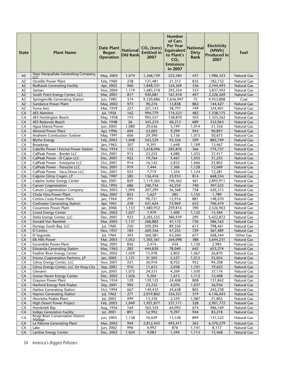| <b>State</b>           | <b>Plant Name</b>                                             | <b>Date Plant</b><br><b>Began</b><br><b>Operation</b> | <b>National</b><br><b>Old Rank</b> | $CO2$ (tons)<br><b>Emitted</b> in<br>2007 | Number<br>of Cars<br><b>Per Year</b><br><b>Equivalent</b><br>to Plant's<br>CO <sub>2</sub><br><b>Emissions</b><br>in 2007 | <b>National</b><br><b>Dirty</b><br>Rank | <b>Electricity</b><br>(MWh)<br><b>Produced in</b><br>2007 | Fuel                              |
|------------------------|---------------------------------------------------------------|-------------------------------------------------------|------------------------------------|-------------------------------------------|---------------------------------------------------------------------------------------------------------------------------|-----------------------------------------|-----------------------------------------------------------|-----------------------------------|
| AZ                     | New Harquahala Generating Company,                            | May, 2003                                             | 1,074                              | 1,268,729                                 | 222,584                                                                                                                   | 431                                     | 1,986,323                                                 | <b>Natural Gas</b>                |
| AZ                     | <b>LLC</b><br>Ocotillo Power Plant                            | Feb, 1960                                             | 238                                | 121,481                                   | 21,312                                                                                                                    | 835                                     | 182,732                                                   | <b>Natural Gas</b>                |
| $\mathsf{A}\mathsf{Z}$ | Redhawk Generating Facility                                   | Apr, 2002                                             | 960                                | 1,848,331                                 | 324,269                                                                                                                   | 336                                     | 2,744,493                                                 | <b>Natural Gas</b>                |
| AZ                     | Santan                                                        | Nov, 2004                                             | 1,119                              | 1,683,518                                 | 295,354                                                                                                                   | 353                                     | 3,837,592                                                 | Natural Gas                       |
| AZ                     | South Point Energy Center, LLC                                | Mar, 2001                                             | 817                                | 920,081                                   | 161,418                                                                                                                   | 497                                     | 2,226,269                                                 | <b>Natural Gas</b>                |
| AZ                     | Springerville Generating Station                              | Jun, 1985                                             | 574                                | 9,330,886                                 | 1,636,997                                                                                                                 | 75                                      | 9,953,808                                                 | Coal                              |
| AZ<br>AZ               | Sundance Power Plant<br>Yuma Axis                             | May, 2002<br>Mar, 1959                                | 973<br>221                         | 90,276<br>221,143                         | 15,838<br>38,797                                                                                                          | 882<br>749                              | 144,427<br>324,401                                        | Natural Gas<br>Natural Gas        |
| CA                     | <b>AES Alamitos</b>                                           | Jul, 1956                                             | 162                                | 994,779                                   | 174,523                                                                                                                   | 482                                     | 1,538,175                                                 | Natural Gas                       |
| CA                     | AES Huntington Beach                                          | May, 1958                                             | 193                                | 905,557                                   | 158,870                                                                                                                   | 503                                     | 1,325,262                                                 | Natural Gas                       |
| CA                     | AES Redondo Beach                                             | Feb, 1948                                             | 26                                 | 343,210                                   | 60,212                                                                                                                    | 689                                     | 532,063                                                   | Natural Gas                       |
| CA                     | Agua Mansa Power                                              | Jun, 2003                                             | 1,080                              | 29,636                                    | 5,199                                                                                                                     | 1,014                                   | 51,356                                                    | Natural Gas                       |
| CA                     | <b>Almond Power Plant</b>                                     | Apr, 1996                                             | 694                                | 53,003                                    | 9,299                                                                                                                     | 943                                     | 90,897                                                    | Natural Gas                       |
| CA                     | Anaheim Combustion Turbine                                    | May, 1991                                             | 606                                | 29,390                                    | 5,156                                                                                                                     | 1,015                                   | 50,613                                                    | Natural Gas                       |
| CA                     | <b>Blythe Energy</b>                                          | Feb, 2003                                             | 1,048                              | 543,529                                   | 95,356                                                                                                                    | 599                                     | 885,749                                                   | Natural Gas<br><b>Natural Gas</b> |
| CA<br>CA               | Broadway<br>Cabrillo Power I Encina Power Station             | Jan, 1965<br>Nov, 1954                                | 307<br>132                         | 9,391<br>1,618,096                        | 1,648<br>283,876                                                                                                          | 1,109<br>366                            | 13,467<br>774,737                                         | Natural Gas                       |
| CA                     | CalPeak Power - Border LLC                                    | Oct, 2001                                             | 915                                | 23,255                                    | 4,080                                                                                                                     | 1,035                                   | 37,417                                                    | Natural Gas                       |
| CA                     | CalPeak Power - El Cajon LLC                                  | Dec, 2001                                             | 922                                | 19,764                                    | 3,467                                                                                                                     | 1,055                                   | 31,255                                                    | Natural Gas                       |
| CA                     | CalPeak Power - Enterprise LLC                                | Oct, 2001                                             | 914                                | 16,142                                    | 2,832                                                                                                                     | 1,066                                   | 25,802                                                    | Natural Gas                       |
| CA                     | CalPeak Power - Panoche LLC                                   | Nov, 2001                                             | 919                                | 7,444                                     | 1,306                                                                                                                     | 1,128                                   | 12,049                                                    | Natural Gas                       |
| CA                     | CalPeak Power - Vaca Dixon LLC                                | Dec, 2001                                             | 925                                | 7,719                                     | 1,354                                                                                                                     | 1,124                                   | 12,281                                                    | Natural Gas                       |
| CA                     | Calpine Gilroy Cogen, LP                                      | Sep, 1987                                             | 585                                | 136,416                                   | 23,933                                                                                                                    | 814                                     | 668,334                                                   | <b>Natural Gas</b>                |
| CA                     | Calpine Sutter Energy Center                                  | Apr, 2001                                             | 829                                | 1,119,265                                 | 196,362                                                                                                                   | 461                                     | 2,895,911                                                 | <b>Natural Gas</b>                |
| CA<br>CA               | <b>Carson Cogeneration</b>                                    | Oct, 1995                                             | 686                                | 240,734                                   | 42,234                                                                                                                    | 740<br>758                              | 397,525<br>420,315                                        | Natural Gas<br>Natural Gas        |
| CA                     | <b>Carson Cogeneration Company</b><br>Chula Vista Power Plant | Nov, 2003<br>May, 2001                                | 1,096<br>855                       | 207,299<br>1,627                          | 36,368<br>285                                                                                                             | 1,155                                   | 1,789                                                     | <b>Natural Gas</b>                |
| CA                     | Contra Costa Power Plant                                      | Jan, 1964                                             | 293                                | 90,721                                    | 15,916                                                                                                                    | 881                                     | 148,070                                                   | Natural Gas                       |
| CA                     | <b>Coolwater Generating Station</b>                           | Apr, 1961                                             | 258                                | 421,624                                   | 73,969                                                                                                                    | 653                                     | 706,474                                                   | <b>Natural Gas</b>                |
| CA                     | <b>Cosumnes Power Plant</b>                                   | Jan, 2006                                             | 1,153                              | 1,480,952                                 | 259,816                                                                                                                   | 390                                     | 2,526,963                                                 | Natural Gas                       |
| CA                     | <b>Creed Energy Center</b>                                    | Dec, 2002                                             | 1,027                              | 7,979                                     | 1,400                                                                                                                     | 1,122                                   | 13,584                                                    | Natural Gas                       |
| CA                     | Delta Energy Center, LLC                                      | Dec, 2001                                             | 923                                | 2,205,555                                 | 386,939                                                                                                                   | 299                                     | 5,422,872                                                 | Natural Gas                       |
| CA                     | Donald Von Raesfeld                                           | Mar, 2005                                             | 1,127                              | 268,882                                   | 47,172                                                                                                                    | 730                                     | 586,162                                                   | Natural Gas                       |
| CA<br>CA               | Dynegy South Bay, LLC<br>El Centro                            | Jul, 1960<br>Nov, 1957                                | 250<br>183                         | 509,294<br>269,356                        | 89,350<br>47,255                                                                                                          | 613<br>729                              | 798,461<br>367,489                                        | Natural Gas<br>Natural Gas        |
| CA                     | El Segundo                                                    | Jul, 1964                                             | 303                                | 360,581                                   | 63,260                                                                                                                    | 677                                     | 568,544                                                   | Other Gas                         |
| $\overline{\text{CA}}$ | <b>Elk Hills Power</b>                                        | Mar, 2003                                             | 1,052                              | 1,505,361                                 | 264,098                                                                                                                   | 388                                     | 3,644,231                                                 | Natural Gas                       |
| CA                     | Escondido Power Plant                                         | May, 2001                                             | 856                                | 2,474                                     | 434                                                                                                                       | 1,150                                   | 2,983                                                     | Natural Gas                       |
| CA                     | <b>Etiwanda Generating Station</b>                            | May, 1963                                             | 282                                | 444,830                                   | 78,040                                                                                                                    | 642                                     | 653,274                                                   | Natural Gas                       |
| CA                     | Feather River Energy Center                                   | Dec, 2002                                             | 1,029                              | 15,978                                    | 2,803                                                                                                                     | 1,067                                   | 26,870                                                    | Natural Gas                       |
| CA                     | Fresno Cogeneration Partners, LP                              | Jan, 2005                                             | 1,121                              | 31,505                                    | 5,527                                                                                                                     | 1,012                                   | 55,054                                                    | Natural Gas                       |
| CA                     | Gilroy Energy Center, LLC                                     | Nov, 2001                                             | 921                                | 50,910                                    | 8,932                                                                                                                     | 952                                     | 94,208                                                    | Natural Gas                       |
| CA<br>CA               | Gilroy Energy Center, LLC for King City<br>Glenarm            | Sep, 2001<br>Jun, 2003                                | 910<br>1,075                       | 11,615<br>24,331                          | 2,038<br>4,269                                                                                                            | 1,101<br>1,030                          | 19,623<br>37,176                                          | Natural Gas<br>Natural Gas        |
| CA                     | Goose Haven Energy Center                                     | Dec, 2002                                             | 1,026                              | 9,204                                     | 1,615                                                                                                                     | 1,112                                   | 15,408                                                    | Natural Gas                       |
| CA                     | <b>Grayson Power Plant</b>                                    | Nov, 1954                                             | 129                                | 139,125                                   | 24,408                                                                                                                    | 808                                     | 131,842                                                   | Natural Gas                       |
| CA                     | Hanford Energy Park Peaker                                    | Sep, 2001                                             | 905                                | 23,232                                    | 4,076                                                                                                                     | 1,037                                   | 36,936                                                    | Natural Gas                       |
| CA                     | <b>Harbor Generating Station</b>                              | Oct, 1994                                             | 667                                | 140,435                                   | 24,638                                                                                                                    | 805                                     | 245,238                                                   | Natural Gas                       |
| CA                     | <b>Haynes Generating Station</b>                              | Jul, 1962                                             | 271                                | 2,019,802                                 | 354,351                                                                                                                   | 319                                     | 4,146,443                                                 | Natural Gas                       |
| CA                     | Henrietta Peaker Plant                                        | Jul, 2002                                             | 999                                | 13,330                                    | 2,339                                                                                                                     | 1,087                                   | 21,805                                                    | Natural Gas                       |
| CA                     | High Desert Power Project                                     | Feb, 2003                                             | 1,049                              | 1,921,877                                 | 337,171                                                                                                                   | 328                                     | 2,901,772                                                 | Natural Gas                       |
| CA                     | Humboldt Bay<br><b>Indigo Generation Facility</b>             | Aug, 1956                                             | 164                                | 365,324                                   | 64,092                                                                                                                    | 674                                     | 486,169                                                   | Natural Gas                       |
| CA                     | <b>Kings River Conservation District</b>                      | Jul, 2001                                             | 891                                | 52,992                                    | 9,297                                                                                                                     | 944                                     | 83,218                                                    | Natural Gas                       |
| CA                     | Malaga                                                        | Jun, 2005                                             | 1,138                              | 76,029                                    | 13,338                                                                                                                    | 899                                     | 131,522                                                   | Natural Gas                       |
| CA                     | La Paloma Generating Plant                                    | Mar, 2002                                             | 944                                | 2,812,443                                 | 493,411                                                                                                                   | 263                                     | 6,370,279                                                 | Natural Gas                       |
| CA<br>CA               | Lake<br>Lambie Energy Center                                  | Jun, 2002<br>Dec, 2002                                | 996                                | 4,992                                     | 876                                                                                                                       | 1,141                                   | 8,117                                                     | Natural Gas                       |
|                        |                                                               |                                                       | 1,024                              | 9,083                                     | 1,594                                                                                                                     | 1,113                                   | 15,468                                                    | Natural Gas                       |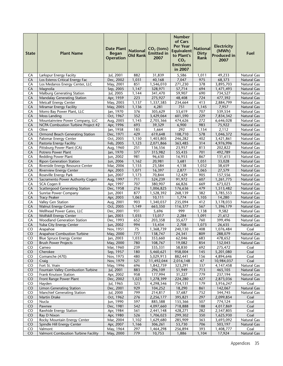| <b>State</b> | <b>Plant Name</b>                                                     | <b>Date Plant</b><br><b>Began</b><br><b>Operation</b> | <b>National</b><br><b>Old Rank</b> | $CO2$ (tons)<br><b>Emitted in</b><br>2007 | <b>Number</b><br>of Cars<br><b>Per Year</b><br><b>Equivalent</b><br>to Plant's<br>CO <sub>2</sub><br><b>Emissions</b><br>in 2007 | <b>National</b><br><b>Dirty</b><br>Rank | <b>Electricity</b><br>(MWh)<br><b>Produced in</b><br>2007 | Fuel                                     |
|--------------|-----------------------------------------------------------------------|-------------------------------------------------------|------------------------------------|-------------------------------------------|----------------------------------------------------------------------------------------------------------------------------------|-----------------------------------------|-----------------------------------------------------------|------------------------------------------|
| CA           | Larkspur Energy Faciity                                               | Jul, 2001                                             | 882                                | 31,839                                    | 5,586                                                                                                                            | 1,011                                   | 49,233                                                    | <b>Natural Gas</b>                       |
| CA           | Los Esteros Critical Energy Fac                                       | Dec, 2002                                             | 1,031                              | 40,168                                    | 7,047                                                                                                                            | 975                                     | 68,373                                                    | Natural Gas                              |
| CA           | Los Medanos Energy Center, LLC                                        | May, 2001                                             | 851                                | 1,546,010                                 | 271,230                                                                                                                          | 378                                     | 3,895,703                                                 | Natural Gas                              |
| CA           | Magnolia                                                              | Sep, 2005                                             | 1,147                              | 328,971                                   | 57,714                                                                                                                           | 694                                     | 1,471,493                                                 | <b>Natural Gas</b>                       |
| CA           | Malburg Generating Station                                            | Jul, 2005                                             | 1,144                              | 341,470                                   | 59,907                                                                                                                           | 690                                     | 734,527                                                   | <b>Natural Gas</b>                       |
| CA           | Mandalay Generating Station                                           | Apr, 1959                                             | 223                                | 275,927                                   | 48,408                                                                                                                           | 724                                     | 477,392                                                   | Natural Gas                              |
| CA           | <b>Metcalf Energy Center</b>                                          | May, 2005                                             | 1,137                              | 1,337,585                                 | 234,664                                                                                                                          | 413                                     | 2,884,799                                                 | <b>Natural Gas</b>                       |
| CA<br>CA     | Miramar Energy Facility<br>Morro Bay Power Plant, LLC                 | May, 2005<br>Jan, 1970                                | 1,136<br>376                       | 4,281<br>305,629                          | 751<br>53,619                                                                                                                    | 1,145<br>707                            | 7,957<br>539,554                                          | <b>Natural Gas</b><br><b>Natural Gas</b> |
| CA           | Moss Landing                                                          | Oct, 1967                                             | 352                                | 3,429,064                                 | 601,590                                                                                                                          | 229                                     | 7,834,342                                                 | <b>Natural Gas</b>                       |
| CA           | Mountainview Power Company, LLC                                       | Aug, 2005                                             | 1,145                              | 2,705,366                                 | 474,626                                                                                                                          | 272                                     | 6,646,028                                                 | Natural Gas                              |
| CA           | NCPA Combustion Turbine Project #2                                    | Apr, 1996                                             | 693                                | 39,329                                    | 6,900                                                                                                                            | 983                                     | 75,922                                                    | <b>Natural Gas</b>                       |
| CA           | Olive                                                                 | Jan, 1958                                             | 185                                | 1,664                                     | 292                                                                                                                              | 1,154                                   | 2,112                                                     | <b>Natural Gas</b>                       |
| CA           | Ormond Beach Generating Station                                       | Dec, 1971                                             | 429                                | 619,648                                   | 108,710                                                                                                                          | 578                                     | 1,046,372                                                 | Natural Gas                              |
| CA           | Palomar Energy Center                                                 | Oct, 2005                                             | 1,150                              | 1,403,805                                 | 246,282                                                                                                                          | 402                                     | 3,421,861                                                 | Natural Gas                              |
| CA           | Pastoria Energy Facility                                              | Feb, 2005                                             | 1,123                              | 2,071,866                                 | 363,485                                                                                                                          | 314                                     | 4,976,996                                                 | <b>Natural Gas</b>                       |
| CA           | Pittsburg Power Plant (CA)                                            | Aug, 1960                                             | 251                                | 136,556                                   | 23,957                                                                                                                           | 813                                     | 202,822                                                   | <b>Natural Gas</b>                       |
| CA           | Potrero Power Plant                                                   | Jan, 1970                                             | 377                                | 315,982                                   | 55,435                                                                                                                           | 701                                     | 492,789                                                   | <b>Natural Gas</b>                       |
| CA           | Redding Power Plant                                                   | Jun, 2002                                             | 981                                | 96,630                                    | 16,953                                                                                                                           | 867                                     | 131,615                                                   | Natural Gas                              |
| CA           | <b>Ripon Generation Station</b>                                       | Jun, 2006                                             | 1,162                              | 20,981                                    | 3,681                                                                                                                            | 1,051                                   | 33,028                                                    | <b>Natural Gas</b>                       |
| CA           | Riverside Energy Resource Center                                      | Mar, 2006                                             | 1,155                              | 23,584                                    | 4,138                                                                                                                            | 1,032                                   | 38,659                                                    | <b>Natural Gas</b>                       |
| CA           | <b>Riverview Energy Center</b>                                        | Apr, 2003                                             | 1,071                              | 16,397                                    | 2,877                                                                                                                            | 1,065                                   | 27,579                                                    | <b>Natural Gas</b>                       |
| CA           | Roseville Energy Park                                                 | Jun, 2007                                             | 1,173                              | 70,844                                    | 12,429                                                                                                                           | 905                                     | 157,556                                                   | <b>Natural Gas</b>                       |
| CA           | Sacramento Power Authority Cogen                                      | Aug, 1997                                             | 711                                | 524,239                                   | 91,972                                                                                                                           | 607                                     | 1,261,775                                                 | <b>Natural Gas</b>                       |
| CA           | SCA Cogen II                                                          | Apr, 1997                                             | 707                                | 380,907                                   | 66,826                                                                                                                           | 669                                     | 673,023                                                   | Natural Gas                              |
| CA           | <b>Scattergood Generating Station</b>                                 | Dec, 1958                                             | 216                                | 1,006,825                                 | 176,636                                                                                                                          | 479                                     | 1,513,482                                                 | <b>Natural Gas</b>                       |
| CA           | Sunrise Power Company                                                 | Jun, 2001                                             | 877                                | 1,528,392                                 | 268,139                                                                                                                          | 382                                     | 3,785,553                                                 | <b>Natural Gas</b>                       |
| CA           | <b>Tracy Peaker</b>                                                   | Apr, 2003                                             | 1,063<br>903                       | 10,111                                    | 1,774                                                                                                                            | 1,105                                   | 14,280                                                    | <b>Natural Gas</b>                       |
| CA<br>CA     | Valley Gen Station<br>Walnut Energy Center                            | Aug, 2001<br>Oct, 2005                                | 1,149                              | 1,340,037<br>663,350                      | 235,094<br>116,377                                                                                                               | 412<br>567                              | 3,178,033                                                 | Natural Gas<br><b>Natural Gas</b>        |
| CA           | Wellhead Power Gates, LLC                                             | Dec, 2001                                             | 931                                | 5,696                                     | 999                                                                                                                              | 1,138                                   | 1,396,179<br>9,582                                        | <b>Natural Gas</b>                       |
| CA           | <b>Wolfskill Energy Center</b>                                        | Jan, 2003                                             | 1,035                              | 13,017                                    | 2,284                                                                                                                            | 1,091                                   | 21,612                                                    | Natural Gas                              |
| CA           | <b>Woodland Generation Station</b>                                    | Dec, 1993                                             | 652                                | 203,358                                   | 35,677                                                                                                                           | 760                                     | 399,496                                                   | Natural Gas                              |
| CA           | Yuba City Energy Center                                               | Jun, 2002                                             | 994                                | 15,434                                    | 2,708                                                                                                                            | 1,073                                   | 26,635                                                    | <b>Natural Gas</b>                       |
| CO           | Arapahoe                                                              | Nov, 1951                                             | 75                                 | 1,368,739                                 | 240,130                                                                                                                          | 408                                     | 1,076,484                                                 | Coal                                     |
| CO           | Arapahoe Combustion Turbine                                           | May, 2000                                             | 777                                | 138,747                                   | 24,341                                                                                                                           | 809                                     | 288,079                                                   | <b>Natural Gas</b>                       |
| CO           | <b>Blue Spruce Energy Center</b>                                      | Jan, 2003                                             | 1,033                              | 353,660                                   | 62,046                                                                                                                           | 683                                     | 478,652                                                   | Natural Gas                              |
| CO.          | <b>Brush Power Projects</b>                                           | May, 2000                                             | 780                                | 108,767                                   | 19,082                                                                                                                           | 854                                     | 152,043                                                   | Natural Gas                              |
| CO           | Cameo                                                                 | Mar, 1960                                             | 239                                | 335,331                                   | 58,830                                                                                                                           | 692                                     | 275,472                                                   | Coal                                     |
| CO           | Cherokee                                                              | Sep, 1957                                             | 180                                | 5,460,621                                 | 958,004                                                                                                                          | 145                                     | 5,201,080                                                 | Coal                                     |
| CO           | Comanche (470)                                                        | Nov, 1975                                             | 480                                | 5,029,913                                 | 882,441                                                                                                                          | 156                                     | 4,894,646                                                 | Coal                                     |
| CO           | Craig                                                                 | Nov, 1979                                             | 521                                | 11,492,044                                | 2,016,148                                                                                                                        | 47                                      | 10,984,037                                                | Coal                                     |
| CO           | Fort St. Vrain                                                        | May, 1996                                             | 696                                | 1,842,759                                 | 323,291                                                                                                                          | 337                                     | 4,147,458                                                 | Natural Gas                              |
| CO           | Fountain Valley Combustion Turbine                                    | Jul, 2001                                             | 883                                | 296,109                                   | 51,949                                                                                                                           | 713                                     | 465,105                                                   | Natural Gas                              |
| CO           | Frank Knutson Station                                                 | Apr, 2002                                             | 958                                | 177,994                                   | 31,227                                                                                                                           | 779                                     | 237,194                                                   | Natural Gas                              |
| CO           | Front Range Power Plant                                               | Dec, 2002                                             | 1,023                              | 1,278,399                                 | 224,280                                                                                                                          | 427                                     | 2,873,036                                                 | Natural Gas                              |
| CO           | Hayden                                                                | Jul, 1965                                             | 323                                | 4,298,546                                 | 754,131                                                                                                                          | 179                                     | 3,916,247                                                 | Coal                                     |
| CO<br>CO     | <b>Limon Generating Station</b><br><b>Manchief Generating Station</b> | Dec, 2001<br>Jul, 2000                                | 929<br>799                         | 104,252                                   | 18,290<br>37,687                                                                                                                 | 861                                     | 142,067<br>344,745                                        | <b>Natural Gas</b>                       |
| CO           | Martin Drake                                                          | Oct, 1962                                             | 276                                | 214,817<br>2,256,177                      | 395,821                                                                                                                          | 752<br>297                              | 2,099,854                                                 | Natural Gas<br>Coal                      |
| CO           | Nucla                                                                 | Jun, 1990                                             | 597                                | 885,588                                   | 155,366                                                                                                                          | 507                                     | 774,124                                                   | Coal                                     |
| CO           | Pawnee                                                                | Dec, 1981                                             | 542                                | 4,097,660                                 | 718,888                                                                                                                          | 188                                     | 4,017,869                                                 | Coal                                     |
| CO           | Rawhide Energy Station                                                | Apr, 1984                                             | 561                                | 2,441,148                                 | 428,271                                                                                                                          | 282                                     | 2,547,805                                                 | Coal                                     |
| CO           | Ray D Nixon                                                           | Apr, 1980                                             | 526                                | 1,706,023                                 | 299,302                                                                                                                          | 350                                     | 1,625,930                                                 | Coal                                     |
| CO           | Rocky Mountain Energy Center                                          | Mar, 2004                                             | 1,102                              | 1,629,680                                 | 285,909                                                                                                                          | 363                                     | 3,693,092                                                 | Natural Gas                              |
| CO           | Spindle Hill Energy Center                                            | Apr, 2007                                             | 1,166                              | 306,261                                   | 53,730                                                                                                                           | 706                                     | 503,197                                                   | <b>Natural Gas</b>                       |
| CO           | Valmont                                                               | May, 1964                                             | 297                                | 1,464,298                                 | 256,894                                                                                                                          | 393                                     | 1,408,777                                                 | Coal                                     |
| CO           | Valmont Combustion Turbine Facility                                   | May, 2000                                             | 779                                | 10,753                                    | 1,886                                                                                                                            | 1,104                                   | 17,924                                                    | <b>Natural Gas</b>                       |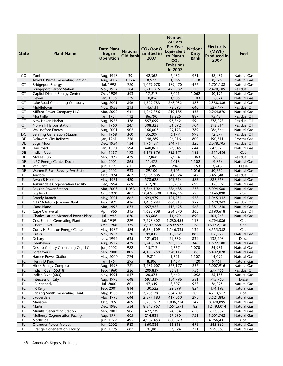| <b>State</b>    | <b>Plant Name</b>                                   | <b>Date Plant</b><br><b>Began</b><br><b>Operation</b> | <b>National</b><br><b>Old Rank</b> | $CO2$ (tons)<br><b>Emitted in</b><br>2007 | Number<br>of Cars<br><b>Per Year</b><br><b>Equivalent</b><br>to Plant's<br>CO <sub>2</sub><br><b>Emissions</b><br>in 2007 | <b>National</b><br><b>Dirty</b><br>Rank | <b>Electricity</b><br>(MWh)<br><b>Produced in</b><br>2007 | Fuel                        |
|-----------------|-----------------------------------------------------|-------------------------------------------------------|------------------------------------|-------------------------------------------|---------------------------------------------------------------------------------------------------------------------------|-----------------------------------------|-----------------------------------------------------------|-----------------------------|
| CO              | Zuni                                                | Aug, 1948                                             | 30                                 | 42,362                                    | 7,432                                                                                                                     | 971                                     | 68,439                                                    | <b>Natural Gas</b>          |
| <b>CT</b>       | Alfred L Pierce Generating Station                  | Aug, 2007                                             | 1,174                              | 8,927                                     | 1,566                                                                                                                     | 1,118                                   | 8,825                                                     | Natural Gas                 |
| CT              | <b>Bridgeport Energy</b>                            | Jul, 1998                                             | 720                                | 1,079,978                                 | 189,470                                                                                                                   | 467                                     | 1,701,188                                                 | Natural Gas                 |
| <b>CT</b>       | <b>Bridgeport Harbor Station</b>                    | Nov, 1957                                             | 184                                | 2,710,815                                 | 475,582                                                                                                                   | 270                                     | 2,470,109                                                 | <b>Residual Oil</b>         |
| CT              | Capitol District Energy Center                      | Oct, 1989                                             | 593                                | 17,217                                    | 3,021                                                                                                                     | 1,062                                   | 30,191                                                    | Natural Gas                 |
| CT              | Devon                                               | Jan, 1955                                             | 139                                | 10,856                                    | 1,905                                                                                                                     | 1,103                                   | 12,874                                                    | <b>Natural Gas</b>          |
| CT              | Lake Road Generating Company                        | Aug, 2001                                             | 896                                | 1,527,783                                 | 268,032                                                                                                                   | 383                                     | 2,338,386                                                 | Natural Gas                 |
| <b>CT</b>       | Middletown                                          | Nov, 1958                                             | 213                                | 445,131                                   | 78,093                                                                                                                    | 640                                     | 527,477                                                   | Residual Oil                |
| CT              | Milford Power Company LLC                           | Mar, 2002                                             | 941                                | 1,249,356                                 | 219,185                                                                                                                   | 435                                     | 2,964,870                                                 | Natural Gas                 |
| <b>CT</b>       | Montville                                           | Jan, 1954                                             | 112                                | 86,790                                    | 15,226                                                                                                                    | 887                                     | 95,484                                                    | <b>Residual Oil</b>         |
| CT<br><b>CT</b> | New Haven Harbor                                    | Aug, 1975                                             | 478<br>247                         | 557,699                                   | 97,842                                                                                                                    | 594<br>704                              | 578,028<br>313,814                                        | Residual Oil                |
| <b>CT</b>       | Norwalk Harbor Station<br><b>Wallingford Energy</b> | Jun, 1960                                             | 902                                | 308,323                                   | 54,092<br>29,123                                                                                                          | 789                                     |                                                           | Residual Oil<br>Natural Gas |
| DC              | <b>Benning Generation Station</b>                   | Aug, 2001<br>Jun, 1968                                | 360                                | 166,003<br>35,209                         | 6,177                                                                                                                     | 998                                     | 286,544<br>72,577                                         | Residual Oil                |
| DE              | Delaware City Refinery                              | Jan, 1961                                             | 256                                | 148,289                                   | 26,016                                                                                                                    | 800                                     | 190,511                                                   | Process Gas                 |
| DE              | <b>Edge Moor</b>                                    | Dec, 1954                                             | 134                                | 1,964,871                                 | 344,714                                                                                                                   | 325                                     | 2,078,705                                                 | Residual Oil                |
| DE              | Hay Road                                            | Jan, 1990                                             | 594                                | 440,867                                   | 77,345                                                                                                                    | 644                                     | 643,579                                                   | Natural Gas                 |
| DE              | Indian River                                        | Jun, 1957                                             | 173                                | 4,173,376                                 | 732,171                                                                                                                   | 185                                     | 4,111,486                                                 | Coal                        |
| DE              | McKee Run                                           | Sep, 1975                                             | 479                                | 17,068                                    | 2,994                                                                                                                     | 1,063                                   | 19,053                                                    | Residual Oil                |
| DE              | NRG Energy Center Dover                             | Jun, 2001                                             | 865                                | 11,472                                    | 2,013                                                                                                                     | 1,102                                   | 19,856                                                    | Natural Gas                 |
| DE              | Van Sant                                            | Jun, 1991                                             | 611                                | 1,689                                     | 296                                                                                                                       | 1,153                                   | 3,248                                                     | <b>Diesel</b>               |
| DE              | Warren F. Sam Beasley Pwr Station                   | Jan, 2002                                             | 933                                | 29,100                                    | 5,105                                                                                                                     | 1,016                                   | 50,650                                                    | Natural Gas                 |
| FL              | Anclote                                             | Oct, 1974                                             | 467                                | 3,086,685                                 | 541,524                                                                                                                   | 247                                     | 3,461,481                                                 | Residual Oil                |
| FL              | Arvah B Hopkins                                     | May, 1971                                             | 420                                | 578,628                                   | 101,514                                                                                                                   | 585                                     | 887,658                                                   | Natural Gas                 |
| FL              | <b>Auburndale Cogeneration Facility</b>             | Dec, 1994                                             | 669                                | 317,705                                   | 55,738                                                                                                                    | 699                                     | 506,592                                                   | Natural Gas                 |
| <b>FL</b>       | <b>Bayside Power Station</b>                        | Mar, 2003                                             | 1,053                              | 3,344,102                                 | 586,685                                                                                                                   | 233                                     | 5,094,580                                                 | Natural Gas                 |
| FL              | <b>Big Bend</b>                                     | Oct, 1970                                             | 407                                | 10,469,398                                | 1,836,736                                                                                                                 | 60                                      | 9,146,898                                                 | Coal                        |
| FL              | <b>Brandy Branch</b>                                | May, 2001                                             | 862                                | 693,979                                   | 121,751                                                                                                                   | 558                                     | 1,045,342                                                 | Natural Gas                 |
| FL              | C D McIntosh Jr Power Plant                         | Feb, 1971                                             | 416                                | 3,455,984                                 | 606,313                                                                                                                   | 227                                     | 3,620,242                                                 | Residual Oil                |
| FL.             | Cane Island                                         | Mar, 1995                                             | 673                                | 657,925                                   | 115,425                                                                                                                   | 568                                     | 1,381,240                                                 | Natural Gas                 |
| FL              | Cape Canaveral                                      | Apr, 1965                                             | 315                                | 1,620,908                                 | 284,370                                                                                                                   | 365                                     | 2,190,618                                                 | Residual Oil                |
| <b>FL</b>       | Charles Larsen Memorial Power Plant                 | Jul, 1992                                             | 630                                | 83,668                                    | 14,679                                                                                                                    | 890                                     | 104,948                                                   | <b>Natural Gas</b>          |
| FL              | <b>Crist Electric Generating Plant</b>              | Jul, 1959                                             | 229                                | 7,298,602                                 | 1,280,456                                                                                                                 | 113                                     | 6,794,086                                                 | Coal                        |
| FL              | <b>Crystal River</b>                                | Oct, 1966                                             | 335                                | 16,016,868                                | 2,809,977                                                                                                                 | 19                                      | 16, 142, 136                                              | Coal                        |
| FL              | Curtis H. Stanton Energy Center                     | May, 1987                                             | 584                                | 6,534,109                                 | 1,146,335                                                                                                                 | 132                                     | 6,555,352                                                 | Coal                        |
| FL              | Cutler                                              | Nov, 1954                                             | 130                                | 89,845                                    | 15,762                                                                                                                    | 883                                     | 116,277                                                   | Natural Gas                 |
| FL<br><b>FL</b> | Debary<br>Deerhaven                                 | Nov, 1992<br>Aug, 1972                                | 635<br>439                         | 121,634<br>1,743,360                      | 21,339<br>305,853                                                                                                         | 834<br>346                              | 132,208                                                   | Diesel                      |
| FL              | Desoto County Generating Co, LLC                    | Jun, 2002                                             | 982                                | 15,717                                    | 2,757                                                                                                                     | 1,070                                   | 1,692,180<br>24,931                                       | Natural Gas<br>Natural Gas  |
| <b>FL</b>       | Fort Myers                                          | Sep, 2000                                             | 805                                | 4,150,268                                 | 728,117                                                                                                                   | 186                                     | 6,402,028                                                 | Natural Gas                 |
| FL              | Hardee Power Station                                | May, 2000                                             | 774                                | 9,811                                     | 1,721                                                                                                                     | 1,107                                   | 14,097                                                    | Natural Gas                 |
| <b>FL</b>       | Henry D King                                        | Jan, 1964                                             | $\overline{295}$                   | 8,306                                     | 1,457                                                                                                                     | 1,120                                   | 9,461                                                     | Natural Gas                 |
| FL.             | <b>Hines Energy Complex</b>                         | Aug, 1998                                             | 721                                | 3,289,907                                 | 577,177                                                                                                                   | 237                                     | 5,007,916                                                 | Natural Gas                 |
| FL              | Indian River (55318)                                | Feb, 1960                                             | 236                                | 209,839                                   | 36,814                                                                                                                    | 756                                     | 277,456                                                   | Residual Oil                |
| FL              | Indian River (683)                                  | Nov, 1991                                             | 617                                | 20,873                                    | 3,662                                                                                                                     | 1,052                                   | 25,158                                                    | Natural Gas                 |
| FL              | Intercession City                                   | Aug, 1993                                             | 648                                | 597,339                                   | 104,796                                                                                                                   | 581                                     | 715,750                                                   | <b>Diesel</b>               |
| <b>FL</b>       | D Kennedy                                           | Jul, 2000                                             | 801                                | 47,349                                    | 8,307                                                                                                                     | 958                                     | 76,025                                                    | Natural Gas                 |
| FL              | J R Kelly                                           | Feb, 2001                                             | 814                                | 130,522                                   | 22,899                                                                                                                    | 824                                     | 174,192                                                   | Natural Gas                 |
| FL              | Lansing Smith Generating Plant                      | May, 1965                                             | 317                                | 3,785,981                                 | 664,207                                                                                                                   | 209                                     | 4,713,517                                                 | Coal                        |
| FL              | Lauderdale                                          | May, 1993                                             | 644                                | 2,377,183                                 | 417,050                                                                                                                   | 290                                     | 3,521,885                                                 | Natural Gas                 |
| FL              | Manatee                                             | Oct, 1976                                             | 489                                | 5,738,612                                 | 1,006,774                                                                                                                 | 142                                     | 8,070,899                                                 | Natural Gas                 |
| FL              | Martin                                              | Dec, 1980                                             | 534                                | 8,843,967                                 | 1,551,573                                                                                                                 | 82                                      | 12,493,014                                                | Natural Gas                 |
| FL              | Midulla Generating Station                          | Sep, 2001                                             | 906                                | 427,239                                   | 74,954                                                                                                                    | 650                                     | 613,032                                                   | Natural Gas                 |
| FL.             | <b>Mulberry Cogeneration Facility</b>               | Aug, 1994                                             | 665                                | 214,831                                   | 37,690                                                                                                                    | 751                                     | 1,001,742                                                 | Natural Gas                 |
| FL              | Northside                                           | Jun, 1977                                             | 495                                | 4,902,453                                 | 860,079                                                                                                                   | 158                                     | 4,966,431                                                 | Coal                        |
| ${\sf FL}$      | <b>Oleander Power Project</b>                       | Jun, 2002                                             | 983                                | 360,886                                   | 63,313                                                                                                                    | 676                                     | 545,860                                                   | Natural Gas                 |
| FL.             | <b>Orange Cogeneration Facility</b>                 | Jun, 1995                                             | 682                                | 191,085                                   | 33,524                                                                                                                    | 771                                     | 959,063                                                   | Natural Gas                 |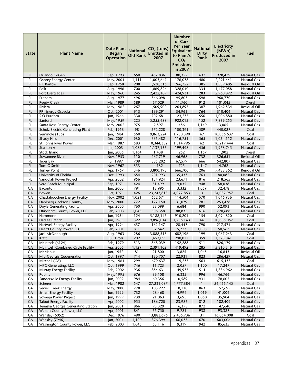| <b>State</b> | <b>Plant Name</b>                                      | <b>Date Plant</b><br><b>Began</b><br><b>Operation</b> | <b>National</b><br><b>Old Rank</b> | $CO2$ (tons)<br><b>Emitted in</b><br>2007 | <b>Number</b><br>of Cars<br><b>Per Year</b><br><b>Equivalent</b><br>to Plant's<br>CO <sub>2</sub><br><b>Emissions</b><br>in 2007 | <b>National</b><br><b>Dirty</b><br>Rank | <b>Electricity</b><br>(MWh)<br><b>Produced in</b><br>2007 | Fuel                                     |
|--------------|--------------------------------------------------------|-------------------------------------------------------|------------------------------------|-------------------------------------------|----------------------------------------------------------------------------------------------------------------------------------|-----------------------------------------|-----------------------------------------------------------|------------------------------------------|
| FL           | Orlando CoGen                                          | Sep, 1993                                             | 650                                | 457,836                                   | 80,322                                                                                                                           | 632                                     | 978,479                                                   | <b>Natural Gas</b>                       |
| FL           | <b>Osprey Energy Center</b>                            | May, 2004                                             | 1,111                              | 1,003,647                                 | 176,078                                                                                                                          | 480                                     | 2,291,441                                                 | <b>Natural Gas</b>                       |
| FL           | P L Bartow                                             | Sep, 1958                                             | 208                                | 1,520,316                                 | 266,722                                                                                                                          | 385                                     | 1,539,485                                                 | <b>Residual Oil</b>                      |
| FL           | Polk                                                   | Aug, 1996                                             | 700                                | 1,869,826                                 | 328,040                                                                                                                          | 334                                     | 1,477,058                                                 | <b>Natural Gas</b>                       |
| FL           | Port Everglades                                        | May, 1960                                             | 245                                | 2,422,109                                 | 424,931                                                                                                                          | 283                                     | 2,960,872                                                 | <b>Residual Oil</b>                      |
| FL           | Putnam                                                 | Aug, 1977                                             | 496                                | 546,098                                   | 95,807                                                                                                                           | 598                                     | 960,770                                                   | <b>Natural Gas</b>                       |
| FL           | <b>Reedy Creek</b>                                     | Mar, 1989                                             | 589                                | 67,029                                    | 11,760                                                                                                                           | 912                                     | 101,045                                                   | Diesel                                   |
| FL           | Riviera                                                | May, 1962                                             | 267                                | 1,509,900                                 | 264,895                                                                                                                          | 387                                     | 1,962,534                                                 | Residual Oil                             |
| FL           | RRI Energy Osceola                                     | Oct, 2001                                             | 913                                | 199,291                                   | 34,963                                                                                                                           | 764                                     | 310,404                                                   | <b>Natural Gas</b>                       |
| FL           | S O Purdom                                             | Jun, 1966                                             | 330<br>225                         | 702,681                                   | 123,277                                                                                                                          | 556                                     | 1,006,880                                                 | Natural Gas                              |
| FL<br>FL     | Sanford<br>Santa Rosa Energy Center                    | May, 1959<br>May, 2002                                | 975                                | 5,255,488<br>2,597                        | 922,015<br>456                                                                                                                   | 152<br>1,149                            | 7,839,255<br>3,065                                        | <b>Natural Gas</b><br>Natural Gas        |
| FL           | Scholz Electric Generating Plant                       | Feb, 1953                                             | 98                                 | 572,228                                   | 100,391                                                                                                                          | 589                                     | 440,027                                                   | Coal                                     |
| FL           | Seminole (136)                                         | Jan, 1984                                             | 560                                | 9,863,224                                 | 1,730,390                                                                                                                        | 67                                      | 10,056,637                                                | Coal                                     |
| <b>FL</b>    | <b>Shady Hills</b>                                     | Dec, 2001                                             | 930                                | 665,482                                   | 116,751                                                                                                                          | 565                                     | 1,054,112                                                 | <b>Natural Gas</b>                       |
| FL           | St. Johns River Power                                  | Mar, 1987                                             | 583                                | 10,344,332                                | 1,814,795                                                                                                                        | 62                                      | 10,219,444                                                | Coal                                     |
| FL           | Stanton A                                              | Jul, 2003                                             | 1,085                              | 1,137,137                                 | 199,498                                                                                                                          | 456                                     | 1,978,745                                                 | <b>Natural Gas</b>                       |
| FL           | Stock Island                                           | Jun, 2006                                             | 1,164                              | 1,438                                     | 252                                                                                                                              | 1,157                                   | 1,902                                                     | <b>Diesel</b>                            |
| FL           | Suwannee River                                         | Nov, 1953                                             | 110                                | 267,719                                   | 46,968                                                                                                                           | 732                                     | 326,651                                                   | Residual Oil                             |
| FL           | <b>Tiger Bay</b>                                       | Jul, 1997                                             | 709                                | 385,202                                   | 67,579                                                                                                                           | 666                                     | 542,807                                                   | <b>Natural Gas</b>                       |
| FL           | Tom G Smith                                            | Nov, 1967                                             | 353                                | 4,132                                     | 725                                                                                                                              | 1,147                                   | 4,762                                                     | <b>Natural Gas</b>                       |
| FL           | <b>Turkey Point</b>                                    | Apr, 1967                                             | 346                                | 3,800,193                                 | 666,700                                                                                                                          | 206                                     | 7,488,862                                                 | <b>Residual Oil</b>                      |
| <b>FL</b>    | University of Florida                                  | Dec, 1993                                             | 654                                | 201,993                                   | 35,437                                                                                                                           | 763                                     | 80,082                                                    | <b>Natural Gas</b>                       |
| FL           | Vandolah Power Project                                 | Apr, 2002                                             | 956                                | 134,924                                   | 23,671                                                                                                                           | 816                                     | 218,565                                                   | <b>Natural Gas</b>                       |
| FL           | Vero Beach Municipal                                   | Sep, 1971                                             | 424                                | 51,499                                    | 9,035                                                                                                                            | 948                                     | 68,038                                                    | Natural Gas                              |
| GA           | Baconton                                               | Jun, 2000                                             | 791                                | 18,995                                    | 3,332                                                                                                                            | 1,059                                   | 32,478                                                    | <b>Natural Gas</b>                       |
| <b>GA</b>    | Bowen                                                  | Oct, 1971                                             | 426                                | 23,243,818                                | 4,077,863                                                                                                                        | 3                                       | 24,037,957                                                | Coal                                     |
| GА<br>GA     | Chattahoochee Energy Facility                          | Nov, 2002                                             | 1,021<br>772                       | 652,671<br>177,150                        | 114,504<br>31,079                                                                                                                | 570<br>781                              | 1,046,936<br>253,478                                      | <b>Natural Gas</b><br><b>Natural Gas</b> |
| GА           | Dahlberg (Jackson County)<br>Doyle Generating Facility | May, 2000<br>Apr, 2000                                | 760                                | 38,099                                    | 6,684                                                                                                                            | 990                                     | 52,093                                                    | <b>Natural Gas</b>                       |
| <b>GA</b>    | Effingham County Power, LLC                            | Feb, 2003                                             | 1,043                              | 506,358                                   | 88,835                                                                                                                           | 616                                     | 770,688                                                   | <b>Natural Gas</b>                       |
| GA           | Hammond                                                | Jun, 1954                                             | 124                                | 5,188,147                                 | 910,201                                                                                                                          | 154                                     | 5,094,820                                                 | Coal                                     |
| GA           | Harllee Branch                                         | Jun, 1965                                             | 322                                | 9,896,014                                 | 1,736,143                                                                                                                        | 66                                      | 10,886,057                                                | Coal                                     |
| GA           | <b>Hartwell Energy Facility</b>                        | Apr, 1994                                             | 657                                | 162,147                                   | 28,447                                                                                                                           | 790                                     | 217,574                                                   | Natural Gas                              |
| GA           | Heard County Power, LLC                                | Feb, 2001                                             | 811                                | 32,642                                    | 5,727                                                                                                                            | 1,008                                   | 50,567                                                    | <b>Natural Gas</b>                       |
| GA           | Jack McDonough                                         | Aug, 1963                                             | 286                                | 3,888,518                                 | 682,196                                                                                                                          | 199                                     | 4,067,943                                                 | Coal                                     |
| GA           | Kraft                                                  | Jul, 1958                                             | 202                                | 1.653.099                                 | 290.017                                                                                                                          | 359                                     | 1.373.041                                                 | Coal                                     |
| GA           | McIntosh (6124)                                        | Feb, 1979                                             | 513                                | 868,039                                   | 152,288                                                                                                                          | 511                                     | 826, 179                                                  | Natural Gas                              |
| GA           | McIntosh Combined Cycle Facility                       | Apr, 2005                                             | 1,129                              | 2,391,102                                 | 419,492                                                                                                                          | 285                                     | 5,810,346                                                 | <b>Natural Gas</b>                       |
| GA           | McManus                                                | Jan, 1952                                             | 81                                 | 21,800                                    | 3,825                                                                                                                            | 1,045                                   | 16,843                                                    | Residual Oil                             |
| GA           | Mid-Georgia Cogeneration                               | Oct, 1997                                             | 714                                | 130,707                                   | 22,931                                                                                                                           | 823                                     | 286,429                                                   | Natural Gas                              |
| GA           | Mitchell (GA)                                          | May, 1964                                             | 299                                | 679,637                                   | 119,235                                                                                                                          | 563                                     | 615,437                                                   | Coal                                     |
| GA           | MPC Generating, LLC<br>Murray Energy Facility          | Oct, 1999                                             | 746                                | 11,723                                    | 2,057                                                                                                                            | 1,100                                   | 17,247                                                    | <b>Natural Gas</b>                       |
| GA           |                                                        | Feb, 2002                                             | 936                                | 854,631                                   | 149,935                                                                                                                          | 514                                     | 1,836,962                                                 | Natural Gas<br><b>Natural Gas</b>        |
| GA<br>GA     | Robins<br>Sandersville Energy Facility                 | May, 1995                                             | 676<br>984                         | 36,108                                    | 6,335                                                                                                                            | 996<br>931                              | 46,766<br>78,605                                          | Natural Gas                              |
| GA           | Scherer                                                | Jun, 2002<br>Mar, 1982                                | 547                                | 60,356<br>27,231,087                      | 10,589<br>4,777,384                                                                                                              | $\mathbf{1}$                            | 26,455,145                                                | Coal                                     |
| GA           | Sewell Creek Energy                                    | May, 2000                                             | 778                                | 103,227                                   | 18,110                                                                                                                           | 863                                     | 152,695                                                   | Natural Gas                              |
| GA           | <b>Smarr Energy Facility</b>                           | Jun, 1999                                             | 732                                | 28,468                                    | 4,994                                                                                                                            | 1,019                                   | 41,004                                                    | Natural Gas                              |
| GA           | Sowega Power Project                                   | Jun, 1999                                             | 739                                | 21,063                                    | 3,695                                                                                                                            | 1,050                                   | 35,904                                                    | <b>Natural Gas</b>                       |
| GA           | <b>Talbot Energy Facility</b>                          | Apr, 2002                                             | 955                                | 136,720                                   | 23,986                                                                                                                           | 812                                     | 182,409                                                   | Natural Gas                              |
| GA           | Tenaska Georgia Generating Station                     | Jun, 2001                                             | 866                                | 93,329                                    | 16,373                                                                                                                           | 872                                     | 147,640                                                   | Natural Gas                              |
| GA           | Walton County Power, LLC                               | Apr, 2001                                             | 841                                | 55,750                                    | 9,781                                                                                                                            | 938                                     | 93,387                                                    | <b>Natural Gas</b>                       |
| GA           | Wansley (6052)                                         | Dec, 1976                                             | 490                                | 13,883,696                                | 2,435,736                                                                                                                        | 31                                      | 16,054,008                                                | Coal                                     |
| GA           | Wansley (7946)                                         | Jan, 2004                                             | 1,100                              | 376,399                                   | 66,035                                                                                                                           | 670                                     | 603,006                                                   | Natural Gas                              |
| GA           | Washington County Power, LLC                           | Feb, 2003                                             | 1,045                              | 53,116                                    | 9,319                                                                                                                            | 942                                     | 85,635                                                    | Natural Gas                              |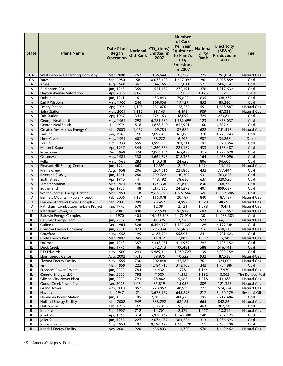| <b>State</b> | <b>Plant Name</b>                                  | <b>Date Plant</b><br><b>Began</b><br><b>Operation</b> | <b>National</b><br><b>Old Rank</b> | $CO2$ (tons)<br><b>Emitted in</b><br>2007 | <b>Number</b><br>of Cars<br><b>Per Year</b><br><b>Equivalent</b><br>to Plant's<br>CO <sub>2</sub><br><b>Emissions</b><br>in 2007 | <b>National</b><br><b>Dirty</b><br>Rank | <b>Electricity</b><br>(MWh)<br><b>Produced in</b><br>2007 | Fuel                              |
|--------------|----------------------------------------------------|-------------------------------------------------------|------------------------------------|-------------------------------------------|----------------------------------------------------------------------------------------------------------------------------------|-----------------------------------------|-----------------------------------------------------------|-----------------------------------|
| GА           | West Georgia Generating Company                    | Mar, 2000                                             | 757                                | 186,544                                   | 32,727                                                                                                                           | 775                                     | 291,034                                                   | Natural Gas                       |
| GА           | Yates                                              | Sep, 1950                                             | 58                                 | 8,077,423                                 | 1,417,092                                                                                                                        | 96                                      | 8,098,859                                                 | Coal                              |
| IA           | Ames                                               | Aug, 1968                                             | 362                                | 644,165                                   | 113,011                                                                                                                          | 571                                     | 506,154                                                   | Coal                              |
| IA           | Burlington (IA)                                    | Jun, 1968                                             | 359                                | 1,551,487                                 | 272,191                                                                                                                          | 376                                     | 1,317,632                                                 | Coal                              |
| IA           | Dayton Avenue Substation                           | Apr, 2005                                             | 1,128                              | 288                                       | 51                                                                                                                               | 1,173                                   | 321                                                       | <b>Diesel</b>                     |
| IA           | Dubuque                                            | Jun, 1941                                             | 6                                  | 453,843                                   | 79.622                                                                                                                           | 635                                     | 338,339                                                   | Coal                              |
| IA           | Earl F Wisdom                                      | May, 1960                                             | 246                                | 109,036                                   | 19,129                                                                                                                           | 852                                     | 83,280                                                    | Coal                              |
| IA           | <b>Emery Station</b>                               | Apr, 2004                                             | 1,108                              | 731,076                                   | 128,259                                                                                                                          | 551                                     | 1,698,587                                                 | Natural Gas                       |
| IA           | <b>Exira Station</b>                               | May, 2004                                             | 1,112                              | 38,165                                    | 6,696                                                                                                                            | 989                                     | 67,331                                                    | Natural Gas                       |
| IA           | <b>Fair Station</b>                                | Apr, 1967                                             | 343                                | 274,163                                   | 48,099                                                                                                                           | 725                                     | 223,844                                                   | Coal                              |
| IA           | George Neal North                                  | May, 1964                                             | 298                                | 6,781,282                                 | 1,189,699                                                                                                                        | 123                                     | 6,653,037                                                 | Coal                              |
| IA           | George Neal South                                  | Jul, 1979                                             | 518                                | 4,878,749                                 | 855,921                                                                                                                          | 160                                     | 4,897,414                                                 | Coal                              |
| IA           | <b>Greater Des Moines Energy Center</b>            | Mar, 2003                                             | 1,059                              | 499,785                                   | 87,682                                                                                                                           | 622                                     | 751,413                                                   | Natural Gas                       |
| IA           | Lansing                                            | Jan, 1948                                             | 23                                 | 2,092,405                                 | 367,089                                                                                                                          | 310                                     | 1,723,743                                                 | Coal                              |
| IA           | Lime Creek                                         | May, 1991                                             | 607                                | 38,222                                    | 6,706                                                                                                                            | 987                                     | 34,268                                                    | <b>Diesel</b>                     |
| IA           | Louisa<br>Milton L Kapp                            | Oct, 1983                                             | 559<br>344                         | 3,999,753                                 | 701,711                                                                                                                          | 192                                     | 3,920,356                                                 | Coal                              |
| IA<br>IA     | Muscatine                                          | Apr, 1967<br>Dec, 1969                                | 374                                | 1,260,776<br>2,066,156                    | 221,189<br>362,483                                                                                                               | 433<br>315                              | 1,168,487                                                 | Coal<br>Coal                      |
| IA           | Ottumwa                                            | May, 1981                                             | 538                                | 4,664,793                                 | 818,385                                                                                                                          | 164                                     | 1,722,629<br>4,073,096                                    | Coal                              |
| IA           | Pella                                              | May, 1963                                             | 283                                | 140,348                                   | 24,623                                                                                                                           | 806                                     | 94,606                                                    | Coal                              |
| IA           | Pleasant Hill Energy Center                        | Jun, 1994                                             | 663                                | 12,391                                    | 2,174                                                                                                                            | 1,094                                   | 14,119                                                    | <b>Natural Gas</b>                |
| IA           | Prairie Creek                                      | Aug, 1958                                             | 206                                | 1,264,616                                 | 221,863                                                                                                                          | 432                                     | 777,444                                                   | Coal                              |
| IA           | Riverside (1081)                                   | Jun, 1961                                             | 260                                | 799,722                                   | 140,302                                                                                                                          | 531                                     | 763,628                                                   | Coal                              |
| IA           | Sixth Street                                       | Apr, 1940                                             | 4                                  | 448,192                                   | 78,630                                                                                                                           | 637                                     | 320,925                                                   | Coal                              |
| IA           | <b>Streeter Station</b>                            | Mar, 1973                                             | 446                                | 124,338                                   | 21,814                                                                                                                           | 830                                     | 108,752                                                   | Coal                              |
| IA           | Sutherland                                         | Apr, 1955                                             | 148                                | 1,375,365                                 | 241,292                                                                                                                          | 407                                     | 899,639                                                   | Coal                              |
| IA           | Walter Scott Jr. Energy Center                     | Mar, 1954                                             | 118                                | 9,676,698                                 | 1,697,666                                                                                                                        | 69                                      | 10,094,706                                                | Coal                              |
| ID           | Bennett Mountain Power Project                     | Feb, 2005                                             | 1,124                              | 115,078                                   | 20,189                                                                                                                           | 840                                     | 187,139                                                   | <b>Natural Gas</b>                |
| ID           | <b>Evander Andrews Power Complex</b>               | Sep, 2001                                             | 909                                | 28,457                                    | 4,992                                                                                                                            | 1,020                                   | 40,693                                                    | Natural Gas                       |
| ID           | Rathdrum Combustion Turbine Project                | Jan, 1995                                             | 670                                | 12,091                                    | 2,121                                                                                                                            | 1,098                                   | 19,471                                                    | Natural Gas                       |
| ID           | Rathdrum Power, LLC                                | Jul, 2001                                             | 890                                | 529,599                                   | 92,912                                                                                                                           | 603                                     | 1,295,557                                                 | Natural Gas                       |
| IL           | <b>Baldwin Energy Complex</b>                      | Jul, 1970                                             | 405                                | 14,135,508                                | 2,479,914                                                                                                                        | 30                                      | 14,288,585                                                | Coal                              |
| IL           | Calumet Energy Team                                | Jun, 2002                                             | 998                                | 41,325                                    | 7,250                                                                                                                            | 973                                     | 66,155                                                    | Natural Gas                       |
| IL           | Coffeen                                            | Dec, 1965                                             | 326                                | 6,596,197                                 | 1,157,227                                                                                                                        | 129                                     | 6,199,564                                                 | Coal                              |
| IL           | Cordova Energy Company                             | Jun, 2001                                             | 873                                | 293,334                                   | 51,462                                                                                                                           | 716                                     | 650,515                                                   | <b>Natural Gas</b>                |
| IL           | Crawford                                           | May, 1958                                             | 195                                | 3,185,926                                 | 558,934                                                                                                                          | 241                                     | 2,921,623                                                 | Coal                              |
| IL           | Crete Energy Park                                  | Mar, 2002                                             | 945                                | 11,872                                    | 2,083                                                                                                                            | 1,099                                   | 15,749                                                    | Natural Gas                       |
| IL           | Dallman                                            | Jun, 1968                                             | 357                                | 2,348,051                                 | 411,939                                                                                                                          | 292                                     | 2,725,152                                                 | Coal                              |
| IL           | <b>Duck Creek</b>                                  | Jun, 1976                                             | 486                                | 572,743                                   | 100,481                                                                                                                          | 588                                     | 516,141                                                   | Coal                              |
| IL           | E D Edwards                                        | May, 1960                                             | 243                                | 5,989,144                                 | 1,050,727                                                                                                                        | 139                                     | 5,000,159                                                 | Coal                              |
| IL           | <b>Elgin Energy Center</b>                         | Aug, 2002                                             | 1,013                              | 59,975                                    | 10,522                                                                                                                           | 932                                     | 87,533                                                    | Natural Gas                       |
| IL           | <b>Elwood Energy Facility</b>                      | May, 1999                                             | 730                                | 202,848                                   | 35,587                                                                                                                           | 761                                     | 324,006                                                   | Natural Gas                       |
| IL           | Fisk                                               | Mar, 1959                                             | 222                                | 1,784,715                                 | 313,108                                                                                                                          | 342                                     | 1,754,884                                                 | Coal                              |
| IL           | Freedom Power Project                              | Jun, 2000                                             | 784                                | 4,432                                     | 778                                                                                                                              | 1,144                                   | 7,970                                                     | Natural Gas                       |
| IL           | Geneva Energy, LLC                                 | Jun, 2000                                             | 792                                | 7,080                                     | 1,242                                                                                                                            | 1,132                                   | 3,802                                                     | Tire Derived Fuel                 |
| IL           | Gibson City Power Plant<br>Goose Creek Power Plant | Jun, 2000                                             | 793                                | 28,882                                    | 5,067                                                                                                                            | 1,018                                   | 44,388                                                    | Natural Gas                       |
| IL<br>IL     |                                                    | Jan, 2003<br>May, 2001                                | 1,034<br>852                       | 85,819<br>278,952                         | 15,056<br>48,939                                                                                                                 | 889                                     | 121,325<br>524,524                                        | <b>Natural Gas</b><br>Natural Gas |
| IL           | <b>Grand Tower</b><br>Havana                       | Jul, 1947                                             | $21\,$                             | 3,678,169                                 | 645,293                                                                                                                          | 722<br>217                              | 3,460,179                                                 | Residual Oil                      |
| IL           | Hennepin Power Station                             | Jun, 1953                                             | 105                                | 2,283,908                                 | 400,686                                                                                                                          | 295                                     | 2,212,486                                                 | Coal                              |
| IL           | <b>Holland Energy Facility</b>                     | Mar, 2002                                             | 949                                | 388,292                                   | 68,121                                                                                                                           | 665                                     | 842,864                                                   | Natural Gas                       |
| IL           | Hutsonville                                        | Feb, 1953                                             | 97                                 | 1,112,496                                 | 195,175                                                                                                                          | 463                                     | 902,719                                                   | Coal                              |
| IL           | Interstate                                         | Sep, 1997                                             | 712                                | 14,701                                    | 2,579                                                                                                                            | 1,077                                   | 18,812                                                    | Natural Gas                       |
| IL           | Joliet 29                                          | Apr, 1965                                             | 314                                | 5,930,167                                 | 1,040,380                                                                                                                        | 140                                     | 5,702,175                                                 | Coal                              |
| IL           | Joliet 9                                           | Jun, 1959                                             | 227                                | 2,076,087                                 | 364,226                                                                                                                          | 313                                     | 1,936,693                                                 | Coal                              |
| IL           | Joppa Steam                                        | Aug, 1953                                             | 107                                | 9,196,492                                 | 1,613,420                                                                                                                        | $77 \,$                                 | 8,685,100                                                 | Coal                              |
| IL           | Kendall Energy Facility                            | Nov, 2001                                             | 920                                | 636,803                                   | 111,720                                                                                                                          | 576                                     | 1,440,462                                                 | Natural Gas                       |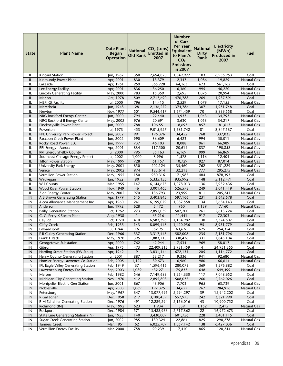| Kincaid Station<br>350<br>7,694,870<br>1,349,977<br>103<br>6,956,953<br>Coal<br>IL<br>Apr, 2001<br>IL<br>Kinmundy Power Plant<br>830<br>13,379<br>2,347<br>1,086<br>19,829<br>Natural Gas<br>Lakeside<br>259<br>IL<br>Apr, 1961<br>365,728<br>64,163<br>673<br>561,162<br>Coal<br>Lee Energy Facility<br>Apr, 2001<br>836<br>36,250<br>995<br>46,220<br><b>Natural Gas</b><br>IL<br>6,360<br><b>Lincoln Generating Facility</b><br><b>Natural Gas</b><br>May, 2000<br>783<br>15,359<br>2,695<br>1,075<br>20,994<br>IL<br>Oct, 1978<br>509<br>2,717,690<br>476,788<br>269<br>IL<br>Marion<br>1,937,591<br>Coal<br>796<br>2,529<br>1,079<br>IL<br><b>MEPI Gt Facility</b><br>Jul, 2000<br>14,415<br>17,155<br>Natural Gas<br>Jun, 1948<br>28<br>374,786<br>307<br>IL<br>Meredosia<br>2,136,279<br>1,951,748<br>Coal<br>Nov, 1977<br>501<br>70<br>8,839,558<br>Coal<br>IL<br>Newton<br>9,544,417<br>1,674,459<br>IL<br>NRG Rockford Energy Center<br>794<br>22,440<br>3,937<br>1,043<br>Jun, 2000<br>34,793<br><b>Natural Gas</b><br>976<br>20,691<br>34,217<br><b>Natural Gas</b><br>IL<br>NRG Rockford II Energy Center<br>May, 2002<br>3,630<br>1,053<br>Jun, 2000<br>788<br>106,551<br>18,693<br>857<br>181,613<br>IL<br>Pinckneyville Power Plant<br><b>Natural Gas</b><br>453<br>81<br>IL<br>Powerton<br>Jul, 1973<br>9,015,927<br>1,581,742<br>8,847,137<br>Coal<br>991<br>IL<br>PPL University Park Power Project<br>Jun, 2002<br>768<br>337,035<br>196,376<br>34,452<br><b>Natural Gas</b><br>Raccoon Creek Power Plant<br>Jun, 2002<br>990<br>36,609<br>6,423<br>994<br>IL<br>50,011<br><b>Natural Gas</b><br>Rocky Road Power, LLC<br>Jun, 1999<br>737<br>46,103<br>8,088<br>961<br>66,989<br><b>Natural Gas</b><br>IL<br>Apr, 2001<br>834<br>117,500<br>20,614<br>IL<br>RRI Energy - Aurora<br>837<br>190,858<br>Natural Gas<br>RRI Energy Shelby County<br>795<br>999<br>IL<br>Jul, 2000<br>35,163<br>6,169<br>66,869<br><b>Natural Gas</b><br>Southeast Chicago Energy Project<br>Jul, 2002<br>8,996<br>IL<br>1,000<br>1,578<br>1,116<br>12,404<br>Natural Gas<br>10,729<br>87,014<br>IL<br><b>Tilton Power Station</b><br>May, 1999<br>728<br>61,157<br>927<br><b>Natural Gas</b><br>850<br>202,124<br>35,460<br>762<br>351,229<br>IL<br><b>University Park Energy</b><br>May, 2001<br>Natural Gas<br>Venice<br>May, 2002<br>974<br>183,614<br>32,213<br>295,275<br>Natural Gas<br>IL<br>777<br>Vermilion Power Station<br>May, 1955<br>150<br>980,316<br>171,985<br>484<br>878,393<br>IL<br>Coal<br>Waukegan<br>IL<br>Jan, 1952<br>80<br>5,335,155<br>935,992<br>148<br>5,112,471<br>Coal<br>Will County<br>147<br>136<br>Coal<br>IL<br>Mar, 1955<br>6,144,675<br>1,078,013<br>5,932,436<br><b>Wood River Power Station</b><br>46<br>526,573<br>249<br>Natural Gas<br>IL<br>Nov, 1949<br>3,001,465<br>3,041,419<br>970<br>23,999<br>IL<br><b>Zion Energy Center</b><br>May, 2002<br>136,793<br>811<br>205,241<br>Natural Gas<br>A B Brown Generating Station<br>515<br>231<br>IN<br>Apr, 1979<br>3,403,845<br>597,166<br>3,642,678<br>Coal<br>IN<br>241<br>1,087,558<br>134<br>Coal<br>Alcoa Allowance Management Inc<br>Apr, 1960<br>6,199,079<br>5,654,143<br>Anderson<br>Jun, 1992<br>628<br>960<br>IN<br>5,472<br>1,139<br>7,160<br><b>Natural Gas</b><br><b>Bailly Generating Station</b><br>Oct, 1962<br>273<br>Coal<br>IN<br>2,891,039<br>507,200<br>261<br>2,613,724<br>IN<br>C. C. Perry K Steam Plant<br>Aug, 1938<br>$\mathbf{1}$<br>65,216<br>11,441<br>917<br>72,303<br>Natural Gas<br>IN<br>Cayuga<br>Oct, 1970<br>410<br>6,583,396<br>130<br>7,374,607<br>Coal<br>1,154,982<br><b>Clifty Creek</b><br>Feb, 1955<br>143<br>8,099,448<br>1,420,956<br>95<br>8,951,779<br>IN<br>Coal<br>IN<br>Edwardsport<br>Jul, 1944<br>16<br>362,951<br>63,676<br>675<br>254,354<br>Coal<br>IN<br>Dec, 1966<br>337<br>235<br>F B Culley Generating Station<br>3,317,448<br>582,008<br>2,181,796<br>Coal<br>395<br>331<br>IN<br>May, 1970<br>1,845,104<br><b>Frank E Ratts</b><br>1,883,713<br>330,476<br>Coal<br>IN<br>Georgetown Substation<br>Apr, 2000<br>762<br>42,944<br>7,534<br><b>Natural Gas</b><br>969<br>58,017<br>IN<br>Gibson<br>Apr, 1975<br>473<br>22,409,315<br>3,931,459<br>4<br>24,951,355<br>Coal<br>Harding Street Station (EW Stout)<br>9<br>IN<br>Apr, 1942<br>3,831,144<br>672,131<br>205<br>4, 114, 772<br>Coal<br>IN<br>Henry County Generating Station<br>Jul, 2001<br>887<br>53,217<br>9,336<br>941<br>92,680<br>Natural Gas<br>1,122<br>39,673<br>6,960<br>IN<br>Hoosier Energy Lawrence Co Station<br>Feb, 2005<br>980<br>66,614<br><b>Natural Gas</b><br>37<br>IN<br>IPL Eagle Valley Generating Station<br>Feb, 1949<br>1,596,416<br>280,073<br>369<br>1,576,882<br>Coal<br>1,089<br>75,837<br>IN<br>Lawrenceburg Energy Facility<br>Sep, 2003<br>432,271<br>648<br>649,499<br>Natural Gas<br>546<br>7,149,683<br>IN<br>Merom<br>Feb, 1982<br>1,254,330<br>117<br>7,048,652<br>Coal<br>Michigan City Generating Station<br>$\sf IN$<br>Nov, 1970<br>412<br>508,037<br>260<br>2,762,026<br>Coal<br>2,895,808<br>867<br>Montpelier Electric Gen Station<br>Jun, 2001<br>43,906<br>7,703<br>965<br>63,739<br>Natural Gas<br>IN<br>IN<br>Noblesville<br>Apr, 2003<br>1,069<br>197,375<br>34,627<br>767<br>284,916<br>Natural Gas<br>May, 1967<br>IN<br>Petersburg<br>347<br>13,077,495<br>2,294,297<br>39<br>12,942,202<br>Coal<br>IN<br>R Gallagher<br>Dec, 1958<br>217<br>3,180,459<br>557,975<br>242<br>3,321,990<br>Coal<br>491<br>IN<br>R M Schahfer Generating Station<br>Dec, 1976<br>12,289,294<br>2,156,016<br>43<br>10,900,752<br>Coal<br>May, 1992<br>Richmond (IN)<br>623<br>1,934<br>339<br>1,152<br>2,415<br>Natural Gas<br>IN<br>Dec, 1984<br>571<br>2,717,362<br>22<br>IN<br>15,488,966<br>16,972,673<br>Coal<br>Rockport | <b>State</b> | <b>Plant Name</b>                  | <b>Date Plant</b><br><b>Began</b><br><b>Operation</b> | <b>National</b><br><b>Old Rank</b> | $CO2$ (tons)<br><b>Emitted in</b><br>2007 | <b>Number</b><br>of Cars<br><b>Per Year</b><br><b>Equivalent</b><br>to Plant's<br>CO <sub>2</sub><br><b>Emissions</b><br>in 2007 | <b>National</b><br><b>Dirty</b><br>Rank | <b>Electricity</b><br>(MWh)<br><b>Produced in</b><br>2007 | Fuel |
|----------------------------------------------------------------------------------------------------------------------------------------------------------------------------------------------------------------------------------------------------------------------------------------------------------------------------------------------------------------------------------------------------------------------------------------------------------------------------------------------------------------------------------------------------------------------------------------------------------------------------------------------------------------------------------------------------------------------------------------------------------------------------------------------------------------------------------------------------------------------------------------------------------------------------------------------------------------------------------------------------------------------------------------------------------------------------------------------------------------------------------------------------------------------------------------------------------------------------------------------------------------------------------------------------------------------------------------------------------------------------------------------------------------------------------------------------------------------------------------------------------------------------------------------------------------------------------------------------------------------------------------------------------------------------------------------------------------------------------------------------------------------------------------------------------------------------------------------------------------------------------------------------------------------------------------------------------------------------------------------------------------------------------------------------------------------------------------------------------------------------------------------------------------------------------------------------------------------------------------------------------------------------------------------------------------------------------------------------------------------------------------------------------------------------------------------------------------------------------------------------------------------------------------------------------------------------------------------------------------------------------------------------------------------------------------------------------------------------------------------------------------------------------------------------------------------------------------------------------------------------------------------------------------------------------------------------------------------------------------------------------------------------------------------------------------------------------------------------------------------------------------------------------------------------------------------------------------------------------------------------------------------------------------------------------------------------------------------------------------------------------------------------------------------------------------------------------------------------------------------------------------------------------------------------------------------------------------------------------------------------------------------------------------------------------------------------------------------------------------------------------------------------------------------------------------------------------------------------------------------------------------------------------------------------------------------------------------------------------------------------------------------------------------------------------------------------------------------------------------------------------------------------------------------------------------------------------------------------------------------------------------------------------------------------------------------------------------------------------------------------------------------------------------------------------------------------------------------------------------------------------------------------------------------------------------------------------------------------------------------------------------------------------------------------------------------------------------------------------------------------------------------------------------------------------------------------------------------------------------------------------------------------------------------------------------------------------------------------------------------------------------------------------------------------------------------------------------------------------------------------------------------------------------------------------------------------------------------------------------------------------------------------------------------------------------------------------------------------------------------------------------------------------------------------------------------------------------------------------------------------------------------------------------------------------------------------------------------------------------------------------------------------------------------------------------------------------------------------------------------------------------------------------|--------------|------------------------------------|-------------------------------------------------------|------------------------------------|-------------------------------------------|----------------------------------------------------------------------------------------------------------------------------------|-----------------------------------------|-----------------------------------------------------------|------|
|                                                                                                                                                                                                                                                                                                                                                                                                                                                                                                                                                                                                                                                                                                                                                                                                                                                                                                                                                                                                                                                                                                                                                                                                                                                                                                                                                                                                                                                                                                                                                                                                                                                                                                                                                                                                                                                                                                                                                                                                                                                                                                                                                                                                                                                                                                                                                                                                                                                                                                                                                                                                                                                                                                                                                                                                                                                                                                                                                                                                                                                                                                                                                                                                                                                                                                                                                                                                                                                                                                                                                                                                                                                                                                                                                                                                                                                                                                                                                                                                                                                                                                                                                                                                                                                                                                                                                                                                                                                                                                                                                                                                                                                                                                                                                                                                                                                                                                                                                                                                                                                                                                                                                                                                                                                                                                                                                                                                                                                                                                                                                                                                                                                                                                                                                                                  |              |                                    | Jun, 1967                                             |                                    |                                           |                                                                                                                                  |                                         |                                                           |      |
|                                                                                                                                                                                                                                                                                                                                                                                                                                                                                                                                                                                                                                                                                                                                                                                                                                                                                                                                                                                                                                                                                                                                                                                                                                                                                                                                                                                                                                                                                                                                                                                                                                                                                                                                                                                                                                                                                                                                                                                                                                                                                                                                                                                                                                                                                                                                                                                                                                                                                                                                                                                                                                                                                                                                                                                                                                                                                                                                                                                                                                                                                                                                                                                                                                                                                                                                                                                                                                                                                                                                                                                                                                                                                                                                                                                                                                                                                                                                                                                                                                                                                                                                                                                                                                                                                                                                                                                                                                                                                                                                                                                                                                                                                                                                                                                                                                                                                                                                                                                                                                                                                                                                                                                                                                                                                                                                                                                                                                                                                                                                                                                                                                                                                                                                                                                  |              |                                    |                                                       |                                    |                                           |                                                                                                                                  |                                         |                                                           |      |
|                                                                                                                                                                                                                                                                                                                                                                                                                                                                                                                                                                                                                                                                                                                                                                                                                                                                                                                                                                                                                                                                                                                                                                                                                                                                                                                                                                                                                                                                                                                                                                                                                                                                                                                                                                                                                                                                                                                                                                                                                                                                                                                                                                                                                                                                                                                                                                                                                                                                                                                                                                                                                                                                                                                                                                                                                                                                                                                                                                                                                                                                                                                                                                                                                                                                                                                                                                                                                                                                                                                                                                                                                                                                                                                                                                                                                                                                                                                                                                                                                                                                                                                                                                                                                                                                                                                                                                                                                                                                                                                                                                                                                                                                                                                                                                                                                                                                                                                                                                                                                                                                                                                                                                                                                                                                                                                                                                                                                                                                                                                                                                                                                                                                                                                                                                                  |              |                                    |                                                       |                                    |                                           |                                                                                                                                  |                                         |                                                           |      |
|                                                                                                                                                                                                                                                                                                                                                                                                                                                                                                                                                                                                                                                                                                                                                                                                                                                                                                                                                                                                                                                                                                                                                                                                                                                                                                                                                                                                                                                                                                                                                                                                                                                                                                                                                                                                                                                                                                                                                                                                                                                                                                                                                                                                                                                                                                                                                                                                                                                                                                                                                                                                                                                                                                                                                                                                                                                                                                                                                                                                                                                                                                                                                                                                                                                                                                                                                                                                                                                                                                                                                                                                                                                                                                                                                                                                                                                                                                                                                                                                                                                                                                                                                                                                                                                                                                                                                                                                                                                                                                                                                                                                                                                                                                                                                                                                                                                                                                                                                                                                                                                                                                                                                                                                                                                                                                                                                                                                                                                                                                                                                                                                                                                                                                                                                                                  |              |                                    |                                                       |                                    |                                           |                                                                                                                                  |                                         |                                                           |      |
|                                                                                                                                                                                                                                                                                                                                                                                                                                                                                                                                                                                                                                                                                                                                                                                                                                                                                                                                                                                                                                                                                                                                                                                                                                                                                                                                                                                                                                                                                                                                                                                                                                                                                                                                                                                                                                                                                                                                                                                                                                                                                                                                                                                                                                                                                                                                                                                                                                                                                                                                                                                                                                                                                                                                                                                                                                                                                                                                                                                                                                                                                                                                                                                                                                                                                                                                                                                                                                                                                                                                                                                                                                                                                                                                                                                                                                                                                                                                                                                                                                                                                                                                                                                                                                                                                                                                                                                                                                                                                                                                                                                                                                                                                                                                                                                                                                                                                                                                                                                                                                                                                                                                                                                                                                                                                                                                                                                                                                                                                                                                                                                                                                                                                                                                                                                  |              |                                    |                                                       |                                    |                                           |                                                                                                                                  |                                         |                                                           |      |
|                                                                                                                                                                                                                                                                                                                                                                                                                                                                                                                                                                                                                                                                                                                                                                                                                                                                                                                                                                                                                                                                                                                                                                                                                                                                                                                                                                                                                                                                                                                                                                                                                                                                                                                                                                                                                                                                                                                                                                                                                                                                                                                                                                                                                                                                                                                                                                                                                                                                                                                                                                                                                                                                                                                                                                                                                                                                                                                                                                                                                                                                                                                                                                                                                                                                                                                                                                                                                                                                                                                                                                                                                                                                                                                                                                                                                                                                                                                                                                                                                                                                                                                                                                                                                                                                                                                                                                                                                                                                                                                                                                                                                                                                                                                                                                                                                                                                                                                                                                                                                                                                                                                                                                                                                                                                                                                                                                                                                                                                                                                                                                                                                                                                                                                                                                                  |              |                                    |                                                       |                                    |                                           |                                                                                                                                  |                                         |                                                           |      |
|                                                                                                                                                                                                                                                                                                                                                                                                                                                                                                                                                                                                                                                                                                                                                                                                                                                                                                                                                                                                                                                                                                                                                                                                                                                                                                                                                                                                                                                                                                                                                                                                                                                                                                                                                                                                                                                                                                                                                                                                                                                                                                                                                                                                                                                                                                                                                                                                                                                                                                                                                                                                                                                                                                                                                                                                                                                                                                                                                                                                                                                                                                                                                                                                                                                                                                                                                                                                                                                                                                                                                                                                                                                                                                                                                                                                                                                                                                                                                                                                                                                                                                                                                                                                                                                                                                                                                                                                                                                                                                                                                                                                                                                                                                                                                                                                                                                                                                                                                                                                                                                                                                                                                                                                                                                                                                                                                                                                                                                                                                                                                                                                                                                                                                                                                                                  |              |                                    |                                                       |                                    |                                           |                                                                                                                                  |                                         |                                                           |      |
|                                                                                                                                                                                                                                                                                                                                                                                                                                                                                                                                                                                                                                                                                                                                                                                                                                                                                                                                                                                                                                                                                                                                                                                                                                                                                                                                                                                                                                                                                                                                                                                                                                                                                                                                                                                                                                                                                                                                                                                                                                                                                                                                                                                                                                                                                                                                                                                                                                                                                                                                                                                                                                                                                                                                                                                                                                                                                                                                                                                                                                                                                                                                                                                                                                                                                                                                                                                                                                                                                                                                                                                                                                                                                                                                                                                                                                                                                                                                                                                                                                                                                                                                                                                                                                                                                                                                                                                                                                                                                                                                                                                                                                                                                                                                                                                                                                                                                                                                                                                                                                                                                                                                                                                                                                                                                                                                                                                                                                                                                                                                                                                                                                                                                                                                                                                  |              |                                    |                                                       |                                    |                                           |                                                                                                                                  |                                         |                                                           |      |
|                                                                                                                                                                                                                                                                                                                                                                                                                                                                                                                                                                                                                                                                                                                                                                                                                                                                                                                                                                                                                                                                                                                                                                                                                                                                                                                                                                                                                                                                                                                                                                                                                                                                                                                                                                                                                                                                                                                                                                                                                                                                                                                                                                                                                                                                                                                                                                                                                                                                                                                                                                                                                                                                                                                                                                                                                                                                                                                                                                                                                                                                                                                                                                                                                                                                                                                                                                                                                                                                                                                                                                                                                                                                                                                                                                                                                                                                                                                                                                                                                                                                                                                                                                                                                                                                                                                                                                                                                                                                                                                                                                                                                                                                                                                                                                                                                                                                                                                                                                                                                                                                                                                                                                                                                                                                                                                                                                                                                                                                                                                                                                                                                                                                                                                                                                                  |              |                                    |                                                       |                                    |                                           |                                                                                                                                  |                                         |                                                           |      |
|                                                                                                                                                                                                                                                                                                                                                                                                                                                                                                                                                                                                                                                                                                                                                                                                                                                                                                                                                                                                                                                                                                                                                                                                                                                                                                                                                                                                                                                                                                                                                                                                                                                                                                                                                                                                                                                                                                                                                                                                                                                                                                                                                                                                                                                                                                                                                                                                                                                                                                                                                                                                                                                                                                                                                                                                                                                                                                                                                                                                                                                                                                                                                                                                                                                                                                                                                                                                                                                                                                                                                                                                                                                                                                                                                                                                                                                                                                                                                                                                                                                                                                                                                                                                                                                                                                                                                                                                                                                                                                                                                                                                                                                                                                                                                                                                                                                                                                                                                                                                                                                                                                                                                                                                                                                                                                                                                                                                                                                                                                                                                                                                                                                                                                                                                                                  |              |                                    |                                                       |                                    |                                           |                                                                                                                                  |                                         |                                                           |      |
|                                                                                                                                                                                                                                                                                                                                                                                                                                                                                                                                                                                                                                                                                                                                                                                                                                                                                                                                                                                                                                                                                                                                                                                                                                                                                                                                                                                                                                                                                                                                                                                                                                                                                                                                                                                                                                                                                                                                                                                                                                                                                                                                                                                                                                                                                                                                                                                                                                                                                                                                                                                                                                                                                                                                                                                                                                                                                                                                                                                                                                                                                                                                                                                                                                                                                                                                                                                                                                                                                                                                                                                                                                                                                                                                                                                                                                                                                                                                                                                                                                                                                                                                                                                                                                                                                                                                                                                                                                                                                                                                                                                                                                                                                                                                                                                                                                                                                                                                                                                                                                                                                                                                                                                                                                                                                                                                                                                                                                                                                                                                                                                                                                                                                                                                                                                  |              |                                    |                                                       |                                    |                                           |                                                                                                                                  |                                         |                                                           |      |
|                                                                                                                                                                                                                                                                                                                                                                                                                                                                                                                                                                                                                                                                                                                                                                                                                                                                                                                                                                                                                                                                                                                                                                                                                                                                                                                                                                                                                                                                                                                                                                                                                                                                                                                                                                                                                                                                                                                                                                                                                                                                                                                                                                                                                                                                                                                                                                                                                                                                                                                                                                                                                                                                                                                                                                                                                                                                                                                                                                                                                                                                                                                                                                                                                                                                                                                                                                                                                                                                                                                                                                                                                                                                                                                                                                                                                                                                                                                                                                                                                                                                                                                                                                                                                                                                                                                                                                                                                                                                                                                                                                                                                                                                                                                                                                                                                                                                                                                                                                                                                                                                                                                                                                                                                                                                                                                                                                                                                                                                                                                                                                                                                                                                                                                                                                                  |              |                                    |                                                       |                                    |                                           |                                                                                                                                  |                                         |                                                           |      |
|                                                                                                                                                                                                                                                                                                                                                                                                                                                                                                                                                                                                                                                                                                                                                                                                                                                                                                                                                                                                                                                                                                                                                                                                                                                                                                                                                                                                                                                                                                                                                                                                                                                                                                                                                                                                                                                                                                                                                                                                                                                                                                                                                                                                                                                                                                                                                                                                                                                                                                                                                                                                                                                                                                                                                                                                                                                                                                                                                                                                                                                                                                                                                                                                                                                                                                                                                                                                                                                                                                                                                                                                                                                                                                                                                                                                                                                                                                                                                                                                                                                                                                                                                                                                                                                                                                                                                                                                                                                                                                                                                                                                                                                                                                                                                                                                                                                                                                                                                                                                                                                                                                                                                                                                                                                                                                                                                                                                                                                                                                                                                                                                                                                                                                                                                                                  |              |                                    |                                                       |                                    |                                           |                                                                                                                                  |                                         |                                                           |      |
|                                                                                                                                                                                                                                                                                                                                                                                                                                                                                                                                                                                                                                                                                                                                                                                                                                                                                                                                                                                                                                                                                                                                                                                                                                                                                                                                                                                                                                                                                                                                                                                                                                                                                                                                                                                                                                                                                                                                                                                                                                                                                                                                                                                                                                                                                                                                                                                                                                                                                                                                                                                                                                                                                                                                                                                                                                                                                                                                                                                                                                                                                                                                                                                                                                                                                                                                                                                                                                                                                                                                                                                                                                                                                                                                                                                                                                                                                                                                                                                                                                                                                                                                                                                                                                                                                                                                                                                                                                                                                                                                                                                                                                                                                                                                                                                                                                                                                                                                                                                                                                                                                                                                                                                                                                                                                                                                                                                                                                                                                                                                                                                                                                                                                                                                                                                  |              |                                    |                                                       |                                    |                                           |                                                                                                                                  |                                         |                                                           |      |
|                                                                                                                                                                                                                                                                                                                                                                                                                                                                                                                                                                                                                                                                                                                                                                                                                                                                                                                                                                                                                                                                                                                                                                                                                                                                                                                                                                                                                                                                                                                                                                                                                                                                                                                                                                                                                                                                                                                                                                                                                                                                                                                                                                                                                                                                                                                                                                                                                                                                                                                                                                                                                                                                                                                                                                                                                                                                                                                                                                                                                                                                                                                                                                                                                                                                                                                                                                                                                                                                                                                                                                                                                                                                                                                                                                                                                                                                                                                                                                                                                                                                                                                                                                                                                                                                                                                                                                                                                                                                                                                                                                                                                                                                                                                                                                                                                                                                                                                                                                                                                                                                                                                                                                                                                                                                                                                                                                                                                                                                                                                                                                                                                                                                                                                                                                                  |              |                                    |                                                       |                                    |                                           |                                                                                                                                  |                                         |                                                           |      |
|                                                                                                                                                                                                                                                                                                                                                                                                                                                                                                                                                                                                                                                                                                                                                                                                                                                                                                                                                                                                                                                                                                                                                                                                                                                                                                                                                                                                                                                                                                                                                                                                                                                                                                                                                                                                                                                                                                                                                                                                                                                                                                                                                                                                                                                                                                                                                                                                                                                                                                                                                                                                                                                                                                                                                                                                                                                                                                                                                                                                                                                                                                                                                                                                                                                                                                                                                                                                                                                                                                                                                                                                                                                                                                                                                                                                                                                                                                                                                                                                                                                                                                                                                                                                                                                                                                                                                                                                                                                                                                                                                                                                                                                                                                                                                                                                                                                                                                                                                                                                                                                                                                                                                                                                                                                                                                                                                                                                                                                                                                                                                                                                                                                                                                                                                                                  |              |                                    |                                                       |                                    |                                           |                                                                                                                                  |                                         |                                                           |      |
|                                                                                                                                                                                                                                                                                                                                                                                                                                                                                                                                                                                                                                                                                                                                                                                                                                                                                                                                                                                                                                                                                                                                                                                                                                                                                                                                                                                                                                                                                                                                                                                                                                                                                                                                                                                                                                                                                                                                                                                                                                                                                                                                                                                                                                                                                                                                                                                                                                                                                                                                                                                                                                                                                                                                                                                                                                                                                                                                                                                                                                                                                                                                                                                                                                                                                                                                                                                                                                                                                                                                                                                                                                                                                                                                                                                                                                                                                                                                                                                                                                                                                                                                                                                                                                                                                                                                                                                                                                                                                                                                                                                                                                                                                                                                                                                                                                                                                                                                                                                                                                                                                                                                                                                                                                                                                                                                                                                                                                                                                                                                                                                                                                                                                                                                                                                  |              |                                    |                                                       |                                    |                                           |                                                                                                                                  |                                         |                                                           |      |
|                                                                                                                                                                                                                                                                                                                                                                                                                                                                                                                                                                                                                                                                                                                                                                                                                                                                                                                                                                                                                                                                                                                                                                                                                                                                                                                                                                                                                                                                                                                                                                                                                                                                                                                                                                                                                                                                                                                                                                                                                                                                                                                                                                                                                                                                                                                                                                                                                                                                                                                                                                                                                                                                                                                                                                                                                                                                                                                                                                                                                                                                                                                                                                                                                                                                                                                                                                                                                                                                                                                                                                                                                                                                                                                                                                                                                                                                                                                                                                                                                                                                                                                                                                                                                                                                                                                                                                                                                                                                                                                                                                                                                                                                                                                                                                                                                                                                                                                                                                                                                                                                                                                                                                                                                                                                                                                                                                                                                                                                                                                                                                                                                                                                                                                                                                                  |              |                                    |                                                       |                                    |                                           |                                                                                                                                  |                                         |                                                           |      |
|                                                                                                                                                                                                                                                                                                                                                                                                                                                                                                                                                                                                                                                                                                                                                                                                                                                                                                                                                                                                                                                                                                                                                                                                                                                                                                                                                                                                                                                                                                                                                                                                                                                                                                                                                                                                                                                                                                                                                                                                                                                                                                                                                                                                                                                                                                                                                                                                                                                                                                                                                                                                                                                                                                                                                                                                                                                                                                                                                                                                                                                                                                                                                                                                                                                                                                                                                                                                                                                                                                                                                                                                                                                                                                                                                                                                                                                                                                                                                                                                                                                                                                                                                                                                                                                                                                                                                                                                                                                                                                                                                                                                                                                                                                                                                                                                                                                                                                                                                                                                                                                                                                                                                                                                                                                                                                                                                                                                                                                                                                                                                                                                                                                                                                                                                                                  |              |                                    |                                                       |                                    |                                           |                                                                                                                                  |                                         |                                                           |      |
|                                                                                                                                                                                                                                                                                                                                                                                                                                                                                                                                                                                                                                                                                                                                                                                                                                                                                                                                                                                                                                                                                                                                                                                                                                                                                                                                                                                                                                                                                                                                                                                                                                                                                                                                                                                                                                                                                                                                                                                                                                                                                                                                                                                                                                                                                                                                                                                                                                                                                                                                                                                                                                                                                                                                                                                                                                                                                                                                                                                                                                                                                                                                                                                                                                                                                                                                                                                                                                                                                                                                                                                                                                                                                                                                                                                                                                                                                                                                                                                                                                                                                                                                                                                                                                                                                                                                                                                                                                                                                                                                                                                                                                                                                                                                                                                                                                                                                                                                                                                                                                                                                                                                                                                                                                                                                                                                                                                                                                                                                                                                                                                                                                                                                                                                                                                  |              |                                    |                                                       |                                    |                                           |                                                                                                                                  |                                         |                                                           |      |
|                                                                                                                                                                                                                                                                                                                                                                                                                                                                                                                                                                                                                                                                                                                                                                                                                                                                                                                                                                                                                                                                                                                                                                                                                                                                                                                                                                                                                                                                                                                                                                                                                                                                                                                                                                                                                                                                                                                                                                                                                                                                                                                                                                                                                                                                                                                                                                                                                                                                                                                                                                                                                                                                                                                                                                                                                                                                                                                                                                                                                                                                                                                                                                                                                                                                                                                                                                                                                                                                                                                                                                                                                                                                                                                                                                                                                                                                                                                                                                                                                                                                                                                                                                                                                                                                                                                                                                                                                                                                                                                                                                                                                                                                                                                                                                                                                                                                                                                                                                                                                                                                                                                                                                                                                                                                                                                                                                                                                                                                                                                                                                                                                                                                                                                                                                                  |              |                                    |                                                       |                                    |                                           |                                                                                                                                  |                                         |                                                           |      |
|                                                                                                                                                                                                                                                                                                                                                                                                                                                                                                                                                                                                                                                                                                                                                                                                                                                                                                                                                                                                                                                                                                                                                                                                                                                                                                                                                                                                                                                                                                                                                                                                                                                                                                                                                                                                                                                                                                                                                                                                                                                                                                                                                                                                                                                                                                                                                                                                                                                                                                                                                                                                                                                                                                                                                                                                                                                                                                                                                                                                                                                                                                                                                                                                                                                                                                                                                                                                                                                                                                                                                                                                                                                                                                                                                                                                                                                                                                                                                                                                                                                                                                                                                                                                                                                                                                                                                                                                                                                                                                                                                                                                                                                                                                                                                                                                                                                                                                                                                                                                                                                                                                                                                                                                                                                                                                                                                                                                                                                                                                                                                                                                                                                                                                                                                                                  |              |                                    |                                                       |                                    |                                           |                                                                                                                                  |                                         |                                                           |      |
|                                                                                                                                                                                                                                                                                                                                                                                                                                                                                                                                                                                                                                                                                                                                                                                                                                                                                                                                                                                                                                                                                                                                                                                                                                                                                                                                                                                                                                                                                                                                                                                                                                                                                                                                                                                                                                                                                                                                                                                                                                                                                                                                                                                                                                                                                                                                                                                                                                                                                                                                                                                                                                                                                                                                                                                                                                                                                                                                                                                                                                                                                                                                                                                                                                                                                                                                                                                                                                                                                                                                                                                                                                                                                                                                                                                                                                                                                                                                                                                                                                                                                                                                                                                                                                                                                                                                                                                                                                                                                                                                                                                                                                                                                                                                                                                                                                                                                                                                                                                                                                                                                                                                                                                                                                                                                                                                                                                                                                                                                                                                                                                                                                                                                                                                                                                  |              |                                    |                                                       |                                    |                                           |                                                                                                                                  |                                         |                                                           |      |
|                                                                                                                                                                                                                                                                                                                                                                                                                                                                                                                                                                                                                                                                                                                                                                                                                                                                                                                                                                                                                                                                                                                                                                                                                                                                                                                                                                                                                                                                                                                                                                                                                                                                                                                                                                                                                                                                                                                                                                                                                                                                                                                                                                                                                                                                                                                                                                                                                                                                                                                                                                                                                                                                                                                                                                                                                                                                                                                                                                                                                                                                                                                                                                                                                                                                                                                                                                                                                                                                                                                                                                                                                                                                                                                                                                                                                                                                                                                                                                                                                                                                                                                                                                                                                                                                                                                                                                                                                                                                                                                                                                                                                                                                                                                                                                                                                                                                                                                                                                                                                                                                                                                                                                                                                                                                                                                                                                                                                                                                                                                                                                                                                                                                                                                                                                                  |              |                                    |                                                       |                                    |                                           |                                                                                                                                  |                                         |                                                           |      |
|                                                                                                                                                                                                                                                                                                                                                                                                                                                                                                                                                                                                                                                                                                                                                                                                                                                                                                                                                                                                                                                                                                                                                                                                                                                                                                                                                                                                                                                                                                                                                                                                                                                                                                                                                                                                                                                                                                                                                                                                                                                                                                                                                                                                                                                                                                                                                                                                                                                                                                                                                                                                                                                                                                                                                                                                                                                                                                                                                                                                                                                                                                                                                                                                                                                                                                                                                                                                                                                                                                                                                                                                                                                                                                                                                                                                                                                                                                                                                                                                                                                                                                                                                                                                                                                                                                                                                                                                                                                                                                                                                                                                                                                                                                                                                                                                                                                                                                                                                                                                                                                                                                                                                                                                                                                                                                                                                                                                                                                                                                                                                                                                                                                                                                                                                                                  |              |                                    |                                                       |                                    |                                           |                                                                                                                                  |                                         |                                                           |      |
|                                                                                                                                                                                                                                                                                                                                                                                                                                                                                                                                                                                                                                                                                                                                                                                                                                                                                                                                                                                                                                                                                                                                                                                                                                                                                                                                                                                                                                                                                                                                                                                                                                                                                                                                                                                                                                                                                                                                                                                                                                                                                                                                                                                                                                                                                                                                                                                                                                                                                                                                                                                                                                                                                                                                                                                                                                                                                                                                                                                                                                                                                                                                                                                                                                                                                                                                                                                                                                                                                                                                                                                                                                                                                                                                                                                                                                                                                                                                                                                                                                                                                                                                                                                                                                                                                                                                                                                                                                                                                                                                                                                                                                                                                                                                                                                                                                                                                                                                                                                                                                                                                                                                                                                                                                                                                                                                                                                                                                                                                                                                                                                                                                                                                                                                                                                  |              |                                    |                                                       |                                    |                                           |                                                                                                                                  |                                         |                                                           |      |
|                                                                                                                                                                                                                                                                                                                                                                                                                                                                                                                                                                                                                                                                                                                                                                                                                                                                                                                                                                                                                                                                                                                                                                                                                                                                                                                                                                                                                                                                                                                                                                                                                                                                                                                                                                                                                                                                                                                                                                                                                                                                                                                                                                                                                                                                                                                                                                                                                                                                                                                                                                                                                                                                                                                                                                                                                                                                                                                                                                                                                                                                                                                                                                                                                                                                                                                                                                                                                                                                                                                                                                                                                                                                                                                                                                                                                                                                                                                                                                                                                                                                                                                                                                                                                                                                                                                                                                                                                                                                                                                                                                                                                                                                                                                                                                                                                                                                                                                                                                                                                                                                                                                                                                                                                                                                                                                                                                                                                                                                                                                                                                                                                                                                                                                                                                                  |              |                                    |                                                       |                                    |                                           |                                                                                                                                  |                                         |                                                           |      |
|                                                                                                                                                                                                                                                                                                                                                                                                                                                                                                                                                                                                                                                                                                                                                                                                                                                                                                                                                                                                                                                                                                                                                                                                                                                                                                                                                                                                                                                                                                                                                                                                                                                                                                                                                                                                                                                                                                                                                                                                                                                                                                                                                                                                                                                                                                                                                                                                                                                                                                                                                                                                                                                                                                                                                                                                                                                                                                                                                                                                                                                                                                                                                                                                                                                                                                                                                                                                                                                                                                                                                                                                                                                                                                                                                                                                                                                                                                                                                                                                                                                                                                                                                                                                                                                                                                                                                                                                                                                                                                                                                                                                                                                                                                                                                                                                                                                                                                                                                                                                                                                                                                                                                                                                                                                                                                                                                                                                                                                                                                                                                                                                                                                                                                                                                                                  |              |                                    |                                                       |                                    |                                           |                                                                                                                                  |                                         |                                                           |      |
|                                                                                                                                                                                                                                                                                                                                                                                                                                                                                                                                                                                                                                                                                                                                                                                                                                                                                                                                                                                                                                                                                                                                                                                                                                                                                                                                                                                                                                                                                                                                                                                                                                                                                                                                                                                                                                                                                                                                                                                                                                                                                                                                                                                                                                                                                                                                                                                                                                                                                                                                                                                                                                                                                                                                                                                                                                                                                                                                                                                                                                                                                                                                                                                                                                                                                                                                                                                                                                                                                                                                                                                                                                                                                                                                                                                                                                                                                                                                                                                                                                                                                                                                                                                                                                                                                                                                                                                                                                                                                                                                                                                                                                                                                                                                                                                                                                                                                                                                                                                                                                                                                                                                                                                                                                                                                                                                                                                                                                                                                                                                                                                                                                                                                                                                                                                  |              |                                    |                                                       |                                    |                                           |                                                                                                                                  |                                         |                                                           |      |
|                                                                                                                                                                                                                                                                                                                                                                                                                                                                                                                                                                                                                                                                                                                                                                                                                                                                                                                                                                                                                                                                                                                                                                                                                                                                                                                                                                                                                                                                                                                                                                                                                                                                                                                                                                                                                                                                                                                                                                                                                                                                                                                                                                                                                                                                                                                                                                                                                                                                                                                                                                                                                                                                                                                                                                                                                                                                                                                                                                                                                                                                                                                                                                                                                                                                                                                                                                                                                                                                                                                                                                                                                                                                                                                                                                                                                                                                                                                                                                                                                                                                                                                                                                                                                                                                                                                                                                                                                                                                                                                                                                                                                                                                                                                                                                                                                                                                                                                                                                                                                                                                                                                                                                                                                                                                                                                                                                                                                                                                                                                                                                                                                                                                                                                                                                                  |              |                                    |                                                       |                                    |                                           |                                                                                                                                  |                                         |                                                           |      |
|                                                                                                                                                                                                                                                                                                                                                                                                                                                                                                                                                                                                                                                                                                                                                                                                                                                                                                                                                                                                                                                                                                                                                                                                                                                                                                                                                                                                                                                                                                                                                                                                                                                                                                                                                                                                                                                                                                                                                                                                                                                                                                                                                                                                                                                                                                                                                                                                                                                                                                                                                                                                                                                                                                                                                                                                                                                                                                                                                                                                                                                                                                                                                                                                                                                                                                                                                                                                                                                                                                                                                                                                                                                                                                                                                                                                                                                                                                                                                                                                                                                                                                                                                                                                                                                                                                                                                                                                                                                                                                                                                                                                                                                                                                                                                                                                                                                                                                                                                                                                                                                                                                                                                                                                                                                                                                                                                                                                                                                                                                                                                                                                                                                                                                                                                                                  |              |                                    |                                                       |                                    |                                           |                                                                                                                                  |                                         |                                                           |      |
|                                                                                                                                                                                                                                                                                                                                                                                                                                                                                                                                                                                                                                                                                                                                                                                                                                                                                                                                                                                                                                                                                                                                                                                                                                                                                                                                                                                                                                                                                                                                                                                                                                                                                                                                                                                                                                                                                                                                                                                                                                                                                                                                                                                                                                                                                                                                                                                                                                                                                                                                                                                                                                                                                                                                                                                                                                                                                                                                                                                                                                                                                                                                                                                                                                                                                                                                                                                                                                                                                                                                                                                                                                                                                                                                                                                                                                                                                                                                                                                                                                                                                                                                                                                                                                                                                                                                                                                                                                                                                                                                                                                                                                                                                                                                                                                                                                                                                                                                                                                                                                                                                                                                                                                                                                                                                                                                                                                                                                                                                                                                                                                                                                                                                                                                                                                  |              |                                    |                                                       |                                    |                                           |                                                                                                                                  |                                         |                                                           |      |
|                                                                                                                                                                                                                                                                                                                                                                                                                                                                                                                                                                                                                                                                                                                                                                                                                                                                                                                                                                                                                                                                                                                                                                                                                                                                                                                                                                                                                                                                                                                                                                                                                                                                                                                                                                                                                                                                                                                                                                                                                                                                                                                                                                                                                                                                                                                                                                                                                                                                                                                                                                                                                                                                                                                                                                                                                                                                                                                                                                                                                                                                                                                                                                                                                                                                                                                                                                                                                                                                                                                                                                                                                                                                                                                                                                                                                                                                                                                                                                                                                                                                                                                                                                                                                                                                                                                                                                                                                                                                                                                                                                                                                                                                                                                                                                                                                                                                                                                                                                                                                                                                                                                                                                                                                                                                                                                                                                                                                                                                                                                                                                                                                                                                                                                                                                                  |              |                                    |                                                       |                                    |                                           |                                                                                                                                  |                                         |                                                           |      |
|                                                                                                                                                                                                                                                                                                                                                                                                                                                                                                                                                                                                                                                                                                                                                                                                                                                                                                                                                                                                                                                                                                                                                                                                                                                                                                                                                                                                                                                                                                                                                                                                                                                                                                                                                                                                                                                                                                                                                                                                                                                                                                                                                                                                                                                                                                                                                                                                                                                                                                                                                                                                                                                                                                                                                                                                                                                                                                                                                                                                                                                                                                                                                                                                                                                                                                                                                                                                                                                                                                                                                                                                                                                                                                                                                                                                                                                                                                                                                                                                                                                                                                                                                                                                                                                                                                                                                                                                                                                                                                                                                                                                                                                                                                                                                                                                                                                                                                                                                                                                                                                                                                                                                                                                                                                                                                                                                                                                                                                                                                                                                                                                                                                                                                                                                                                  |              |                                    |                                                       |                                    |                                           |                                                                                                                                  |                                         |                                                           |      |
|                                                                                                                                                                                                                                                                                                                                                                                                                                                                                                                                                                                                                                                                                                                                                                                                                                                                                                                                                                                                                                                                                                                                                                                                                                                                                                                                                                                                                                                                                                                                                                                                                                                                                                                                                                                                                                                                                                                                                                                                                                                                                                                                                                                                                                                                                                                                                                                                                                                                                                                                                                                                                                                                                                                                                                                                                                                                                                                                                                                                                                                                                                                                                                                                                                                                                                                                                                                                                                                                                                                                                                                                                                                                                                                                                                                                                                                                                                                                                                                                                                                                                                                                                                                                                                                                                                                                                                                                                                                                                                                                                                                                                                                                                                                                                                                                                                                                                                                                                                                                                                                                                                                                                                                                                                                                                                                                                                                                                                                                                                                                                                                                                                                                                                                                                                                  |              |                                    |                                                       |                                    |                                           |                                                                                                                                  |                                         |                                                           |      |
|                                                                                                                                                                                                                                                                                                                                                                                                                                                                                                                                                                                                                                                                                                                                                                                                                                                                                                                                                                                                                                                                                                                                                                                                                                                                                                                                                                                                                                                                                                                                                                                                                                                                                                                                                                                                                                                                                                                                                                                                                                                                                                                                                                                                                                                                                                                                                                                                                                                                                                                                                                                                                                                                                                                                                                                                                                                                                                                                                                                                                                                                                                                                                                                                                                                                                                                                                                                                                                                                                                                                                                                                                                                                                                                                                                                                                                                                                                                                                                                                                                                                                                                                                                                                                                                                                                                                                                                                                                                                                                                                                                                                                                                                                                                                                                                                                                                                                                                                                                                                                                                                                                                                                                                                                                                                                                                                                                                                                                                                                                                                                                                                                                                                                                                                                                                  |              |                                    |                                                       |                                    |                                           |                                                                                                                                  |                                         |                                                           |      |
|                                                                                                                                                                                                                                                                                                                                                                                                                                                                                                                                                                                                                                                                                                                                                                                                                                                                                                                                                                                                                                                                                                                                                                                                                                                                                                                                                                                                                                                                                                                                                                                                                                                                                                                                                                                                                                                                                                                                                                                                                                                                                                                                                                                                                                                                                                                                                                                                                                                                                                                                                                                                                                                                                                                                                                                                                                                                                                                                                                                                                                                                                                                                                                                                                                                                                                                                                                                                                                                                                                                                                                                                                                                                                                                                                                                                                                                                                                                                                                                                                                                                                                                                                                                                                                                                                                                                                                                                                                                                                                                                                                                                                                                                                                                                                                                                                                                                                                                                                                                                                                                                                                                                                                                                                                                                                                                                                                                                                                                                                                                                                                                                                                                                                                                                                                                  |              |                                    |                                                       |                                    |                                           |                                                                                                                                  |                                         |                                                           |      |
|                                                                                                                                                                                                                                                                                                                                                                                                                                                                                                                                                                                                                                                                                                                                                                                                                                                                                                                                                                                                                                                                                                                                                                                                                                                                                                                                                                                                                                                                                                                                                                                                                                                                                                                                                                                                                                                                                                                                                                                                                                                                                                                                                                                                                                                                                                                                                                                                                                                                                                                                                                                                                                                                                                                                                                                                                                                                                                                                                                                                                                                                                                                                                                                                                                                                                                                                                                                                                                                                                                                                                                                                                                                                                                                                                                                                                                                                                                                                                                                                                                                                                                                                                                                                                                                                                                                                                                                                                                                                                                                                                                                                                                                                                                                                                                                                                                                                                                                                                                                                                                                                                                                                                                                                                                                                                                                                                                                                                                                                                                                                                                                                                                                                                                                                                                                  |              |                                    |                                                       |                                    |                                           |                                                                                                                                  |                                         |                                                           |      |
|                                                                                                                                                                                                                                                                                                                                                                                                                                                                                                                                                                                                                                                                                                                                                                                                                                                                                                                                                                                                                                                                                                                                                                                                                                                                                                                                                                                                                                                                                                                                                                                                                                                                                                                                                                                                                                                                                                                                                                                                                                                                                                                                                                                                                                                                                                                                                                                                                                                                                                                                                                                                                                                                                                                                                                                                                                                                                                                                                                                                                                                                                                                                                                                                                                                                                                                                                                                                                                                                                                                                                                                                                                                                                                                                                                                                                                                                                                                                                                                                                                                                                                                                                                                                                                                                                                                                                                                                                                                                                                                                                                                                                                                                                                                                                                                                                                                                                                                                                                                                                                                                                                                                                                                                                                                                                                                                                                                                                                                                                                                                                                                                                                                                                                                                                                                  |              |                                    |                                                       |                                    |                                           |                                                                                                                                  |                                         |                                                           |      |
|                                                                                                                                                                                                                                                                                                                                                                                                                                                                                                                                                                                                                                                                                                                                                                                                                                                                                                                                                                                                                                                                                                                                                                                                                                                                                                                                                                                                                                                                                                                                                                                                                                                                                                                                                                                                                                                                                                                                                                                                                                                                                                                                                                                                                                                                                                                                                                                                                                                                                                                                                                                                                                                                                                                                                                                                                                                                                                                                                                                                                                                                                                                                                                                                                                                                                                                                                                                                                                                                                                                                                                                                                                                                                                                                                                                                                                                                                                                                                                                                                                                                                                                                                                                                                                                                                                                                                                                                                                                                                                                                                                                                                                                                                                                                                                                                                                                                                                                                                                                                                                                                                                                                                                                                                                                                                                                                                                                                                                                                                                                                                                                                                                                                                                                                                                                  |              |                                    |                                                       |                                    |                                           |                                                                                                                                  |                                         |                                                           |      |
|                                                                                                                                                                                                                                                                                                                                                                                                                                                                                                                                                                                                                                                                                                                                                                                                                                                                                                                                                                                                                                                                                                                                                                                                                                                                                                                                                                                                                                                                                                                                                                                                                                                                                                                                                                                                                                                                                                                                                                                                                                                                                                                                                                                                                                                                                                                                                                                                                                                                                                                                                                                                                                                                                                                                                                                                                                                                                                                                                                                                                                                                                                                                                                                                                                                                                                                                                                                                                                                                                                                                                                                                                                                                                                                                                                                                                                                                                                                                                                                                                                                                                                                                                                                                                                                                                                                                                                                                                                                                                                                                                                                                                                                                                                                                                                                                                                                                                                                                                                                                                                                                                                                                                                                                                                                                                                                                                                                                                                                                                                                                                                                                                                                                                                                                                                                  |              |                                    |                                                       |                                    |                                           |                                                                                                                                  |                                         |                                                           |      |
|                                                                                                                                                                                                                                                                                                                                                                                                                                                                                                                                                                                                                                                                                                                                                                                                                                                                                                                                                                                                                                                                                                                                                                                                                                                                                                                                                                                                                                                                                                                                                                                                                                                                                                                                                                                                                                                                                                                                                                                                                                                                                                                                                                                                                                                                                                                                                                                                                                                                                                                                                                                                                                                                                                                                                                                                                                                                                                                                                                                                                                                                                                                                                                                                                                                                                                                                                                                                                                                                                                                                                                                                                                                                                                                                                                                                                                                                                                                                                                                                                                                                                                                                                                                                                                                                                                                                                                                                                                                                                                                                                                                                                                                                                                                                                                                                                                                                                                                                                                                                                                                                                                                                                                                                                                                                                                                                                                                                                                                                                                                                                                                                                                                                                                                                                                                  |              |                                    |                                                       |                                    |                                           |                                                                                                                                  |                                         |                                                           |      |
|                                                                                                                                                                                                                                                                                                                                                                                                                                                                                                                                                                                                                                                                                                                                                                                                                                                                                                                                                                                                                                                                                                                                                                                                                                                                                                                                                                                                                                                                                                                                                                                                                                                                                                                                                                                                                                                                                                                                                                                                                                                                                                                                                                                                                                                                                                                                                                                                                                                                                                                                                                                                                                                                                                                                                                                                                                                                                                                                                                                                                                                                                                                                                                                                                                                                                                                                                                                                                                                                                                                                                                                                                                                                                                                                                                                                                                                                                                                                                                                                                                                                                                                                                                                                                                                                                                                                                                                                                                                                                                                                                                                                                                                                                                                                                                                                                                                                                                                                                                                                                                                                                                                                                                                                                                                                                                                                                                                                                                                                                                                                                                                                                                                                                                                                                                                  |              |                                    |                                                       |                                    |                                           |                                                                                                                                  |                                         |                                                           |      |
|                                                                                                                                                                                                                                                                                                                                                                                                                                                                                                                                                                                                                                                                                                                                                                                                                                                                                                                                                                                                                                                                                                                                                                                                                                                                                                                                                                                                                                                                                                                                                                                                                                                                                                                                                                                                                                                                                                                                                                                                                                                                                                                                                                                                                                                                                                                                                                                                                                                                                                                                                                                                                                                                                                                                                                                                                                                                                                                                                                                                                                                                                                                                                                                                                                                                                                                                                                                                                                                                                                                                                                                                                                                                                                                                                                                                                                                                                                                                                                                                                                                                                                                                                                                                                                                                                                                                                                                                                                                                                                                                                                                                                                                                                                                                                                                                                                                                                                                                                                                                                                                                                                                                                                                                                                                                                                                                                                                                                                                                                                                                                                                                                                                                                                                                                                                  |              |                                    |                                                       |                                    |                                           |                                                                                                                                  |                                         |                                                           |      |
|                                                                                                                                                                                                                                                                                                                                                                                                                                                                                                                                                                                                                                                                                                                                                                                                                                                                                                                                                                                                                                                                                                                                                                                                                                                                                                                                                                                                                                                                                                                                                                                                                                                                                                                                                                                                                                                                                                                                                                                                                                                                                                                                                                                                                                                                                                                                                                                                                                                                                                                                                                                                                                                                                                                                                                                                                                                                                                                                                                                                                                                                                                                                                                                                                                                                                                                                                                                                                                                                                                                                                                                                                                                                                                                                                                                                                                                                                                                                                                                                                                                                                                                                                                                                                                                                                                                                                                                                                                                                                                                                                                                                                                                                                                                                                                                                                                                                                                                                                                                                                                                                                                                                                                                                                                                                                                                                                                                                                                                                                                                                                                                                                                                                                                                                                                                  |              |                                    |                                                       |                                    |                                           |                                                                                                                                  |                                         |                                                           |      |
|                                                                                                                                                                                                                                                                                                                                                                                                                                                                                                                                                                                                                                                                                                                                                                                                                                                                                                                                                                                                                                                                                                                                                                                                                                                                                                                                                                                                                                                                                                                                                                                                                                                                                                                                                                                                                                                                                                                                                                                                                                                                                                                                                                                                                                                                                                                                                                                                                                                                                                                                                                                                                                                                                                                                                                                                                                                                                                                                                                                                                                                                                                                                                                                                                                                                                                                                                                                                                                                                                                                                                                                                                                                                                                                                                                                                                                                                                                                                                                                                                                                                                                                                                                                                                                                                                                                                                                                                                                                                                                                                                                                                                                                                                                                                                                                                                                                                                                                                                                                                                                                                                                                                                                                                                                                                                                                                                                                                                                                                                                                                                                                                                                                                                                                                                                                  |              |                                    |                                                       |                                    |                                           |                                                                                                                                  |                                         |                                                           |      |
|                                                                                                                                                                                                                                                                                                                                                                                                                                                                                                                                                                                                                                                                                                                                                                                                                                                                                                                                                                                                                                                                                                                                                                                                                                                                                                                                                                                                                                                                                                                                                                                                                                                                                                                                                                                                                                                                                                                                                                                                                                                                                                                                                                                                                                                                                                                                                                                                                                                                                                                                                                                                                                                                                                                                                                                                                                                                                                                                                                                                                                                                                                                                                                                                                                                                                                                                                                                                                                                                                                                                                                                                                                                                                                                                                                                                                                                                                                                                                                                                                                                                                                                                                                                                                                                                                                                                                                                                                                                                                                                                                                                                                                                                                                                                                                                                                                                                                                                                                                                                                                                                                                                                                                                                                                                                                                                                                                                                                                                                                                                                                                                                                                                                                                                                                                                  |              |                                    |                                                       |                                    |                                           |                                                                                                                                  |                                         |                                                           |      |
|                                                                                                                                                                                                                                                                                                                                                                                                                                                                                                                                                                                                                                                                                                                                                                                                                                                                                                                                                                                                                                                                                                                                                                                                                                                                                                                                                                                                                                                                                                                                                                                                                                                                                                                                                                                                                                                                                                                                                                                                                                                                                                                                                                                                                                                                                                                                                                                                                                                                                                                                                                                                                                                                                                                                                                                                                                                                                                                                                                                                                                                                                                                                                                                                                                                                                                                                                                                                                                                                                                                                                                                                                                                                                                                                                                                                                                                                                                                                                                                                                                                                                                                                                                                                                                                                                                                                                                                                                                                                                                                                                                                                                                                                                                                                                                                                                                                                                                                                                                                                                                                                                                                                                                                                                                                                                                                                                                                                                                                                                                                                                                                                                                                                                                                                                                                  |              |                                    |                                                       |                                    |                                           |                                                                                                                                  |                                         |                                                           |      |
|                                                                                                                                                                                                                                                                                                                                                                                                                                                                                                                                                                                                                                                                                                                                                                                                                                                                                                                                                                                                                                                                                                                                                                                                                                                                                                                                                                                                                                                                                                                                                                                                                                                                                                                                                                                                                                                                                                                                                                                                                                                                                                                                                                                                                                                                                                                                                                                                                                                                                                                                                                                                                                                                                                                                                                                                                                                                                                                                                                                                                                                                                                                                                                                                                                                                                                                                                                                                                                                                                                                                                                                                                                                                                                                                                                                                                                                                                                                                                                                                                                                                                                                                                                                                                                                                                                                                                                                                                                                                                                                                                                                                                                                                                                                                                                                                                                                                                                                                                                                                                                                                                                                                                                                                                                                                                                                                                                                                                                                                                                                                                                                                                                                                                                                                                                                  |              |                                    |                                                       |                                    |                                           |                                                                                                                                  |                                         |                                                           |      |
|                                                                                                                                                                                                                                                                                                                                                                                                                                                                                                                                                                                                                                                                                                                                                                                                                                                                                                                                                                                                                                                                                                                                                                                                                                                                                                                                                                                                                                                                                                                                                                                                                                                                                                                                                                                                                                                                                                                                                                                                                                                                                                                                                                                                                                                                                                                                                                                                                                                                                                                                                                                                                                                                                                                                                                                                                                                                                                                                                                                                                                                                                                                                                                                                                                                                                                                                                                                                                                                                                                                                                                                                                                                                                                                                                                                                                                                                                                                                                                                                                                                                                                                                                                                                                                                                                                                                                                                                                                                                                                                                                                                                                                                                                                                                                                                                                                                                                                                                                                                                                                                                                                                                                                                                                                                                                                                                                                                                                                                                                                                                                                                                                                                                                                                                                                                  |              |                                    |                                                       |                                    |                                           |                                                                                                                                  |                                         |                                                           |      |
|                                                                                                                                                                                                                                                                                                                                                                                                                                                                                                                                                                                                                                                                                                                                                                                                                                                                                                                                                                                                                                                                                                                                                                                                                                                                                                                                                                                                                                                                                                                                                                                                                                                                                                                                                                                                                                                                                                                                                                                                                                                                                                                                                                                                                                                                                                                                                                                                                                                                                                                                                                                                                                                                                                                                                                                                                                                                                                                                                                                                                                                                                                                                                                                                                                                                                                                                                                                                                                                                                                                                                                                                                                                                                                                                                                                                                                                                                                                                                                                                                                                                                                                                                                                                                                                                                                                                                                                                                                                                                                                                                                                                                                                                                                                                                                                                                                                                                                                                                                                                                                                                                                                                                                                                                                                                                                                                                                                                                                                                                                                                                                                                                                                                                                                                                                                  |              |                                    |                                                       |                                    |                                           |                                                                                                                                  |                                         |                                                           |      |
|                                                                                                                                                                                                                                                                                                                                                                                                                                                                                                                                                                                                                                                                                                                                                                                                                                                                                                                                                                                                                                                                                                                                                                                                                                                                                                                                                                                                                                                                                                                                                                                                                                                                                                                                                                                                                                                                                                                                                                                                                                                                                                                                                                                                                                                                                                                                                                                                                                                                                                                                                                                                                                                                                                                                                                                                                                                                                                                                                                                                                                                                                                                                                                                                                                                                                                                                                                                                                                                                                                                                                                                                                                                                                                                                                                                                                                                                                                                                                                                                                                                                                                                                                                                                                                                                                                                                                                                                                                                                                                                                                                                                                                                                                                                                                                                                                                                                                                                                                                                                                                                                                                                                                                                                                                                                                                                                                                                                                                                                                                                                                                                                                                                                                                                                                                                  |              |                                    |                                                       |                                    |                                           |                                                                                                                                  |                                         |                                                           |      |
| IN<br>Jan, 1955<br>140<br>601,756<br>228<br>Coal<br>3,401,115                                                                                                                                                                                                                                                                                                                                                                                                                                                                                                                                                                                                                                                                                                                                                                                                                                                                                                                                                                                                                                                                                                                                                                                                                                                                                                                                                                                                                                                                                                                                                                                                                                                                                                                                                                                                                                                                                                                                                                                                                                                                                                                                                                                                                                                                                                                                                                                                                                                                                                                                                                                                                                                                                                                                                                                                                                                                                                                                                                                                                                                                                                                                                                                                                                                                                                                                                                                                                                                                                                                                                                                                                                                                                                                                                                                                                                                                                                                                                                                                                                                                                                                                                                                                                                                                                                                                                                                                                                                                                                                                                                                                                                                                                                                                                                                                                                                                                                                                                                                                                                                                                                                                                                                                                                                                                                                                                                                                                                                                                                                                                                                                                                                                                                                    |              | State Line Generating Station (IN) |                                                       |                                    | 3,430,009                                 |                                                                                                                                  |                                         |                                                           |      |
| 985<br>IN<br><b>Sugar Creek Generating Station</b><br>Jun, 2002<br>130,324<br>22,864<br>825<br>290,278<br>Natural Gas                                                                                                                                                                                                                                                                                                                                                                                                                                                                                                                                                                                                                                                                                                                                                                                                                                                                                                                                                                                                                                                                                                                                                                                                                                                                                                                                                                                                                                                                                                                                                                                                                                                                                                                                                                                                                                                                                                                                                                                                                                                                                                                                                                                                                                                                                                                                                                                                                                                                                                                                                                                                                                                                                                                                                                                                                                                                                                                                                                                                                                                                                                                                                                                                                                                                                                                                                                                                                                                                                                                                                                                                                                                                                                                                                                                                                                                                                                                                                                                                                                                                                                                                                                                                                                                                                                                                                                                                                                                                                                                                                                                                                                                                                                                                                                                                                                                                                                                                                                                                                                                                                                                                                                                                                                                                                                                                                                                                                                                                                                                                                                                                                                                            |              |                                    |                                                       |                                    |                                           |                                                                                                                                  |                                         |                                                           |      |
| 6,025,709<br>Coal<br>IN<br><b>Tanners Creek</b><br>Mar, 1951<br>62<br>1,057,142<br>138<br>6,427,036                                                                                                                                                                                                                                                                                                                                                                                                                                                                                                                                                                                                                                                                                                                                                                                                                                                                                                                                                                                                                                                                                                                                                                                                                                                                                                                                                                                                                                                                                                                                                                                                                                                                                                                                                                                                                                                                                                                                                                                                                                                                                                                                                                                                                                                                                                                                                                                                                                                                                                                                                                                                                                                                                                                                                                                                                                                                                                                                                                                                                                                                                                                                                                                                                                                                                                                                                                                                                                                                                                                                                                                                                                                                                                                                                                                                                                                                                                                                                                                                                                                                                                                                                                                                                                                                                                                                                                                                                                                                                                                                                                                                                                                                                                                                                                                                                                                                                                                                                                                                                                                                                                                                                                                                                                                                                                                                                                                                                                                                                                                                                                                                                                                                              |              |                                    |                                                       |                                    |                                           |                                                                                                                                  |                                         |                                                           |      |
| Vermillion Energy Facility<br>IN<br>Mar, 2000<br>758<br>99,239<br>17,410<br>865<br>Natural Gas<br>120,244                                                                                                                                                                                                                                                                                                                                                                                                                                                                                                                                                                                                                                                                                                                                                                                                                                                                                                                                                                                                                                                                                                                                                                                                                                                                                                                                                                                                                                                                                                                                                                                                                                                                                                                                                                                                                                                                                                                                                                                                                                                                                                                                                                                                                                                                                                                                                                                                                                                                                                                                                                                                                                                                                                                                                                                                                                                                                                                                                                                                                                                                                                                                                                                                                                                                                                                                                                                                                                                                                                                                                                                                                                                                                                                                                                                                                                                                                                                                                                                                                                                                                                                                                                                                                                                                                                                                                                                                                                                                                                                                                                                                                                                                                                                                                                                                                                                                                                                                                                                                                                                                                                                                                                                                                                                                                                                                                                                                                                                                                                                                                                                                                                                                        |              |                                    |                                                       |                                    |                                           |                                                                                                                                  |                                         |                                                           |      |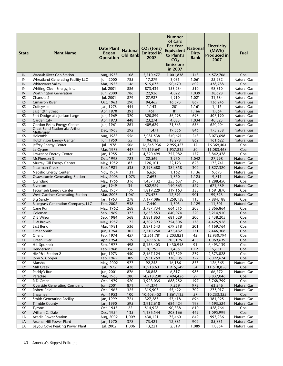| <b>State</b>    | <b>Plant Name</b>                                           | <b>Date Plant</b><br><b>Began</b><br><b>Operation</b> | <b>National</b><br><b>Old Rank</b> | $CO2$ (tons)<br><b>Emitted in</b><br>2007 | <b>Number</b><br>of Cars<br><b>Per Year</b><br><b>Equivalent</b><br>to Plant's<br>CO <sub>2</sub><br><b>Emissions</b><br>in 2007 | <b>National</b><br><b>Dirty</b><br>Rank | <b>Electricity</b><br>(MWh)<br><b>Produced in</b><br>2007 | Fuel                       |
|-----------------|-------------------------------------------------------------|-------------------------------------------------------|------------------------------------|-------------------------------------------|----------------------------------------------------------------------------------------------------------------------------------|-----------------------------------------|-----------------------------------------------------------|----------------------------|
| IN              | Wabash River Gen Station                                    | Aug, 1953                                             | 108                                | 5,710,477                                 | 1,001,838                                                                                                                        | 143                                     | 4,572,706                                                 | Coal                       |
| IN              | Wheatland Generating Facility LLC                           | Jun, 2000                                             | 785                                | 17,279                                    | 3,031                                                                                                                            | 1,061                                   | 22,232                                                    | Natural Gas                |
| IN              | <b>Whitewater Valley</b>                                    | Mar, 1955                                             | 146                                | 515,677                                   | 90,470                                                                                                                           | 609                                     | 438,788                                                   | Coal                       |
| IN              | Whiting Clean Energy, Inc.                                  | Jul, 2001                                             | 886                                | 873,434                                   | 153,234                                                                                                                          | 510                                     | 98,810                                                    | Natural Gas                |
| IN              | <b>Worthington Generation</b>                               | Jun, 2000                                             | 786                                | 22,926                                    | 4,022                                                                                                                            | 1,039                                   | 38,628                                                    | Natural Gas                |
| KS              | Chanute 2                                                   | Jul, 2001                                             | 879                                | 27,987                                    | 4,910                                                                                                                            | 1,021                                   | 31,584                                                    | Natural Gas                |
| <b>KS</b>       | <b>Cimarron River</b>                                       | Oct, 1963                                             | 290                                | 94,465                                    | 16,573                                                                                                                           | 869                                     | 136,245                                                   | Natural Gas                |
| KS              | Coffeyville                                                 | Jan, 1973                                             | 444                                | 1,143                                     | 201                                                                                                                              | 1,161                                   | 1,415                                                     | Natural Gas                |
| <b>KS</b>       | East 12th Street                                            | Apr, 1970                                             | 393                                | 461                                       | 81                                                                                                                               | 1,166                                   | 1,064                                                     | Natural Gas                |
| ΚS              | Fort Dodge aka Judson Large                                 | Jun, 1969                                             | 370                                | 320,899                                   | 56,298                                                                                                                           | 698                                     | 506,190                                                   | Natural Gas                |
| KS              | <b>Garden City</b>                                          | Apr, 1973                                             | 448                                | 23,274                                    | 4,083                                                                                                                            | 1,034                                   | 40,023                                                    | Natural Gas                |
| ΚS              | Gordon Evans Energy Center<br>Great Bend Station aka Arthur | Jun, 1961                                             | 261                                | 409,629                                   | 71,865                                                                                                                           | 656                                     | 620,204                                                   | Natural Gas                |
| <b>KS</b>       | Mullergren                                                  | Dec, 1963                                             | 292                                | 111,471                                   | 19,556                                                                                                                           | 846                                     | 175,238                                                   | <b>Natural Gas</b>         |
| KS              | Holcomb                                                     | Aug, 1983                                             | 556                                | 3,081,538                                 | 540,621                                                                                                                          | 248                                     | 3,073,698                                                 | Natural Gas                |
| <b>KS</b>       | <b>Hutchinson Energy Center</b>                             | Jun, 1950                                             | 55                                 | 104,183                                   | 18,278                                                                                                                           | 862                                     | 161,622                                                   | <b>Natural Gas</b>         |
| KS              | Jeffrey Energy Center                                       | Jul, 1978                                             | 506                                | 16,845,936                                | 2,955,427                                                                                                                        | 17                                      | 16,369,404                                                | Coal                       |
| KS              | La Cygne                                                    | Mar, 1973                                             | 447                                | 11,159,641                                | 1,957,832                                                                                                                        | 50                                      | 11,083,468                                                | Coal                       |
| ΚS              | Lawrence Energy Center                                      | Jan, 1955                                             | 142                                | 4,320,499                                 | 757,982                                                                                                                          | 177                                     | 3,842,478                                                 | Coal                       |
| <b>KS</b>       | McPherson 3                                                 | Oct, 1998                                             | 723                                | 22,569                                    | 3,960                                                                                                                            | 1,042                                   | 27,998                                                    | <b>Natural Gas</b>         |
| KS              | Murray Gill Energy Center                                   | May, 1952                                             | 83                                 | 126,101                                   | 22,123                                                                                                                           | 828                                     | 175,741                                                   | Natural Gas                |
| <b>KS</b>       | Nearman Creek                                               | Feb, 1981                                             | 535                                | 2,193,688                                 | 384,858                                                                                                                          | 302                                     | 1,827,320                                                 | <b>Natural Gas</b>         |
| KS              | Neosho Energy Center                                        | Nov, 1954                                             | 131                                | 6,626                                     | 1,162                                                                                                                            | 1,136                                   | 9,693                                                     | Natural Gas                |
| <b>KS</b>       | Osawatomie Generating Station                               | May, 2003                                             | 1,073                              | 7,693                                     | 1,350                                                                                                                            | $\overline{1,}125$                      | 9,811                                                     | Natural Gas                |
| KS              | Quindaro                                                    | May, 1965                                             | 316                                | 1,457,132                                 | 255,637                                                                                                                          | 395                                     | 1,288,450                                                 | Coal                       |
| KS              | Riverton                                                    | Jan, 1949                                             | 34                                 | 802,929                                   | 140,865                                                                                                                          | 529                                     | 671,689                                                   | <b>Natural Gas</b>         |
| ΚS              | Tecumseh Energy Center                                      | Aug, 1957                                             | 179                                | 1,819,229                                 | 319,163                                                                                                                          | 338                                     | 1,591,870                                                 | Coal                       |
| KS<br>KY        | West Gardner Generating Station<br><b>Big Sandy</b>         | Mar, 2003                                             | 1,061<br>278                       | 73,477                                    | 12,891                                                                                                                           | 901<br>115                              | 99,323                                                    | <b>Natural Gas</b>         |
| KY              | <b>Bluegrass Generation Company, LLC</b>                    | Jan, 1963<br>Feb, 2002                                | 938                                | 7,177,086<br>7,440                        | 1,259,138<br>1,305                                                                                                               | 1,129                                   | 7,884,188<br>11,301                                       | Coal<br><b>Natural Gas</b> |
| KY              | Cane Run                                                    | May, 1962                                             | 268                                | 3,787,734                                 | 664,515                                                                                                                          | 208                                     | 3,866,864                                                 | Coal                       |
| KY              | Coleman                                                     | Sep, 1969                                             | 373                                | 3,653,553                                 | 640,974                                                                                                                          | 220                                     | 3,214,910                                                 | Coal                       |
| KY              | D B Wilson                                                  | Sep, 1984                                             | 568                                | 3,881,863                                 | 681,029                                                                                                                          | 200                                     | 3,438,205                                                 | Coal                       |
| KY              | E W Brown                                                   | May, 1957                                             | 172                                | 4,302,393                                 | 754,806                                                                                                                          | 178                                     | 4,425,928                                                 | Coal                       |
| KY              | East Bend                                                   | Mar, 1981                                             | 536                                | 3,871,543                                 | 679,218                                                                                                                          | 201                                     | 4,169,764                                                 | Coal                       |
| KY              | <b>Elmer Smith</b>                                          | Jun, 1964                                             | 302                                | 2,710,250                                 | 475,482                                                                                                                          | 271                                     | 2,446,308                                                 | Coal                       |
| KY              | Ghent                                                       | Feb, 1974                                             | 457                                | 12,561,781                                | 2,203,821                                                                                                                        | 42                                      | 12,930,794                                                | Coal                       |
| $\overline{KY}$ | <b>Green River</b>                                          | Apr, 1954                                             | $\overline{119}$                   | 1,169,616                                 | 205,196                                                                                                                          | 453                                     | 1,069,639                                                 | Coal                       |
| ΚY              | H L Spurlock                                                | Sep, 1977                                             | 498                                | 8,156,403                                 | 1,430,948                                                                                                                        | 91                                      | 6,493,139                                                 | Coal                       |
| KY              | Henderson I                                                 | Feb, 1968                                             | 356                                | 8,179                                     | 1,435                                                                                                                            | 1,121                                   | 5,631                                                     | Coal                       |
| KY              | HMP&L Station 2                                             | Jun, 1973                                             | 450                                | 2,467,124                                 | 432,829                                                                                                                          | 279                                     | 2,373,828                                                 | Coal                       |
| KY              | John S. Cooper                                              | Feb, 1965                                             | 309                                | 1,931,759                                 | 338,905                                                                                                                          | 327                                     | 2,092,674                                                 | Coal                       |
| KY              | Marshall                                                    | May, 2002                                             | 977                                | 92,258                                    | 16,186                                                                                                                           | 873                                     | 126,365                                                   | Natural Gas                |
| KY              | Mill Creek                                                  | Jul, 1972                                             | 438                                | 10,918,631                                | 1,915,549                                                                                                                        | 54                                      | 11,518,858                                                | Coal                       |
| KY              | Paddy's Run                                                 | Jun, 2001                                             | 876                                | 38,858                                    | 6,817                                                                                                                            | 985                                     | 66,772                                                    | Natural Gas                |
| KY              | Paradise                                                    | Mar, 1963                                             | 280                                | 14,218,230                                | 2,494,426                                                                                                                        | 29                                      | 8,837,046                                                 | Coal                       |
| KY              | R D Green                                                   | Oct, 1979                                             | 520                                | 3,923,035                                 | 688,252                                                                                                                          | 197                                     | 3,768,799                                                 | Coal                       |
| KY              | <b>Riverside Generating Company</b>                         | Jun, 2001                                             | 871                                | 41,374                                    | 7,259                                                                                                                            | 972                                     | 63,246                                                    | Natural Gas                |
| KY              | Robert Reid                                                 | Oct, 1965                                             | 325                                | 315,903                                   | 55,422                                                                                                                           | 702                                     | 273,017                                                   | Natural Gas                |
| KY              | Shawnee                                                     | Apr, 1953                                             | 100                                | 10,608,452                                | 1,861,132                                                                                                                        | 57                                      | 10,233,322                                                | Coal                       |
| KY              | <b>Smith Generating Facility</b>                            | Jan, 1999                                             | 724                                | 327,283                                   | 57,418                                                                                                                           | 696                                     | 381,025                                                   | Natural Gas                |
| KY              | <b>Trimble County</b>                                       | Jan, 1990                                             | $\overline{595}$                   | 3,912,618                                 | 686,424                                                                                                                          | 198                                     | 4,593,524                                                 | Natural Gas                |
| KY              | Tyrone                                                      | Oct, 1947                                             | 22                                 | 514,928                                   | 90,338                                                                                                                           | 610                                     | 428,764                                                   | Coal                       |
| KY              | William C. Dale                                             | Dec, 1954                                             | 135                                | 1,186,544                                 | 208,166                                                                                                                          | 449                                     | 1,095,999                                                 | Coal                       |
| LA              | Acadia Power Station                                        | Aug, 2002                                             | 1,009                              | 430,121                                   | 75,460                                                                                                                           | 649                                     | 997,936                                                   | Natural Gas                |
| LA              | Arsenal Hill Power Plant                                    | Jan, 1970                                             | 378                                | 73,421                                    | 12,881                                                                                                                           | 902                                     | 85,831                                                    | Natural Gas                |
| LA              | Bayou Cove Peaking Power Plant                              | Jul, 2002                                             | 1,006                              | 13,221                                    | 2,319                                                                                                                            | 1,089                                   | 17,854                                                    | Natural Gas                |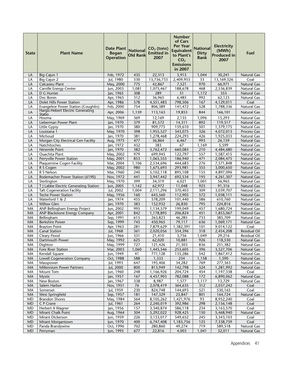| <b>State</b> | <b>Plant Name</b>                                                          | <b>Date Plant</b><br><b>Began</b><br><b>Operation</b> | <b>National</b><br><b>Old Rank</b> | $CO2$ (tons)<br><b>Emitted in</b><br>2007 | <b>Number</b><br>of Cars<br><b>Per Year</b><br><b>Equivalent</b><br>to Plant's<br>CO <sub>2</sub><br><b>Emissions</b><br>in 2007 | <b>National</b><br><b>Dirty</b><br>Rank | <b>Electricity</b><br>(MWh)<br><b>Produced in</b><br>2007 | Fuel                                     |
|--------------|----------------------------------------------------------------------------|-------------------------------------------------------|------------------------------------|-------------------------------------------|----------------------------------------------------------------------------------------------------------------------------------|-----------------------------------------|-----------------------------------------------------------|------------------------------------------|
| LA           | Big Cajun 1                                                                | Feb, 1972                                             | 435                                | 22,313                                    | 3,915                                                                                                                            | 1,044                                   | 30,241                                                    | <b>Natural Gas</b>                       |
| LA           | Big Cajun 2                                                                | Jul, 1980                                             | 530                                | 13,736,733                                | 2,409,953                                                                                                                        | 33                                      | 13,169,326                                                | Coal                                     |
| LA           | Calcasieu Plant                                                            | May, 2000                                             | 775                                | 42,867                                    | 7,521                                                                                                                            | 970                                     | 66,971                                                    | <b>Natural Gas</b>                       |
| LA           | Carville Energy Center                                                     | Jun, 2003                                             | 1,081                              | 1,075,467                                 | 188,678                                                                                                                          | 468                                     | 2,536,839                                                 | <b>Natural Gas</b>                       |
| LA           | D G Hunter                                                                 | Jan, 1965                                             | 308                                | 289                                       | 51                                                                                                                               | 1,172                                   | 353                                                       | <b>Natural Gas</b>                       |
| LA           | Doc Bonin                                                                  | Apr, 1965                                             | 312                                | 36,965                                    | 6,485                                                                                                                            | 992                                     | 62,123                                                    | <b>Natural Gas</b>                       |
| LA           | Dolet Hills Power Station                                                  | Apr, 1986                                             | 578                                | 4,551,483                                 | 798,506                                                                                                                          | 167                                     | 4,129,011                                                 | Coal                                     |
| LA           | Evangeline Power Station (Coughlin)                                        | Feb, 2000                                             | 754                                | 806,389                                   | 141,472                                                                                                                          | 528                                     | 1,788,336                                                 | <b>Natural Gas</b>                       |
| LA           | Hargis-Hebert Electric Generating<br>Statio                                | Apr, 2006                                             | 1,159                              | 113,163                                   | 19,853                                                                                                                           | 844                                     | 166,101                                                   | <b>Natural Gas</b>                       |
| LA           | Houma                                                                      | May, 1969                                             | 369                                | 12,169                                    | 2,135                                                                                                                            | 1,096                                   | 15,293                                                    | Natural Gas                              |
| LA           | Lieberman Power Plant                                                      | Jan, 1970                                             | 379                                | 81,572                                    | 14,311                                                                                                                           | 892                                     | 119,517                                                   | <b>Natural Gas</b>                       |
| LA           | Little Gypsy                                                               | Jan, 1970                                             | 380                                | 909,775                                   | 159,610                                                                                                                          | 501                                     | 1,379,175                                                 | <b>Natural Gas</b>                       |
| LA           | Louisiana 1                                                                | May, 1970                                             | 398                                | 1,955,527                                 | 343,075                                                                                                                          | 326                                     | 4,072,013                                                 | <b>Process Gas</b>                       |
| LA           | Michoud                                                                    | Jan, 1970                                             | 381                                | 1,278,468                                 | 224,293                                                                                                                          | 426                                     | 1,925,033                                                 | <b>Natural Gas</b>                       |
| LA           | Morgan City Electrical Gen Facility                                        | Aug, 1975                                             | 477                                | 36,864                                    | 6,467                                                                                                                            | 993                                     | 26,159                                                    | <b>Natural Gas</b>                       |
| LA           | Natchitoches                                                               | Jan, 1972                                             | 432                                | 383                                       | 67                                                                                                                               | 1,169                                   | 5,599                                                     | <b>Natural Gas</b>                       |
| LA           | Ninemile Point                                                             | Jan, 1970                                             | 382                                | 3,762,472                                 | 660.083                                                                                                                          | 210                                     | 4,484,680                                                 | <b>Natural Gas</b>                       |
| LA           | Ouachita Plant                                                             | May, 2002                                             | 979                                | 699,945                                   | 122,797                                                                                                                          | 557                                     | 1,587,415                                                 | <b>Natural Gas</b>                       |
| LA           | Perryville Power Station                                                   | May, 2001                                             | 853                                | 1,065,555                                 | 186,940                                                                                                                          | 471                                     | 2,084,475                                                 | <b>Natural Gas</b>                       |
| LA           | Plaquemine Cogen Facility                                                  | Mar. 2004                                             | 1,106                              | 2,534,696                                 | 444,683                                                                                                                          | 276                                     | 7,571,848                                                 | <b>Natural Gas</b>                       |
| LA           | R S Cogen                                                                  | May, 2002                                             | 980                                | 1,675,693                                 | 293,981                                                                                                                          | 355                                     | 3,000,650                                                 | <b>Natural Gas</b>                       |
| LA           | R S Nelson                                                                 | Mar, 1960                                             | 240                                | 5,102,118                                 | 895,108                                                                                                                          | 155                                     | 4,897,096                                                 | <b>Natural Gas</b>                       |
| LA           | Rodemacher Power Station (6190)                                            | Nov, 1972                                             | 441                                | 3,947,442                                 | 692,534                                                                                                                          | 195                                     | 4,261,307                                                 | <b>Natural Gas</b>                       |
| LA           | Sterlington                                                                | May, 1970                                             | 399<br>1,142                       | 34,319                                    | 6,021<br>11,048                                                                                                                  | 1,001<br>923                            | 56,965                                                    | <b>Natural Gas</b>                       |
| LA<br>LA     | T J Labbe Electric Generating Station<br><b>Taft Cogeneration Facility</b> | Jun, 2005<br>Jul, 2002                                | 1,004                              | 62,972<br>2,111,296                       | 370,403                                                                                                                          | 309                                     | 91,316<br>3,039,707                                       | <b>Natural Gas</b><br><b>Natural Gas</b> |
| LA           | <b>Teche Power Station</b>                                                 | May, 1956                                             | 160                                | 643,560                                   | 112,905                                                                                                                          | 572                                     | 1,038,111                                                 | <b>Natural Gas</b>                       |
| LA           | Waterford 1 & 2                                                            | Jan, 1974                                             | 455                                | 578,209                                   | 101,440                                                                                                                          | 586                                     | 610,760                                                   | <b>Natural Gas</b>                       |
| LA           | <b>Willow Glen</b>                                                         | Jan, 1970                                             | 383                                | 152,932                                   | 26,830                                                                                                                           | 795                                     | 224,816                                                   | <b>Natural Gas</b>                       |
| MA           | ANP Bellingham Energy Project                                              | Jun, 2002                                             | 995                                | 1,134,579                                 | 199,049                                                                                                                          | 457                                     | 1,680,724                                                 | Natural Gas                              |
| MA           | <b>ANP Blackstone Energy Company</b>                                       | Apr, 2001                                             | 842                                | 1,178,895                                 | 206,824                                                                                                                          | 451                                     | 1,853,067                                                 | <b>Natural Gas</b>                       |
| MA           | Bellingham                                                                 | Sep, 1991                                             | 615                                | 263,823                                   | 46,285                                                                                                                           | 733                                     | 385,709                                                   | <b>Natural Gas</b>                       |
| MA           | <b>Berkshire Power</b>                                                     | Sep, 1999                                             | 745                                | 450,965                                   | 79,117                                                                                                                           | 636                                     | 1,069,171                                                 | <b>Natural Gas</b>                       |
| MA           | <b>Brayton Point</b>                                                       | Apr, 1963                                             | 281                                | 7,879,629                                 | 1,382,391                                                                                                                        | 101                                     | 9,014,122                                                 | Coal                                     |
| MA           | <b>Canal Station</b>                                                       | Jul, 1968                                             | 361                                | 2,020,056                                 | 354,396                                                                                                                          | 318                                     | 2,454,208                                                 | <b>Residual Oil</b>                      |
| MA           | Cleary Flood                                                               | Jun, 1966                                             | 331                                | 21,410                                    | 3,756                                                                                                                            | 1,049                                   | 29,216                                                    | <b>Residual Oil</b>                      |
| MA           | Dartmouth Power                                                            | May, 1992                                             | 625                                | 62,020                                    | 10,881                                                                                                                           | 926                                     | 118,530                                                   | Natural Gas                              |
| MA           | Dighton                                                                    | May, 1999                                             | 727                                | 121,426                                   | 21,303                                                                                                                           | 836                                     | 251,382                                                   | <b>Natural Gas</b>                       |
| MA           | <b>Fore River Station</b>                                                  | Mar, 2003                                             | 1,060                              | 1,445,546                                 | 253,605                                                                                                                          | 396                                     | 3,527,706                                                 | Natural Gas                              |
| MA           | Kendall Square                                                             | Jun, 1949                                             | 41                                 | 771,128                                   | 135,286                                                                                                                          | 542                                     | 1,867,412                                                 | Natural Gas                              |
| MA           | <b>Lowell Cogeneration Company</b>                                         | Oct, 1988                                             | 588                                | 1,333                                     | 234                                                                                                                              | 1,158                                   | 1,590                                                     | <b>Natural Gas</b>                       |
| MA           | Masspower                                                                  | Jul, 1993                                             | 647                                | 195,406                                   | 34,282                                                                                                                           | 769                                     | 277,363                                                   | Natural Gas                              |
| MA<br>MA     | Millennium Power Partners<br>Mount Tom                                     | Jul, 2000<br>Jun, 1960                                | 800<br>248                         | 813,949<br>1,166,926                      | 142,798<br>204,724                                                                                                               | 524<br>454                              | 1,281,992<br>1,197,338                                    | Natural Gas<br>Coal                      |
| MA           | <b>Mystic</b>                                                              | Jan, 1957                                             | 167                                | 4,457,903                                 | 782,088                                                                                                                          | 172                                     | 6,890,062                                                 | Natural Gas                              |
| МA           | New Boston                                                                 | Jan, 1967                                             | 338                                | 8,987                                     | 1,577                                                                                                                            | 1,117                                   | 13,729                                                    | Natural Gas                              |
| MA           | Salem Harbor                                                               | Nov, 1951                                             | 76                                 | 2,078,419                                 | 364,635                                                                                                                          | 312                                     | 2,037,242                                                 | Coal                                     |
| MA           | Somerset                                                                   | Jul, 1959                                             | 230                                | 824,748                                   | 144,693                                                                                                                          | 521                                     | 530,165                                                   | Coal                                     |
| MA           | West Springfield                                                           | Sep, 1957                                             | 181                                | 147,329                                   | 25,847                                                                                                                           | 801                                     | 164,724                                                   | Natural Gas                              |
| <b>MD</b>    | <b>Brandon Shores</b>                                                      | May, 1984                                             | 564                                | 8,105,262                                 | 1,421,976                                                                                                                        | 93                                      | 8,952,240                                                 | Coal                                     |
| <b>MD</b>    | C P Crane                                                                  | Jul, 1961                                             | 264                                | 2,240,019                                 | 392,986                                                                                                                          | 298                                     | 2,156,148                                                 | Coal                                     |
| MD           | Herbert A Wagner                                                           | Jan, 1956                                             | 157                                | 3,340,874                                 | 586,118                                                                                                                          | 234                                     | 3,163,570                                                 | Coal                                     |
| <b>MD</b>    | Mirant Chalk Point                                                         | Aug, 1964                                             | $\overline{304}$                   | 5,292,022                                 | 928,425                                                                                                                          | 150                                     | 5,468,940                                                 | <b>Natural Gas</b>                       |
| <b>MD</b>    | Mirant Dickerson                                                           | Jun, 1959                                             | 226                                | 3,133,017                                 | 549,652                                                                                                                          | 245                                     | 3,343,103                                                 | Coal                                     |
| <b>MD</b>    | Mirant Morgantown                                                          | Jun, 1970                                             | 400                                | 6,747,408                                 | 1,183,756                                                                                                                        | 125                                     | 7,338,759                                                 | Coal                                     |
| MD           | Panda Brandywine                                                           | Oct, 1996                                             | 702                                | 280,860                                   | 49,274                                                                                                                           | 719                                     | 589,518                                                   | Natural Gas                              |
| <b>MD</b>    | Perryman                                                                   | Jun, 1995                                             | 677                                | 22,816                                    | 4,003                                                                                                                            | 1,041                                   | 32,011                                                    | Natural Gas                              |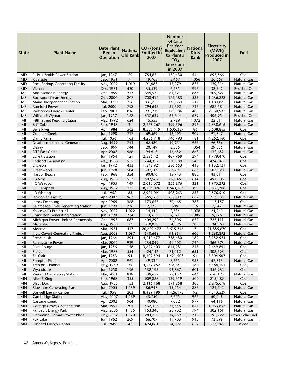| <b>State</b>         | <b>Plant Name</b>                              | <b>Date Plant</b><br><b>Began</b><br><b>Operation</b> | <b>National</b><br><b>Old Rank</b> | $CO2$ (tons)<br><b>Emitted in</b><br>2007 | Number<br>of Cars<br><b>Per Year</b><br><b>Equivalent</b><br>to Plant's<br>CO <sub>2</sub><br><b>Emissions</b><br>in 2007 | <b>National</b><br><b>Dirty</b><br>Rank | <b>Electricity</b><br>(MWh)<br><b>Produced in</b><br>2007 | Fuel                               |
|----------------------|------------------------------------------------|-------------------------------------------------------|------------------------------------|-------------------------------------------|---------------------------------------------------------------------------------------------------------------------------|-----------------------------------------|-----------------------------------------------------------|------------------------------------|
| MD                   | R. Paul Smith Power Station                    | Jan, 1947                                             | 20                                 | 754,854                                   | 132,430                                                                                                                   | 544                                     | 697,566                                                   | Coal                               |
| <b>MD</b>            | Riverside                                      | Sep, 1951                                             | 71                                 | 19,763                                    | 3,467                                                                                                                     | 1,056                                   | 26,669                                                    | Natural Gas                        |
| MD                   | Rock Springs Generating Facility               | Nov, 2002                                             | 1,019                              | 91,083                                    | 15,979                                                                                                                    | 878                                     | 139,314                                                   | Natural Gas                        |
| <b>MD</b>            | Vienna                                         | Dec, 1971                                             | 430                                | 35,539                                    | 6,235                                                                                                                     | 997                                     | 32,542                                                    | <b>Residual Oil</b>                |
| ME                   | Androscoggin Energy                            | Oct, 1999                                             | 747                                | 349,532                                   | 61,321                                                                                                                    | 685                                     | 509,822                                                   | Natural Gas                        |
| ME                   | <b>Bucksport Clean Energy</b>                  | Oct, 2000                                             | 807                                | 708,412                                   | 124,283                                                                                                                   | 555                                     | 1,236,828                                                 | <b>Natural Gas</b>                 |
| ME                   | Maine Independence Station                     | Mar, 2000                                             | 756                                | 831,252                                   | 145,834                                                                                                                   | 519                                     | 1,184,885                                                 | Natural Gas                        |
| ME                   | <b>Rumford Power</b>                           | Jul, 2000                                             | 798                                | 294,645                                   | 51,692                                                                                                                    | 715                                     | 682,584                                                   | Natural Gas                        |
| ME                   | Westbrook Energy Center                        | Feb, 2001                                             | 816                                | 991,719                                   | 173,986                                                                                                                   | 483                                     | 2,530,937                                                 | Natural Gas                        |
| <b>ME</b><br>MI      | William F Wyman<br>48th Street Peaking Station | Jan, 1957<br>May, 1992                                | 168<br>624                         | 357,639<br>15,555                         | 62,744<br>2,729                                                                                                           | 679<br>1,072                            | 406,954<br>22,311                                         | <b>Residual Oil</b><br>Natural Gas |
| MI                   | <b>B C Cobb</b>                                | Sep, 1948                                             | 31                                 | 2,278,267                                 | 399,696                                                                                                                   | 296                                     | 2,338,616                                                 | Natural Gas                        |
| MI                   | <b>Belle River</b>                             | Apr, 1984                                             | 562                                | 8,580,419                                 | 1,505,337                                                                                                                 | 86                                      | 8,608,865                                                 | Coal                               |
| MI                   | <b>Conners Creek</b>                           | Jun, 1998                                             | 717                                | 69,569                                    | 12,205                                                                                                                    | 909                                     | 91,347                                                    | Natural Gas                        |
| MI                   | Dan E Karn                                     | Jul, 1956                                             | 163                                | 4,256,718                                 | 746,793                                                                                                                   | 181                                     | 4,262,160                                                 | Coal                               |
| MI                   | Dearborn Industrial Generation                 | Aug, 1999                                             | 743                                | 62,420                                    | 10,951                                                                                                                    | 925                                     | 96,336                                                    | Natural Gas                        |
| MI                   | Delray                                         | Sep, 1999                                             | 744                                | 20,149                                    | 3,535                                                                                                                     | 1,054                                   | 29,535                                                    | Natural Gas                        |
| MI                   | DTE East China                                 | Apr, 2002                                             | 966                                | 94,915                                    | 16,652                                                                                                                    | 868                                     | 132,652                                                   | <b>Natural Gas</b>                 |
| MI                   | <b>Eckert Station</b>                          | Jun, 1954                                             | 121                                | 2,325,421                                 | 407,969                                                                                                                   | 294                                     | 1,779,470                                                 | Coal                               |
| MI                   | <b>Endicott Generating</b>                     | May, 1983                                             | 555                                | 744,357                                   | 130,589                                                                                                                   | 549                                     | 474,343                                                   | Coal                               |
| MI                   | Erickson                                       | Jan, 1972                                             | 433                                | 1,348,921                                 | 236,653                                                                                                                   | 410                                     | 1,132,121                                                 | Coal                               |
| MI                   | Greenwood                                      | Jun, 1978                                             | 504                                | 392,109                                   | 68,791                                                                                                                    | 663                                     | 507,528                                                   | Natural Gas                        |
| MI                   | Harbor Beach                                   | Feb, 1968                                             | 354                                | 90,876                                    | 15,943                                                                                                                    | 880                                     | 83,011                                                    | Coal                               |
| MI                   | <b>B</b> Sims                                  | Aug, 1983                                             | 557                                | 507,562                                   | 89,046                                                                                                                    | 614                                     | 491,906                                                   | Coal                               |
| MI                   | I C Weadock                                    | Apr, 1955                                             | 149                                | 2,013,672                                 | 353,276                                                                                                                   | 321                                     | 1,973,292                                                 | Coal                               |
| M <sub>l</sub>       | J H Campbell                                   | Aug, 1962                                             | $\overline{272}$<br>88             | 8,796,026                                 | 1,543,163                                                                                                                 | 83                                      | 8,631,708                                                 | Coal<br>Coal                       |
| MI<br>MI             | J R Whiting                                    | Jul, 1952                                             | 967                                | 2,901,091                                 | 508,963                                                                                                                   | 258<br>682                              | 2,576,510                                                 |                                    |
| MI                   | Jackson MI Facility<br>James De Young          | Apr, 2002<br>Apr, 1969                                | 368                                | 355,163<br>173,653                        | 62,309<br>30,465                                                                                                          | 783                                     | 713,585<br>117,157                                        | Natural Gas<br>Coal                |
| MI                   | Kalamazoo River Generating Station             | Jun, 1999                                             | 736                                | 2,272                                     | 399                                                                                                                       | 1,151                                   | 2,547                                                     | Natural Gas                        |
| MI                   | Kalkaska Ct Project #1                         | Nov, 2002                                             | 1,022                              | 14,442                                    | 2,534                                                                                                                     | 1,078                                   | 24,240                                                    | Natural Gas                        |
| M <sub>l</sub>       | <b>Livingston Generating Station</b>           | Jun, 1999                                             | 734                                | 13,513                                    | 2,371                                                                                                                     | 1,085                                   | 9,726                                                     | <b>Natural Gas</b>                 |
| MI                   | Michigan Power Limited Partnership             | Oct, 1995                                             | 687                                | 409,292                                   | 71,806                                                                                                                    | 657                                     | 723,111                                                   | Natural Gas                        |
| M <sub>l</sub>       | Mistersky                                      | Aug, 1950                                             | 57                                 | 310,059                                   | 54,396                                                                                                                    | 703                                     | 134,060                                                   | Natural Gas                        |
| MI                   | Monroe                                         | Mar, 1971                                             | 417                                | 20,607,472                                | 3,615,346                                                                                                                 | $\overline{7}$                          | 21,855,670                                                | Coal                               |
| MI                   | New Covert Generating Project                  | Aug, 2003                                             | 1,087                              | 540,668                                   | 94,854                                                                                                                    | 600                                     | 1,268,892                                                 | Natural Gas                        |
| MI                   | Presque Isle                                   | Jan, 1964                                             | 294                                | 4,210,477                                 | 738,680                                                                                                                   | 182                                     | 3,752,974                                                 | Coal                               |
| MI                   | Renaissance Power                              | Mar, 2002                                             | 939                                | 234,849                                   | 41,202                                                                                                                    | 742                                     | 366,678                                                   | Natural Gas                        |
| MI                   | River Rouge                                    | Jan, 1956                                             | 158                                | 3,672,403                                 | 644,281                                                                                                                   | 218                                     | 2,649,891                                                 | Coal                               |
| MI                   | Shiras                                         | Mar, 1983                                             | 554                                | 424,146                                   | 74,412                                                                                                                    | 651                                     | 302,593                                                   | Coal                               |
| MI                   | St. Clair                                      | Jan, 1953                                             | 94                                 | 8,102,594                                 | 1,421,508                                                                                                                 | 94                                      | 8,304,907                                                 | Coal                               |
| MI                   | Sumpter Plant                                  | Apr, 2002                                             | 961                                | 49,334                                    | 8,655                                                                                                                     | 953                                     | 67,313                                                    | Natural Gas                        |
| MI                   | <b>Trenton Channel</b>                         | May, 1949                                             | 39                                 | 4,267,252                                 | 748,641                                                                                                                   | 180                                     | 3,388,101                                                 | Coal                               |
| MI<br>M <sub>l</sub> | Wyandotte<br>Zeeland Generating Station        | Jun, 1958<br>Mar, 2001                                | 196<br>818                         | 532,195<br>439,652                        | 93,367<br>77,132                                                                                                          | 601<br>646                              | 356,932<br>650,123                                        | Coal<br>Natural Gas                |
| <b>MN</b>            | Allen S King                                   | Feb, 1968                                             | $\overline{355}$                   | 909,828                                   | 159,619                                                                                                                   | 500                                     | 815,489                                                   | Coal                               |
| MN                   | <b>Black Dog</b>                               | Aug, 1955                                             | 153                                | 2,116,168                                 | 371,258                                                                                                                   | 308                                     | 2,275,678                                                 | Coal                               |
| <b>MN</b>            | <b>Blue Lake Generating Plant</b>              | Jun, 2005                                             | 1,139                              | 86,947                                    | 15,254                                                                                                                    | 886                                     | 124,742                                                   | Natural Gas                        |
| <b>MN</b>            | <b>Boswell Energy Center</b>                   | Jul, 1958                                             | 203                                | 8,129,199                                 | $1,426,1\overline{75}$                                                                                                    | 92                                      | 7,313,529                                                 | Coal                               |
| MN                   | Cambridge Station                              | May, 2007                                             | 1,169                              | 43,750                                    | 7,675                                                                                                                     | 966                                     | 60,248                                                    | Natural Gas                        |
| MN                   | Cascade Creek                                  | Apr, 2002                                             | 964                                | 40,080                                    | 7,032                                                                                                                     | 977                                     | 64,116                                                    | Natural Gas                        |
| <b>MN</b>            | <b>Cottage Grove Cogeneration</b>              | Mar, 1997                                             | 705                                | 432,323                                   | 75,846                                                                                                                    | 647                                     | 1,033,655                                                 | Natural Gas                        |
| <b>MN</b>            | Faribault Energy Park                          | May, 2005                                             | 1,135                              | 153,340                                   | 26,902                                                                                                                    | 794                                     | 302,161                                                   | Natural Gas                        |
| <b>MN</b>            | <b>Fibrominn Biomass Power Plant</b>           | May, 2007                                             | 1,170                              | 284,253                                   | 49,869                                                                                                                    | 718                                     | 192,222                                                   | Other Solid Fuel                   |
| MN                   | Fox Lake                                       | Jun, 1962                                             | 269                                | 66,707                                    | 11,703                                                                                                                    | 913                                     | 73,598                                                    | Natural Gas                        |
| MN                   | <b>Hibbard Energy Center</b>                   | Jul, 1949                                             | 42                                 | 424,061                                   | 74,397                                                                                                                    | 652                                     | 223,945                                                   | Wood                               |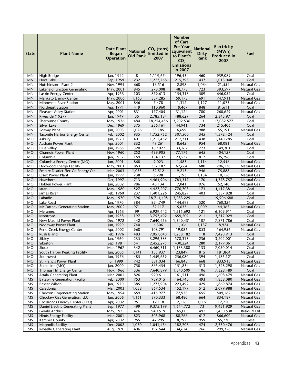| <b>State</b>           | <b>Plant Name</b>                     | <b>Date Plant</b><br><b>Began</b><br><b>Operation</b> | <b>National</b><br><b>Old Rank</b> | $CO2$ (tons)<br><b>Emitted in</b><br>2007 | <b>Number</b><br>of Cars<br><b>Per Year</b><br><b>Equivalent</b><br>to Plant's<br>CO <sub>2</sub><br><b>Emissions</b><br>in 2007 | <b>National</b><br><b>Dirty</b><br>Rank | <b>Electricity</b><br>(MWh)<br><b>Produced in</b><br>2007 | Fuel               |
|------------------------|---------------------------------------|-------------------------------------------------------|------------------------------------|-------------------------------------------|----------------------------------------------------------------------------------------------------------------------------------|-----------------------------------------|-----------------------------------------------------------|--------------------|
| MN                     | High Bridge                           | Jan, 1942                                             | 8                                  | 1,119,674                                 | 196,434                                                                                                                          | 460                                     | 939,089                                                   | Coal               |
| <b>MN</b>              | <b>Hoot Lake</b>                      | Sep, 1959                                             | 232                                | 1,227,768                                 | 215,398                                                                                                                          | 437                                     | 1,013,048                                                 | Coal               |
| <b>MN</b>              | Hutchinson - Plant 2                  | Nov, 1994                                             | 668                                | 16,516                                    | 2,898                                                                                                                            | 1,064                                   | 21,554                                                    | Natural Gas        |
| <b>MN</b>              | Lakefield Junction Generating         | May, 2001                                             | 845                                | 278,008                                   | 48,773                                                                                                                           | 723                                     | 393,597                                                   | <b>Natural Gas</b> |
| <b>MN</b>              | Laskin Energy Center                  | Apr, 1953                                             | 103                                | 879,613                                   | 154,318                                                                                                                          | 509                                     | 646,052                                                   | Coal               |
| <b>MN</b>              | Mankato Energy Center                 | May, 2006                                             | 1,160                              | 337,285                                   | 59,173                                                                                                                           | 691                                     | 747,911                                                   | <b>Natural Gas</b> |
| <b>MN</b>              | Minnesota River Station               | May, 2001                                             | 846                                | 7,478                                     | 1,312                                                                                                                            | 1,127                                   | $\overline{11,073}$                                       | <b>Natural Gas</b> |
| <b>MN</b>              | Northeast Station                     | Apr, 1971                                             | 419                                | 110,960                                   | 19,467                                                                                                                           | 848                                     | 81,611                                                    | Coal               |
| <b>MN</b>              | <b>Pleasant Valley Station</b>        | Apr, 2001                                             | 831                                | 177,405                                   | 31,124                                                                                                                           | 780                                     | 260,629                                                   | <b>Natural Gas</b> |
| <b>MN</b><br><b>MN</b> | Riverside (1927)<br>Sherburne County  | Jan, 1949<br>May, 1976                                | 35<br>484                          | 2,785,184<br>18,254,456                   | 488,629<br>3,202,536                                                                                                             | 264<br>13                               | 2,343,971<br>17,082,577                                   | Coal<br>Coal       |
| <b>MN</b>              | Silver Lake                           | Dec, 1969                                             | 375                                | 256,161                                   | 44,941                                                                                                                           | 734                                     | 215,406                                                   | Coal               |
| <b>MN</b>              | Solway Plant                          | Jun, 2003                                             | 1,076                              | 38,185                                    | 6,699                                                                                                                            | 988                                     | 55,191                                                    | Natural Gas        |
| <b>MN</b>              | Taconite Harbor Energy Center         | Feb, 2002                                             | 935                                | 1,752,752                                 | 307,500                                                                                                                          | 345                                     | 1,572,424                                                 | Coal               |
| MO                     | Asbury                                | Jun, 1970                                             | 401                                | 1,212,452                                 | 212,711                                                                                                                          | 438                                     | 1,140,785                                                 | Coal               |
| <b>MO</b>              | <b>Audrain Power Plant</b>            | Apr, 2001                                             | 832                                | 49,261                                    | 8,642                                                                                                                            | 954                                     | 68,081                                                    | <b>Natural Gas</b> |
| <b>MO</b>              | <b>Blue Valley</b>                    | Jun, 1965                                             | 320                                | 189,022                                   | 33,162                                                                                                                           | 773                                     | 149,301                                                   | Coal               |
| <b>MO</b>              | <b>Chamois Power Plant</b>            | Nov, 1960                                             | 252                                | 439,905                                   | 77,176                                                                                                                           | 645                                     | 404,127                                                   | Coal               |
| MO                     | Columbia                              | Jan, 1957                                             | 169                                | 134,132                                   | 23,532                                                                                                                           | 817                                     | 95,298                                                    | Coal               |
| <b>MO</b>              | Columbia Energy Center (MO)           | Jun, 2001                                             | 868                                | 9,023                                     | 1,583                                                                                                                            | 1,114                                   | 12,546                                                    | <b>Natural Gas</b> |
| <b>MO</b>              | Dogwood Energy Facility               | May, 2001                                             | 863                                | 357,187                                   | 62,664                                                                                                                           | 680                                     | 796,138                                                   | <b>Natural Gas</b> |
| <b>MO</b>              | Empire District Elec Co Energy Ctr    | Mar, 2003                                             | 1,055                              | 52,512                                    | 9,213                                                                                                                            | 946                                     | 75,888                                                    | <b>Natural Gas</b> |
| MO                     | <b>Essex Power Plant</b>              | Jun, 1999                                             | 738                                | 6,798                                     | 1,193                                                                                                                            | 1,134                                   | 10,156                                                    | <b>Natural Gas</b> |
| <b>MO</b>              | Hawthorn                              | Oct, 1997                                             | 713                                | 4,464,906                                 | 783,317                                                                                                                          | 170                                     | 4,378,757                                                 | <b>Natural Gas</b> |
| MO                     | Holden Power Plant                    | Jun, 2002                                             | 986                                | 40,134                                    | 7,041                                                                                                                            | 976                                     | 52,140                                                    | Natural Gas        |
| <b>MO</b>              | latan                                 | May, 1980                                             | 527                                | 4,427,207                                 | 776,703                                                                                                                          | 173                                     | 4,417,381                                                 | Coal               |
| MO                     | James River                           | Feb, 1960                                             | 237                                | 1,401,226                                 | 245,829                                                                                                                          | 403                                     | 1,337,828                                                 | Coal               |
| <b>MO</b>              | Labadie                               | May, 1970                                             | 396                                | 18,714,405                                | 3,283,229                                                                                                                        | 11                                      | 19,906,688                                                | Coal               |
| MO                     | Lake Road                             | Jan, 1970                                             | 384                                | 824,749                                   | 144,693                                                                                                                          | 520                                     | 760,324                                                   | Coal               |
| <b>MO</b>              | <b>McCartney Generating Station</b>   | May, 2002                                             | 971                                | 32,117                                    | 5,635                                                                                                                            | 1,009                                   | 44,367                                                    | <b>Natural Gas</b> |
| <b>MO</b>              | Meramec                               | Apr, 1953                                             | 99                                 | 6,929,442                                 | 1,215,692                                                                                                                        | 121                                     | 6,309,911                                                 | Coal               |
| <b>MO</b>              | Montrose                              | Jun, 1958                                             | 197                                | 3,757,492                                 | 659,209                                                                                                                          | 211                                     | 3,317,029                                                 | Coal               |
| MO                     | New Madrid Power Plant                | Dec, 1972                                             | 442                                | 7,640,456                                 | 1,340,431                                                                                                                        | 107                                     | 7,871,786                                                 | Coal               |
| <b>MO</b>              | Nodaway Power Plant                   | Jun, 1999                                             | 740                                | 6,306                                     | 1,106                                                                                                                            | 1,137                                   | 8,924                                                     | <b>Natural Gas</b> |
| <b>MO</b>              | Peno Creek Energy Center              | Apr, 2002                                             | 968                                | 108,791                                   | 19,086                                                                                                                           | 853                                     | 164,956                                                   | Natural Gas        |
| <b>MO</b><br>MO        | Rush Island                           | Feb, 1976                                             | 483<br>235                         | 7,057,640                                 | 1,238,182                                                                                                                        | 118<br>236                              | 7,420,913                                                 | Coal               |
| <b>MO</b>              | Sibley<br>Sikeston                    | Jan, 1960<br>Sep, 1981                                | 541                                | 3,296,383<br>2,452,275                    | 578,313<br>430,224                                                                                                               | 280                                     | 3,202,001<br>2,179,061                                    | Coal<br>Coal       |
| MO                     | Sioux                                 | Mar, 1967                                             | 342                                | 6,460,311                                 | 1,133,388                                                                                                                        | 133                                     | 7,050,014                                                 | Coal               |
| <b>MO</b>              | South Harper Peaking Facility         | Jun, 2005                                             | 1,141                              | 135,937                                   | 23,849                                                                                                                           | 815                                     | 181,864                                                   | <b>Natural Gas</b> |
| <b>MO</b>              | Southwest                             | Jun, 1976                                             | 485                                | 1,459,659                                 | 256,080                                                                                                                          | 394                                     | 1,485,121                                                 | Coal               |
| <b>MO</b>              | St. Francis Power Plant               | Jul, 1999                                             | 742                                | 381,034                                   | 66,848                                                                                                                           | 668                                     | 833,913                                                   | <b>Natural Gas</b> |
| <b>MO</b>              | State Line (MO)                       | Jan, 2000                                             | 750                                | 865,454                                   | 151,834                                                                                                                          | 513                                     | 1,328,298                                                 | Natural Gas        |
| <b>MO</b>              | Thomas Hill Energy Center             | Nov, 1966                                             | 336                                | 7,640,899                                 | 1,340,509                                                                                                                        | 106                                     | 7,328,489                                                 | Coal               |
| MS                     | <b>Attala Generating Plant</b>        | Mar, 2001                                             | 826                                | 920,611                                   | 161,511                                                                                                                          | 496                                     | 1,608,479                                                 | <b>Natural Gas</b> |
| <b>MS</b>              | <b>Batesville Generation Facility</b> | Feb, 2000                                             | 753                                | 939,015                                   | 164,740                                                                                                                          | 493                                     | 1,858,080                                                 | <b>Natural Gas</b> |
| MS                     | <b>Baxter Wilson</b>                  | Jan, 1970                                             | 385                                | 1,273,904                                 | 223,492                                                                                                                          | 429                                     | 1,869,874                                                 | Natural Gas        |
| <b>MS</b>              | Caledonia                             | Mar, 2003                                             | 1,058                              | 867,534                                   | 152,199                                                                                                                          | 512                                     | 2,099,988                                                 | <b>Natural Gas</b> |
| MS                     | Chevron Cogenerating Station          | May, 1994                                             | 659                                | 415,977                                   | 72,978                                                                                                                           | 655                                     | 509,182                                                   | Natural Gas        |
| <b>MS</b>              | Choctaw Gas Generation, LLC           | Jun, 2006                                             | 1,161                              | 390,333                                   | 68,480                                                                                                                           | 664                                     | 834,187                                                   | <b>Natural Gas</b> |
| MS                     | Crossroads Energy Center (CPU)        | Apr, 2002                                             | 951                                | 12,118                                    | 2,126                                                                                                                            | 1,097                                   | 17,250                                                    | Natural Gas        |
| <b>MS</b>              | Daniel Electric Generating Plant      | Sep, 1977                                             | 499                                | 9,375,199                                 | 1,644,772                                                                                                                        | 73                                      | 9,451,929                                                 | Natural Gas        |
| ΜS                     | Gerald Andrus                         | May, 1975                                             | 476                                | 940,519                                   | 165,003                                                                                                                          | 492                                     | 1,430,538                                                 | Residual Oil       |
| <b>MS</b>              | <b>Hinds Energy Facility</b>          | Mar, 2001                                             | 823                                | 505,968                                   | 88,766                                                                                                                           | 617                                     | 866,600                                                   | <b>Natural Gas</b> |
| MS                     | Kemper County                         | Apr, 2002                                             | 965                                | 47,295                                    | 8,297                                                                                                                            | 959                                     | 65,230                                                    | Diesel             |
| MS                     | Magnolia Facility                     | Dec, 2002                                             | 1,030                              | 1,041,434                                 | 182,708                                                                                                                          | 474                                     | 2,330,476                                                 | <b>Natural Gas</b> |
| MS                     | Moselle Generating Plant              | Aug, 1970                                             | 406                                | 197,644                                   | 34,674                                                                                                                           | 766                                     | 299,326                                                   | <b>Natural Gas</b> |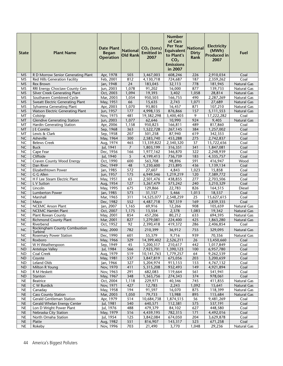| Apr, 1978<br>3,467,003<br>608,246<br>MS<br>R D Morrow Senior Generating Plant<br>503<br>226<br>2,910,034<br>Coal<br>Feb, 2001<br>812<br>187<br>2,359,262<br>MS<br>Red Hills Generation Facility<br>4,130,718<br>724,687<br>Coal<br>Jan, 1948<br>24<br>778<br>Rex Brown<br>183,045<br>32,113<br>181,945<br><b>Natural Gas</b><br>MS<br>$\overline{877}$<br>MS<br>RRI Energy Choctaw County Gen<br>Jun, 2003<br>1,078<br>91,202<br>16,000<br>139,733<br>Natural Gas<br><b>Silver Creek Generating Plant</b><br>Oct, 2003<br>19,393<br>3,402<br>1,058<br><b>MS</b><br>1,094<br>28,814<br>Natural Gas<br>Southaven Combined Cycle<br>1,054<br>950,503<br>166,755<br>490<br>2,287,269<br>MS<br>Mar, 2003<br>Natural Gas<br>MS<br>Sweatt Electric Generating Plant<br>May, 1951<br>66<br>15,635<br>2,743<br>1,071<br>27,689<br>Natural Gas<br>Sylvarena Generating Plant<br>Apr, 2003<br>1,070<br>93,803<br>16,457<br>871<br>107,210<br>ΜS<br>Natural Gas<br>Watson Electric Generating Plant<br>177<br>4,998,135<br>876,866<br>157<br>5,111,553<br><b>MS</b><br>Jun, 1957<br><b>Natural Gas</b><br>MT<br>481<br>9<br>Colstrip<br>Nov, 1975<br>19,382,298<br>3,400,403<br>17,222,282<br>Coal<br><b>Glendive Generating Station</b><br>1,077<br>10,990<br>924<br>MT<br>Jun, 2003<br>62,646<br>9,405<br><b>Natural Gas</b><br>MT<br>Apr, 2006<br>1,158<br>950,823<br>489<br>817,860<br>Hardin Generating Station<br>166,811<br>Coal<br>MT<br>J E Corette<br>Sep, 1968<br>363<br>1,522,728<br>384<br>1,257,002<br>Coal<br>267,145<br>207<br>Lewis & Clark<br>Sep, 1958<br>501,258<br>87,940<br>619<br>342,353<br>МT<br>Coal<br>NC<br>Asheville<br>300<br>275<br>May, 1964<br>2,583,740<br>453,288<br>2,742,837<br>Coal<br>465<br>37<br><b>NC</b><br><b>Belews Creek</b><br>Aug, 1974<br>13,339,822<br>2,340,320<br>15,722,656<br>Coal<br><b>NC</b><br>Jul, 1941<br>$\overline{7}$<br>341<br><b>Buck</b><br>1,803,199<br>316,351<br>1,847,081<br>Coal<br><b>NC</b><br>Cape Fear<br>322<br>Dec, 1956<br>166<br>1,977,162<br>346,870<br>Coal<br>2,248,939<br><b>NC</b><br>Cliffside<br>Jul, 1940<br>5<br>4,199,413<br>736,739<br>183<br>4,335,757<br>Coal<br>591<br>NC<br>Craven County Wood Energy<br>600<br>98,896<br>416,947<br>Wood<br>Oct, 1990<br>563,708<br>Dan River<br>NC<br>Dec, 1949<br>48<br>1,230,600<br>215,895<br>436<br>1,139,134<br>Coal<br>Elizabethtown Power<br>572<br>Jan, 1985<br>27,607<br>1,023<br>15,858<br><b>NC</b><br>4,843<br>Coal<br>NC<br>G G Allen<br>Jun, 1957<br>175<br>1,219,219<br>120<br>7,389,772<br>6,949,546<br>Coal<br>H F Lee Steam Electric Plant<br><b>NC</b><br>May, 1951<br>65<br>277<br>Coal<br>2,501,476<br>438,855<br>2,703,506<br>127<br><b>NC</b><br>L V Sutton<br>Aug, 1954<br>3,267,479<br>573,242<br>240<br>3,210,329<br>Coal<br>Lincoln<br>826<br><b>NC</b><br>675<br>22,783<br>May, 1995<br>129,866<br>164,515<br><b>Diesel</b><br>573<br><b>NC</b><br>Jan, 1985<br>31,157<br>5,466<br>1,013<br>18,537<br>Coal<br><b>Lumberton Power</b><br>311<br><b>NC</b><br>Mar, 1965<br>14,525,077<br>2,548,259<br>25<br>15,627,615<br>Coal<br>Marshall<br>NC<br>552<br>Coal<br>Mayo<br>Dec, 1982<br>4,487,718<br>787,319<br>169<br>2,839,335<br><b>NCEMC Anson Plant</b><br><b>NC</b><br>Jan, 2007<br>1,165<br>69,916<br>12,266<br>908<br>105,659<br>Natural Gas<br>NC<br><b>NCEMC Hamlet Plant</b><br>Oct, 2007<br>1,175<br>13,554<br>2,378<br>1,083<br>19,342<br><b>Natural Gas</b><br>NC<br>May, 2001<br>80,212<br>694,595<br>Natural Gas<br><b>Plant Rowan County</b><br>854<br>457,206<br>633<br><b>NC</b><br>Mar, 2001<br>827<br><b>Richmond County Plant</b><br>1,279,081<br>224,400<br>425<br>1,863,280<br><b>Natural Gas</b><br>NC<br>Riverbend<br>Oct, 1952<br>92<br>419,372<br>286<br>2,390,418<br>2,406,854<br>Coal<br><b>Rockingham County Combustion</b><br><b>NC</b><br>782<br>May, 2000<br>210,399<br>36,912<br>755<br>329,095<br>Natural Gas<br><b>Turbine</b><br>939<br>NC<br><b>Rosemary Power Station</b><br>Dec, 1990<br>601<br>55,379<br>9,716<br>70,356<br>Natural Gas<br>$\overline{329}$<br>NC<br>14,399,402<br>2,526,211<br>$\overline{26}$<br>13,450,660<br>May, 1966<br>Roxboro<br>Coal<br>45<br>1,017,849<br><b>NC</b><br>W H Weatherspoon<br>Sep, 1949<br>1,200,517<br>210,617<br>442<br>Coal<br>Jul, 1984<br>566<br><b>ND</b><br>Antelope Valley<br>7,923,701<br>1,390,123<br>100<br>6,957,780<br>Coal<br><b>ND</b><br><b>Coal Creek</b><br>Aug, 1979<br>519<br>1,779,257<br>64<br>9,262,539<br>Coal<br>10,141,763<br>ND<br>May, 1981<br>537<br>3,847,819<br>203<br>3,200,659<br>Coyote<br>675,056<br>Coal<br>Leland Olds<br><b>ND</b><br>Jan, 1966<br>327<br>5,204,974<br>913,153<br>153<br>4,767,132<br>Coal<br>Milton R Young<br>Nov, 1970<br>411<br>5,315,208<br>932,493<br>149<br>4,921,894<br><b>ND</b><br>Coal<br>291<br>119,664<br>561<br><b>ND</b><br>R M Heskett<br>Nov, 1963<br>682,083<br>541,941<br>Coal<br>May, 1967<br>348<br>1,563,756<br>374<br>978,061<br>Coal<br><b>ND</b><br>Stanton<br>274,343<br>Oct, 2004<br>1,118<br>40,346<br>745<br>Natural Gas<br><b>NE</b><br>Beatrice<br>229,971<br>411,855<br>$\sf NE$<br>C W Burdick<br>Nov, 1971<br>427<br>12,783<br>2,243<br>1,092<br>15,641<br>Natural Gas<br>May, 1958<br>194<br>91,597<br>16,070<br>118,399<br><b>NE</b><br>Canaday<br>875<br>Natural Gas<br>1,050<br>$\sf NE$<br><b>Cass County Station</b><br>Mar, 2003<br>79,733<br>13,988<br>895<br>115,684<br>Natural Gas<br>NE<br><b>Gerald Gentleman Station</b><br>Apr, 1979<br>514<br>10,684,738<br>1,874,515<br>56<br>9,481,269<br>Coal<br>$\sf NE$<br>Jul, 1981<br>540<br>112,381<br>575<br>537,191<br>Coal<br>Gerald Whelan Energy Center<br>640,571<br>488<br>$\sf NE$<br>Lon D Wright Power Plant<br>Jul, 1976<br>479,379<br>84,102<br>627<br>448,580<br>Coal<br>$\sf NE$<br>May, 1979<br>516<br>4,459,195<br>171<br>Nebraska City Station<br>782,315<br>4,492,016<br>Coal<br>Jul, 1954<br>125<br>204<br><b>NE</b><br>North Omaha Station<br>3,842,084<br>674,050<br>3,629,878<br>Coal<br>551<br>$\sf NE$<br>523<br>Coal<br>Platte<br>Aug, 1982<br>816,907<br>143,317<br>671,258<br>NE<br>Rokeby<br>Nov, 1996<br>Natural Gas<br>703<br>21,490<br>3,770<br>1,048<br>29,236 | <b>State</b> | <b>Plant Name</b> | <b>Date Plant</b><br><b>Began</b><br><b>Operation</b> | <b>National</b><br><b>Old Rank</b> | $CO2$ (tons)<br><b>Emitted</b> in<br>2007 | <b>Number</b><br>of Cars<br><b>Per Year</b><br><b>Equivalent</b><br>to Plant's<br>CO <sub>2</sub><br><b>Emissions</b><br>in 2007 | <b>National</b><br><b>Dirty</b><br>Rank | <b>Electricity</b><br>(MWh)<br><b>Produced in</b><br>2007 | Fuel |
|------------------------------------------------------------------------------------------------------------------------------------------------------------------------------------------------------------------------------------------------------------------------------------------------------------------------------------------------------------------------------------------------------------------------------------------------------------------------------------------------------------------------------------------------------------------------------------------------------------------------------------------------------------------------------------------------------------------------------------------------------------------------------------------------------------------------------------------------------------------------------------------------------------------------------------------------------------------------------------------------------------------------------------------------------------------------------------------------------------------------------------------------------------------------------------------------------------------------------------------------------------------------------------------------------------------------------------------------------------------------------------------------------------------------------------------------------------------------------------------------------------------------------------------------------------------------------------------------------------------------------------------------------------------------------------------------------------------------------------------------------------------------------------------------------------------------------------------------------------------------------------------------------------------------------------------------------------------------------------------------------------------------------------------------------------------------------------------------------------------------------------------------------------------------------------------------------------------------------------------------------------------------------------------------------------------------------------------------------------------------------------------------------------------------------------------------------------------------------------------------------------------------------------------------------------------------------------------------------------------------------------------------------------------------------------------------------------------------------------------------------------------------------------------------------------------------------------------------------------------------------------------------------------------------------------------------------------------------------------------------------------------------------------------------------------------------------------------------------------------------------------------------------------------------------------------------------------------------------------------------------------------------------------------------------------------------------------------------------------------------------------------------------------------------------------------------------------------------------------------------------------------------------------------------------------------------------------------------------------------------------------------------------------------------------------------------------------------------------------------------------------------------------------------------------------------------------------------------------------------------------------------------------------------------------------------------------------------------------------------------------------------------------------------------------------------------------------------------------------------------------------------------------------------------------------------------------------------------------------------------------------------------------------------------------------------------------------------------------------------------------------------------------------------------------------------------------------------------------------------------------------------------------------------------------------------------------------------------------------------------------------------------------------------------------------------------------------------------------------------------------------------------------------------------------------------------------------------------------------------------------------------------------------------------------------------------------------------------------------------------------------------------------------------------------------------------------------------------------------------------------------------------------------------------------------------------------------------------------------------------------------------------------------------------------------------------------------------------------------------------------------------------------------------------------------------------------------------------------------------------------------------------------------------------------------------------------------------------------------------------------------------------------------------------------------------------------------------------------------------------------------------------------------------------------------------------------------------------------------------------------------------------------------------------------------------------------------------------------------------------------------------------------------------------------------------------------------------------------------------------------------------------------------------------------|--------------|-------------------|-------------------------------------------------------|------------------------------------|-------------------------------------------|----------------------------------------------------------------------------------------------------------------------------------|-----------------------------------------|-----------------------------------------------------------|------|
|                                                                                                                                                                                                                                                                                                                                                                                                                                                                                                                                                                                                                                                                                                                                                                                                                                                                                                                                                                                                                                                                                                                                                                                                                                                                                                                                                                                                                                                                                                                                                                                                                                                                                                                                                                                                                                                                                                                                                                                                                                                                                                                                                                                                                                                                                                                                                                                                                                                                                                                                                                                                                                                                                                                                                                                                                                                                                                                                                                                                                                                                                                                                                                                                                                                                                                                                                                                                                                                                                                                                                                                                                                                                                                                                                                                                                                                                                                                                                                                                                                                                                                                                                                                                                                                                                                                                                                                                                                                                                                                                                                                                                                                                                                                                                                                                                                                                                                                                                                                                                                                                                                                                                                                                                                                                                                                                                                                                                                                                                                                                                                                                                                                                                                                                                                                                                                                                                                                                                                                                                                                                                                                                                                              |              |                   |                                                       |                                    |                                           |                                                                                                                                  |                                         |                                                           |      |
|                                                                                                                                                                                                                                                                                                                                                                                                                                                                                                                                                                                                                                                                                                                                                                                                                                                                                                                                                                                                                                                                                                                                                                                                                                                                                                                                                                                                                                                                                                                                                                                                                                                                                                                                                                                                                                                                                                                                                                                                                                                                                                                                                                                                                                                                                                                                                                                                                                                                                                                                                                                                                                                                                                                                                                                                                                                                                                                                                                                                                                                                                                                                                                                                                                                                                                                                                                                                                                                                                                                                                                                                                                                                                                                                                                                                                                                                                                                                                                                                                                                                                                                                                                                                                                                                                                                                                                                                                                                                                                                                                                                                                                                                                                                                                                                                                                                                                                                                                                                                                                                                                                                                                                                                                                                                                                                                                                                                                                                                                                                                                                                                                                                                                                                                                                                                                                                                                                                                                                                                                                                                                                                                                                              |              |                   |                                                       |                                    |                                           |                                                                                                                                  |                                         |                                                           |      |
|                                                                                                                                                                                                                                                                                                                                                                                                                                                                                                                                                                                                                                                                                                                                                                                                                                                                                                                                                                                                                                                                                                                                                                                                                                                                                                                                                                                                                                                                                                                                                                                                                                                                                                                                                                                                                                                                                                                                                                                                                                                                                                                                                                                                                                                                                                                                                                                                                                                                                                                                                                                                                                                                                                                                                                                                                                                                                                                                                                                                                                                                                                                                                                                                                                                                                                                                                                                                                                                                                                                                                                                                                                                                                                                                                                                                                                                                                                                                                                                                                                                                                                                                                                                                                                                                                                                                                                                                                                                                                                                                                                                                                                                                                                                                                                                                                                                                                                                                                                                                                                                                                                                                                                                                                                                                                                                                                                                                                                                                                                                                                                                                                                                                                                                                                                                                                                                                                                                                                                                                                                                                                                                                                                              |              |                   |                                                       |                                    |                                           |                                                                                                                                  |                                         |                                                           |      |
|                                                                                                                                                                                                                                                                                                                                                                                                                                                                                                                                                                                                                                                                                                                                                                                                                                                                                                                                                                                                                                                                                                                                                                                                                                                                                                                                                                                                                                                                                                                                                                                                                                                                                                                                                                                                                                                                                                                                                                                                                                                                                                                                                                                                                                                                                                                                                                                                                                                                                                                                                                                                                                                                                                                                                                                                                                                                                                                                                                                                                                                                                                                                                                                                                                                                                                                                                                                                                                                                                                                                                                                                                                                                                                                                                                                                                                                                                                                                                                                                                                                                                                                                                                                                                                                                                                                                                                                                                                                                                                                                                                                                                                                                                                                                                                                                                                                                                                                                                                                                                                                                                                                                                                                                                                                                                                                                                                                                                                                                                                                                                                                                                                                                                                                                                                                                                                                                                                                                                                                                                                                                                                                                                                              |              |                   |                                                       |                                    |                                           |                                                                                                                                  |                                         |                                                           |      |
|                                                                                                                                                                                                                                                                                                                                                                                                                                                                                                                                                                                                                                                                                                                                                                                                                                                                                                                                                                                                                                                                                                                                                                                                                                                                                                                                                                                                                                                                                                                                                                                                                                                                                                                                                                                                                                                                                                                                                                                                                                                                                                                                                                                                                                                                                                                                                                                                                                                                                                                                                                                                                                                                                                                                                                                                                                                                                                                                                                                                                                                                                                                                                                                                                                                                                                                                                                                                                                                                                                                                                                                                                                                                                                                                                                                                                                                                                                                                                                                                                                                                                                                                                                                                                                                                                                                                                                                                                                                                                                                                                                                                                                                                                                                                                                                                                                                                                                                                                                                                                                                                                                                                                                                                                                                                                                                                                                                                                                                                                                                                                                                                                                                                                                                                                                                                                                                                                                                                                                                                                                                                                                                                                                              |              |                   |                                                       |                                    |                                           |                                                                                                                                  |                                         |                                                           |      |
|                                                                                                                                                                                                                                                                                                                                                                                                                                                                                                                                                                                                                                                                                                                                                                                                                                                                                                                                                                                                                                                                                                                                                                                                                                                                                                                                                                                                                                                                                                                                                                                                                                                                                                                                                                                                                                                                                                                                                                                                                                                                                                                                                                                                                                                                                                                                                                                                                                                                                                                                                                                                                                                                                                                                                                                                                                                                                                                                                                                                                                                                                                                                                                                                                                                                                                                                                                                                                                                                                                                                                                                                                                                                                                                                                                                                                                                                                                                                                                                                                                                                                                                                                                                                                                                                                                                                                                                                                                                                                                                                                                                                                                                                                                                                                                                                                                                                                                                                                                                                                                                                                                                                                                                                                                                                                                                                                                                                                                                                                                                                                                                                                                                                                                                                                                                                                                                                                                                                                                                                                                                                                                                                                                              |              |                   |                                                       |                                    |                                           |                                                                                                                                  |                                         |                                                           |      |
|                                                                                                                                                                                                                                                                                                                                                                                                                                                                                                                                                                                                                                                                                                                                                                                                                                                                                                                                                                                                                                                                                                                                                                                                                                                                                                                                                                                                                                                                                                                                                                                                                                                                                                                                                                                                                                                                                                                                                                                                                                                                                                                                                                                                                                                                                                                                                                                                                                                                                                                                                                                                                                                                                                                                                                                                                                                                                                                                                                                                                                                                                                                                                                                                                                                                                                                                                                                                                                                                                                                                                                                                                                                                                                                                                                                                                                                                                                                                                                                                                                                                                                                                                                                                                                                                                                                                                                                                                                                                                                                                                                                                                                                                                                                                                                                                                                                                                                                                                                                                                                                                                                                                                                                                                                                                                                                                                                                                                                                                                                                                                                                                                                                                                                                                                                                                                                                                                                                                                                                                                                                                                                                                                                              |              |                   |                                                       |                                    |                                           |                                                                                                                                  |                                         |                                                           |      |
|                                                                                                                                                                                                                                                                                                                                                                                                                                                                                                                                                                                                                                                                                                                                                                                                                                                                                                                                                                                                                                                                                                                                                                                                                                                                                                                                                                                                                                                                                                                                                                                                                                                                                                                                                                                                                                                                                                                                                                                                                                                                                                                                                                                                                                                                                                                                                                                                                                                                                                                                                                                                                                                                                                                                                                                                                                                                                                                                                                                                                                                                                                                                                                                                                                                                                                                                                                                                                                                                                                                                                                                                                                                                                                                                                                                                                                                                                                                                                                                                                                                                                                                                                                                                                                                                                                                                                                                                                                                                                                                                                                                                                                                                                                                                                                                                                                                                                                                                                                                                                                                                                                                                                                                                                                                                                                                                                                                                                                                                                                                                                                                                                                                                                                                                                                                                                                                                                                                                                                                                                                                                                                                                                                              |              |                   |                                                       |                                    |                                           |                                                                                                                                  |                                         |                                                           |      |
|                                                                                                                                                                                                                                                                                                                                                                                                                                                                                                                                                                                                                                                                                                                                                                                                                                                                                                                                                                                                                                                                                                                                                                                                                                                                                                                                                                                                                                                                                                                                                                                                                                                                                                                                                                                                                                                                                                                                                                                                                                                                                                                                                                                                                                                                                                                                                                                                                                                                                                                                                                                                                                                                                                                                                                                                                                                                                                                                                                                                                                                                                                                                                                                                                                                                                                                                                                                                                                                                                                                                                                                                                                                                                                                                                                                                                                                                                                                                                                                                                                                                                                                                                                                                                                                                                                                                                                                                                                                                                                                                                                                                                                                                                                                                                                                                                                                                                                                                                                                                                                                                                                                                                                                                                                                                                                                                                                                                                                                                                                                                                                                                                                                                                                                                                                                                                                                                                                                                                                                                                                                                                                                                                                              |              |                   |                                                       |                                    |                                           |                                                                                                                                  |                                         |                                                           |      |
|                                                                                                                                                                                                                                                                                                                                                                                                                                                                                                                                                                                                                                                                                                                                                                                                                                                                                                                                                                                                                                                                                                                                                                                                                                                                                                                                                                                                                                                                                                                                                                                                                                                                                                                                                                                                                                                                                                                                                                                                                                                                                                                                                                                                                                                                                                                                                                                                                                                                                                                                                                                                                                                                                                                                                                                                                                                                                                                                                                                                                                                                                                                                                                                                                                                                                                                                                                                                                                                                                                                                                                                                                                                                                                                                                                                                                                                                                                                                                                                                                                                                                                                                                                                                                                                                                                                                                                                                                                                                                                                                                                                                                                                                                                                                                                                                                                                                                                                                                                                                                                                                                                                                                                                                                                                                                                                                                                                                                                                                                                                                                                                                                                                                                                                                                                                                                                                                                                                                                                                                                                                                                                                                                                              |              |                   |                                                       |                                    |                                           |                                                                                                                                  |                                         |                                                           |      |
|                                                                                                                                                                                                                                                                                                                                                                                                                                                                                                                                                                                                                                                                                                                                                                                                                                                                                                                                                                                                                                                                                                                                                                                                                                                                                                                                                                                                                                                                                                                                                                                                                                                                                                                                                                                                                                                                                                                                                                                                                                                                                                                                                                                                                                                                                                                                                                                                                                                                                                                                                                                                                                                                                                                                                                                                                                                                                                                                                                                                                                                                                                                                                                                                                                                                                                                                                                                                                                                                                                                                                                                                                                                                                                                                                                                                                                                                                                                                                                                                                                                                                                                                                                                                                                                                                                                                                                                                                                                                                                                                                                                                                                                                                                                                                                                                                                                                                                                                                                                                                                                                                                                                                                                                                                                                                                                                                                                                                                                                                                                                                                                                                                                                                                                                                                                                                                                                                                                                                                                                                                                                                                                                                                              |              |                   |                                                       |                                    |                                           |                                                                                                                                  |                                         |                                                           |      |
|                                                                                                                                                                                                                                                                                                                                                                                                                                                                                                                                                                                                                                                                                                                                                                                                                                                                                                                                                                                                                                                                                                                                                                                                                                                                                                                                                                                                                                                                                                                                                                                                                                                                                                                                                                                                                                                                                                                                                                                                                                                                                                                                                                                                                                                                                                                                                                                                                                                                                                                                                                                                                                                                                                                                                                                                                                                                                                                                                                                                                                                                                                                                                                                                                                                                                                                                                                                                                                                                                                                                                                                                                                                                                                                                                                                                                                                                                                                                                                                                                                                                                                                                                                                                                                                                                                                                                                                                                                                                                                                                                                                                                                                                                                                                                                                                                                                                                                                                                                                                                                                                                                                                                                                                                                                                                                                                                                                                                                                                                                                                                                                                                                                                                                                                                                                                                                                                                                                                                                                                                                                                                                                                                                              |              |                   |                                                       |                                    |                                           |                                                                                                                                  |                                         |                                                           |      |
|                                                                                                                                                                                                                                                                                                                                                                                                                                                                                                                                                                                                                                                                                                                                                                                                                                                                                                                                                                                                                                                                                                                                                                                                                                                                                                                                                                                                                                                                                                                                                                                                                                                                                                                                                                                                                                                                                                                                                                                                                                                                                                                                                                                                                                                                                                                                                                                                                                                                                                                                                                                                                                                                                                                                                                                                                                                                                                                                                                                                                                                                                                                                                                                                                                                                                                                                                                                                                                                                                                                                                                                                                                                                                                                                                                                                                                                                                                                                                                                                                                                                                                                                                                                                                                                                                                                                                                                                                                                                                                                                                                                                                                                                                                                                                                                                                                                                                                                                                                                                                                                                                                                                                                                                                                                                                                                                                                                                                                                                                                                                                                                                                                                                                                                                                                                                                                                                                                                                                                                                                                                                                                                                                                              |              |                   |                                                       |                                    |                                           |                                                                                                                                  |                                         |                                                           |      |
|                                                                                                                                                                                                                                                                                                                                                                                                                                                                                                                                                                                                                                                                                                                                                                                                                                                                                                                                                                                                                                                                                                                                                                                                                                                                                                                                                                                                                                                                                                                                                                                                                                                                                                                                                                                                                                                                                                                                                                                                                                                                                                                                                                                                                                                                                                                                                                                                                                                                                                                                                                                                                                                                                                                                                                                                                                                                                                                                                                                                                                                                                                                                                                                                                                                                                                                                                                                                                                                                                                                                                                                                                                                                                                                                                                                                                                                                                                                                                                                                                                                                                                                                                                                                                                                                                                                                                                                                                                                                                                                                                                                                                                                                                                                                                                                                                                                                                                                                                                                                                                                                                                                                                                                                                                                                                                                                                                                                                                                                                                                                                                                                                                                                                                                                                                                                                                                                                                                                                                                                                                                                                                                                                                              |              |                   |                                                       |                                    |                                           |                                                                                                                                  |                                         |                                                           |      |
|                                                                                                                                                                                                                                                                                                                                                                                                                                                                                                                                                                                                                                                                                                                                                                                                                                                                                                                                                                                                                                                                                                                                                                                                                                                                                                                                                                                                                                                                                                                                                                                                                                                                                                                                                                                                                                                                                                                                                                                                                                                                                                                                                                                                                                                                                                                                                                                                                                                                                                                                                                                                                                                                                                                                                                                                                                                                                                                                                                                                                                                                                                                                                                                                                                                                                                                                                                                                                                                                                                                                                                                                                                                                                                                                                                                                                                                                                                                                                                                                                                                                                                                                                                                                                                                                                                                                                                                                                                                                                                                                                                                                                                                                                                                                                                                                                                                                                                                                                                                                                                                                                                                                                                                                                                                                                                                                                                                                                                                                                                                                                                                                                                                                                                                                                                                                                                                                                                                                                                                                                                                                                                                                                                              |              |                   |                                                       |                                    |                                           |                                                                                                                                  |                                         |                                                           |      |
|                                                                                                                                                                                                                                                                                                                                                                                                                                                                                                                                                                                                                                                                                                                                                                                                                                                                                                                                                                                                                                                                                                                                                                                                                                                                                                                                                                                                                                                                                                                                                                                                                                                                                                                                                                                                                                                                                                                                                                                                                                                                                                                                                                                                                                                                                                                                                                                                                                                                                                                                                                                                                                                                                                                                                                                                                                                                                                                                                                                                                                                                                                                                                                                                                                                                                                                                                                                                                                                                                                                                                                                                                                                                                                                                                                                                                                                                                                                                                                                                                                                                                                                                                                                                                                                                                                                                                                                                                                                                                                                                                                                                                                                                                                                                                                                                                                                                                                                                                                                                                                                                                                                                                                                                                                                                                                                                                                                                                                                                                                                                                                                                                                                                                                                                                                                                                                                                                                                                                                                                                                                                                                                                                                              |              |                   |                                                       |                                    |                                           |                                                                                                                                  |                                         |                                                           |      |
|                                                                                                                                                                                                                                                                                                                                                                                                                                                                                                                                                                                                                                                                                                                                                                                                                                                                                                                                                                                                                                                                                                                                                                                                                                                                                                                                                                                                                                                                                                                                                                                                                                                                                                                                                                                                                                                                                                                                                                                                                                                                                                                                                                                                                                                                                                                                                                                                                                                                                                                                                                                                                                                                                                                                                                                                                                                                                                                                                                                                                                                                                                                                                                                                                                                                                                                                                                                                                                                                                                                                                                                                                                                                                                                                                                                                                                                                                                                                                                                                                                                                                                                                                                                                                                                                                                                                                                                                                                                                                                                                                                                                                                                                                                                                                                                                                                                                                                                                                                                                                                                                                                                                                                                                                                                                                                                                                                                                                                                                                                                                                                                                                                                                                                                                                                                                                                                                                                                                                                                                                                                                                                                                                                              |              |                   |                                                       |                                    |                                           |                                                                                                                                  |                                         |                                                           |      |
|                                                                                                                                                                                                                                                                                                                                                                                                                                                                                                                                                                                                                                                                                                                                                                                                                                                                                                                                                                                                                                                                                                                                                                                                                                                                                                                                                                                                                                                                                                                                                                                                                                                                                                                                                                                                                                                                                                                                                                                                                                                                                                                                                                                                                                                                                                                                                                                                                                                                                                                                                                                                                                                                                                                                                                                                                                                                                                                                                                                                                                                                                                                                                                                                                                                                                                                                                                                                                                                                                                                                                                                                                                                                                                                                                                                                                                                                                                                                                                                                                                                                                                                                                                                                                                                                                                                                                                                                                                                                                                                                                                                                                                                                                                                                                                                                                                                                                                                                                                                                                                                                                                                                                                                                                                                                                                                                                                                                                                                                                                                                                                                                                                                                                                                                                                                                                                                                                                                                                                                                                                                                                                                                                                              |              |                   |                                                       |                                    |                                           |                                                                                                                                  |                                         |                                                           |      |
|                                                                                                                                                                                                                                                                                                                                                                                                                                                                                                                                                                                                                                                                                                                                                                                                                                                                                                                                                                                                                                                                                                                                                                                                                                                                                                                                                                                                                                                                                                                                                                                                                                                                                                                                                                                                                                                                                                                                                                                                                                                                                                                                                                                                                                                                                                                                                                                                                                                                                                                                                                                                                                                                                                                                                                                                                                                                                                                                                                                                                                                                                                                                                                                                                                                                                                                                                                                                                                                                                                                                                                                                                                                                                                                                                                                                                                                                                                                                                                                                                                                                                                                                                                                                                                                                                                                                                                                                                                                                                                                                                                                                                                                                                                                                                                                                                                                                                                                                                                                                                                                                                                                                                                                                                                                                                                                                                                                                                                                                                                                                                                                                                                                                                                                                                                                                                                                                                                                                                                                                                                                                                                                                                                              |              |                   |                                                       |                                    |                                           |                                                                                                                                  |                                         |                                                           |      |
|                                                                                                                                                                                                                                                                                                                                                                                                                                                                                                                                                                                                                                                                                                                                                                                                                                                                                                                                                                                                                                                                                                                                                                                                                                                                                                                                                                                                                                                                                                                                                                                                                                                                                                                                                                                                                                                                                                                                                                                                                                                                                                                                                                                                                                                                                                                                                                                                                                                                                                                                                                                                                                                                                                                                                                                                                                                                                                                                                                                                                                                                                                                                                                                                                                                                                                                                                                                                                                                                                                                                                                                                                                                                                                                                                                                                                                                                                                                                                                                                                                                                                                                                                                                                                                                                                                                                                                                                                                                                                                                                                                                                                                                                                                                                                                                                                                                                                                                                                                                                                                                                                                                                                                                                                                                                                                                                                                                                                                                                                                                                                                                                                                                                                                                                                                                                                                                                                                                                                                                                                                                                                                                                                                              |              |                   |                                                       |                                    |                                           |                                                                                                                                  |                                         |                                                           |      |
|                                                                                                                                                                                                                                                                                                                                                                                                                                                                                                                                                                                                                                                                                                                                                                                                                                                                                                                                                                                                                                                                                                                                                                                                                                                                                                                                                                                                                                                                                                                                                                                                                                                                                                                                                                                                                                                                                                                                                                                                                                                                                                                                                                                                                                                                                                                                                                                                                                                                                                                                                                                                                                                                                                                                                                                                                                                                                                                                                                                                                                                                                                                                                                                                                                                                                                                                                                                                                                                                                                                                                                                                                                                                                                                                                                                                                                                                                                                                                                                                                                                                                                                                                                                                                                                                                                                                                                                                                                                                                                                                                                                                                                                                                                                                                                                                                                                                                                                                                                                                                                                                                                                                                                                                                                                                                                                                                                                                                                                                                                                                                                                                                                                                                                                                                                                                                                                                                                                                                                                                                                                                                                                                                                              |              |                   |                                                       |                                    |                                           |                                                                                                                                  |                                         |                                                           |      |
|                                                                                                                                                                                                                                                                                                                                                                                                                                                                                                                                                                                                                                                                                                                                                                                                                                                                                                                                                                                                                                                                                                                                                                                                                                                                                                                                                                                                                                                                                                                                                                                                                                                                                                                                                                                                                                                                                                                                                                                                                                                                                                                                                                                                                                                                                                                                                                                                                                                                                                                                                                                                                                                                                                                                                                                                                                                                                                                                                                                                                                                                                                                                                                                                                                                                                                                                                                                                                                                                                                                                                                                                                                                                                                                                                                                                                                                                                                                                                                                                                                                                                                                                                                                                                                                                                                                                                                                                                                                                                                                                                                                                                                                                                                                                                                                                                                                                                                                                                                                                                                                                                                                                                                                                                                                                                                                                                                                                                                                                                                                                                                                                                                                                                                                                                                                                                                                                                                                                                                                                                                                                                                                                                                              |              |                   |                                                       |                                    |                                           |                                                                                                                                  |                                         |                                                           |      |
|                                                                                                                                                                                                                                                                                                                                                                                                                                                                                                                                                                                                                                                                                                                                                                                                                                                                                                                                                                                                                                                                                                                                                                                                                                                                                                                                                                                                                                                                                                                                                                                                                                                                                                                                                                                                                                                                                                                                                                                                                                                                                                                                                                                                                                                                                                                                                                                                                                                                                                                                                                                                                                                                                                                                                                                                                                                                                                                                                                                                                                                                                                                                                                                                                                                                                                                                                                                                                                                                                                                                                                                                                                                                                                                                                                                                                                                                                                                                                                                                                                                                                                                                                                                                                                                                                                                                                                                                                                                                                                                                                                                                                                                                                                                                                                                                                                                                                                                                                                                                                                                                                                                                                                                                                                                                                                                                                                                                                                                                                                                                                                                                                                                                                                                                                                                                                                                                                                                                                                                                                                                                                                                                                                              |              |                   |                                                       |                                    |                                           |                                                                                                                                  |                                         |                                                           |      |
|                                                                                                                                                                                                                                                                                                                                                                                                                                                                                                                                                                                                                                                                                                                                                                                                                                                                                                                                                                                                                                                                                                                                                                                                                                                                                                                                                                                                                                                                                                                                                                                                                                                                                                                                                                                                                                                                                                                                                                                                                                                                                                                                                                                                                                                                                                                                                                                                                                                                                                                                                                                                                                                                                                                                                                                                                                                                                                                                                                                                                                                                                                                                                                                                                                                                                                                                                                                                                                                                                                                                                                                                                                                                                                                                                                                                                                                                                                                                                                                                                                                                                                                                                                                                                                                                                                                                                                                                                                                                                                                                                                                                                                                                                                                                                                                                                                                                                                                                                                                                                                                                                                                                                                                                                                                                                                                                                                                                                                                                                                                                                                                                                                                                                                                                                                                                                                                                                                                                                                                                                                                                                                                                                                              |              |                   |                                                       |                                    |                                           |                                                                                                                                  |                                         |                                                           |      |
|                                                                                                                                                                                                                                                                                                                                                                                                                                                                                                                                                                                                                                                                                                                                                                                                                                                                                                                                                                                                                                                                                                                                                                                                                                                                                                                                                                                                                                                                                                                                                                                                                                                                                                                                                                                                                                                                                                                                                                                                                                                                                                                                                                                                                                                                                                                                                                                                                                                                                                                                                                                                                                                                                                                                                                                                                                                                                                                                                                                                                                                                                                                                                                                                                                                                                                                                                                                                                                                                                                                                                                                                                                                                                                                                                                                                                                                                                                                                                                                                                                                                                                                                                                                                                                                                                                                                                                                                                                                                                                                                                                                                                                                                                                                                                                                                                                                                                                                                                                                                                                                                                                                                                                                                                                                                                                                                                                                                                                                                                                                                                                                                                                                                                                                                                                                                                                                                                                                                                                                                                                                                                                                                                                              |              |                   |                                                       |                                    |                                           |                                                                                                                                  |                                         |                                                           |      |
|                                                                                                                                                                                                                                                                                                                                                                                                                                                                                                                                                                                                                                                                                                                                                                                                                                                                                                                                                                                                                                                                                                                                                                                                                                                                                                                                                                                                                                                                                                                                                                                                                                                                                                                                                                                                                                                                                                                                                                                                                                                                                                                                                                                                                                                                                                                                                                                                                                                                                                                                                                                                                                                                                                                                                                                                                                                                                                                                                                                                                                                                                                                                                                                                                                                                                                                                                                                                                                                                                                                                                                                                                                                                                                                                                                                                                                                                                                                                                                                                                                                                                                                                                                                                                                                                                                                                                                                                                                                                                                                                                                                                                                                                                                                                                                                                                                                                                                                                                                                                                                                                                                                                                                                                                                                                                                                                                                                                                                                                                                                                                                                                                                                                                                                                                                                                                                                                                                                                                                                                                                                                                                                                                                              |              |                   |                                                       |                                    |                                           |                                                                                                                                  |                                         |                                                           |      |
|                                                                                                                                                                                                                                                                                                                                                                                                                                                                                                                                                                                                                                                                                                                                                                                                                                                                                                                                                                                                                                                                                                                                                                                                                                                                                                                                                                                                                                                                                                                                                                                                                                                                                                                                                                                                                                                                                                                                                                                                                                                                                                                                                                                                                                                                                                                                                                                                                                                                                                                                                                                                                                                                                                                                                                                                                                                                                                                                                                                                                                                                                                                                                                                                                                                                                                                                                                                                                                                                                                                                                                                                                                                                                                                                                                                                                                                                                                                                                                                                                                                                                                                                                                                                                                                                                                                                                                                                                                                                                                                                                                                                                                                                                                                                                                                                                                                                                                                                                                                                                                                                                                                                                                                                                                                                                                                                                                                                                                                                                                                                                                                                                                                                                                                                                                                                                                                                                                                                                                                                                                                                                                                                                                              |              |                   |                                                       |                                    |                                           |                                                                                                                                  |                                         |                                                           |      |
|                                                                                                                                                                                                                                                                                                                                                                                                                                                                                                                                                                                                                                                                                                                                                                                                                                                                                                                                                                                                                                                                                                                                                                                                                                                                                                                                                                                                                                                                                                                                                                                                                                                                                                                                                                                                                                                                                                                                                                                                                                                                                                                                                                                                                                                                                                                                                                                                                                                                                                                                                                                                                                                                                                                                                                                                                                                                                                                                                                                                                                                                                                                                                                                                                                                                                                                                                                                                                                                                                                                                                                                                                                                                                                                                                                                                                                                                                                                                                                                                                                                                                                                                                                                                                                                                                                                                                                                                                                                                                                                                                                                                                                                                                                                                                                                                                                                                                                                                                                                                                                                                                                                                                                                                                                                                                                                                                                                                                                                                                                                                                                                                                                                                                                                                                                                                                                                                                                                                                                                                                                                                                                                                                                              |              |                   |                                                       |                                    |                                           |                                                                                                                                  |                                         |                                                           |      |
|                                                                                                                                                                                                                                                                                                                                                                                                                                                                                                                                                                                                                                                                                                                                                                                                                                                                                                                                                                                                                                                                                                                                                                                                                                                                                                                                                                                                                                                                                                                                                                                                                                                                                                                                                                                                                                                                                                                                                                                                                                                                                                                                                                                                                                                                                                                                                                                                                                                                                                                                                                                                                                                                                                                                                                                                                                                                                                                                                                                                                                                                                                                                                                                                                                                                                                                                                                                                                                                                                                                                                                                                                                                                                                                                                                                                                                                                                                                                                                                                                                                                                                                                                                                                                                                                                                                                                                                                                                                                                                                                                                                                                                                                                                                                                                                                                                                                                                                                                                                                                                                                                                                                                                                                                                                                                                                                                                                                                                                                                                                                                                                                                                                                                                                                                                                                                                                                                                                                                                                                                                                                                                                                                                              |              |                   |                                                       |                                    |                                           |                                                                                                                                  |                                         |                                                           |      |
|                                                                                                                                                                                                                                                                                                                                                                                                                                                                                                                                                                                                                                                                                                                                                                                                                                                                                                                                                                                                                                                                                                                                                                                                                                                                                                                                                                                                                                                                                                                                                                                                                                                                                                                                                                                                                                                                                                                                                                                                                                                                                                                                                                                                                                                                                                                                                                                                                                                                                                                                                                                                                                                                                                                                                                                                                                                                                                                                                                                                                                                                                                                                                                                                                                                                                                                                                                                                                                                                                                                                                                                                                                                                                                                                                                                                                                                                                                                                                                                                                                                                                                                                                                                                                                                                                                                                                                                                                                                                                                                                                                                                                                                                                                                                                                                                                                                                                                                                                                                                                                                                                                                                                                                                                                                                                                                                                                                                                                                                                                                                                                                                                                                                                                                                                                                                                                                                                                                                                                                                                                                                                                                                                                              |              |                   |                                                       |                                    |                                           |                                                                                                                                  |                                         |                                                           |      |
|                                                                                                                                                                                                                                                                                                                                                                                                                                                                                                                                                                                                                                                                                                                                                                                                                                                                                                                                                                                                                                                                                                                                                                                                                                                                                                                                                                                                                                                                                                                                                                                                                                                                                                                                                                                                                                                                                                                                                                                                                                                                                                                                                                                                                                                                                                                                                                                                                                                                                                                                                                                                                                                                                                                                                                                                                                                                                                                                                                                                                                                                                                                                                                                                                                                                                                                                                                                                                                                                                                                                                                                                                                                                                                                                                                                                                                                                                                                                                                                                                                                                                                                                                                                                                                                                                                                                                                                                                                                                                                                                                                                                                                                                                                                                                                                                                                                                                                                                                                                                                                                                                                                                                                                                                                                                                                                                                                                                                                                                                                                                                                                                                                                                                                                                                                                                                                                                                                                                                                                                                                                                                                                                                                              |              |                   |                                                       |                                    |                                           |                                                                                                                                  |                                         |                                                           |      |
|                                                                                                                                                                                                                                                                                                                                                                                                                                                                                                                                                                                                                                                                                                                                                                                                                                                                                                                                                                                                                                                                                                                                                                                                                                                                                                                                                                                                                                                                                                                                                                                                                                                                                                                                                                                                                                                                                                                                                                                                                                                                                                                                                                                                                                                                                                                                                                                                                                                                                                                                                                                                                                                                                                                                                                                                                                                                                                                                                                                                                                                                                                                                                                                                                                                                                                                                                                                                                                                                                                                                                                                                                                                                                                                                                                                                                                                                                                                                                                                                                                                                                                                                                                                                                                                                                                                                                                                                                                                                                                                                                                                                                                                                                                                                                                                                                                                                                                                                                                                                                                                                                                                                                                                                                                                                                                                                                                                                                                                                                                                                                                                                                                                                                                                                                                                                                                                                                                                                                                                                                                                                                                                                                                              |              |                   |                                                       |                                    |                                           |                                                                                                                                  |                                         |                                                           |      |
|                                                                                                                                                                                                                                                                                                                                                                                                                                                                                                                                                                                                                                                                                                                                                                                                                                                                                                                                                                                                                                                                                                                                                                                                                                                                                                                                                                                                                                                                                                                                                                                                                                                                                                                                                                                                                                                                                                                                                                                                                                                                                                                                                                                                                                                                                                                                                                                                                                                                                                                                                                                                                                                                                                                                                                                                                                                                                                                                                                                                                                                                                                                                                                                                                                                                                                                                                                                                                                                                                                                                                                                                                                                                                                                                                                                                                                                                                                                                                                                                                                                                                                                                                                                                                                                                                                                                                                                                                                                                                                                                                                                                                                                                                                                                                                                                                                                                                                                                                                                                                                                                                                                                                                                                                                                                                                                                                                                                                                                                                                                                                                                                                                                                                                                                                                                                                                                                                                                                                                                                                                                                                                                                                                              |              |                   |                                                       |                                    |                                           |                                                                                                                                  |                                         |                                                           |      |
|                                                                                                                                                                                                                                                                                                                                                                                                                                                                                                                                                                                                                                                                                                                                                                                                                                                                                                                                                                                                                                                                                                                                                                                                                                                                                                                                                                                                                                                                                                                                                                                                                                                                                                                                                                                                                                                                                                                                                                                                                                                                                                                                                                                                                                                                                                                                                                                                                                                                                                                                                                                                                                                                                                                                                                                                                                                                                                                                                                                                                                                                                                                                                                                                                                                                                                                                                                                                                                                                                                                                                                                                                                                                                                                                                                                                                                                                                                                                                                                                                                                                                                                                                                                                                                                                                                                                                                                                                                                                                                                                                                                                                                                                                                                                                                                                                                                                                                                                                                                                                                                                                                                                                                                                                                                                                                                                                                                                                                                                                                                                                                                                                                                                                                                                                                                                                                                                                                                                                                                                                                                                                                                                                                              |              |                   |                                                       |                                    |                                           |                                                                                                                                  |                                         |                                                           |      |
|                                                                                                                                                                                                                                                                                                                                                                                                                                                                                                                                                                                                                                                                                                                                                                                                                                                                                                                                                                                                                                                                                                                                                                                                                                                                                                                                                                                                                                                                                                                                                                                                                                                                                                                                                                                                                                                                                                                                                                                                                                                                                                                                                                                                                                                                                                                                                                                                                                                                                                                                                                                                                                                                                                                                                                                                                                                                                                                                                                                                                                                                                                                                                                                                                                                                                                                                                                                                                                                                                                                                                                                                                                                                                                                                                                                                                                                                                                                                                                                                                                                                                                                                                                                                                                                                                                                                                                                                                                                                                                                                                                                                                                                                                                                                                                                                                                                                                                                                                                                                                                                                                                                                                                                                                                                                                                                                                                                                                                                                                                                                                                                                                                                                                                                                                                                                                                                                                                                                                                                                                                                                                                                                                                              |              |                   |                                                       |                                    |                                           |                                                                                                                                  |                                         |                                                           |      |
|                                                                                                                                                                                                                                                                                                                                                                                                                                                                                                                                                                                                                                                                                                                                                                                                                                                                                                                                                                                                                                                                                                                                                                                                                                                                                                                                                                                                                                                                                                                                                                                                                                                                                                                                                                                                                                                                                                                                                                                                                                                                                                                                                                                                                                                                                                                                                                                                                                                                                                                                                                                                                                                                                                                                                                                                                                                                                                                                                                                                                                                                                                                                                                                                                                                                                                                                                                                                                                                                                                                                                                                                                                                                                                                                                                                                                                                                                                                                                                                                                                                                                                                                                                                                                                                                                                                                                                                                                                                                                                                                                                                                                                                                                                                                                                                                                                                                                                                                                                                                                                                                                                                                                                                                                                                                                                                                                                                                                                                                                                                                                                                                                                                                                                                                                                                                                                                                                                                                                                                                                                                                                                                                                                              |              |                   |                                                       |                                    |                                           |                                                                                                                                  |                                         |                                                           |      |
|                                                                                                                                                                                                                                                                                                                                                                                                                                                                                                                                                                                                                                                                                                                                                                                                                                                                                                                                                                                                                                                                                                                                                                                                                                                                                                                                                                                                                                                                                                                                                                                                                                                                                                                                                                                                                                                                                                                                                                                                                                                                                                                                                                                                                                                                                                                                                                                                                                                                                                                                                                                                                                                                                                                                                                                                                                                                                                                                                                                                                                                                                                                                                                                                                                                                                                                                                                                                                                                                                                                                                                                                                                                                                                                                                                                                                                                                                                                                                                                                                                                                                                                                                                                                                                                                                                                                                                                                                                                                                                                                                                                                                                                                                                                                                                                                                                                                                                                                                                                                                                                                                                                                                                                                                                                                                                                                                                                                                                                                                                                                                                                                                                                                                                                                                                                                                                                                                                                                                                                                                                                                                                                                                                              |              |                   |                                                       |                                    |                                           |                                                                                                                                  |                                         |                                                           |      |
|                                                                                                                                                                                                                                                                                                                                                                                                                                                                                                                                                                                                                                                                                                                                                                                                                                                                                                                                                                                                                                                                                                                                                                                                                                                                                                                                                                                                                                                                                                                                                                                                                                                                                                                                                                                                                                                                                                                                                                                                                                                                                                                                                                                                                                                                                                                                                                                                                                                                                                                                                                                                                                                                                                                                                                                                                                                                                                                                                                                                                                                                                                                                                                                                                                                                                                                                                                                                                                                                                                                                                                                                                                                                                                                                                                                                                                                                                                                                                                                                                                                                                                                                                                                                                                                                                                                                                                                                                                                                                                                                                                                                                                                                                                                                                                                                                                                                                                                                                                                                                                                                                                                                                                                                                                                                                                                                                                                                                                                                                                                                                                                                                                                                                                                                                                                                                                                                                                                                                                                                                                                                                                                                                                              |              |                   |                                                       |                                    |                                           |                                                                                                                                  |                                         |                                                           |      |
|                                                                                                                                                                                                                                                                                                                                                                                                                                                                                                                                                                                                                                                                                                                                                                                                                                                                                                                                                                                                                                                                                                                                                                                                                                                                                                                                                                                                                                                                                                                                                                                                                                                                                                                                                                                                                                                                                                                                                                                                                                                                                                                                                                                                                                                                                                                                                                                                                                                                                                                                                                                                                                                                                                                                                                                                                                                                                                                                                                                                                                                                                                                                                                                                                                                                                                                                                                                                                                                                                                                                                                                                                                                                                                                                                                                                                                                                                                                                                                                                                                                                                                                                                                                                                                                                                                                                                                                                                                                                                                                                                                                                                                                                                                                                                                                                                                                                                                                                                                                                                                                                                                                                                                                                                                                                                                                                                                                                                                                                                                                                                                                                                                                                                                                                                                                                                                                                                                                                                                                                                                                                                                                                                                              |              |                   |                                                       |                                    |                                           |                                                                                                                                  |                                         |                                                           |      |
|                                                                                                                                                                                                                                                                                                                                                                                                                                                                                                                                                                                                                                                                                                                                                                                                                                                                                                                                                                                                                                                                                                                                                                                                                                                                                                                                                                                                                                                                                                                                                                                                                                                                                                                                                                                                                                                                                                                                                                                                                                                                                                                                                                                                                                                                                                                                                                                                                                                                                                                                                                                                                                                                                                                                                                                                                                                                                                                                                                                                                                                                                                                                                                                                                                                                                                                                                                                                                                                                                                                                                                                                                                                                                                                                                                                                                                                                                                                                                                                                                                                                                                                                                                                                                                                                                                                                                                                                                                                                                                                                                                                                                                                                                                                                                                                                                                                                                                                                                                                                                                                                                                                                                                                                                                                                                                                                                                                                                                                                                                                                                                                                                                                                                                                                                                                                                                                                                                                                                                                                                                                                                                                                                                              |              |                   |                                                       |                                    |                                           |                                                                                                                                  |                                         |                                                           |      |
|                                                                                                                                                                                                                                                                                                                                                                                                                                                                                                                                                                                                                                                                                                                                                                                                                                                                                                                                                                                                                                                                                                                                                                                                                                                                                                                                                                                                                                                                                                                                                                                                                                                                                                                                                                                                                                                                                                                                                                                                                                                                                                                                                                                                                                                                                                                                                                                                                                                                                                                                                                                                                                                                                                                                                                                                                                                                                                                                                                                                                                                                                                                                                                                                                                                                                                                                                                                                                                                                                                                                                                                                                                                                                                                                                                                                                                                                                                                                                                                                                                                                                                                                                                                                                                                                                                                                                                                                                                                                                                                                                                                                                                                                                                                                                                                                                                                                                                                                                                                                                                                                                                                                                                                                                                                                                                                                                                                                                                                                                                                                                                                                                                                                                                                                                                                                                                                                                                                                                                                                                                                                                                                                                                              |              |                   |                                                       |                                    |                                           |                                                                                                                                  |                                         |                                                           |      |
|                                                                                                                                                                                                                                                                                                                                                                                                                                                                                                                                                                                                                                                                                                                                                                                                                                                                                                                                                                                                                                                                                                                                                                                                                                                                                                                                                                                                                                                                                                                                                                                                                                                                                                                                                                                                                                                                                                                                                                                                                                                                                                                                                                                                                                                                                                                                                                                                                                                                                                                                                                                                                                                                                                                                                                                                                                                                                                                                                                                                                                                                                                                                                                                                                                                                                                                                                                                                                                                                                                                                                                                                                                                                                                                                                                                                                                                                                                                                                                                                                                                                                                                                                                                                                                                                                                                                                                                                                                                                                                                                                                                                                                                                                                                                                                                                                                                                                                                                                                                                                                                                                                                                                                                                                                                                                                                                                                                                                                                                                                                                                                                                                                                                                                                                                                                                                                                                                                                                                                                                                                                                                                                                                                              |              |                   |                                                       |                                    |                                           |                                                                                                                                  |                                         |                                                           |      |
|                                                                                                                                                                                                                                                                                                                                                                                                                                                                                                                                                                                                                                                                                                                                                                                                                                                                                                                                                                                                                                                                                                                                                                                                                                                                                                                                                                                                                                                                                                                                                                                                                                                                                                                                                                                                                                                                                                                                                                                                                                                                                                                                                                                                                                                                                                                                                                                                                                                                                                                                                                                                                                                                                                                                                                                                                                                                                                                                                                                                                                                                                                                                                                                                                                                                                                                                                                                                                                                                                                                                                                                                                                                                                                                                                                                                                                                                                                                                                                                                                                                                                                                                                                                                                                                                                                                                                                                                                                                                                                                                                                                                                                                                                                                                                                                                                                                                                                                                                                                                                                                                                                                                                                                                                                                                                                                                                                                                                                                                                                                                                                                                                                                                                                                                                                                                                                                                                                                                                                                                                                                                                                                                                                              |              |                   |                                                       |                                    |                                           |                                                                                                                                  |                                         |                                                           |      |
|                                                                                                                                                                                                                                                                                                                                                                                                                                                                                                                                                                                                                                                                                                                                                                                                                                                                                                                                                                                                                                                                                                                                                                                                                                                                                                                                                                                                                                                                                                                                                                                                                                                                                                                                                                                                                                                                                                                                                                                                                                                                                                                                                                                                                                                                                                                                                                                                                                                                                                                                                                                                                                                                                                                                                                                                                                                                                                                                                                                                                                                                                                                                                                                                                                                                                                                                                                                                                                                                                                                                                                                                                                                                                                                                                                                                                                                                                                                                                                                                                                                                                                                                                                                                                                                                                                                                                                                                                                                                                                                                                                                                                                                                                                                                                                                                                                                                                                                                                                                                                                                                                                                                                                                                                                                                                                                                                                                                                                                                                                                                                                                                                                                                                                                                                                                                                                                                                                                                                                                                                                                                                                                                                                              |              |                   |                                                       |                                    |                                           |                                                                                                                                  |                                         |                                                           |      |
|                                                                                                                                                                                                                                                                                                                                                                                                                                                                                                                                                                                                                                                                                                                                                                                                                                                                                                                                                                                                                                                                                                                                                                                                                                                                                                                                                                                                                                                                                                                                                                                                                                                                                                                                                                                                                                                                                                                                                                                                                                                                                                                                                                                                                                                                                                                                                                                                                                                                                                                                                                                                                                                                                                                                                                                                                                                                                                                                                                                                                                                                                                                                                                                                                                                                                                                                                                                                                                                                                                                                                                                                                                                                                                                                                                                                                                                                                                                                                                                                                                                                                                                                                                                                                                                                                                                                                                                                                                                                                                                                                                                                                                                                                                                                                                                                                                                                                                                                                                                                                                                                                                                                                                                                                                                                                                                                                                                                                                                                                                                                                                                                                                                                                                                                                                                                                                                                                                                                                                                                                                                                                                                                                                              |              |                   |                                                       |                                    |                                           |                                                                                                                                  |                                         |                                                           |      |
|                                                                                                                                                                                                                                                                                                                                                                                                                                                                                                                                                                                                                                                                                                                                                                                                                                                                                                                                                                                                                                                                                                                                                                                                                                                                                                                                                                                                                                                                                                                                                                                                                                                                                                                                                                                                                                                                                                                                                                                                                                                                                                                                                                                                                                                                                                                                                                                                                                                                                                                                                                                                                                                                                                                                                                                                                                                                                                                                                                                                                                                                                                                                                                                                                                                                                                                                                                                                                                                                                                                                                                                                                                                                                                                                                                                                                                                                                                                                                                                                                                                                                                                                                                                                                                                                                                                                                                                                                                                                                                                                                                                                                                                                                                                                                                                                                                                                                                                                                                                                                                                                                                                                                                                                                                                                                                                                                                                                                                                                                                                                                                                                                                                                                                                                                                                                                                                                                                                                                                                                                                                                                                                                                                              |              |                   |                                                       |                                    |                                           |                                                                                                                                  |                                         |                                                           |      |
|                                                                                                                                                                                                                                                                                                                                                                                                                                                                                                                                                                                                                                                                                                                                                                                                                                                                                                                                                                                                                                                                                                                                                                                                                                                                                                                                                                                                                                                                                                                                                                                                                                                                                                                                                                                                                                                                                                                                                                                                                                                                                                                                                                                                                                                                                                                                                                                                                                                                                                                                                                                                                                                                                                                                                                                                                                                                                                                                                                                                                                                                                                                                                                                                                                                                                                                                                                                                                                                                                                                                                                                                                                                                                                                                                                                                                                                                                                                                                                                                                                                                                                                                                                                                                                                                                                                                                                                                                                                                                                                                                                                                                                                                                                                                                                                                                                                                                                                                                                                                                                                                                                                                                                                                                                                                                                                                                                                                                                                                                                                                                                                                                                                                                                                                                                                                                                                                                                                                                                                                                                                                                                                                                                              |              |                   |                                                       |                                    |                                           |                                                                                                                                  |                                         |                                                           |      |
|                                                                                                                                                                                                                                                                                                                                                                                                                                                                                                                                                                                                                                                                                                                                                                                                                                                                                                                                                                                                                                                                                                                                                                                                                                                                                                                                                                                                                                                                                                                                                                                                                                                                                                                                                                                                                                                                                                                                                                                                                                                                                                                                                                                                                                                                                                                                                                                                                                                                                                                                                                                                                                                                                                                                                                                                                                                                                                                                                                                                                                                                                                                                                                                                                                                                                                                                                                                                                                                                                                                                                                                                                                                                                                                                                                                                                                                                                                                                                                                                                                                                                                                                                                                                                                                                                                                                                                                                                                                                                                                                                                                                                                                                                                                                                                                                                                                                                                                                                                                                                                                                                                                                                                                                                                                                                                                                                                                                                                                                                                                                                                                                                                                                                                                                                                                                                                                                                                                                                                                                                                                                                                                                                                              |              |                   |                                                       |                                    |                                           |                                                                                                                                  |                                         |                                                           |      |
|                                                                                                                                                                                                                                                                                                                                                                                                                                                                                                                                                                                                                                                                                                                                                                                                                                                                                                                                                                                                                                                                                                                                                                                                                                                                                                                                                                                                                                                                                                                                                                                                                                                                                                                                                                                                                                                                                                                                                                                                                                                                                                                                                                                                                                                                                                                                                                                                                                                                                                                                                                                                                                                                                                                                                                                                                                                                                                                                                                                                                                                                                                                                                                                                                                                                                                                                                                                                                                                                                                                                                                                                                                                                                                                                                                                                                                                                                                                                                                                                                                                                                                                                                                                                                                                                                                                                                                                                                                                                                                                                                                                                                                                                                                                                                                                                                                                                                                                                                                                                                                                                                                                                                                                                                                                                                                                                                                                                                                                                                                                                                                                                                                                                                                                                                                                                                                                                                                                                                                                                                                                                                                                                                                              |              |                   |                                                       |                                    |                                           |                                                                                                                                  |                                         |                                                           |      |
|                                                                                                                                                                                                                                                                                                                                                                                                                                                                                                                                                                                                                                                                                                                                                                                                                                                                                                                                                                                                                                                                                                                                                                                                                                                                                                                                                                                                                                                                                                                                                                                                                                                                                                                                                                                                                                                                                                                                                                                                                                                                                                                                                                                                                                                                                                                                                                                                                                                                                                                                                                                                                                                                                                                                                                                                                                                                                                                                                                                                                                                                                                                                                                                                                                                                                                                                                                                                                                                                                                                                                                                                                                                                                                                                                                                                                                                                                                                                                                                                                                                                                                                                                                                                                                                                                                                                                                                                                                                                                                                                                                                                                                                                                                                                                                                                                                                                                                                                                                                                                                                                                                                                                                                                                                                                                                                                                                                                                                                                                                                                                                                                                                                                                                                                                                                                                                                                                                                                                                                                                                                                                                                                                                              |              |                   |                                                       |                                    |                                           |                                                                                                                                  |                                         |                                                           |      |
|                                                                                                                                                                                                                                                                                                                                                                                                                                                                                                                                                                                                                                                                                                                                                                                                                                                                                                                                                                                                                                                                                                                                                                                                                                                                                                                                                                                                                                                                                                                                                                                                                                                                                                                                                                                                                                                                                                                                                                                                                                                                                                                                                                                                                                                                                                                                                                                                                                                                                                                                                                                                                                                                                                                                                                                                                                                                                                                                                                                                                                                                                                                                                                                                                                                                                                                                                                                                                                                                                                                                                                                                                                                                                                                                                                                                                                                                                                                                                                                                                                                                                                                                                                                                                                                                                                                                                                                                                                                                                                                                                                                                                                                                                                                                                                                                                                                                                                                                                                                                                                                                                                                                                                                                                                                                                                                                                                                                                                                                                                                                                                                                                                                                                                                                                                                                                                                                                                                                                                                                                                                                                                                                                                              |              |                   |                                                       |                                    |                                           |                                                                                                                                  |                                         |                                                           |      |
|                                                                                                                                                                                                                                                                                                                                                                                                                                                                                                                                                                                                                                                                                                                                                                                                                                                                                                                                                                                                                                                                                                                                                                                                                                                                                                                                                                                                                                                                                                                                                                                                                                                                                                                                                                                                                                                                                                                                                                                                                                                                                                                                                                                                                                                                                                                                                                                                                                                                                                                                                                                                                                                                                                                                                                                                                                                                                                                                                                                                                                                                                                                                                                                                                                                                                                                                                                                                                                                                                                                                                                                                                                                                                                                                                                                                                                                                                                                                                                                                                                                                                                                                                                                                                                                                                                                                                                                                                                                                                                                                                                                                                                                                                                                                                                                                                                                                                                                                                                                                                                                                                                                                                                                                                                                                                                                                                                                                                                                                                                                                                                                                                                                                                                                                                                                                                                                                                                                                                                                                                                                                                                                                                                              |              |                   |                                                       |                                    |                                           |                                                                                                                                  |                                         |                                                           |      |
|                                                                                                                                                                                                                                                                                                                                                                                                                                                                                                                                                                                                                                                                                                                                                                                                                                                                                                                                                                                                                                                                                                                                                                                                                                                                                                                                                                                                                                                                                                                                                                                                                                                                                                                                                                                                                                                                                                                                                                                                                                                                                                                                                                                                                                                                                                                                                                                                                                                                                                                                                                                                                                                                                                                                                                                                                                                                                                                                                                                                                                                                                                                                                                                                                                                                                                                                                                                                                                                                                                                                                                                                                                                                                                                                                                                                                                                                                                                                                                                                                                                                                                                                                                                                                                                                                                                                                                                                                                                                                                                                                                                                                                                                                                                                                                                                                                                                                                                                                                                                                                                                                                                                                                                                                                                                                                                                                                                                                                                                                                                                                                                                                                                                                                                                                                                                                                                                                                                                                                                                                                                                                                                                                                              |              |                   |                                                       |                                    |                                           |                                                                                                                                  |                                         |                                                           |      |
|                                                                                                                                                                                                                                                                                                                                                                                                                                                                                                                                                                                                                                                                                                                                                                                                                                                                                                                                                                                                                                                                                                                                                                                                                                                                                                                                                                                                                                                                                                                                                                                                                                                                                                                                                                                                                                                                                                                                                                                                                                                                                                                                                                                                                                                                                                                                                                                                                                                                                                                                                                                                                                                                                                                                                                                                                                                                                                                                                                                                                                                                                                                                                                                                                                                                                                                                                                                                                                                                                                                                                                                                                                                                                                                                                                                                                                                                                                                                                                                                                                                                                                                                                                                                                                                                                                                                                                                                                                                                                                                                                                                                                                                                                                                                                                                                                                                                                                                                                                                                                                                                                                                                                                                                                                                                                                                                                                                                                                                                                                                                                                                                                                                                                                                                                                                                                                                                                                                                                                                                                                                                                                                                                                              |              |                   |                                                       |                                    |                                           |                                                                                                                                  |                                         |                                                           |      |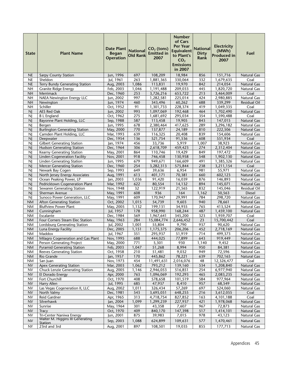| <b>State</b>           | <b>Plant Name</b>                                              | <b>Date Plant</b><br><b>Began</b><br><b>Operation</b> | <b>National</b><br><b>Old Rank</b> | $CO2$ (tons)<br><b>Emitted in</b><br>2007 | <b>Number</b><br>of Cars<br>Per Year<br><b>Equivalent</b><br>to Plant's<br>CO <sub>2</sub><br><b>Emissions</b><br>in 2007 | <b>National</b><br><b>Dirty</b><br>Rank | <b>Electricity</b><br>(MWh)<br><b>Produced in</b><br>2007 | Fuel                              |
|------------------------|----------------------------------------------------------------|-------------------------------------------------------|------------------------------------|-------------------------------------------|---------------------------------------------------------------------------------------------------------------------------|-----------------------------------------|-----------------------------------------------------------|-----------------------------------|
| <b>NE</b>              | <b>Sarpy County Station</b>                                    | Jun, 1996                                             | 697                                | 108,209                                   | 18,984                                                                                                                    | 856                                     | 151,716                                                   | <b>Natural Gas</b>                |
| NE                     | Sheldon                                                        | Iul. 1961                                             | 263                                | 1,881,365                                 | 330,064                                                                                                                   | 332                                     | 1,679,635                                                 | Coal                              |
| NE                     | Terry Bundy Generating Station                                 | Aug, 2003                                             | 1,086                              | 113,831                                   | 19,970                                                                                                                    | 842                                     | 214,054                                                   | Natural Gas                       |
| <b>NH</b>              | <b>Granite Ridge Energy</b>                                    | Feb, 2003                                             | 1,046                              | 1,191,488                                 | 209,033                                                                                                                   | 445                                     | 1,820,720                                                 | <b>Natural Gas</b>                |
| <b>NH</b>              | Merrimack                                                      | Dec, 1960                                             | 253                                | 3,726,216                                 | 653,722                                                                                                                   | 213                                     | 3,464,009                                                 | Coal                              |
| <b>NH</b>              | <b>NAEA Newington Energy LLC</b>                               | Jun, 2002                                             | 997                                | 1,282,581                                 | 225,014                                                                                                                   | 424                                     | 2,980,885                                                 | Natural Gas                       |
| <b>NH</b>              | Newington                                                      | Jun, 1974                                             | 460                                | 343,496                                   | 60,262                                                                                                                    | 688                                     | 339,299                                                   | <b>Residual Oil</b>               |
| <b>NH</b><br><b>NJ</b> | Schiller<br>AES Red Oak                                        | Oct, 1952<br>Jun, 2002                                | 91<br>993                          | 1,301,733<br>1,097,069                    | 228,374<br>192,468                                                                                                        | 419<br>464                              | 1,049,335<br>1,702,490                                    | Coal<br><b>Natural Gas</b>        |
| <b>NJ</b>              | <b>B</b> L England                                             | Oct, 1962                                             | 275                                | 1,681,692                                 | 295,034                                                                                                                   | 354                                     | 1,590,488                                                 | Coal                              |
| NJ                     | <b>Bayonne Plant Holding, LLC</b>                              | Sep, 1988                                             | 587                                | 113,458                                   | 19,905                                                                                                                    | 843                                     | 147,015                                                   | <b>Natural Gas</b>                |
| <b>N</b>               | Bergen                                                         | Jun, 1995                                             | 678                                | 2,380,464                                 | 417,625                                                                                                                   | 289                                     | 3,296,182                                                 | Natural Gas                       |
| N                      | <b>Burlington Generating Station</b>                           | May, 2000                                             | 770                                | 137,877                                   | 24,189                                                                                                                    | 810                                     | 222,506                                                   | <b>Natural Gas</b>                |
| NJ                     | Camden Plant Holding, LLC                                      | Mar, 1993                                             | 639                                | 116,325                                   | 20,408                                                                                                                    | 839                                     | 154,606                                                   | <b>Natural Gas</b>                |
| <b>NJ</b>              | Deepwater                                                      | Dec, 1954                                             | 136                                | 521,754                                   | 91,536                                                                                                                    | 608                                     | 551,934                                                   | Coal                              |
| <b>N</b>               | <b>Gilbert Generating Station</b>                              | Jan, 1974                                             | 456                                | 33,736                                    | 5,919                                                                                                                     | 1,007                                   | 38,923                                                    | <b>Natural Gas</b>                |
| <b>NJ</b>              | <b>Hudson Generating Station</b>                               | Dec, 1964                                             | 306                                | 2,618,709                                 | 459,423                                                                                                                   | 274                                     | 2,312,404                                                 | <b>Natural Gas</b>                |
| N                      | Kearny Generating Station                                      | May, 2001                                             | 864                                | $\overline{110,}746$                      | 19,429                                                                                                                    | 849                                     | 197,472                                                   | <b>Natural Gas</b>                |
| N                      | <b>Linden Cogeneration Facility</b>                            | Nov, 2001                                             | 918                                | 746,458                                   | 130,958                                                                                                                   | 548                                     | 1,902,130                                                 | <b>Natural Gas</b>                |
| <b>N</b>               | <b>Linden Generating Station</b>                               | Jun, 1995                                             | 679                                | 949,671                                   | 166,609                                                                                                                   | 491                                     | 1,385,326                                                 | Natural Gas                       |
| <b>NJ</b>              | <b>Mercer Generating Station</b>                               | Dec, 1960                                             | 254                                | 3,282,313                                 | 575,844                                                                                                                   | 238                                     | 3,211,154                                                 | Coal                              |
| NJ                     | Newark Bay Cogen                                               | Sep, 1993                                             | 649                                | 39,636                                    | 6,954                                                                                                                     | 981                                     | 55,971                                                    | Natural Gas                       |
| <b>NJ</b>              | North Jersey Energy Associates                                 | Aug, 1991                                             | 613                                | 401,171                                   | 70,381                                                                                                                    | 660                                     | 602,123                                                   | <b>Natural Gas</b>                |
| <b>N</b><br><b>NJ</b>  | Ocean Peaking Power, LP<br>Pedricktown Cogeneration Plant      | Jan, 2003<br>Mar, 1992                                | 1,036<br>622                       | 91,420<br>80,554                          | 16,039<br>14,132                                                                                                          | 876<br>894                              | 146,893<br>145,071                                        | Natural Gas<br>Natural Gas        |
| NJ                     | Sewaren Generating Station                                     | Nov, 1948                                             | 32                                 | 122,919                                   | 21,565                                                                                                                    | $\overline{832}$                        | 145,046                                                   | Residual Oil                      |
| <b>NJ</b>              | Sherman Avenue                                                 | May, 1991                                             | 608                                | 936                                       | 164                                                                                                                       | 1,162                                   | 50,563                                                    | <b>Diesel</b>                     |
| <b>NI</b>              | Sunoco Power Generation, LLC                                   | May, 1991                                             | 609                                | 170,947                                   | 29,991                                                                                                                    | 784                                     | 298,720                                                   | Natural Gas                       |
| <b>NM</b>              | <b>Afton Generating Station</b>                                | Oct, 2002                                             | 1,015                              | 54,739                                    | 9,603                                                                                                                     | 940                                     | 78,661                                                    | <b>Natural Gas</b>                |
| <b>NM</b>              | <b>Bluffview Power Plant</b>                                   | May, 2005                                             | 1,132                              | 199,131                                   | 34,935                                                                                                                    | 765                                     | 413,524                                                   | Natural Gas                       |
| <b>NM</b>              | Cunningham                                                     | Jul, 1957                                             | 178                                | 958,990                                   | 168,244                                                                                                                   | 487                                     | 1,459,100                                                 | <b>Natural Gas</b>                |
| <b>NM</b>              | Escalante                                                      | Dec, 1984                                             | 569                                | 1,967,641                                 | 345,200                                                                                                                   | 323                                     | 1,959,707                                                 | Coal                              |
| $\mathsf{N}\mathsf{M}$ | Four Corners Steam Elec Station                                | May, 1963                                             | 284                                | 15,084,774                                | 2,646,452                                                                                                                 | 23                                      | 15,700,442                                                | Coal                              |
| <b>NM</b>              | Lordsburg Generating Station                                   | Jul, 2002                                             | 1,001                              | 55,804                                    | 9,790                                                                                                                     | 937                                     | 90,620                                                    | <b>Natural Gas</b>                |
| $\mathsf{N}\mathsf{M}$ | Luna Energy Facility                                           | Dec, 2005                                             | $\overline{1,151}$                 | 1,175,375                                 | 206,206                                                                                                                   | 452                                     | 2,718,169                                                 | <b>Natural Gas</b>                |
| <b>NM</b>              | Maddox                                                         | Jul, 1967                                             | 351                                | 295,937                                   | 51,919                                                                                                                    | 714                                     | 499,373                                                   | Natural Gas                       |
| <b>NM</b>              | Milagro Cogeneration and Gas Plant                             | Nov. 1995                                             | 688                                | 444.025                                   | 77.899                                                                                                                    | 643                                     | 919.449                                                   | Natural Gas                       |
| <b>NM</b>              | Person Generating Project<br><b>Pyramid Generating Station</b> | May, 2000<br>Feb, 2003                                | 771<br>1,047                       | 5,301<br>51,268                           | 930<br>8,994                                                                                                              | 1,140<br>950                            | 9,452<br>84,381                                           | Natural Gas<br><b>Natural Gas</b> |
| <b>NM</b><br><b>NM</b> | <b>Reeves Generating Station</b>                               | Oct, 1958                                             | 210                                | 51,481                                    | 9,032                                                                                                                     | 949                                     | 72,596                                                    | Natural Gas                       |
| <b>NM</b>              | Rio Grande                                                     | Jan, 1957                                             | 170                                | 445,862                                   | 78,221                                                                                                                    | 639                                     | 702,165                                                   | Natural Gas                       |
| <b>NM</b>              | San Juan                                                       | Nov, 1973                                             | 454                                | 11,491,631                                | 2,016,076                                                                                                                 | 48                                      | 12,326,477                                                | Coal                              |
| <b>NV</b>              | <b>Apex Generating Station</b>                                 | Mar, 2003                                             | 1,062                              | 793,212                                   | 139,160                                                                                                                   | 534                                     | 1,208,840                                                 | <b>Natural Gas</b>                |
| NV                     | Chuck Lenzie Generating Station                                | Aug, 2005                                             | 1,146                              | 2,946,053                                 | 516,851                                                                                                                   | 254                                     | 6,977,940                                                 | Natural Gas                       |
| <b>NV</b>              | El Dorado Energy                                               | Apr, 2000                                             | 763                                | 1,096,069                                 | 192,293                                                                                                                   | 465                                     | 2,083,235                                                 | <b>Natural Gas</b>                |
| <b>NV</b>              | Fort Churchill                                                 | Oct, 1970                                             | 408                                | 578,658                                   | 101,519                                                                                                                   | 584                                     | 977,964                                                   | Natural Gas                       |
| <b>NV</b>              | Harry Allen                                                    | Jul, 1995                                             | 685                                | 47,937                                    | 8,410                                                                                                                     | 957                                     | 68,549                                                    | <b>Natural Gas</b>                |
| <b>NV</b>              | Las Vegas Cogeneration II, LLC                                 | Aug, 2002                                             | 1,011                              | 326,434                                   | 57,269                                                                                                                    | 697                                     | 524,060                                                   | Natural Gas                       |
| <b>NV</b>              | North Valmy                                                    | Dec, 1981                                             | 543                                | 3,695,051                                 | 648,255                                                                                                                   | 216                                     | 3,612,055                                                 | Coal                              |
| <b>NV</b>              | Reid Gardner                                                   | Apr, 1965                                             | $\overline{313}$                   | 4,718,754                                 | 827,852                                                                                                                   | 163                                     | 4,101,188                                                 | Coal                              |
| <b>NV</b>              | Silverhawk                                                     | Jan, 2004                                             | 1,099                              | 1,299,239                                 | 227,937                                                                                                                   | 421                                     | 1,978,068                                                 | <b>Natural Gas</b>                |
| <b>NV</b><br><b>NV</b> | Sunrise<br><b>Tracy</b>                                        | May, 1964<br>Oct, 1970                                | 301<br>409                         | 43,358<br>840,170                         | 7,607<br>147,398                                                                                                          | 967<br>517                              | 72,873                                                    | Natural Gas<br><b>Natural Gas</b> |
| <b>NV</b>              | Tri-Center Naniwa Energy                                       | Jun, 2001                                             | 875                                | 39,983                                    | 7,015                                                                                                                     | 978                                     | 1,414,101<br>43,123                                       | Natural Gas                       |
|                        | Walter M. Higgins III Generating                               |                                                       |                                    |                                           |                                                                                                                           |                                         |                                                           |                                   |
| <b>NV</b>              | <u>Station</u>                                                 | Sep, 2003                                             | 1,088                              | 624,899                                   | 109,631                                                                                                                   | 577                                     | 1,470,461                                                 | <b>Natural Gas</b>                |
| <b>NY</b>              | 23rd and 3rd                                                   | Aug, 2001                                             | 897                                | 108,501                                   | 19,035                                                                                                                    | 855                                     | 177,713                                                   | Natural Gas                       |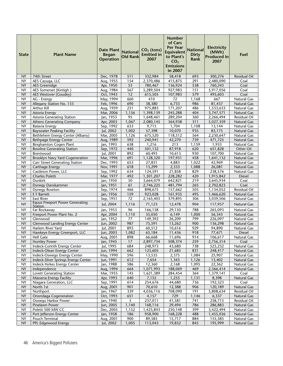| <b>State</b>           | <b>Plant Name</b>                                                     | <b>Date Plant</b><br><b>Began</b><br><b>Operation</b> | <b>National</b><br><b>Old Rank</b> | $CO2$ (tons)<br><b>Emitted in</b><br>2007 | <b>Number</b><br>of Cars<br><b>Per Year</b><br><b>Equivalent</b><br>to Plant's<br>CO <sub>2</sub><br><b>Emissions</b><br>in 2007 | <b>National</b><br><b>Dirty</b><br>Rank | <b>Electricity</b><br>(MWh)<br><b>Produced in</b><br>2007 | Fuel                              |
|------------------------|-----------------------------------------------------------------------|-------------------------------------------------------|------------------------------------|-------------------------------------------|----------------------------------------------------------------------------------------------------------------------------------|-----------------------------------------|-----------------------------------------------------------|-----------------------------------|
| <b>NY</b>              | 74th Street                                                           | Dec, 1978                                             | 511                                | 332,984                                   | 58,418                                                                                                                           | 693                                     | 300,276                                                   | <b>Residual Oil</b>               |
| NY                     | AES Cayuga, LLC                                                       | Aug, 1955                                             | 154                                | 2,370,486                                 | 415,875                                                                                                                          | 291                                     | 2,480,090                                                 | Coal                              |
| <b>NY</b>              | <b>AES Greenidge</b>                                                  | Apr, 1950                                             | 53                                 | 780,467                                   | 136,924                                                                                                                          | 538                                     | 760,243                                                   | Coal                              |
| <b>NY</b>              | AES Somerset (Kintigh)                                                | Aug, 1984                                             | 567                                | 5,289,504                                 | 927,983                                                                                                                          | 151                                     | 5,917,056                                                 | Coal                              |
| <b>NY</b>              | AES Westover (Goudey)                                                 | Oct, 1943                                             | 12                                 | 615,505                                   | 107,983                                                                                                                          | 579                                     | 495,603                                                   | Coal                              |
| NY                     | AG - Energy                                                           | May, 1994                                             | 660                                | 410                                       | 72                                                                                                                               | 1,168                                   | 667                                                       | <b>Natural Gas</b>                |
| <b>NY</b>              | Allegany Station No. 133                                              | Feb, 1996                                             | 690                                | 38,380                                    | 6,733                                                                                                                            | 986                                     | 81,437                                                    | <b>Natural Gas</b>                |
| NY                     | Arthur Kill                                                           | Aug, 1959                                             | 231                                | 975,883                                   | 171,207                                                                                                                          | 486                                     | 1,533,633                                                 | Natural Gas                       |
| <b>NY</b>              | Astoria Energy                                                        | Mar, 2006                                             | 1,156                              | 1,398,139                                 | 245,288                                                                                                                          | 404                                     | 3,747,571                                                 | <b>Natural Gas</b>                |
| <b>NY</b>              | Astoria Generating Station                                            | Jan, 1953                                             | 95                                 | 1,648,461                                 | 289,204                                                                                                                          | 360                                     | 2,266,494                                                 | <b>Residual Oil</b>               |
| <b>NY</b>              | <b>Athens Generating Company</b>                                      | Apr, 2003                                             | 1,067                              | 2,080,145                                 | 364,938                                                                                                                          | 311                                     | 5,027,359                                                 | Natural Gas                       |
| <b>NY</b><br><b>NY</b> | <b>Batavia Energy</b>                                                 | Sep, 1992                                             | 633                                | 9,715                                     | 1,704                                                                                                                            | 1,108                                   | $\overline{13,144}$                                       | <b>Natural Gas</b>                |
| NY                     | <b>Bayswater Peaking Facility</b><br>Bethlehem Energy Center (Albany) | Jul, 2002<br>Mar, 2005                                | 1,002<br>1,126                     | 57,398<br>675,520                         | 10,070<br>118,512                                                                                                                | 935<br>564                              | 83,175<br>2,230,647                                       | <b>Natural Gas</b><br>Natural Gas |
| <b>NY</b>              | <b>Bethpage Energy Center</b>                                         | Aug, 1989                                             | 592                                | 240,941                                   | 42,270                                                                                                                           | 739                                     | 471,725                                                   | <b>Natural Gas</b>                |
| <b>NY</b>              | <b>Binghamton Cogen Plant</b>                                         | Jan, 1993                                             | 638                                | 1,216                                     | 213                                                                                                                              | 1,159                                   | 1,933                                                     | Natural Gas                       |
| <b>NY</b>              | <b>Bowline Generating Station</b>                                     | Sep, 1972                                             | 440                                | 501,132                                   | 87,918                                                                                                                           | 620                                     | 651,828                                                   | Other Oil                         |
| <b>NY</b>              | Brentwood                                                             | Jul, 2001                                             | 892                                | 60,493                                    | 10,613                                                                                                                           | 930                                     | 107,700                                                   | Natural Gas                       |
| <b>NY</b>              | Brooklyn Navy Yard Cogeneration                                       | Mar, 1996                                             | 691                                | 1,128,320                                 | 197,951                                                                                                                          | 458                                     | 1,641,132                                                 | Natural Gas                       |
| <b>NY</b>              | <b>Carr Street Generating Station</b>                                 | Dec, 1993                                             | 653                                | 27,831                                    | 4,883                                                                                                                            | 1.022                                   | 42,969                                                    | Natural Gas                       |
| <b>NY</b>              | Carthage Energy                                                       | Nov, 1991                                             | 618                                | 13,299                                    | 2,333                                                                                                                            | 1,088                                   | 26,081                                                    | <b>Natural Gas</b>                |
| <b>NY</b>              | Castleton Power, LLC                                                  | Sep, 1992                                             | 634                                | 124,591                                   | 21,858                                                                                                                           | 829                                     | 238,576                                                   | Natural Gas                       |
| <b>NY</b>              | Charles Poletti                                                       | Mar, 1977                                             | 492                                | 1,301,207                                 | 228,282                                                                                                                          | 420                                     | 1,915,842                                                 | <b>Diesel</b>                     |
| <b>NY</b>              | <b>Dunkirk</b>                                                        | Jan, 1950                                             | 50                                 | 3,664,079                                 | 642,821                                                                                                                          | 219                                     | 3,645,934                                                 | Coal                              |
| <b>NY</b>              | Dynegy Danskammer                                                     | Jan, 1951                                             | 61                                 | 2,746,225                                 | 481,794                                                                                                                          | 265                                     | 2,702,823                                                 | Coal                              |
| <b>NY</b>              | Dynegy Roseton                                                        | Sep, 1974                                             | 466                                | 898,675                                   | 157,662                                                                                                                          | 505                                     | 1,134,052                                                 | <b>Residual Oil</b>               |
| <b>NY</b>              | E F Barrett                                                           | Jan, 1956                                             | 159                                | 923,028                                   | 161,935                                                                                                                          | 495                                     | 1,466,620                                                 | Natural Gas                       |
| <b>NY</b>              | <b>East River</b>                                                     | Sep, 1951                                             | 72                                 | 2,165,403                                 | 379,895                                                                                                                          | 306                                     | 3,039,506                                                 | Natural Gas                       |
| <b>NY</b>              | <b>Equus Freeport Power Generating</b><br>Station                     | Jul, 2004                                             | 1,116                              | 71,123                                    | 12,478                                                                                                                           | 904                                     | 117,957                                                   | <b>Natural Gas</b>                |
| NY                     | Far Rockaway                                                          | Jan, 1953                                             | 96                                 | 166,158                                   | 29,150                                                                                                                           | 788                                     | 265,093                                                   | Natural Gas                       |
| <b>NY</b>              | Freeport Power Plant No. 2                                            | Apr, 2004                                             | 1,110                              | 35,050                                    | 6,149                                                                                                                            | 1,000                                   | 56,343                                                    | <b>Natural Gas</b>                |
| NY                     | Glenwood                                                              | Jan, 1952                                             | 77                                 | 149,392                                   | 26,209                                                                                                                           | 799                                     | 226,097                                                   | Natural Gas                       |
| <b>NY</b>              | <b>Glenwood Landing Energy Center</b>                                 | Jun, 2002                                             | 987                                | 75,591                                    | 13,262                                                                                                                           | 900                                     | 136,298                                                   | <b>Natural Gas</b>                |
| <b>NY</b>              | Harlem River Yard                                                     | Jul, 2001                                             | 893                                | 60,512                                    | 10,616                                                                                                                           | 929                                     | 94,890                                                    | Natural Gas                       |
| <b>NY</b>              | Hawkeye Energy Greenport, LLC                                         | Jun, 2003                                             | 1,082                              | 65,184                                    | 11,436                                                                                                                           | 918                                     | 77,671                                                    | <b>Diesel</b>                     |
| <b>NY</b>              | <b>Hell Gate</b>                                                      | Aug, 2001                                             | 898                                | 66,668                                    | 11,696                                                                                                                           | 914                                     | 106,617                                                   | Natural Gas                       |
| ΝY                     | <b>Huntley Power</b>                                                  | Jan, 1945                                             | 17                                 | 2,897,734                                 | 508,374                                                                                                                          | 259                                     | 2,756,314                                                 | Coal                              |
| NY                     | Indeck-Corinth Energy Center                                          | Jul, 1995                                             | 684                                | 248,973                                   | 43,680                                                                                                                           | 738                                     | 525,232                                                   | Natural Gas                       |
| NY<br><b>NY</b>        | Indeck-Olean Energy Center                                            | Jun, 1994                                             | 662<br>596                         | 123,605<br>13,535                         | 21,685                                                                                                                           | 831<br>1,084                            | 248,417                                                   | Natural Gas                       |
| <b>NY</b>              | Indeck-Oswego Energy Center<br>Indeck-Silver Springs Energy Center    | May, 1990<br>Jun, 1991                                | 612                                | 7,654                                     | 2,375<br>1,343                                                                                                                   | 1,126                                   | 25,907<br>13,402                                          | Natural Gas<br><b>Natural Gas</b> |
| NY                     | Indeck-Yerkes Energy Center                                           | Jan, 1988                                             | 586                                | 12,360                                    | 2,168                                                                                                                            | 1,095                                   | 22,362                                                    | Natural Gas                       |
| <b>NY</b>              | Independence                                                          | Aug, 1994                                             | 664                                | 1,071,993                                 | 188,069                                                                                                                          | 469                                     | 2,366,414                                                 | Natural Gas                       |
| <b>NY</b>              | <b>Lovett Generating Station</b>                                      | Mar, 1955                                             | 145                                | 1,621,389                                 | 284,454                                                                                                                          | 364                                     | 1,379,141                                                 | Coal                              |
| <b>NY</b>              | Massena Energy Facility                                               | Apr, 1993                                             | 640                                | 7,155                                     | 1,255                                                                                                                            | 1,131                                   | 8,398                                                     | Natural Gas                       |
| <b>NY</b>              | Niagara Generation, LLC                                               | Sep, 1991                                             | 614                                | 254,676                                   | 44,680                                                                                                                           | 736                                     | 192,323                                                   | Coal                              |
| <b>NY</b>              | North 1st                                                             | Aug, 2001                                             | 901                                | 70,610                                    | 12,388                                                                                                                           | 906                                     | 120,189                                                   | Natural Gas                       |
| <b>NY</b>              | Northport                                                             | Jan, 1967                                             | 339                                | 4,036,116                                 | 708,090                                                                                                                          | 191                                     | 5,808,634                                                 | Residual Oil                      |
| NY.                    | Onondaga Cogeneration                                                 | Oct, 1993                                             | 651                                | 4,157                                     | 729                                                                                                                              | 1,146                                   | 6,337                                                     | Natural Gas                       |
| <b>NY</b>              | Oswego Harbor Power                                                   | Jan, 1940                                             | 3                                  | 237,011                                   | 41,581                                                                                                                           | 741                                     | 258,715                                                   | Residual Oil                      |
| <b>NY</b>              | Pinelawn Power                                                        | Jun, 2005                                             | 1,140                              | 168,116                                   | 29,494                                                                                                                           | 786                                     | 286,883                                                   | Natural Gas                       |
| <b>NY</b>              | Poletti 500 MW CC                                                     | Dec, 2005                                             | 1,152                              | 1,425,843                                 | 250,148                                                                                                                          | 399                                     | 3,422,494                                                 | Natural Gas                       |
| <b>NY</b>              | Port Jefferson Energy Center                                          | Jan, 1958                                             | 186                                | 958,900                                   | 168,228                                                                                                                          | 488                                     | 1,455,036                                                 | Natural Gas                       |
| <b>NY</b>              | Pouch Terminal                                                        | Aug, 2001                                             | 900                                | 89,585                                    | 15,717                                                                                                                           | 884                                     | 155,585                                                   | Natural Gas                       |
| <b>NY</b>              | PPL Edgewood Energy                                                   | Jul, 2002                                             | 1,005                              | 113,043                                   | 19,832                                                                                                                           | 845                                     | 195,999                                                   | Natural Gas                       |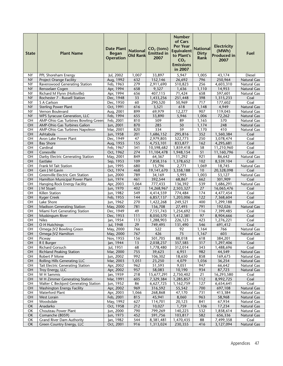| <b>State</b>    | <b>Plant Name</b>                                                          | <b>Date Plant</b><br><b>Began</b><br><b>Operation</b> | <b>National</b><br><b>Old Rank</b> | $CO2$ (tons)<br><b>Emitted in</b><br>2007 | <b>Number</b><br>of Cars<br><b>Per Year</b><br><b>Equivalent</b><br>to Plant's<br>CO <sub>2</sub><br><b>Emissions</b><br>in 2007 | <b>National</b><br><b>Dirty</b><br>Rank | <b>Electricity</b><br>(MWh)<br><b>Produced in</b><br>2007 | Fuel                                     |
|-----------------|----------------------------------------------------------------------------|-------------------------------------------------------|------------------------------------|-------------------------------------------|----------------------------------------------------------------------------------------------------------------------------------|-----------------------------------------|-----------------------------------------------------------|------------------------------------------|
| NY              | PPL Shoreham Energy                                                        | Jul, 2002                                             | 1,007                              | 33,897                                    | 5,947                                                                                                                            | $\overline{1,005}$                      | 43,174                                                    | <b>Diesel</b>                            |
| <b>NY</b>       | <b>Project Orange Facility</b>                                             | Aug, 1992                                             | 632                                | 152,146                                   | 26,692                                                                                                                           | 796                                     | 250,964                                                   | <b>Natural Gas</b>                       |
| <b>NY</b>       | Ravenswood Generating Station                                              | Feb, 1963                                             | $\overline{279}$                   | 2,911,690                                 | 510,823                                                                                                                          | 256                                     | 4,603,310                                                 | Natural Gas                              |
| <b>NY</b>       | Rensselaer Cogen                                                           | Apr, 1994                                             | 658                                | 9,327                                     | 1,636                                                                                                                            | 1,110                                   | 14,953                                                    | <b>Natural Gas</b>                       |
| <b>NY</b>       | Richard M Flynn (Holtsville)                                               | Apr, 1994                                             | 656                                | 407,115                                   | 71,424                                                                                                                           | 658                                     | 597,601                                                   | <b>Natural Gas</b>                       |
| <b>NY</b>       | Rochester 7 - Russell Station                                              | Dec, 1948                                             | 33                                 | 1,433,256                                 | 251,448                                                                                                                          | 398                                     | 1,315,233                                                 | Coal                                     |
| <b>NY</b>       | S A Carlson                                                                | Dec, 1950                                             | 60                                 | 290,520                                   | 50,969                                                                                                                           | 717                                     | 177,602                                                   | Coal                                     |
| <b>NY</b>       | <b>Sterling Power Plant</b>                                                | Oct, 1991                                             | 616                                | 3,521                                     | 618                                                                                                                              | 1,148                                   | 4,949                                                     | Natural Gas                              |
| NY<br><b>NY</b> | Vernon Boulevard                                                           | Aug, 2001                                             | 899                                | 69,979                                    | 12,277                                                                                                                           | 907                                     | 119,045                                                   | <b>Natural Gas</b>                       |
| OН              | <b>WPS Syracuse Generation, LLC</b><br>AMP-Ohio Gas Turbines Bowling Green | Feb, 1994<br>Feb, 2001                                | 655<br>810                         | 33,890<br>509                             | 5,946<br>89                                                                                                                      | 1,006<br>1,165                          | 72,262<br>570                                             | <b>Natural Gas</b><br>Natural Gas        |
| OH              | AMP-Ohio Gas Turbines Galion                                               | Jun, 2001                                             | 870                                | 285                                       | 50                                                                                                                               | 1,174                                   | 248                                                       | <b>Natural Gas</b>                       |
| OH              | AMP-Ohio Gas Turbines Napoleon                                             | Mar, 2001                                             | 820                                | 334                                       | 59                                                                                                                               | 1,170                                   | 410                                                       | <b>Natural Gas</b>                       |
| OH              | Ashtabula                                                                  | Jun, 1958                                             | 201                                | 1,686,152                                 | 295,816                                                                                                                          | 352                                     | 1,560,384                                                 | Coal                                     |
| OH              | Avon Lake Power Plant                                                      | Dec, 1949                                             | 47                                 | 2,979,805                                 | 522,773                                                                                                                          | 250                                     | 3,078,474                                                 | Coal                                     |
| OH              | <b>Bay Shore</b>                                                           | Aug, 1955                                             | 155                                | 4,753,101                                 | 833,877                                                                                                                          | 162                                     | 4,295,681                                                 | Coal                                     |
| OН              | Cardinal                                                                   | Feb, 1967                                             | 341                                | 10,598,682                                | 1,859,418                                                                                                                        | 58                                      | 11,210,960                                                | Coal                                     |
| OH              | Conesville                                                                 | Oct, 1962                                             | 274                                | 11,104,478                                | 1,948,154                                                                                                                        | $\overline{51}$                         | 11,160,796                                                | Coal                                     |
| OH              | Darby Electric Generating Station                                          | May, 2001                                             | 849                                | 64,367                                    | 11,292                                                                                                                           | 921                                     | 86,642                                                    | Natural Gas                              |
| OH              | Eastlake                                                                   | Sep, 1953                                             | 109                                | 7,858,316                                 | 1,378,652                                                                                                                        | 102                                     | 8,539,104                                                 | Coal                                     |
| OH              | Frank M Tait Station                                                       | Jun, 1995                                             | 680                                | 15,796                                    | 2,771                                                                                                                            | 1,069                                   | 18,745                                                    | <b>Natural Gas</b>                       |
| OH              | Gen J M Gavin                                                              | Oct, 1974                                             | 468                                | 19,141,670                                | 3,358,188                                                                                                                        | 10                                      | 20,328,098                                                | Coal                                     |
| OH              | Greenville Electric Gen Station                                            | Jun, 2000                                             | 789                                | 34,169                                    | 5,995                                                                                                                            | 1,003                                   | 53,127                                                    | Natural Gas                              |
| OH              | Hamilton Municipal Power Plant                                             | Jun, 1974                                             | 461                                | 392,544                                   | 68,867                                                                                                                           | 662                                     | 301,909                                                   | Coal                                     |
| OH              | Hanging Rock Energy Facility                                               | Apr, 2003                                             | 1,064                              | 777,433                                   | 136,392                                                                                                                          | 539                                     | 1,686,291                                                 | Natural Gas                              |
| OH              | J M Stuart                                                                 | Jun, 1970                                             | 402                                | 14,268,967                                | 2,503,327                                                                                                                        | 27                                      | 16,065,476                                                | Coal                                     |
| OH              | Killen Station                                                             | Jun, 1982                                             | 549<br>144                         | 4,414,559                                 | 774,484                                                                                                                          | 174<br>122                              | 4,477,454                                                 | Coal                                     |
| OH<br>OH        | <b>Kyger Creek</b><br>Lake Shore                                           | Feb, 1955<br>Jun, 1962                                | 270                                | 6,857,137<br>1,422,268                    | 1,203,006<br>249,521                                                                                                             | 400                                     | 7,368,604<br>1,299,188                                    | Coal<br>Coal                             |
| OH              | <b>Madison Generating Station</b>                                          | May, 2000                                             | 781                                | 156,708                                   | 27,493                                                                                                                           | 791                                     | 192,026                                                   | <b>Natural Gas</b>                       |
| OH              | Miami Fort Generating Station                                              | Dec, 1949                                             | 49                                 | 7,151,743                                 | 1,254,692                                                                                                                        | 116                                     | 7,399,485                                                 | Coal                                     |
| OH              | Muskingum River                                                            | Dec, 1953                                             | 111                                | 8,050,570                                 | 1,412,381                                                                                                                        | 97                                      | 8,904,666                                                 | Coal                                     |
| OH              | <b>Niles</b>                                                               | Jan, 1954                                             | 113                                | 1,288,903                                 | 226,123                                                                                                                          | 423                                     | 1,276,221                                                 | Coal                                     |
| OH              | O H Hutchings                                                              | Jul, 1948                                             | 29                                 | 749,495                                   | 131,490                                                                                                                          | 546                                     | 691,412                                                   | Coal                                     |
| OH              | Omega JV2 Bowling Green                                                    | May, 2000                                             | 766                                | 522                                       | 92                                                                                                                               | 1,164                                   | 766                                                       | Natural Gas                              |
| OH              | Omega JV2 Hamilton                                                         | May, 2000                                             | 767                                | 426                                       | 75                                                                                                                               | 1,167                                   | 603                                                       | Natural Gas                              |
| OH              | Picway                                                                     | Nov. 1955                                             | 156                                | 501.705                                   | 88.018                                                                                                                           | 618                                     | 384.201                                                   | Coal                                     |
| OH              | R E Burger                                                                 | Jan, 1944                                             | 13                                 | 2,038,237                                 | 357,585                                                                                                                          | 317                                     | 1,297,406                                                 | Coal                                     |
| OН              | <b>Richard Gorsuch</b>                                                     | Jul, 1951                                             | 68                                 | 1,778,480                                 | 312,014                                                                                                                          | 343                                     | 1,488,696                                                 | Coal                                     |
| OH              | <b>Richland Peaking Station</b>                                            | Mar, 2000                                             | 755                                | 39,623                                    | 6,951                                                                                                                            | 982                                     | 44,549                                                    | <b>Natural Gas</b>                       |
| OH              | Robert P Mone                                                              | Jun, 2002                                             | 992                                | 106,302                                   | 18,650                                                                                                                           | 858                                     | 169,675                                                   | Natural Gas                              |
| OH              | <b>Rolling Hills Generating LLC</b>                                        | Mar, 2003                                             | 1,051                              | 23,250                                    | 4,079                                                                                                                            | 1,036                                   | 36,254                                                    | Natural Gas                              |
| OH<br>OH        | Tait Electric Generating Station<br>Troy Energy, LLC                       | Apr, 2002<br>Apr, 2002                                | 962<br>957                         | 51,593<br>58,083                          | 9,051<br>10,190                                                                                                                  | 947<br>934                              | 66,642                                                    | <b>Natural Gas</b><br><b>Natural Gas</b> |
| OH              | W H Sammis                                                                 | Jan, 1959                                             | 218                                | 15,677,291                                | 2,750,402                                                                                                                        | 21                                      | 87,723<br>16,293,580                                      | Coal                                     |
| OH              | W H Zimmer Generating Station                                              | Mar, 1991                                             | 605                                | 7,329,384                                 | 1,285,857                                                                                                                        | 112                                     | 8,992,725                                                 | Coal                                     |
| OH              | Walter C Beckjord Generating Station                                       | Jun, 1952                                             | 86                                 | 6,627,725                                 | 1,162,759                                                                                                                        | 127                                     | 6,654,641                                                 | Coal                                     |
| OH              | <b>Washington Energy Facility</b>                                          | Apr, 2002                                             | 969                                | 316,592                                   | 55,542                                                                                                                           | 700                                     | 697,108                                                   | <b>Natural Gas</b>                       |
| OH              | Waterford Plant                                                            | Apr, 2003                                             | 1,066                              | 268,868                                   | 47,170                                                                                                                           | 731                                     | 413,384                                                   | Natural Gas                              |
| OH              | West Lorain                                                                | Feb, 2001                                             | 815                                | 45,941                                    | 8,060                                                                                                                            | 963                                     | 58,968                                                    | <b>Natural Gas</b>                       |
| OH              | Woodsdale                                                                  | May, 1992                                             | 627                                | 114,701                                   | 20,123                                                                                                                           | 841                                     | 67,934                                                    | Natural Gas                              |
| OK              | Anadarko                                                                   | Oct, 1958                                             | 212                                | 10,027                                    | 1,759                                                                                                                            | 1,106                                   | 17,234                                                    | <b>Natural Gas</b>                       |
| OK              | Chouteau Power Plant                                                       | Jun, 2000                                             | 790                                | 799,269                                   | 140,223                                                                                                                          | 532                                     | 1,858,614                                                 | Natural Gas                              |
| OK              | Comanche (8059)                                                            | Jun, 1973                                             | 452                                | 591,756                                   | 103,817                                                                                                                          | 582                                     | 656,336                                                   | <b>Natural Gas</b>                       |
| OK              | <b>Grand River Dam Authority</b>                                           | Jan, 1982                                             | 544                                | 8,381,481                                 | 1,470,435                                                                                                                        | 88                                      | 7,499,358                                                 | Coal                                     |
| OK              | Green Country Energy, LLC                                                  | Oct, 2001                                             | 916                                | 1,313,024                                 | 230,355                                                                                                                          | 416                                     | 3,127,094                                                 | <b>Natural Gas</b>                       |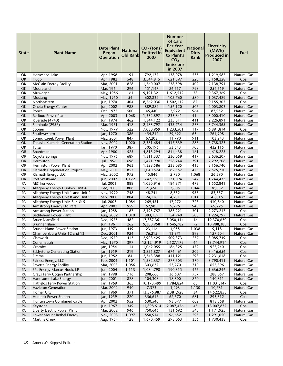| <b>State</b>    | <b>Plant Name</b>                                                     | <b>Date Plant</b><br><b>Began</b><br><b>Operation</b> | <b>National</b><br><b>Old Rank</b> | $CO2$ (tons)<br><b>Emitted</b> in<br>2007 | Number<br>of Cars<br><b>Per Year</b><br><b>Equivalent</b><br>to Plant's<br>CO <sub>2</sub><br><b>Emissions</b><br>in 2007 | <b>National</b><br><b>Dirty</b><br>Rank | <b>Electricity</b><br>(MWh)<br><b>Produced in</b><br>2007 | Fuel                       |
|-----------------|-----------------------------------------------------------------------|-------------------------------------------------------|------------------------------------|-------------------------------------------|---------------------------------------------------------------------------------------------------------------------------|-----------------------------------------|-----------------------------------------------------------|----------------------------|
| ОΚ              | Horseshoe Lake                                                        | Apr, 1958                                             | 191                                | 792,177                                   | 138,978                                                                                                                   | 535                                     | 1,219,585                                                 | Natural Gas                |
| <b>OK</b>       | Hugo                                                                  | Apr, 1982                                             | 548                                | 3,544,815                                 | 621,897                                                                                                                   | 223                                     | 3,158,228                                                 | Coal                       |
| OK              | <b>McClain Energy Facility</b>                                        | Mar, 2001                                             | 828                                | 1,360,007                                 | 238,598                                                                                                                   | 409                                     | 2,138,791                                                 | Natural Gas                |
| OK              | Mooreland                                                             | Mar, 1964                                             | $\overline{296}$                   | 151,147                                   | 26,517                                                                                                                    | 798                                     | 254,659                                                   | <b>Natural Gas</b>         |
| OK              | Muskogee                                                              | May, 1956                                             | 161                                | 9,191,321                                 | 1,612,512                                                                                                                 | 78                                      | 9,367,369                                                 | Coal                       |
| OK              | Mustang<br>Northeastern                                               | May, 1950                                             | 54<br>404                          | 602,832                                   | 105,760                                                                                                                   | 580<br>87                               | 1,037,489                                                 | Natural Gas                |
| OK<br>OK        | Oneta Energy Center                                                   | Jun, 1970<br>Jun, 2002                                | 988                                | 8,562,036<br>889,882                      | 1,502,112<br>156,120                                                                                                      | 506                                     | 9,155,307<br>2,003,803                                    | Coal<br>Natural Gas        |
| OK              | Ponca                                                                 | Oct, 1977                                             | 500                                | 45,440                                    | 7,972                                                                                                                     | 964                                     | 87,952                                                    | Natural Gas                |
| <b>OK</b>       | Redbud Power Plant                                                    | Apr, 2003                                             | 1,068                              | 1,332,897                                 | 233,841                                                                                                                   | 414                                     | 3,000,410                                                 | Natural Gas                |
| OK              | Riverside (4940)                                                      | Jun, 1974                                             | 462                                | 1,344,122                                 | 235,811                                                                                                                   | 411                                     | 2,226,891                                                 | Natural Gas                |
| OK              | Seminole (2956)                                                       | Mar, 1971                                             | 418                                | 2,483,797                                 | 435,754                                                                                                                   | 278                                     | 3,744,365                                                 | Natural Gas                |
| OK              | Sooner                                                                | Nov, 1979                                             | 522                                | 7,030,959                                 | 1,233,501                                                                                                                 | 119                                     | 6,891,814                                                 | Coal                       |
| OK              | Southwestern                                                          | Jan, 1970                                             | 386                                | 454,242                                   | 79,692                                                                                                                    | 634                                     | 764,908                                                   | <b>Natural Gas</b>         |
| OK              | <b>Spring Creek Power Plant</b>                                       | May, 2001                                             | 847                                | 67,203                                    | 11,790                                                                                                                    | 911                                     | 103,243                                                   | Natural Gas                |
| OK              | Tenaska Kiamichi Generating Station                                   | Nov, 2002                                             | 1,020                              | 2,381,684                                 | 417,839                                                                                                                   | 288                                     | 5,738,323                                                 | Natural Gas                |
| OK              | Tulsa<br>Boardman                                                     | Jan, 1970                                             | 387                                | 305,196                                   | 53,543<br>844,438                                                                                                         | 708<br>161                              | 432,115                                                   | Natural Gas                |
| <b>OR</b><br>OR | Coyote Springs                                                        | Apr, 1980<br>Nov, 1995                                | 525<br>689                         | 4,813,294<br>1,311,337                    | 230,059                                                                                                                   | 417                                     | 4,618,225<br>2,636,207                                    | Coal<br>Natural Gas        |
| <b>OR</b>       | Hermiston                                                             | Jul, 1996                                             | 698                                | 1,471,990                                 | 258,244                                                                                                                   | 391                                     | 2,292,208                                                 | Natural Gas                |
| <b>OR</b>       | Hermiston Power Plant                                                 | Apr, 2002                                             | 963                                | 1,328,586                                 | 233,085                                                                                                                   | 415                                     | 3,156,740                                                 | Natural Gas                |
| <b>OR</b>       | Klamath Cogeneration Project                                          | May, 2001                                             | 857                                | 1,040,574                                 | 182,557                                                                                                                   | 475                                     | 2,575,710                                                 | <b>Natural Gas</b>         |
| <b>OR</b>       | Klamath Energy LLC                                                    | May, 2002                                             | 972                                | 15,846                                    | 2,780                                                                                                                     | 1,068                                   | 26,590                                                    | Natural Gas                |
| <b>OR</b>       | Port Westward                                                         | Jun, 2007                                             | 1,172                              | 747,238                                   | 131,094                                                                                                                   | 547                                     | 1,744,433                                                 | Natural Gas                |
| PA              | AES Ironwood                                                          | Jul, 2001                                             | 888                                | 1,050,916                                 | 184,371                                                                                                                   | 473                                     | 1,552,841                                                 | Natural Gas                |
| PA              | Allegheny Energy Hunlock Unit 4                                       | Dec, 2000                                             | 808                                | 21,690                                    | 3,805                                                                                                                     | 1,046                                   | 38,052                                                    | <b>Natural Gas</b>         |
| PA              | Allegheny Energy Unit 1 and Unit 2                                    | Nov, 1999                                             | 748                                | 48,744                                    | 8,552                                                                                                                     | 955                                     | 83,337                                                    | Natural Gas                |
| PA<br>PA        | Allegheny Energy Unit 8 and Unit 9<br>Allegheny Energy Units 3, 4 & 5 | Sep, 2000<br>Jul, 2003                                | 804<br>1,084                       | 24,118<br>269,451                         | 4,231<br>47,272                                                                                                           | 1,031<br>728                            | 45,016<br>410,840                                         | Natural Gas<br>Natural Gas |
| PA              | Armstrong Energy Ltd Part                                             | Apr, 2002                                             | 959                                | 52,985                                    | 9,296                                                                                                                     | 945                                     | 69,225                                                    | Natural Gas                |
| PA              | <b>Armstrong Power Station</b>                                        | Jan, 1958                                             | 187                                | 2,195,757                                 | 385,221                                                                                                                   | 301                                     | 2,273,217                                                 | Coal                       |
| PA              | Bethlehem Power Plant                                                 | Aug, 2002                                             | 1,010                              | 883,159                                   | 154,940                                                                                                                   | 508                                     | 1,224,797                                                 | Natural Gas                |
| PA              | <b>Bruce Mansfield</b>                                                | Dec, 1975                                             | 482                                | 17,387,361                                | 3,050,414                                                                                                                 | 16                                      | 19,370,630                                                | Coal                       |
| PA              | <b>Brunner Island</b>                                                 | Jun, 1961                                             | 262                                | 9,380,958                                 | 1,645,782                                                                                                                 | 72                                      | 10,988,383                                                | Coal                       |
| PA              | <b>Brunot Island Power Station</b>                                    | Jun, 1973                                             | 449                                | 23,116                                    | 4,055                                                                                                                     | 1,038                                   | 9,118                                                     | Natural Gas                |
| PA              | Chambersburg Units 12 and 13                                          | Dec, 2001                                             | 924                                | 76,215                                    | 13,371                                                                                                                    | 898                                     | 127,504                                                   | Natural Gas                |
| PA<br>PA        | Cheswick                                                              | Dec, 1970                                             | 413                                | 2,903,425<br>12,124,919                   | 509,373                                                                                                                   | 257                                     | 3,085,749<br>13,744,914                                   | Coal                       |
| PA              | Conemaugh<br>Cromby                                                   | May, 1970<br>Jan, 1954                                | 397<br>114                         | 1,062,055                                 | 2,127,179<br>186,325                                                                                                      | 44<br>472                               | 925,240                                                   | Coal<br>Coal               |
| PA              | <b>Eddystone Generating Station</b>                                   | Jan, 1959                                             | 219                                | 3,855,827                                 | 676,461                                                                                                                   | 202                                     | 3,416,656                                                 | Coal                       |
| PA              | Elrama                                                                | Jun, 1952                                             | 84                                 | 2,343,388                                 | 411,121                                                                                                                   | 293                                     | 2,231,618                                                 | Coal                       |
| PA              | Fairless Energy, LLC                                                  | Feb, 2004                                             | 1,101                              | 1,582,337                                 | 277,603                                                                                                                   | 370                                     | 3,790,411                                                 | Natural Gas                |
| PA              | <b>Fayette Energy Facility</b>                                        | Mar, 2003                                             | 1,056                              | 303,637                                   | 53,270                                                                                                                    | 710                                     | 655,396                                                   | Natural Gas                |
| PA              | FPL Energy Marcus Hook, LP                                            | Jun, 2004                                             | 1,113                              | 1,084,798                                 | 190,315                                                                                                                   | 466                                     | 1,636,246                                                 | Natural Gas                |
| PA              | Grays Ferry Cogen Partnership                                         | Jan, 1998                                             | 716                                | 208,660                                   | 36,607                                                                                                                    | 757                                     | 288,057                                                   | Natural Gas                |
| PA              | Handsome Lake Energy                                                  | Jun, 2001                                             | 878                                | 104,308                                   | 18,300                                                                                                                    | 860                                     | 140,811                                                   | Natural Gas                |
| PA              | Hatfields Ferry Power Station                                         | Jan, 1969                                             | 365                                | 10,173,499                                | 1,784,824                                                                                                                 | 63                                      | 11,031,147                                                | Coal                       |
| PA              | <b>Hazleton Generation</b><br>Homer City                              | Mar, 2002<br>Jun, 1969                                | 940                                | 7,373                                     | 1,293                                                                                                                     | 1,130                                   | 10,781                                                    | Natural Gas                |
| PA<br>PA        | Hunlock Power Station                                                 | Jan, 1959                                             | 371<br>220                         | 13,576,987<br>356,647                     | 2,381,928<br>62,570                                                                                                       | 34<br>681                               | 14,522,853<br>293,312                                     | Coal<br>Coal               |
| PA              | Hunterstown Combined Cycle                                            | Apr, 2002                                             | 952                                | 530,540                                   | 93,077                                                                                                                    | 602                                     | 813,358                                                   | Natural Gas                |
| PA              | Keystone                                                              | Jun, 1967                                             | 349                                | 11,898,614                                | 2,087,476                                                                                                                 | 45                                      | 13,007,877                                                | Coal                       |
| PA              | Liberty Electric Power Plant                                          | Mar, 2002                                             | 946                                | 750,646                                   | 131,692                                                                                                                   | 545                                     | 1,171,925                                                 | Natural Gas                |
| PA              | Lower Mount Bethel Energy                                             | Nov, 2003                                             | 1,097                              | 550,914                                   | 96,652                                                                                                                    | 595                                     | 1,291,050                                                 | Natural Gas                |
| PA              | <b>Martins Creek</b>                                                  | Aug, 1954                                             | 128                                | 1,670,459                                 | 293,063                                                                                                                   | 356                                     | 1,730,438                                                 | Coal                       |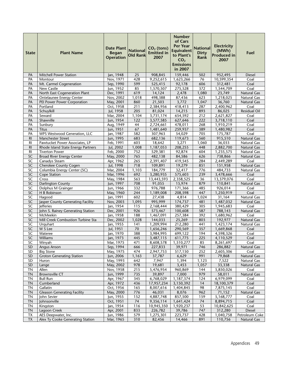| <b>State</b>                | <b>Plant Name</b>                                              | <b>Date Plant</b><br><b>Began</b><br><b>Operation</b> | <b>National</b><br><b>Old Rank</b> | $CO2$ (tons)<br><b>Emitted in</b><br>2007 | <b>Number</b><br>of Cars<br>Per Year<br><b>Equivalent</b><br>to Plant's<br>CO <sub>2</sub><br><b>Emissions</b><br>in 2007 | <b>National</b><br><b>Dirty</b><br>Rank | <b>Electricity</b><br>(MWh)<br><b>Produced in</b><br>2007 | Fuel                          |
|-----------------------------|----------------------------------------------------------------|-------------------------------------------------------|------------------------------------|-------------------------------------------|---------------------------------------------------------------------------------------------------------------------------|-----------------------------------------|-----------------------------------------------------------|-------------------------------|
| PA                          | <b>Mitchell Power Station</b>                                  | Jan, 1948                                             | 25                                 | 908,845                                   | 159,446                                                                                                                   | 502                                     | 952,495                                                   | <b>Diesel</b>                 |
| PA                          | Montour                                                        | Nov. 1971                                             | 428                                | 9,252,615                                 | 1,623,266                                                                                                                 | 76                                      | 10,599,354                                                | Coal                          |
| PA                          | Mt. Carmel Cogeneration                                        | Sep, 1990                                             | 599                                | 525,415                                   | 92,178                                                                                                                    | 606                                     | 312,481                                                   | Coal                          |
| PA                          | New Castle                                                     | Jun, 1952                                             | 85                                 | 1,570,507                                 | 275,528                                                                                                                   | 372                                     | 1,544,709                                                 | Coal                          |
| PA                          | North East Cogeneration Plant                                  | Dec, 1991                                             | 619                                | 14,124                                    | 2,478                                                                                                                     | 1,080                                   | 23,749                                                    | <b>Natural Gas</b>            |
| PA                          | Ontelaunee Energy Center                                       | Nov, 2002                                             | 1,018                              | 498,388                                   | 87,436                                                                                                                    | 623                                     | 1,218,025                                                 | Natural Gas                   |
| PA                          | PEI Power Power Corporation                                    | May, 2001                                             | 860                                | 21,503                                    | 3,772                                                                                                                     | 1,047                                   | 36,760                                                    | <b>Natural Gas</b>            |
| PA                          | Portland                                                       | Oct, 1958                                             | 211                                | 2,384,956                                 | 418,413                                                                                                                   | 287                                     | 2,400,962                                                 | Coal                          |
| PA                          | Schuylkill                                                     | Jul, 1958                                             | 205                                | 81,024                                    | 14,215                                                                                                                    | 893                                     | 86,025                                                    | <b>Residual Oil</b>           |
| PA                          | Seward                                                         | Mar, 2004                                             | 1,104                              | 3,731,174                                 | 654,592                                                                                                                   | 212                                     | 2,621,827                                                 | Coal                          |
| PA                          | Shawville                                                      | Jun, 1954                                             | 122                                | 3,577,585                                 | 627,646                                                                                                                   | 222                                     | 3,718,110                                                 | Coal                          |
| PA                          | Sunbury                                                        | Aug, 1949                                             | 44                                 | 2,724,661                                 | 478,011                                                                                                                   | 268                                     | 1,910,219                                                 | Coal                          |
| PA                          | <b>Titus</b>                                                   | Jun, 1951                                             | 67                                 | 1,481,640                                 | 259,937                                                                                                                   | 389                                     | 1,480,982                                                 | Coal                          |
| PA                          | WPS Westwood Generation, LLC                                   | Jan, 1987                                             | 582<br>683                         | 307,963                                   | 54,029                                                                                                                    | 705<br>560                              | 175,787                                                   | Coal<br><b>Natural Gas</b>    |
| R <sub>l</sub><br><b>RI</b> | Manchester Street<br>Pawtucket Power Associates, LP            | Jun, 1995<br>Feb, 1991                                | 603                                | 682,136<br>18,642                         | 119,673<br>3,271                                                                                                          | 1,060                                   | 915,510<br>36,033                                         | <b>Natural Gas</b>            |
| R <sub>l</sub>              | Rhode Island State Energy Partners                             | Jul, 2002                                             | 1,008                              | 1,187,053                                 | 208,255                                                                                                                   | 448                                     | 2,882,700                                                 | <b>Natural Gas</b>            |
| $\overline{RI}$             | <b>Tiverton Power</b>                                          | Feb, 2000                                             | 752                                | 529,381                                   | 92,874                                                                                                                    | 604                                     | 1,235,575                                                 | Natural Gas                   |
| SC                          | <b>Broad River Energy Center</b>                               | May, 2000                                             | 765                                | 482,138                                   | 84,586                                                                                                                    | 626                                     | 738,866                                                   | Natural Gas                   |
| SC                          | Canadys Steam                                                  | Apr, 1962                                             | 265                                | 2,391,407                                 | 419,545                                                                                                                   | 284                                     | 2,449,289                                                 | Coal                          |
| SC                          | Cherokee County Cogen                                          | Jul, 1998                                             | 718                                | 109,891                                   | 19,279                                                                                                                    | 851                                     | 151,958                                                   | Natural Gas                   |
| SC                          | Columbia Energy Center (SC)                                    | Mar, 2004                                             | 1,103                              | 184,779                                   | 32,417                                                                                                                    | 776                                     | 484,733                                                   | Natural Gas                   |
| SC                          | Cope Station                                                   | Mar, 1996                                             | 692                                | 3,280,935                                 | 575,603                                                                                                                   | 239                                     | 3,478,666                                                 | Coal                          |
| SC                          | Cross                                                          | May, 1984                                             | 563                                | 13,443,593                                | 2,358,525                                                                                                                 | 36                                      | 13,379,076                                                | Coal                          |
| SC                          | <b>Darlington County</b>                                       | Jun, 1997                                             | 708                                | 91,055                                    | 15,974                                                                                                                    | 879                                     | 110,841                                                   | <b>Natural Gas</b>            |
| SC                          | Dolphus M Grainger                                             | Jun, 1966                                             | 332                                | 976,788                                   | 171,366                                                                                                                   | 485                                     | 926,014                                                   | Coal                          |
| SC                          | H B Robinson                                                   | May, 1960                                             | 244                                | 1,189,008                                 | 208,598                                                                                                                   | 447                                     | 1,250,919                                                 | Coal                          |
| SC                          | Hagood                                                         | Jan, 1991                                             | 602                                | 27,438                                    | 4,814                                                                                                                     | 1,024                                   | 31,164                                                    | Natural Gas                   |
| SC                          | Jasper County Generating Facility                              | Nov, 2003                                             | 1,095                              | 995,999                                   | 174,737                                                                                                                   | 481                                     | 1,487,032                                                 | Natural Gas                   |
| SC                          | Jefferies                                                      | Jan, 1954                                             | 115                                | 2,168,444                                 | 380,429                                                                                                                   | 305                                     | 1,945,683                                                 | Coal                          |
| $\overline{SC}$             | John S. Rainey Generating Station                              | Dec, 2001                                             | 926                                | 573,467                                   | 100,608                                                                                                                   | 587                                     | 788,143                                                   | <b>Natural Gas</b>            |
| $\overline{SC}$             | McMeekin                                                       | Jan, 1958                                             | 188                                | 1,467,091                                 | 257,384                                                                                                                   | 392                                     | 1,680,962                                                 | Coal                          |
| $\overline{SC}$             | Mill Creek Combustion Turbine Sta                              | Dec, 2002                                             | 1,028                              | 144,033                                   | 25,269                                                                                                                    | 803                                     | 192,977                                                   | Natural Gas                   |
| SC                          | Urquhart                                                       | Jan, 1955                                             | 141                                | 1,209,994                                 | 212,280                                                                                                                   | 441                                     | 1,423,174                                                 | <b>Natural Gas</b>            |
| SC<br>SC                    | W S Lee                                                        | Jul, 1951                                             | 70                                 | 1,656,246                                 | 290,569                                                                                                                   | 357<br>194                              | 1,669,868                                                 | Coal                          |
| <b>SC</b>                   | Wateree<br>Williams                                            | Jan, 1970<br>lan. 1973                                | 388<br>445                         | 3,984,995<br>3.487.115                    | 699,122<br>611.775                                                                                                        | 225                                     | 4,598,326<br>4.110.529                                    | Coal<br>Coal                  |
| SC                          | Winyah                                                         | Mar, 1975                                             | 471                                | 8,608,578                                 | 1,510,277                                                                                                                 | 85                                      | 8,261,697                                                 | Coal                          |
| <b>SD</b>                   | <b>Angus Anson</b>                                             | Sep, 1994                                             | 666                                | 227,833                                   | 39,971                                                                                                                    | 746                                     | 286,882                                                   | Natural Gas                   |
| SD                          | <b>Big Stone</b>                                               | May, 1975                                             | 474                                | 2,947,753                                 | 517,150                                                                                                                   | 252                                     | 2,605,306                                                 | Coal                          |
| <b>SD</b>                   | <b>Groton Generating Station</b>                               | Jun, 2006                                             | 1,163                              | 37,787                                    | 6,629                                                                                                                     | 991                                     | 79,868                                                    | <b>Natural Gas</b>            |
| SD                          | Huron                                                          | May, 1993                                             | 642                                | 7,947                                     | 1,394                                                                                                                     | 1,123                                   | 7,522                                                     | <b>Natural Gas</b>            |
| SD                          | Lange                                                          | May, 2002                                             | 978                                | 19,681                                    | 3,453                                                                                                                     | 1,057                                   | 33,338                                                    | Natural Gas                   |
| ΤN                          | Allen                                                          | Nov, 1958                                             | 215                                | 5,476,954                                 | 960,869                                                                                                                   | 144                                     | 5,850,026                                                 | Coal                          |
| <b>TN</b>                   | <b>Brownsville CT</b>                                          | Jun, 1999                                             | 735                                | 39,897                                    | 7,000                                                                                                                     | 979                                     | 58,011                                                    | <b>Natural Gas</b>            |
| <b>TN</b>                   | <b>Bull Run</b>                                                | Apr, 1967                                             | 345                                | 6,768,029                                 | 1,187,374                                                                                                                 | 124                                     | 6,979,099                                                 | Coal                          |
| TN                          | Cumberland                                                     | Apr, 1972                                             | 436                                | 17,957,234                                | 3,150,392                                                                                                                 | 14                                      | 18,100,379                                                | Coal                          |
| <b>TN</b>                   | Gallatin                                                       | Oct, 1956                                             | 165                                | 8,007,616                                 | 1,404,845                                                                                                                 | 98                                      | 7,875,145                                                 | Coal                          |
| <b>TN</b>                   | <b>Gleason Generating Facility</b>                             | May, 2000                                             | 776                                | 46,031                                    | 8,076                                                                                                                     | 962                                     | 71,152                                                    | Natural Gas                   |
| <b>TN</b>                   | John Sevier                                                    | Jun, 1955                                             | 152                                | 4,887,748                                 | 857,500                                                                                                                   | 159                                     | 5,168,777                                                 | Coal                          |
| <b>TN</b>                   | Johnsonville                                                   | Oct, 1951                                             | 74                                 | 9,356,114                                 | 1,641,424                                                                                                                 | 74                                      | 8,894,715                                                 | Coal                          |
| <b>TN</b>                   | Kingston                                                       | Jan, 1954                                             | 116                                | 10,945,350                                | 1,920,237                                                                                                                 | 53                                      | 10,842,625                                                | Coal                          |
| <b>TN</b>                   | Lagoon Creek                                                   | Apr, 2001                                             | 833                                | 226,782                                   | 39,786                                                                                                                    | 747                                     | 312,280                                                   | <b>Diesel</b>                 |
| TX<br>TX                    | AES Deepwater, Inc.<br><b>Alex Ty Cooke Generating Station</b> | Jun, 1986<br>Mar, 1965                                | 579<br>310                         | 1,275,301<br>82,456                       | 223,737<br>14,466                                                                                                         | 428<br>891                              | 1,040,758<br>110,756                                      | Petroleum Coke<br>Natural Gas |
|                             |                                                                |                                                       |                                    |                                           |                                                                                                                           |                                         |                                                           |                               |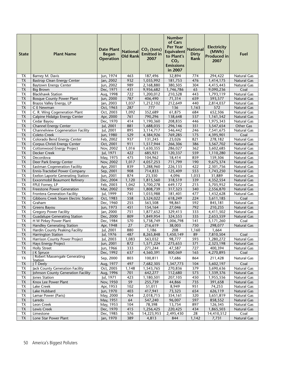| <b>Bastrop Clean Energy Center</b><br>932<br>476<br><b>TX</b><br>Jan, 2002<br>1,035,992<br>181,753<br>1,414,175<br><b>Natural Gas</b><br>304<br><b>TX</b><br>Jun, 2002<br>989<br>2,168,880<br>380,505<br>4,415,443<br><b>Baytown Energy Center</b><br>Natural Gas<br><b>TX</b><br>Dec, 1971<br>431<br>9,956,682<br>65<br>9,090,236<br><b>Big Brown</b><br>1,746,786<br>Coal<br><b>TX</b><br><b>Blackhawk Station</b><br>722<br>443<br>1,793,119<br>Aug, 1998<br>1,200,012<br>210,528<br>Natural Gas<br><b>TX</b><br><b>Bosque County Power Plant</b><br>787<br>659<br>Jun, 2000<br>406,490<br>71,314<br>593,577<br>Natural Gas<br>$\overline{\mathsf{TX}}$<br>Brazos Valley Energy, LP<br>Jan, 2003<br>1,037<br>212,649<br>440<br>1,212,102<br>2,814,037<br>Natural Gas<br>TX<br>C E Newman<br>287<br>136<br>1,163<br>Oct, 1963<br>777<br>572<br>Natural Gas<br><b>ΤX</b><br>352,689<br>C. R. Wing Cogeneration Plant<br>1,092<br>61,875<br>652,506<br>Oct, 2003<br>684<br>Natural Gas<br>$\overline{\mathsf{TX}}$<br>537<br>Calpine Hidalgo Energy Center<br>Apr, 2000<br>761<br>790,296<br>138,648<br>1,161,542<br>Natural Gas<br><b>TX</b><br>Cedar Bayou<br>446<br>Dec, 1970<br>414<br>1,190,360<br>208,835<br>1,975,343<br>Natural Gas<br>881<br><b>TX</b><br><b>Channel Energy Center</b><br>351<br>Other Gas<br>Jul, 2001<br>1,688,035<br>296,146<br>3,547,654<br><b>TX</b><br><b>Channelview Cogeneration Facility</b><br>895<br>Jul, 2001<br>3,114,717<br>546,442<br>246<br>Natural Gas<br>7,541,675<br><b>TX</b><br><b>Coleto Creek</b><br>529<br>769,285<br>175<br>4,395,901<br>Jun, 1980<br>4,384,926<br>Coal<br>821<br>TX<br>Colorado Bend Energy Center<br>937<br>278,182<br>Feb, 2002<br>131,245<br>23,026<br>Natural Gas<br>TX<br>Corpus Christi Energy Center<br>Oct, 2001<br>911<br>386<br>Natural Gas<br>1,517,944<br>266,306<br>3,567,702<br><b>TX</b><br>1,016<br>362<br><b>Cottonwood Energy Project</b><br>Nov, 2002<br>1,630,355<br>286,027<br>3,602,685<br><b>Natural Gas</b><br><b>TX</b><br>559<br>Decker Creek<br>Jul, 1971<br>422<br>685,921<br>120,337<br>1,110,280<br>Natural Gas<br>Decordova<br>475<br>104,962<br>859<br>TX<br>May, 1975<br>18,414<br>159,506<br>Natural Gas<br>$\overline{\mathsf{TX}}$<br>1,017<br>Deer Park Energy Center<br>Nov, 2002<br>4,057,253<br>711,799<br>190<br>9,675,374<br><b>Natural Gas</b><br>TX<br>839<br>422<br><b>Eastman Cogeneration Facility</b><br>Apr, 2001<br>1,288,960<br>226,133<br>2,301,756<br>Natural Gas<br>908<br>$\overline{553}$<br>TX<br>Sep, 2001<br>125,409<br>1,743,250<br>Ennis-Tractebel Power Company<br>714,833<br>Natural Gas<br>$\overline{\mathsf{TX}}$<br>874<br>23,350<br>4,096<br>1,033<br>Exelon Laporte Generating Station<br>Jun, 2001<br>31,889<br>Natural Gas<br>$\overline{\mathsf{TX}}$<br>1,120<br>318,519<br>339<br>Exxonmobil Beaumont Refinery<br>Dec, 2004<br>1,815,560<br>4,352,554<br>Natural Gas<br><b>ΤX</b><br>FPLE Forney, LP<br>1,042<br>215<br>5,705,952<br>Feb, 2003<br>3,700,278<br>649,172<br>Natural Gas<br><b>TX</b><br>Freestone Power Generation<br>950<br>340<br>Mar, 2002<br>1,808,739<br>317,323<br>2,556,870<br>Natural Gas<br>TX<br>Jul, 1999<br>741<br>477<br>Natural Gas<br>Frontera Generation Facility<br>1,033,988<br>181,401<br>1,432,628<br>558<br>224<br>TX<br>Gibbons Creek Steam Electric Station<br>Oct, 1983<br>3,524,022<br>618,249<br>3,611,185<br>Coal<br>TX<br>Graham<br>Dec, 1960<br>255<br>98,861<br>592<br>563,508<br>845,181<br>Natural Gas<br>TX<br>Greens Bayou<br>Jun, 1973<br>451<br>792<br>154,164<br>27,046<br>210,235<br>Natural Gas<br>TX<br><b>Gregory Power Facility</b><br>751<br>329,413<br>333<br>Jan, 2000<br>1,877,652<br>4,411,502<br>Natural Gas<br>TX<br>809<br>335<br>Natural Gas<br><b>Guadalupe Generating Station</b><br>324,553<br>Dec, 2000<br>1,849,954<br>2,653,559<br>141<br><b>TX</b><br>H W Pirkey Power Plant<br>570<br>5,738,749<br>Coal<br>Dec, 1984<br>1,006,798<br>5,171,260<br>750<br><b>TX</b><br>27<br><b>Handley Generating Station</b><br>Apr, 1948<br>216,619<br>38,003<br>298,077<br>Natural Gas<br>$\overline{\mathsf{TX}}$<br>880<br>Hardin County Peaking Facility<br>Jul, 2001<br>1,186<br>208<br>1,160<br>1,664<br><b>TX</b><br>487<br>89<br><b>Harrington Station</b><br>Jul, 1976<br>8,265,848<br>1,450,149<br>7,810,504<br>Coal<br><b>ΤΧ</b><br>593<br>Jul, 2003<br>1,083<br>98,777<br><b>Harrison County Power Project</b><br>563,032<br>1,280,272<br>Natural Gas<br><b>TX</b><br>Hays Energy Project<br>Jun, 2001<br>1,571,224<br>371<br>872<br>275,653<br>2,323,198<br>Natural Gas<br>$\overline{\mathsf{TX}}$<br>Jun, 1966<br>333<br>271,244<br>727<br>400,394<br><b>Holly Street</b><br>47,587<br>Natural Gas<br>TX<br>J K Spruce<br>Dec, 1992<br>637<br>4,560,391<br>800,069<br>165<br>4,270,895<br>Coal<br>Robert Massengale Generating<br>TX<br>803<br>864<br>Sep, 2000<br>100,811<br>17,686<br>211,428<br>Natural Gas<br><b>Station</b><br>497<br>TX<br>Aug, 1977<br>7,682,305<br>1,347,773<br>104<br>5,602,197<br>Coal<br>J T Deely<br>Jack County Generation Facility<br>Oct, 2005<br>379<br>TX<br>1,148<br>1,543,765<br>270,836<br>3,690,636<br>Natural Gas<br>Aug, 1996<br>701<br>573<br>TX<br>Johnson County Generation Facility<br>642,277<br>112,680<br>1,339,376<br>Natural Gas<br>Jul, 1971<br>TX<br><b>Iones Station</b><br>423<br>1,180,501<br>207,105<br>450<br>1,955,556<br>Natural Gas<br>59<br>735<br>TX<br>Knox Lee Power Plant<br>Nov, 1950<br>255,739<br>44,866<br>391,658<br>Natural Gas<br>102<br>951<br>TX<br>$\overline{51,011}$<br>8,949<br>74,253<br>Lake Creek<br>Apr, 1953<br>Natural Gas<br>TX<br>403<br>417,941<br>654<br>Lake Hubbard<br>Jun, 1970<br>73,323<br>626,119<br>Natural Gas<br><b>TX</b><br>May, 2000<br>764<br>320<br>3,651,819<br>Lamar Power (Paris)<br>2,018,715<br>354,161<br>Natural Gas<br>TX<br>64<br>96,007<br>597<br>May, 1951<br>547,240<br>858,552<br>Natural Gas<br>Laredo<br>104<br>78,398<br>126,345<br>ТX<br>Leon Creek<br>May, 1953<br>13,754<br>897<br>Natural Gas<br><b>TX</b><br>Dec, 1970<br>415<br>1,256,425<br>434<br>Lewis Creek<br>220,425<br>1,865,503<br>Natural Gas<br>TX<br>Dec, 1985<br>576<br>28<br>Coal<br>Limestone<br>14,223,953<br>2,495,430<br>14,410,512 | <b>State</b> | <b>Plant Name</b>     | <b>Date Plant</b><br><b>Began</b><br><b>Operation</b> | <b>National</b><br><b>Old Rank</b> | $CO2$ (tons)<br><b>Emitted in</b><br>2007 | <b>Number</b><br>of Cars<br><b>Per Year</b><br><b>Equivalent</b><br>to Plant's<br>CO <sub>2</sub><br><b>Emissions</b><br>in 2007 | <b>National</b><br><b>Dirty</b><br>Rank | <b>Electricity</b><br>(MWh)<br><b>Produced in</b><br>2007 | Fuel        |
|-------------------------------------------------------------------------------------------------------------------------------------------------------------------------------------------------------------------------------------------------------------------------------------------------------------------------------------------------------------------------------------------------------------------------------------------------------------------------------------------------------------------------------------------------------------------------------------------------------------------------------------------------------------------------------------------------------------------------------------------------------------------------------------------------------------------------------------------------------------------------------------------------------------------------------------------------------------------------------------------------------------------------------------------------------------------------------------------------------------------------------------------------------------------------------------------------------------------------------------------------------------------------------------------------------------------------------------------------------------------------------------------------------------------------------------------------------------------------------------------------------------------------------------------------------------------------------------------------------------------------------------------------------------------------------------------------------------------------------------------------------------------------------------------------------------------------------------------------------------------------------------------------------------------------------------------------------------------------------------------------------------------------------------------------------------------------------------------------------------------------------------------------------------------------------------------------------------------------------------------------------------------------------------------------------------------------------------------------------------------------------------------------------------------------------------------------------------------------------------------------------------------------------------------------------------------------------------------------------------------------------------------------------------------------------------------------------------------------------------------------------------------------------------------------------------------------------------------------------------------------------------------------------------------------------------------------------------------------------------------------------------------------------------------------------------------------------------------------------------------------------------------------------------------------------------------------------------------------------------------------------------------------------------------------------------------------------------------------------------------------------------------------------------------------------------------------------------------------------------------------------------------------------------------------------------------------------------------------------------------------------------------------------------------------------------------------------------------------------------------------------------------------------------------------------------------------------------------------------------------------------------------------------------------------------------------------------------------------------------------------------------------------------------------------------------------------------------------------------------------------------------------------------------------------------------------------------------------------------------------------------------------------------------------------------------------------------------------------------------------------------------------------------------------------------------------------------------------------------------------------------------------------------------------------------------------------------------------------------------------------------------------------------------------------------------------------------------------------------------------------------------------------------------------------------------------------------------------------------------------------------------------------------------------------------------------------------------------------------------------------------------------------------------------------------------------------------------------------------------------------------------------------------------------------------------------------------------------------------------------------------------------------------------------------------------------------------------------------------------------------------------------------------------------------------------------------------------------------------------------------------------------------------------------------------------------------------------------------------------------------------------------------------------------------------------------------------------------------------------------------------------------------------------------------------------------------------------------------------------------------------------------------------------------------------------------------------------------------------------------------------------------------------------------------------------------------------------------------------------------------------------------------------------------------------------------------------------------------------------------------------|--------------|-----------------------|-------------------------------------------------------|------------------------------------|-------------------------------------------|----------------------------------------------------------------------------------------------------------------------------------|-----------------------------------------|-----------------------------------------------------------|-------------|
|                                                                                                                                                                                                                                                                                                                                                                                                                                                                                                                                                                                                                                                                                                                                                                                                                                                                                                                                                                                                                                                                                                                                                                                                                                                                                                                                                                                                                                                                                                                                                                                                                                                                                                                                                                                                                                                                                                                                                                                                                                                                                                                                                                                                                                                                                                                                                                                                                                                                                                                                                                                                                                                                                                                                                                                                                                                                                                                                                                                                                                                                                                                                                                                                                                                                                                                                                                                                                                                                                                                                                                                                                                                                                                                                                                                                                                                                                                                                                                                                                                                                                                                                                                                                                                                                                                                                                                                                                                                                                                                                                                                                                                                                                                                                                                                                                                                                                                                                                                                                                                                                                                                                                                                                                                                                                                                                                                                                                                                                                                                                                                                                                                                                                                                                                                                                                                                                                                                                                                                                                                                                                                                                                                                                                                                       | TX           | Barney M. Davis       | Jun, 1974                                             | 463                                | 187,496                                   | 32,894                                                                                                                           | 774                                     | 294,422                                                   | Natural Gas |
|                                                                                                                                                                                                                                                                                                                                                                                                                                                                                                                                                                                                                                                                                                                                                                                                                                                                                                                                                                                                                                                                                                                                                                                                                                                                                                                                                                                                                                                                                                                                                                                                                                                                                                                                                                                                                                                                                                                                                                                                                                                                                                                                                                                                                                                                                                                                                                                                                                                                                                                                                                                                                                                                                                                                                                                                                                                                                                                                                                                                                                                                                                                                                                                                                                                                                                                                                                                                                                                                                                                                                                                                                                                                                                                                                                                                                                                                                                                                                                                                                                                                                                                                                                                                                                                                                                                                                                                                                                                                                                                                                                                                                                                                                                                                                                                                                                                                                                                                                                                                                                                                                                                                                                                                                                                                                                                                                                                                                                                                                                                                                                                                                                                                                                                                                                                                                                                                                                                                                                                                                                                                                                                                                                                                                                                       |              |                       |                                                       |                                    |                                           |                                                                                                                                  |                                         |                                                           |             |
|                                                                                                                                                                                                                                                                                                                                                                                                                                                                                                                                                                                                                                                                                                                                                                                                                                                                                                                                                                                                                                                                                                                                                                                                                                                                                                                                                                                                                                                                                                                                                                                                                                                                                                                                                                                                                                                                                                                                                                                                                                                                                                                                                                                                                                                                                                                                                                                                                                                                                                                                                                                                                                                                                                                                                                                                                                                                                                                                                                                                                                                                                                                                                                                                                                                                                                                                                                                                                                                                                                                                                                                                                                                                                                                                                                                                                                                                                                                                                                                                                                                                                                                                                                                                                                                                                                                                                                                                                                                                                                                                                                                                                                                                                                                                                                                                                                                                                                                                                                                                                                                                                                                                                                                                                                                                                                                                                                                                                                                                                                                                                                                                                                                                                                                                                                                                                                                                                                                                                                                                                                                                                                                                                                                                                                                       |              |                       |                                                       |                                    |                                           |                                                                                                                                  |                                         |                                                           |             |
|                                                                                                                                                                                                                                                                                                                                                                                                                                                                                                                                                                                                                                                                                                                                                                                                                                                                                                                                                                                                                                                                                                                                                                                                                                                                                                                                                                                                                                                                                                                                                                                                                                                                                                                                                                                                                                                                                                                                                                                                                                                                                                                                                                                                                                                                                                                                                                                                                                                                                                                                                                                                                                                                                                                                                                                                                                                                                                                                                                                                                                                                                                                                                                                                                                                                                                                                                                                                                                                                                                                                                                                                                                                                                                                                                                                                                                                                                                                                                                                                                                                                                                                                                                                                                                                                                                                                                                                                                                                                                                                                                                                                                                                                                                                                                                                                                                                                                                                                                                                                                                                                                                                                                                                                                                                                                                                                                                                                                                                                                                                                                                                                                                                                                                                                                                                                                                                                                                                                                                                                                                                                                                                                                                                                                                                       |              |                       |                                                       |                                    |                                           |                                                                                                                                  |                                         |                                                           |             |
|                                                                                                                                                                                                                                                                                                                                                                                                                                                                                                                                                                                                                                                                                                                                                                                                                                                                                                                                                                                                                                                                                                                                                                                                                                                                                                                                                                                                                                                                                                                                                                                                                                                                                                                                                                                                                                                                                                                                                                                                                                                                                                                                                                                                                                                                                                                                                                                                                                                                                                                                                                                                                                                                                                                                                                                                                                                                                                                                                                                                                                                                                                                                                                                                                                                                                                                                                                                                                                                                                                                                                                                                                                                                                                                                                                                                                                                                                                                                                                                                                                                                                                                                                                                                                                                                                                                                                                                                                                                                                                                                                                                                                                                                                                                                                                                                                                                                                                                                                                                                                                                                                                                                                                                                                                                                                                                                                                                                                                                                                                                                                                                                                                                                                                                                                                                                                                                                                                                                                                                                                                                                                                                                                                                                                                                       |              |                       |                                                       |                                    |                                           |                                                                                                                                  |                                         |                                                           |             |
|                                                                                                                                                                                                                                                                                                                                                                                                                                                                                                                                                                                                                                                                                                                                                                                                                                                                                                                                                                                                                                                                                                                                                                                                                                                                                                                                                                                                                                                                                                                                                                                                                                                                                                                                                                                                                                                                                                                                                                                                                                                                                                                                                                                                                                                                                                                                                                                                                                                                                                                                                                                                                                                                                                                                                                                                                                                                                                                                                                                                                                                                                                                                                                                                                                                                                                                                                                                                                                                                                                                                                                                                                                                                                                                                                                                                                                                                                                                                                                                                                                                                                                                                                                                                                                                                                                                                                                                                                                                                                                                                                                                                                                                                                                                                                                                                                                                                                                                                                                                                                                                                                                                                                                                                                                                                                                                                                                                                                                                                                                                                                                                                                                                                                                                                                                                                                                                                                                                                                                                                                                                                                                                                                                                                                                                       |              |                       |                                                       |                                    |                                           |                                                                                                                                  |                                         |                                                           |             |
|                                                                                                                                                                                                                                                                                                                                                                                                                                                                                                                                                                                                                                                                                                                                                                                                                                                                                                                                                                                                                                                                                                                                                                                                                                                                                                                                                                                                                                                                                                                                                                                                                                                                                                                                                                                                                                                                                                                                                                                                                                                                                                                                                                                                                                                                                                                                                                                                                                                                                                                                                                                                                                                                                                                                                                                                                                                                                                                                                                                                                                                                                                                                                                                                                                                                                                                                                                                                                                                                                                                                                                                                                                                                                                                                                                                                                                                                                                                                                                                                                                                                                                                                                                                                                                                                                                                                                                                                                                                                                                                                                                                                                                                                                                                                                                                                                                                                                                                                                                                                                                                                                                                                                                                                                                                                                                                                                                                                                                                                                                                                                                                                                                                                                                                                                                                                                                                                                                                                                                                                                                                                                                                                                                                                                                                       |              |                       |                                                       |                                    |                                           |                                                                                                                                  |                                         |                                                           |             |
|                                                                                                                                                                                                                                                                                                                                                                                                                                                                                                                                                                                                                                                                                                                                                                                                                                                                                                                                                                                                                                                                                                                                                                                                                                                                                                                                                                                                                                                                                                                                                                                                                                                                                                                                                                                                                                                                                                                                                                                                                                                                                                                                                                                                                                                                                                                                                                                                                                                                                                                                                                                                                                                                                                                                                                                                                                                                                                                                                                                                                                                                                                                                                                                                                                                                                                                                                                                                                                                                                                                                                                                                                                                                                                                                                                                                                                                                                                                                                                                                                                                                                                                                                                                                                                                                                                                                                                                                                                                                                                                                                                                                                                                                                                                                                                                                                                                                                                                                                                                                                                                                                                                                                                                                                                                                                                                                                                                                                                                                                                                                                                                                                                                                                                                                                                                                                                                                                                                                                                                                                                                                                                                                                                                                                                                       |              |                       |                                                       |                                    |                                           |                                                                                                                                  |                                         |                                                           |             |
|                                                                                                                                                                                                                                                                                                                                                                                                                                                                                                                                                                                                                                                                                                                                                                                                                                                                                                                                                                                                                                                                                                                                                                                                                                                                                                                                                                                                                                                                                                                                                                                                                                                                                                                                                                                                                                                                                                                                                                                                                                                                                                                                                                                                                                                                                                                                                                                                                                                                                                                                                                                                                                                                                                                                                                                                                                                                                                                                                                                                                                                                                                                                                                                                                                                                                                                                                                                                                                                                                                                                                                                                                                                                                                                                                                                                                                                                                                                                                                                                                                                                                                                                                                                                                                                                                                                                                                                                                                                                                                                                                                                                                                                                                                                                                                                                                                                                                                                                                                                                                                                                                                                                                                                                                                                                                                                                                                                                                                                                                                                                                                                                                                                                                                                                                                                                                                                                                                                                                                                                                                                                                                                                                                                                                                                       |              |                       |                                                       |                                    |                                           |                                                                                                                                  |                                         |                                                           |             |
|                                                                                                                                                                                                                                                                                                                                                                                                                                                                                                                                                                                                                                                                                                                                                                                                                                                                                                                                                                                                                                                                                                                                                                                                                                                                                                                                                                                                                                                                                                                                                                                                                                                                                                                                                                                                                                                                                                                                                                                                                                                                                                                                                                                                                                                                                                                                                                                                                                                                                                                                                                                                                                                                                                                                                                                                                                                                                                                                                                                                                                                                                                                                                                                                                                                                                                                                                                                                                                                                                                                                                                                                                                                                                                                                                                                                                                                                                                                                                                                                                                                                                                                                                                                                                                                                                                                                                                                                                                                                                                                                                                                                                                                                                                                                                                                                                                                                                                                                                                                                                                                                                                                                                                                                                                                                                                                                                                                                                                                                                                                                                                                                                                                                                                                                                                                                                                                                                                                                                                                                                                                                                                                                                                                                                                                       |              |                       |                                                       |                                    |                                           |                                                                                                                                  |                                         |                                                           |             |
|                                                                                                                                                                                                                                                                                                                                                                                                                                                                                                                                                                                                                                                                                                                                                                                                                                                                                                                                                                                                                                                                                                                                                                                                                                                                                                                                                                                                                                                                                                                                                                                                                                                                                                                                                                                                                                                                                                                                                                                                                                                                                                                                                                                                                                                                                                                                                                                                                                                                                                                                                                                                                                                                                                                                                                                                                                                                                                                                                                                                                                                                                                                                                                                                                                                                                                                                                                                                                                                                                                                                                                                                                                                                                                                                                                                                                                                                                                                                                                                                                                                                                                                                                                                                                                                                                                                                                                                                                                                                                                                                                                                                                                                                                                                                                                                                                                                                                                                                                                                                                                                                                                                                                                                                                                                                                                                                                                                                                                                                                                                                                                                                                                                                                                                                                                                                                                                                                                                                                                                                                                                                                                                                                                                                                                                       |              |                       |                                                       |                                    |                                           |                                                                                                                                  |                                         |                                                           |             |
|                                                                                                                                                                                                                                                                                                                                                                                                                                                                                                                                                                                                                                                                                                                                                                                                                                                                                                                                                                                                                                                                                                                                                                                                                                                                                                                                                                                                                                                                                                                                                                                                                                                                                                                                                                                                                                                                                                                                                                                                                                                                                                                                                                                                                                                                                                                                                                                                                                                                                                                                                                                                                                                                                                                                                                                                                                                                                                                                                                                                                                                                                                                                                                                                                                                                                                                                                                                                                                                                                                                                                                                                                                                                                                                                                                                                                                                                                                                                                                                                                                                                                                                                                                                                                                                                                                                                                                                                                                                                                                                                                                                                                                                                                                                                                                                                                                                                                                                                                                                                                                                                                                                                                                                                                                                                                                                                                                                                                                                                                                                                                                                                                                                                                                                                                                                                                                                                                                                                                                                                                                                                                                                                                                                                                                                       |              |                       |                                                       |                                    |                                           |                                                                                                                                  |                                         |                                                           |             |
|                                                                                                                                                                                                                                                                                                                                                                                                                                                                                                                                                                                                                                                                                                                                                                                                                                                                                                                                                                                                                                                                                                                                                                                                                                                                                                                                                                                                                                                                                                                                                                                                                                                                                                                                                                                                                                                                                                                                                                                                                                                                                                                                                                                                                                                                                                                                                                                                                                                                                                                                                                                                                                                                                                                                                                                                                                                                                                                                                                                                                                                                                                                                                                                                                                                                                                                                                                                                                                                                                                                                                                                                                                                                                                                                                                                                                                                                                                                                                                                                                                                                                                                                                                                                                                                                                                                                                                                                                                                                                                                                                                                                                                                                                                                                                                                                                                                                                                                                                                                                                                                                                                                                                                                                                                                                                                                                                                                                                                                                                                                                                                                                                                                                                                                                                                                                                                                                                                                                                                                                                                                                                                                                                                                                                                                       |              |                       |                                                       |                                    |                                           |                                                                                                                                  |                                         |                                                           |             |
|                                                                                                                                                                                                                                                                                                                                                                                                                                                                                                                                                                                                                                                                                                                                                                                                                                                                                                                                                                                                                                                                                                                                                                                                                                                                                                                                                                                                                                                                                                                                                                                                                                                                                                                                                                                                                                                                                                                                                                                                                                                                                                                                                                                                                                                                                                                                                                                                                                                                                                                                                                                                                                                                                                                                                                                                                                                                                                                                                                                                                                                                                                                                                                                                                                                                                                                                                                                                                                                                                                                                                                                                                                                                                                                                                                                                                                                                                                                                                                                                                                                                                                                                                                                                                                                                                                                                                                                                                                                                                                                                                                                                                                                                                                                                                                                                                                                                                                                                                                                                                                                                                                                                                                                                                                                                                                                                                                                                                                                                                                                                                                                                                                                                                                                                                                                                                                                                                                                                                                                                                                                                                                                                                                                                                                                       |              |                       |                                                       |                                    |                                           |                                                                                                                                  |                                         |                                                           |             |
|                                                                                                                                                                                                                                                                                                                                                                                                                                                                                                                                                                                                                                                                                                                                                                                                                                                                                                                                                                                                                                                                                                                                                                                                                                                                                                                                                                                                                                                                                                                                                                                                                                                                                                                                                                                                                                                                                                                                                                                                                                                                                                                                                                                                                                                                                                                                                                                                                                                                                                                                                                                                                                                                                                                                                                                                                                                                                                                                                                                                                                                                                                                                                                                                                                                                                                                                                                                                                                                                                                                                                                                                                                                                                                                                                                                                                                                                                                                                                                                                                                                                                                                                                                                                                                                                                                                                                                                                                                                                                                                                                                                                                                                                                                                                                                                                                                                                                                                                                                                                                                                                                                                                                                                                                                                                                                                                                                                                                                                                                                                                                                                                                                                                                                                                                                                                                                                                                                                                                                                                                                                                                                                                                                                                                                                       |              |                       |                                                       |                                    |                                           |                                                                                                                                  |                                         |                                                           |             |
|                                                                                                                                                                                                                                                                                                                                                                                                                                                                                                                                                                                                                                                                                                                                                                                                                                                                                                                                                                                                                                                                                                                                                                                                                                                                                                                                                                                                                                                                                                                                                                                                                                                                                                                                                                                                                                                                                                                                                                                                                                                                                                                                                                                                                                                                                                                                                                                                                                                                                                                                                                                                                                                                                                                                                                                                                                                                                                                                                                                                                                                                                                                                                                                                                                                                                                                                                                                                                                                                                                                                                                                                                                                                                                                                                                                                                                                                                                                                                                                                                                                                                                                                                                                                                                                                                                                                                                                                                                                                                                                                                                                                                                                                                                                                                                                                                                                                                                                                                                                                                                                                                                                                                                                                                                                                                                                                                                                                                                                                                                                                                                                                                                                                                                                                                                                                                                                                                                                                                                                                                                                                                                                                                                                                                                                       |              |                       |                                                       |                                    |                                           |                                                                                                                                  |                                         |                                                           |             |
|                                                                                                                                                                                                                                                                                                                                                                                                                                                                                                                                                                                                                                                                                                                                                                                                                                                                                                                                                                                                                                                                                                                                                                                                                                                                                                                                                                                                                                                                                                                                                                                                                                                                                                                                                                                                                                                                                                                                                                                                                                                                                                                                                                                                                                                                                                                                                                                                                                                                                                                                                                                                                                                                                                                                                                                                                                                                                                                                                                                                                                                                                                                                                                                                                                                                                                                                                                                                                                                                                                                                                                                                                                                                                                                                                                                                                                                                                                                                                                                                                                                                                                                                                                                                                                                                                                                                                                                                                                                                                                                                                                                                                                                                                                                                                                                                                                                                                                                                                                                                                                                                                                                                                                                                                                                                                                                                                                                                                                                                                                                                                                                                                                                                                                                                                                                                                                                                                                                                                                                                                                                                                                                                                                                                                                                       |              |                       |                                                       |                                    |                                           |                                                                                                                                  |                                         |                                                           |             |
|                                                                                                                                                                                                                                                                                                                                                                                                                                                                                                                                                                                                                                                                                                                                                                                                                                                                                                                                                                                                                                                                                                                                                                                                                                                                                                                                                                                                                                                                                                                                                                                                                                                                                                                                                                                                                                                                                                                                                                                                                                                                                                                                                                                                                                                                                                                                                                                                                                                                                                                                                                                                                                                                                                                                                                                                                                                                                                                                                                                                                                                                                                                                                                                                                                                                                                                                                                                                                                                                                                                                                                                                                                                                                                                                                                                                                                                                                                                                                                                                                                                                                                                                                                                                                                                                                                                                                                                                                                                                                                                                                                                                                                                                                                                                                                                                                                                                                                                                                                                                                                                                                                                                                                                                                                                                                                                                                                                                                                                                                                                                                                                                                                                                                                                                                                                                                                                                                                                                                                                                                                                                                                                                                                                                                                                       |              |                       |                                                       |                                    |                                           |                                                                                                                                  |                                         |                                                           |             |
|                                                                                                                                                                                                                                                                                                                                                                                                                                                                                                                                                                                                                                                                                                                                                                                                                                                                                                                                                                                                                                                                                                                                                                                                                                                                                                                                                                                                                                                                                                                                                                                                                                                                                                                                                                                                                                                                                                                                                                                                                                                                                                                                                                                                                                                                                                                                                                                                                                                                                                                                                                                                                                                                                                                                                                                                                                                                                                                                                                                                                                                                                                                                                                                                                                                                                                                                                                                                                                                                                                                                                                                                                                                                                                                                                                                                                                                                                                                                                                                                                                                                                                                                                                                                                                                                                                                                                                                                                                                                                                                                                                                                                                                                                                                                                                                                                                                                                                                                                                                                                                                                                                                                                                                                                                                                                                                                                                                                                                                                                                                                                                                                                                                                                                                                                                                                                                                                                                                                                                                                                                                                                                                                                                                                                                                       |              |                       |                                                       |                                    |                                           |                                                                                                                                  |                                         |                                                           |             |
|                                                                                                                                                                                                                                                                                                                                                                                                                                                                                                                                                                                                                                                                                                                                                                                                                                                                                                                                                                                                                                                                                                                                                                                                                                                                                                                                                                                                                                                                                                                                                                                                                                                                                                                                                                                                                                                                                                                                                                                                                                                                                                                                                                                                                                                                                                                                                                                                                                                                                                                                                                                                                                                                                                                                                                                                                                                                                                                                                                                                                                                                                                                                                                                                                                                                                                                                                                                                                                                                                                                                                                                                                                                                                                                                                                                                                                                                                                                                                                                                                                                                                                                                                                                                                                                                                                                                                                                                                                                                                                                                                                                                                                                                                                                                                                                                                                                                                                                                                                                                                                                                                                                                                                                                                                                                                                                                                                                                                                                                                                                                                                                                                                                                                                                                                                                                                                                                                                                                                                                                                                                                                                                                                                                                                                                       |              |                       |                                                       |                                    |                                           |                                                                                                                                  |                                         |                                                           |             |
|                                                                                                                                                                                                                                                                                                                                                                                                                                                                                                                                                                                                                                                                                                                                                                                                                                                                                                                                                                                                                                                                                                                                                                                                                                                                                                                                                                                                                                                                                                                                                                                                                                                                                                                                                                                                                                                                                                                                                                                                                                                                                                                                                                                                                                                                                                                                                                                                                                                                                                                                                                                                                                                                                                                                                                                                                                                                                                                                                                                                                                                                                                                                                                                                                                                                                                                                                                                                                                                                                                                                                                                                                                                                                                                                                                                                                                                                                                                                                                                                                                                                                                                                                                                                                                                                                                                                                                                                                                                                                                                                                                                                                                                                                                                                                                                                                                                                                                                                                                                                                                                                                                                                                                                                                                                                                                                                                                                                                                                                                                                                                                                                                                                                                                                                                                                                                                                                                                                                                                                                                                                                                                                                                                                                                                                       |              |                       |                                                       |                                    |                                           |                                                                                                                                  |                                         |                                                           |             |
|                                                                                                                                                                                                                                                                                                                                                                                                                                                                                                                                                                                                                                                                                                                                                                                                                                                                                                                                                                                                                                                                                                                                                                                                                                                                                                                                                                                                                                                                                                                                                                                                                                                                                                                                                                                                                                                                                                                                                                                                                                                                                                                                                                                                                                                                                                                                                                                                                                                                                                                                                                                                                                                                                                                                                                                                                                                                                                                                                                                                                                                                                                                                                                                                                                                                                                                                                                                                                                                                                                                                                                                                                                                                                                                                                                                                                                                                                                                                                                                                                                                                                                                                                                                                                                                                                                                                                                                                                                                                                                                                                                                                                                                                                                                                                                                                                                                                                                                                                                                                                                                                                                                                                                                                                                                                                                                                                                                                                                                                                                                                                                                                                                                                                                                                                                                                                                                                                                                                                                                                                                                                                                                                                                                                                                                       |              |                       |                                                       |                                    |                                           |                                                                                                                                  |                                         |                                                           |             |
|                                                                                                                                                                                                                                                                                                                                                                                                                                                                                                                                                                                                                                                                                                                                                                                                                                                                                                                                                                                                                                                                                                                                                                                                                                                                                                                                                                                                                                                                                                                                                                                                                                                                                                                                                                                                                                                                                                                                                                                                                                                                                                                                                                                                                                                                                                                                                                                                                                                                                                                                                                                                                                                                                                                                                                                                                                                                                                                                                                                                                                                                                                                                                                                                                                                                                                                                                                                                                                                                                                                                                                                                                                                                                                                                                                                                                                                                                                                                                                                                                                                                                                                                                                                                                                                                                                                                                                                                                                                                                                                                                                                                                                                                                                                                                                                                                                                                                                                                                                                                                                                                                                                                                                                                                                                                                                                                                                                                                                                                                                                                                                                                                                                                                                                                                                                                                                                                                                                                                                                                                                                                                                                                                                                                                                                       |              |                       |                                                       |                                    |                                           |                                                                                                                                  |                                         |                                                           |             |
|                                                                                                                                                                                                                                                                                                                                                                                                                                                                                                                                                                                                                                                                                                                                                                                                                                                                                                                                                                                                                                                                                                                                                                                                                                                                                                                                                                                                                                                                                                                                                                                                                                                                                                                                                                                                                                                                                                                                                                                                                                                                                                                                                                                                                                                                                                                                                                                                                                                                                                                                                                                                                                                                                                                                                                                                                                                                                                                                                                                                                                                                                                                                                                                                                                                                                                                                                                                                                                                                                                                                                                                                                                                                                                                                                                                                                                                                                                                                                                                                                                                                                                                                                                                                                                                                                                                                                                                                                                                                                                                                                                                                                                                                                                                                                                                                                                                                                                                                                                                                                                                                                                                                                                                                                                                                                                                                                                                                                                                                                                                                                                                                                                                                                                                                                                                                                                                                                                                                                                                                                                                                                                                                                                                                                                                       |              |                       |                                                       |                                    |                                           |                                                                                                                                  |                                         |                                                           |             |
|                                                                                                                                                                                                                                                                                                                                                                                                                                                                                                                                                                                                                                                                                                                                                                                                                                                                                                                                                                                                                                                                                                                                                                                                                                                                                                                                                                                                                                                                                                                                                                                                                                                                                                                                                                                                                                                                                                                                                                                                                                                                                                                                                                                                                                                                                                                                                                                                                                                                                                                                                                                                                                                                                                                                                                                                                                                                                                                                                                                                                                                                                                                                                                                                                                                                                                                                                                                                                                                                                                                                                                                                                                                                                                                                                                                                                                                                                                                                                                                                                                                                                                                                                                                                                                                                                                                                                                                                                                                                                                                                                                                                                                                                                                                                                                                                                                                                                                                                                                                                                                                                                                                                                                                                                                                                                                                                                                                                                                                                                                                                                                                                                                                                                                                                                                                                                                                                                                                                                                                                                                                                                                                                                                                                                                                       |              |                       |                                                       |                                    |                                           |                                                                                                                                  |                                         |                                                           |             |
|                                                                                                                                                                                                                                                                                                                                                                                                                                                                                                                                                                                                                                                                                                                                                                                                                                                                                                                                                                                                                                                                                                                                                                                                                                                                                                                                                                                                                                                                                                                                                                                                                                                                                                                                                                                                                                                                                                                                                                                                                                                                                                                                                                                                                                                                                                                                                                                                                                                                                                                                                                                                                                                                                                                                                                                                                                                                                                                                                                                                                                                                                                                                                                                                                                                                                                                                                                                                                                                                                                                                                                                                                                                                                                                                                                                                                                                                                                                                                                                                                                                                                                                                                                                                                                                                                                                                                                                                                                                                                                                                                                                                                                                                                                                                                                                                                                                                                                                                                                                                                                                                                                                                                                                                                                                                                                                                                                                                                                                                                                                                                                                                                                                                                                                                                                                                                                                                                                                                                                                                                                                                                                                                                                                                                                                       |              |                       |                                                       |                                    |                                           |                                                                                                                                  |                                         |                                                           |             |
|                                                                                                                                                                                                                                                                                                                                                                                                                                                                                                                                                                                                                                                                                                                                                                                                                                                                                                                                                                                                                                                                                                                                                                                                                                                                                                                                                                                                                                                                                                                                                                                                                                                                                                                                                                                                                                                                                                                                                                                                                                                                                                                                                                                                                                                                                                                                                                                                                                                                                                                                                                                                                                                                                                                                                                                                                                                                                                                                                                                                                                                                                                                                                                                                                                                                                                                                                                                                                                                                                                                                                                                                                                                                                                                                                                                                                                                                                                                                                                                                                                                                                                                                                                                                                                                                                                                                                                                                                                                                                                                                                                                                                                                                                                                                                                                                                                                                                                                                                                                                                                                                                                                                                                                                                                                                                                                                                                                                                                                                                                                                                                                                                                                                                                                                                                                                                                                                                                                                                                                                                                                                                                                                                                                                                                                       |              |                       |                                                       |                                    |                                           |                                                                                                                                  |                                         |                                                           |             |
|                                                                                                                                                                                                                                                                                                                                                                                                                                                                                                                                                                                                                                                                                                                                                                                                                                                                                                                                                                                                                                                                                                                                                                                                                                                                                                                                                                                                                                                                                                                                                                                                                                                                                                                                                                                                                                                                                                                                                                                                                                                                                                                                                                                                                                                                                                                                                                                                                                                                                                                                                                                                                                                                                                                                                                                                                                                                                                                                                                                                                                                                                                                                                                                                                                                                                                                                                                                                                                                                                                                                                                                                                                                                                                                                                                                                                                                                                                                                                                                                                                                                                                                                                                                                                                                                                                                                                                                                                                                                                                                                                                                                                                                                                                                                                                                                                                                                                                                                                                                                                                                                                                                                                                                                                                                                                                                                                                                                                                                                                                                                                                                                                                                                                                                                                                                                                                                                                                                                                                                                                                                                                                                                                                                                                                                       |              |                       |                                                       |                                    |                                           |                                                                                                                                  |                                         |                                                           |             |
|                                                                                                                                                                                                                                                                                                                                                                                                                                                                                                                                                                                                                                                                                                                                                                                                                                                                                                                                                                                                                                                                                                                                                                                                                                                                                                                                                                                                                                                                                                                                                                                                                                                                                                                                                                                                                                                                                                                                                                                                                                                                                                                                                                                                                                                                                                                                                                                                                                                                                                                                                                                                                                                                                                                                                                                                                                                                                                                                                                                                                                                                                                                                                                                                                                                                                                                                                                                                                                                                                                                                                                                                                                                                                                                                                                                                                                                                                                                                                                                                                                                                                                                                                                                                                                                                                                                                                                                                                                                                                                                                                                                                                                                                                                                                                                                                                                                                                                                                                                                                                                                                                                                                                                                                                                                                                                                                                                                                                                                                                                                                                                                                                                                                                                                                                                                                                                                                                                                                                                                                                                                                                                                                                                                                                                                       |              |                       |                                                       |                                    |                                           |                                                                                                                                  |                                         |                                                           |             |
|                                                                                                                                                                                                                                                                                                                                                                                                                                                                                                                                                                                                                                                                                                                                                                                                                                                                                                                                                                                                                                                                                                                                                                                                                                                                                                                                                                                                                                                                                                                                                                                                                                                                                                                                                                                                                                                                                                                                                                                                                                                                                                                                                                                                                                                                                                                                                                                                                                                                                                                                                                                                                                                                                                                                                                                                                                                                                                                                                                                                                                                                                                                                                                                                                                                                                                                                                                                                                                                                                                                                                                                                                                                                                                                                                                                                                                                                                                                                                                                                                                                                                                                                                                                                                                                                                                                                                                                                                                                                                                                                                                                                                                                                                                                                                                                                                                                                                                                                                                                                                                                                                                                                                                                                                                                                                                                                                                                                                                                                                                                                                                                                                                                                                                                                                                                                                                                                                                                                                                                                                                                                                                                                                                                                                                                       |              |                       |                                                       |                                    |                                           |                                                                                                                                  |                                         |                                                           |             |
|                                                                                                                                                                                                                                                                                                                                                                                                                                                                                                                                                                                                                                                                                                                                                                                                                                                                                                                                                                                                                                                                                                                                                                                                                                                                                                                                                                                                                                                                                                                                                                                                                                                                                                                                                                                                                                                                                                                                                                                                                                                                                                                                                                                                                                                                                                                                                                                                                                                                                                                                                                                                                                                                                                                                                                                                                                                                                                                                                                                                                                                                                                                                                                                                                                                                                                                                                                                                                                                                                                                                                                                                                                                                                                                                                                                                                                                                                                                                                                                                                                                                                                                                                                                                                                                                                                                                                                                                                                                                                                                                                                                                                                                                                                                                                                                                                                                                                                                                                                                                                                                                                                                                                                                                                                                                                                                                                                                                                                                                                                                                                                                                                                                                                                                                                                                                                                                                                                                                                                                                                                                                                                                                                                                                                                                       |              |                       |                                                       |                                    |                                           |                                                                                                                                  |                                         |                                                           |             |
|                                                                                                                                                                                                                                                                                                                                                                                                                                                                                                                                                                                                                                                                                                                                                                                                                                                                                                                                                                                                                                                                                                                                                                                                                                                                                                                                                                                                                                                                                                                                                                                                                                                                                                                                                                                                                                                                                                                                                                                                                                                                                                                                                                                                                                                                                                                                                                                                                                                                                                                                                                                                                                                                                                                                                                                                                                                                                                                                                                                                                                                                                                                                                                                                                                                                                                                                                                                                                                                                                                                                                                                                                                                                                                                                                                                                                                                                                                                                                                                                                                                                                                                                                                                                                                                                                                                                                                                                                                                                                                                                                                                                                                                                                                                                                                                                                                                                                                                                                                                                                                                                                                                                                                                                                                                                                                                                                                                                                                                                                                                                                                                                                                                                                                                                                                                                                                                                                                                                                                                                                                                                                                                                                                                                                                                       |              |                       |                                                       |                                    |                                           |                                                                                                                                  |                                         |                                                           |             |
|                                                                                                                                                                                                                                                                                                                                                                                                                                                                                                                                                                                                                                                                                                                                                                                                                                                                                                                                                                                                                                                                                                                                                                                                                                                                                                                                                                                                                                                                                                                                                                                                                                                                                                                                                                                                                                                                                                                                                                                                                                                                                                                                                                                                                                                                                                                                                                                                                                                                                                                                                                                                                                                                                                                                                                                                                                                                                                                                                                                                                                                                                                                                                                                                                                                                                                                                                                                                                                                                                                                                                                                                                                                                                                                                                                                                                                                                                                                                                                                                                                                                                                                                                                                                                                                                                                                                                                                                                                                                                                                                                                                                                                                                                                                                                                                                                                                                                                                                                                                                                                                                                                                                                                                                                                                                                                                                                                                                                                                                                                                                                                                                                                                                                                                                                                                                                                                                                                                                                                                                                                                                                                                                                                                                                                                       |              |                       |                                                       |                                    |                                           |                                                                                                                                  |                                         |                                                           |             |
|                                                                                                                                                                                                                                                                                                                                                                                                                                                                                                                                                                                                                                                                                                                                                                                                                                                                                                                                                                                                                                                                                                                                                                                                                                                                                                                                                                                                                                                                                                                                                                                                                                                                                                                                                                                                                                                                                                                                                                                                                                                                                                                                                                                                                                                                                                                                                                                                                                                                                                                                                                                                                                                                                                                                                                                                                                                                                                                                                                                                                                                                                                                                                                                                                                                                                                                                                                                                                                                                                                                                                                                                                                                                                                                                                                                                                                                                                                                                                                                                                                                                                                                                                                                                                                                                                                                                                                                                                                                                                                                                                                                                                                                                                                                                                                                                                                                                                                                                                                                                                                                                                                                                                                                                                                                                                                                                                                                                                                                                                                                                                                                                                                                                                                                                                                                                                                                                                                                                                                                                                                                                                                                                                                                                                                                       |              |                       |                                                       |                                    |                                           |                                                                                                                                  |                                         |                                                           |             |
|                                                                                                                                                                                                                                                                                                                                                                                                                                                                                                                                                                                                                                                                                                                                                                                                                                                                                                                                                                                                                                                                                                                                                                                                                                                                                                                                                                                                                                                                                                                                                                                                                                                                                                                                                                                                                                                                                                                                                                                                                                                                                                                                                                                                                                                                                                                                                                                                                                                                                                                                                                                                                                                                                                                                                                                                                                                                                                                                                                                                                                                                                                                                                                                                                                                                                                                                                                                                                                                                                                                                                                                                                                                                                                                                                                                                                                                                                                                                                                                                                                                                                                                                                                                                                                                                                                                                                                                                                                                                                                                                                                                                                                                                                                                                                                                                                                                                                                                                                                                                                                                                                                                                                                                                                                                                                                                                                                                                                                                                                                                                                                                                                                                                                                                                                                                                                                                                                                                                                                                                                                                                                                                                                                                                                                                       |              |                       |                                                       |                                    |                                           |                                                                                                                                  |                                         |                                                           |             |
|                                                                                                                                                                                                                                                                                                                                                                                                                                                                                                                                                                                                                                                                                                                                                                                                                                                                                                                                                                                                                                                                                                                                                                                                                                                                                                                                                                                                                                                                                                                                                                                                                                                                                                                                                                                                                                                                                                                                                                                                                                                                                                                                                                                                                                                                                                                                                                                                                                                                                                                                                                                                                                                                                                                                                                                                                                                                                                                                                                                                                                                                                                                                                                                                                                                                                                                                                                                                                                                                                                                                                                                                                                                                                                                                                                                                                                                                                                                                                                                                                                                                                                                                                                                                                                                                                                                                                                                                                                                                                                                                                                                                                                                                                                                                                                                                                                                                                                                                                                                                                                                                                                                                                                                                                                                                                                                                                                                                                                                                                                                                                                                                                                                                                                                                                                                                                                                                                                                                                                                                                                                                                                                                                                                                                                                       |              |                       |                                                       |                                    |                                           |                                                                                                                                  |                                         |                                                           |             |
|                                                                                                                                                                                                                                                                                                                                                                                                                                                                                                                                                                                                                                                                                                                                                                                                                                                                                                                                                                                                                                                                                                                                                                                                                                                                                                                                                                                                                                                                                                                                                                                                                                                                                                                                                                                                                                                                                                                                                                                                                                                                                                                                                                                                                                                                                                                                                                                                                                                                                                                                                                                                                                                                                                                                                                                                                                                                                                                                                                                                                                                                                                                                                                                                                                                                                                                                                                                                                                                                                                                                                                                                                                                                                                                                                                                                                                                                                                                                                                                                                                                                                                                                                                                                                                                                                                                                                                                                                                                                                                                                                                                                                                                                                                                                                                                                                                                                                                                                                                                                                                                                                                                                                                                                                                                                                                                                                                                                                                                                                                                                                                                                                                                                                                                                                                                                                                                                                                                                                                                                                                                                                                                                                                                                                                                       |              |                       |                                                       |                                    |                                           |                                                                                                                                  |                                         |                                                           |             |
|                                                                                                                                                                                                                                                                                                                                                                                                                                                                                                                                                                                                                                                                                                                                                                                                                                                                                                                                                                                                                                                                                                                                                                                                                                                                                                                                                                                                                                                                                                                                                                                                                                                                                                                                                                                                                                                                                                                                                                                                                                                                                                                                                                                                                                                                                                                                                                                                                                                                                                                                                                                                                                                                                                                                                                                                                                                                                                                                                                                                                                                                                                                                                                                                                                                                                                                                                                                                                                                                                                                                                                                                                                                                                                                                                                                                                                                                                                                                                                                                                                                                                                                                                                                                                                                                                                                                                                                                                                                                                                                                                                                                                                                                                                                                                                                                                                                                                                                                                                                                                                                                                                                                                                                                                                                                                                                                                                                                                                                                                                                                                                                                                                                                                                                                                                                                                                                                                                                                                                                                                                                                                                                                                                                                                                                       |              |                       |                                                       |                                    |                                           |                                                                                                                                  |                                         |                                                           |             |
|                                                                                                                                                                                                                                                                                                                                                                                                                                                                                                                                                                                                                                                                                                                                                                                                                                                                                                                                                                                                                                                                                                                                                                                                                                                                                                                                                                                                                                                                                                                                                                                                                                                                                                                                                                                                                                                                                                                                                                                                                                                                                                                                                                                                                                                                                                                                                                                                                                                                                                                                                                                                                                                                                                                                                                                                                                                                                                                                                                                                                                                                                                                                                                                                                                                                                                                                                                                                                                                                                                                                                                                                                                                                                                                                                                                                                                                                                                                                                                                                                                                                                                                                                                                                                                                                                                                                                                                                                                                                                                                                                                                                                                                                                                                                                                                                                                                                                                                                                                                                                                                                                                                                                                                                                                                                                                                                                                                                                                                                                                                                                                                                                                                                                                                                                                                                                                                                                                                                                                                                                                                                                                                                                                                                                                                       |              |                       |                                                       |                                    |                                           |                                                                                                                                  |                                         |                                                           |             |
|                                                                                                                                                                                                                                                                                                                                                                                                                                                                                                                                                                                                                                                                                                                                                                                                                                                                                                                                                                                                                                                                                                                                                                                                                                                                                                                                                                                                                                                                                                                                                                                                                                                                                                                                                                                                                                                                                                                                                                                                                                                                                                                                                                                                                                                                                                                                                                                                                                                                                                                                                                                                                                                                                                                                                                                                                                                                                                                                                                                                                                                                                                                                                                                                                                                                                                                                                                                                                                                                                                                                                                                                                                                                                                                                                                                                                                                                                                                                                                                                                                                                                                                                                                                                                                                                                                                                                                                                                                                                                                                                                                                                                                                                                                                                                                                                                                                                                                                                                                                                                                                                                                                                                                                                                                                                                                                                                                                                                                                                                                                                                                                                                                                                                                                                                                                                                                                                                                                                                                                                                                                                                                                                                                                                                                                       |              |                       |                                                       |                                    |                                           |                                                                                                                                  |                                         |                                                           |             |
|                                                                                                                                                                                                                                                                                                                                                                                                                                                                                                                                                                                                                                                                                                                                                                                                                                                                                                                                                                                                                                                                                                                                                                                                                                                                                                                                                                                                                                                                                                                                                                                                                                                                                                                                                                                                                                                                                                                                                                                                                                                                                                                                                                                                                                                                                                                                                                                                                                                                                                                                                                                                                                                                                                                                                                                                                                                                                                                                                                                                                                                                                                                                                                                                                                                                                                                                                                                                                                                                                                                                                                                                                                                                                                                                                                                                                                                                                                                                                                                                                                                                                                                                                                                                                                                                                                                                                                                                                                                                                                                                                                                                                                                                                                                                                                                                                                                                                                                                                                                                                                                                                                                                                                                                                                                                                                                                                                                                                                                                                                                                                                                                                                                                                                                                                                                                                                                                                                                                                                                                                                                                                                                                                                                                                                                       |              |                       |                                                       |                                    |                                           |                                                                                                                                  |                                         |                                                           |             |
|                                                                                                                                                                                                                                                                                                                                                                                                                                                                                                                                                                                                                                                                                                                                                                                                                                                                                                                                                                                                                                                                                                                                                                                                                                                                                                                                                                                                                                                                                                                                                                                                                                                                                                                                                                                                                                                                                                                                                                                                                                                                                                                                                                                                                                                                                                                                                                                                                                                                                                                                                                                                                                                                                                                                                                                                                                                                                                                                                                                                                                                                                                                                                                                                                                                                                                                                                                                                                                                                                                                                                                                                                                                                                                                                                                                                                                                                                                                                                                                                                                                                                                                                                                                                                                                                                                                                                                                                                                                                                                                                                                                                                                                                                                                                                                                                                                                                                                                                                                                                                                                                                                                                                                                                                                                                                                                                                                                                                                                                                                                                                                                                                                                                                                                                                                                                                                                                                                                                                                                                                                                                                                                                                                                                                                                       |              |                       |                                                       |                                    |                                           |                                                                                                                                  |                                         |                                                           |             |
|                                                                                                                                                                                                                                                                                                                                                                                                                                                                                                                                                                                                                                                                                                                                                                                                                                                                                                                                                                                                                                                                                                                                                                                                                                                                                                                                                                                                                                                                                                                                                                                                                                                                                                                                                                                                                                                                                                                                                                                                                                                                                                                                                                                                                                                                                                                                                                                                                                                                                                                                                                                                                                                                                                                                                                                                                                                                                                                                                                                                                                                                                                                                                                                                                                                                                                                                                                                                                                                                                                                                                                                                                                                                                                                                                                                                                                                                                                                                                                                                                                                                                                                                                                                                                                                                                                                                                                                                                                                                                                                                                                                                                                                                                                                                                                                                                                                                                                                                                                                                                                                                                                                                                                                                                                                                                                                                                                                                                                                                                                                                                                                                                                                                                                                                                                                                                                                                                                                                                                                                                                                                                                                                                                                                                                                       |              |                       |                                                       |                                    |                                           |                                                                                                                                  |                                         |                                                           |             |
|                                                                                                                                                                                                                                                                                                                                                                                                                                                                                                                                                                                                                                                                                                                                                                                                                                                                                                                                                                                                                                                                                                                                                                                                                                                                                                                                                                                                                                                                                                                                                                                                                                                                                                                                                                                                                                                                                                                                                                                                                                                                                                                                                                                                                                                                                                                                                                                                                                                                                                                                                                                                                                                                                                                                                                                                                                                                                                                                                                                                                                                                                                                                                                                                                                                                                                                                                                                                                                                                                                                                                                                                                                                                                                                                                                                                                                                                                                                                                                                                                                                                                                                                                                                                                                                                                                                                                                                                                                                                                                                                                                                                                                                                                                                                                                                                                                                                                                                                                                                                                                                                                                                                                                                                                                                                                                                                                                                                                                                                                                                                                                                                                                                                                                                                                                                                                                                                                                                                                                                                                                                                                                                                                                                                                                                       |              |                       |                                                       |                                    |                                           |                                                                                                                                  |                                         |                                                           |             |
|                                                                                                                                                                                                                                                                                                                                                                                                                                                                                                                                                                                                                                                                                                                                                                                                                                                                                                                                                                                                                                                                                                                                                                                                                                                                                                                                                                                                                                                                                                                                                                                                                                                                                                                                                                                                                                                                                                                                                                                                                                                                                                                                                                                                                                                                                                                                                                                                                                                                                                                                                                                                                                                                                                                                                                                                                                                                                                                                                                                                                                                                                                                                                                                                                                                                                                                                                                                                                                                                                                                                                                                                                                                                                                                                                                                                                                                                                                                                                                                                                                                                                                                                                                                                                                                                                                                                                                                                                                                                                                                                                                                                                                                                                                                                                                                                                                                                                                                                                                                                                                                                                                                                                                                                                                                                                                                                                                                                                                                                                                                                                                                                                                                                                                                                                                                                                                                                                                                                                                                                                                                                                                                                                                                                                                                       |              |                       |                                                       |                                    |                                           |                                                                                                                                  |                                         |                                                           |             |
|                                                                                                                                                                                                                                                                                                                                                                                                                                                                                                                                                                                                                                                                                                                                                                                                                                                                                                                                                                                                                                                                                                                                                                                                                                                                                                                                                                                                                                                                                                                                                                                                                                                                                                                                                                                                                                                                                                                                                                                                                                                                                                                                                                                                                                                                                                                                                                                                                                                                                                                                                                                                                                                                                                                                                                                                                                                                                                                                                                                                                                                                                                                                                                                                                                                                                                                                                                                                                                                                                                                                                                                                                                                                                                                                                                                                                                                                                                                                                                                                                                                                                                                                                                                                                                                                                                                                                                                                                                                                                                                                                                                                                                                                                                                                                                                                                                                                                                                                                                                                                                                                                                                                                                                                                                                                                                                                                                                                                                                                                                                                                                                                                                                                                                                                                                                                                                                                                                                                                                                                                                                                                                                                                                                                                                                       |              |                       |                                                       |                                    |                                           |                                                                                                                                  |                                         |                                                           |             |
|                                                                                                                                                                                                                                                                                                                                                                                                                                                                                                                                                                                                                                                                                                                                                                                                                                                                                                                                                                                                                                                                                                                                                                                                                                                                                                                                                                                                                                                                                                                                                                                                                                                                                                                                                                                                                                                                                                                                                                                                                                                                                                                                                                                                                                                                                                                                                                                                                                                                                                                                                                                                                                                                                                                                                                                                                                                                                                                                                                                                                                                                                                                                                                                                                                                                                                                                                                                                                                                                                                                                                                                                                                                                                                                                                                                                                                                                                                                                                                                                                                                                                                                                                                                                                                                                                                                                                                                                                                                                                                                                                                                                                                                                                                                                                                                                                                                                                                                                                                                                                                                                                                                                                                                                                                                                                                                                                                                                                                                                                                                                                                                                                                                                                                                                                                                                                                                                                                                                                                                                                                                                                                                                                                                                                                                       |              |                       |                                                       |                                    |                                           |                                                                                                                                  |                                         |                                                           |             |
|                                                                                                                                                                                                                                                                                                                                                                                                                                                                                                                                                                                                                                                                                                                                                                                                                                                                                                                                                                                                                                                                                                                                                                                                                                                                                                                                                                                                                                                                                                                                                                                                                                                                                                                                                                                                                                                                                                                                                                                                                                                                                                                                                                                                                                                                                                                                                                                                                                                                                                                                                                                                                                                                                                                                                                                                                                                                                                                                                                                                                                                                                                                                                                                                                                                                                                                                                                                                                                                                                                                                                                                                                                                                                                                                                                                                                                                                                                                                                                                                                                                                                                                                                                                                                                                                                                                                                                                                                                                                                                                                                                                                                                                                                                                                                                                                                                                                                                                                                                                                                                                                                                                                                                                                                                                                                                                                                                                                                                                                                                                                                                                                                                                                                                                                                                                                                                                                                                                                                                                                                                                                                                                                                                                                                                                       |              |                       |                                                       |                                    |                                           |                                                                                                                                  |                                         |                                                           |             |
|                                                                                                                                                                                                                                                                                                                                                                                                                                                                                                                                                                                                                                                                                                                                                                                                                                                                                                                                                                                                                                                                                                                                                                                                                                                                                                                                                                                                                                                                                                                                                                                                                                                                                                                                                                                                                                                                                                                                                                                                                                                                                                                                                                                                                                                                                                                                                                                                                                                                                                                                                                                                                                                                                                                                                                                                                                                                                                                                                                                                                                                                                                                                                                                                                                                                                                                                                                                                                                                                                                                                                                                                                                                                                                                                                                                                                                                                                                                                                                                                                                                                                                                                                                                                                                                                                                                                                                                                                                                                                                                                                                                                                                                                                                                                                                                                                                                                                                                                                                                                                                                                                                                                                                                                                                                                                                                                                                                                                                                                                                                                                                                                                                                                                                                                                                                                                                                                                                                                                                                                                                                                                                                                                                                                                                                       |              |                       |                                                       |                                    |                                           |                                                                                                                                  |                                         |                                                           |             |
|                                                                                                                                                                                                                                                                                                                                                                                                                                                                                                                                                                                                                                                                                                                                                                                                                                                                                                                                                                                                                                                                                                                                                                                                                                                                                                                                                                                                                                                                                                                                                                                                                                                                                                                                                                                                                                                                                                                                                                                                                                                                                                                                                                                                                                                                                                                                                                                                                                                                                                                                                                                                                                                                                                                                                                                                                                                                                                                                                                                                                                                                                                                                                                                                                                                                                                                                                                                                                                                                                                                                                                                                                                                                                                                                                                                                                                                                                                                                                                                                                                                                                                                                                                                                                                                                                                                                                                                                                                                                                                                                                                                                                                                                                                                                                                                                                                                                                                                                                                                                                                                                                                                                                                                                                                                                                                                                                                                                                                                                                                                                                                                                                                                                                                                                                                                                                                                                                                                                                                                                                                                                                                                                                                                                                                                       | TX           | Lone Star Power Plant | Jan, 1970                                             | 389                                | 4,813                                     | 844                                                                                                                              | 1,142                                   | 7,731                                                     | Natural Gas |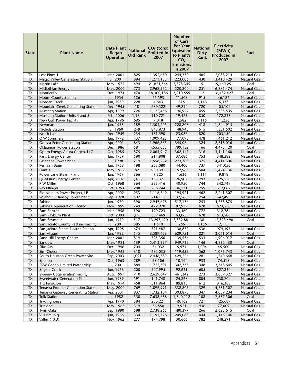| <b>State</b>             | <b>Plant Name</b>                                           | <b>Date Plant</b><br><b>Began</b><br><b>Operation</b> | <b>National</b><br><b>Old Rank</b> | $CO2$ (tons)<br><b>Emitted in</b><br>2007 | <b>Number</b><br>of Cars<br>Per Year<br>Equivalent<br>to Plant's<br>CO <sub>2</sub><br><b>Emissions</b><br>in 2007 | <b>National</b><br><b>Dirty</b><br>Rank | <b>Electricity</b><br>(MWh)<br><b>Produced in</b><br>2007 | Fuel                              |
|--------------------------|-------------------------------------------------------------|-------------------------------------------------------|------------------------------------|-------------------------------------------|--------------------------------------------------------------------------------------------------------------------|-----------------------------------------|-----------------------------------------------------------|-----------------------------------|
| ТX                       | Lost Pines 1                                                | Mar, 2001                                             | 825                                | 1,392,680                                 | 244,330                                                                                                            | 405                                     | 2,088,214                                                 | <b>Natural Gas</b>                |
| TX                       | Magic Valley Generating Station                             | Jul, 2001                                             | 894                                | 1,271,133                                 | 223,006                                                                                                            | 430                                     | 3,410,429                                                 | <b>Natural Gas</b>                |
| ТX                       | Martin Lake                                                 | May, 1977                                             | 494                                | 21,821,564                                | 3,828,345                                                                                                          | 5                                       | 19,460,251                                                | Coal                              |
| TX                       | Midlothian Energy                                           | May, 2000                                             | 773                                | 2,968,562                                 | 520,800                                                                                                            | 251                                     | 6,885,474                                                 | Natural Gas                       |
| <b>TX</b>                | Monticello                                                  | Dec, 1974                                             | 470                                | 18,300,186                                | 3,210,559                                                                                                          | 12                                      | 16,432,427                                                | Coal                              |
| <b>TX</b>                | Moore County Station                                        | Jul, 1954                                             | 126                                | 65,593                                    | 11,508                                                                                                             | 915                                     | 46,186                                                    | <b>Natural Gas</b>                |
| TX                       | Morgan Creek                                                | Jun, 1959                                             | 228                                | 4,643                                     | 815                                                                                                                | 1,143                                   | 6,337                                                     | Natural Gas                       |
| <b>TX</b><br><b>TX</b>   | Mountain Creek Generating Station<br><b>Mustang Station</b> | Dec, 1945<br>Apr, 1999                                | 18<br>726                          | 280,522<br>1,122,456                      | 49,214<br>196,922                                                                                                  | 720<br>459                              | 405,102<br>2,355,535                                      | <b>Natural Gas</b><br>Natural Gas |
| TX                       | Mustang Station Units 4 and 5                               | Feb, 2006                                             | 1,154                              | 110,721                                   | 19,425                                                                                                             | 850                                     | 172,833                                                   | Natural Gas                       |
| <b>TX</b>                | New Gulf Power Facility                                     | Apr, 1996                                             | 695                                | 9,018                                     | 1,582                                                                                                              | 1,115                                   | 11,256                                                    | Natural Gas                       |
| <b>TX</b>                | Newman                                                      | Jan, 1958                                             | 189                                | 1,304,205                                 | 228,808                                                                                                            | 418                                     | 1,844,915                                                 | <b>Natural Gas</b>                |
| TХ                       | Nichols Station                                             | Jul, 1960                                             | 249                                | 848,973                                   | 148,943                                                                                                            | 515                                     | 1,351,502                                                 | Natural Gas                       |
| <b>TX</b>                | North Lake                                                  | Dec, 1959                                             | 234                                | 131,590                                   | 23,086                                                                                                             | 820                                     | 205,150                                                   | Natural Gas                       |
| <b>TX</b>                | O W Sommers                                                 | Jun, 1972                                             | 437                                | 1,009,428                                 | 177,093                                                                                                            | 478                                     | 1,461,212                                                 | Natural Gas                       |
| <b>TX</b>                | Odessa-Ector Generating Station                             | Apr, 2001                                             | 843                                | 1,966,865                                 | 345,064                                                                                                            | 324                                     | 2,718,016                                                 | <b>Natural Gas</b>                |
| <b>TX</b>                | <b>Oklaunion Power Station</b>                              | Dec, 1986                                             | 581                                | 4,555,053                                 | 799,132                                                                                                            | 166                                     | 4,473,120                                                 | Coal                              |
| <b>TX</b>                | Optim Energy Altura Cogen, LLC                              | Oct, 1985                                             | 575                                | 2,065,947                                 | 362,447                                                                                                            | 316                                     | 3,141,160                                                 | <b>Natural Gas</b>                |
| TX                       | Paris Energy Center                                         | Jun, 1989                                             | 590                                | 214,808                                   | 37,686                                                                                                             | 753                                     | 348,282                                                   | <b>Natural Gas</b>                |
| <b>TX</b>                | Pasadena Power Plant                                        | Jul, 1998                                             | 719                                | 1,558,282                                 | 273,383                                                                                                            | 375                                     | 4,414,306                                                 | <b>Natural Gas</b>                |
| TХ                       | Permian Basin                                               | Jun, 1958                                             | 198                                | 253,080                                   | 44,400                                                                                                             | 737                                     | 341,050                                                   | Natural Gas                       |
| <b>TX</b>                | Plant X                                                     | May, 1952                                             | 82                                 | 900,391                                   | 157,963                                                                                                            | 504                                     | 1,424,136                                                 | Natural Gas                       |
| <b>TX</b>                | Power Lane Steam Plant                                      | Jan, 1969                                             | 366                                | 9,325                                     | 1,636                                                                                                              | 1,111                                   | 9,818                                                     | Natural Gas                       |
| TX<br><b>TX</b>          | Quail Run Energy Center                                     | Apr, 2007                                             | 1,168                              | 153,371                                   | 26,907                                                                                                             | 793<br>744                              | 325,520                                                   | <b>Natural Gas</b>                |
| TX                       | R W Miller<br>Ray Olinger                                   | Oct, 1968<br>Oct, 1963                                | 364<br>288                         | 233,416<br>206,744                        | 40,950<br>36,271                                                                                                   | 759                                     | 342,749<br>317,082                                        | Natural Gas<br><b>Natural Gas</b> |
| <b>TX</b>                | Rio Nogales Power Project, LP                               | Apr, 2002                                             | 953                                | 1,116,749                                 | 195,921                                                                                                            | 462                                     | 2,241,307                                                 | Natural Gas                       |
| TX                       | Roland C. Dansby Power Plant                                | Sep, 1978                                             | 507                                | 214,111                                   | 37,563                                                                                                             | 754                                     | 342,495                                                   | <b>Natural Gas</b>                |
| TX                       | Sabine                                                      | Jan, 1970                                             | 390                                | 2,947,678                                 | 517,136                                                                                                            | 253                                     | 4,738,875                                                 | Natural Gas                       |
| TX                       | Sabine Cogeneration Facility                                | Nov, 1999                                             | 749                                | 472,970                                   | 82,977                                                                                                             | 628                                     | 523,578                                                   | Natural Gas                       |
| <b>TX</b>                | Sam Bertron                                                 | Mar, 1958                                             | 190                                | 190,723                                   | 33,460                                                                                                             | 772                                     | 312,784                                                   | <b>Natural Gas</b>                |
| TX                       | Sam Rayburn Plant                                           | Oct, 2003                                             | 1,093                              | 359,469                                   | 63,065                                                                                                             | 678                                     | 513,580                                                   | Natural Gas                       |
| TX                       | Sam Seymour                                                 | Jun, 1979                                             | 517                                | 13,297,420                                | 2,332,881                                                                                                          | 38                                      | 12,823,490                                                | Coal                              |
| <b>TX</b>                | San Jacinto County Peaking Facility                         | Jul, 2001                                             | 885                                | 1,519                                     | 266                                                                                                                | 1,156                                   | 2,115                                                     |                                   |
| <b>TX</b>                | San Jacinto Steam Electric Station                          | Apr, 1995                                             | 674                                | 791,487                                   | 138,857                                                                                                            | 536                                     | 974,395                                                   | <b>Natural Gas</b>                |
| <b>ΤΧ</b>                | San Miguel                                                  | Jan, 1982                                             | 545                                | 3,589,409                                 | 629,721                                                                                                            | 221                                     | 3,041,014                                                 | Coal                              |
| $\overline{\mathsf{TX}}$ | Sand Hill Energy Center                                     | Mar, 2001                                             | 819                                | 795,356                                   | 139,536                                                                                                            | 533                                     | 1,906,017                                                 | Natural Gas                       |
| <b>TX</b>                | Sandow                                                      | May, 1981                                             | 539                                | 5,413,397                                 | 949,719                                                                                                            | 146                                     | 4,830,430                                                 | Coal                              |
| TX                       | Silas Ray                                                   | Dec, 1996                                             | 704                                | 34,032<br>682,035                         | 5,971                                                                                                              | 1,004                                   | 45,500                                                    | Natural Gas                       |
| TX<br>TX                 | Sim Gideon<br>South Houston Green Power Site                | May, 1965<br>Sep, 2003                                | 318<br>1,091                       | 2,446,589                                 | 119,655<br>429,226                                                                                                 | 562<br>281                              | 1,076,743<br>1,540,648                                    | <b>Natural Gas</b><br>Natural Gas |
| <b>TX</b>                | Spencer                                                     | Oct, 1963                                             | 289                                | 58,106                                    | 10,194                                                                                                             | 933                                     | 74,518                                                    | <b>Natural Gas</b>                |
| TX                       | SRW Cogen Limited Partnership                               | Jul, 2001                                             | 889                                | 1,725,591                                 | 302,735                                                                                                            | 348                                     | 3,348,645                                                 | Natural Gas                       |
| <b>TX</b>                | <b>Stryker Creek</b>                                        | Jun, 1958                                             | 200                                | 527,995                                   | 92,631                                                                                                             | 605                                     | 827,830                                                   | <b>Natural Gas</b>                |
| TX                       | <b>Sweeny Cogeneration Facility</b>                         | Aug, 1997                                             | 710                                | 2,629,647                                 | 461,342                                                                                                            | 273                                     | 3,689,327                                                 | <b>Natural Gas</b>                |
| <b>TX</b>                | Sweetwater Generating Plant                                 | Jun, 1989                                             | 591                                | 141,748                                   | 24,868                                                                                                             | 804                                     | 238,704                                                   | Natural Gas                       |
| TX                       | T C Ferguson                                                | May, 1974                                             | 458                                | 511,964                                   | 89,818                                                                                                             | 612                                     | 816,383                                                   | <b>Natural Gas</b>                |
| <b>TX</b>                | Tenaska Frontier Generation Station                         | May, 2000                                             | 769                                | 1,896,991                                 | 332,805                                                                                                            | 329                                     | 4,731,507                                                 | Natural Gas                       |
| TX                       | Tenaska Gateway Generating Station                          | Apr, 2001                                             | 837                                | 1,732,104                                 | 303,878                                                                                                            | 347                                     | 4,059,234                                                 | Natural Gas                       |
| <b>TX</b>                | <b>Tolk Station</b>                                         | Jul, 1982                                             | 550                                | 7,638,638                                 | 1,340,112                                                                                                          | 108                                     | 7,537,506                                                 | Coal                              |
| TX                       | Tradinghouse                                                | Apr, 1970                                             | 394                                | 280,221                                   | 49,162                                                                                                             | 721                                     | 425,689                                                   | Natural Gas                       |
| <b>TX</b>                | Trinidad                                                    | May, 1965                                             | 319                                | 56,550                                    | 9,921                                                                                                              | 936                                     | 77,009                                                    | Natural Gas                       |
| <b>TX</b>                | <b>Twin Oaks</b>                                            | Sep, 1990                                             | 598                                | 2,738,265                                 | 480,397                                                                                                            | 266                                     | 2,623,615                                                 | Coal                              |
| <b>TX</b>                | V H Braunig                                                 | Jun, 1966                                             | 334                                | 1,191,776                                 | 209,083                                                                                                            | 444                                     | 1,146,146                                                 | <b>Natural Gas</b>                |
| TX                       | Valley (TXU)                                                | Nov, 1962                                             | 277                                | 174,798                                   | 30,666                                                                                                             | 782                                     | 248,291                                                   | Natural Gas                       |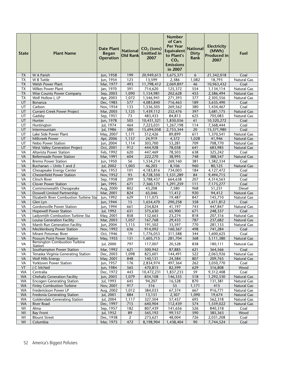| <b>State</b>    | <b>Plant Name</b>                                     | <b>Date Plant</b><br><b>Began</b><br><b>Operation</b> | <b>National</b><br><b>Old Rank</b> | $CO2$ (tons)<br><b>Emitted in</b><br>2007 | Number<br>of Cars<br><b>Per Year</b><br><b>Equivalent</b><br>to Plant's<br>CO <sub>2</sub><br><b>Emissions</b><br>in 2007 | <b>National</b><br><b>Dirty</b><br>Rank | <b>Electricity</b><br>(MWh)<br><b>Produced in</b><br>2007 | Fuel                       |
|-----------------|-------------------------------------------------------|-------------------------------------------------------|------------------------------------|-------------------------------------------|---------------------------------------------------------------------------------------------------------------------------|-----------------------------------------|-----------------------------------------------------------|----------------------------|
| <b>TX</b>       | W A Parish                                            | Jun, 1958                                             | 199                                | 20,949,613                                | 3,675,371                                                                                                                 | 6                                       | 21,342,018                                                | Coal                       |
| <b>TX</b>       | W B Tuttle                                            | Jun, 1954                                             | 123                                | 13,599                                    | 2,386                                                                                                                     | 1,082                                   | 18,793                                                    | Natural Gas                |
| <b>TX</b>       | Welsh Power Plant                                     | Mar, 1977                                             | 493                                | 11,798,412                                | 2,069,897                                                                                                                 | 46                                      | 10,963,432                                                | Coal                       |
| TX              | Wilkes Power Plant                                    | Jan, 1970                                             | 391                                | 714,620                                   | 125,372                                                                                                                   | 554                                     | 1,134,114                                                 | Natural Gas                |
| <b>TX</b>       | <b>Wise County Power Company</b>                      | Sep, 2003                                             | 1,090                              | 1,154,981                                 | 202,628                                                                                                                   | 455                                     | 2,586,494                                                 | Natural Gas                |
| <b>TX</b>       | Wolf Hollow I, LP                                     | Apr, 2003                                             | 1,072                              | 1,546,941                                 | 271,393                                                                                                                   | 377                                     | 2,305,556                                                 | Natural Gas                |
| UT              | Bonanza                                               | Dec, 1985                                             | 577                                | 4,083,840                                 | 716,463                                                                                                                   | 189                                     | 3,635,490                                                 | Coal                       |
| UT              | Carbon                                                | Nov, 1954                                             | 133                                | 1,536,505                                 | 269,562                                                                                                                   | 380                                     | 1,434,467                                                 | Coal                       |
| UT              | <b>Currant Creek Power Project</b>                    | Mar, 2005                                             | 1,125                              | 1,439,112                                 | 252,476                                                                                                                   | 397                                     | 3,681,175                                                 | <b>Natural Gas</b>         |
| UT              | Gadsby                                                | Sep, 1951                                             | 73                                 | 483,433                                   | 84,813                                                                                                                    | 625                                     | 705,083                                                   | Natural Gas                |
| UT              | Hunter                                                | Jun, 1978                                             | 505                                | 10,431,321                                | 1,830,056                                                                                                                 | 61                                      | 10,320,272                                                | Coal                       |
| UT<br>UT        | Huntington                                            | Jul, 1974                                             | 464<br>580                         | 7,223,031                                 | 1,267,198                                                                                                                 | 114<br>20                               | 7,568,444                                                 | Coal                       |
| UT              | Intermountain<br>Lake Side Power Plant                | Jul, 1986<br>May, 2007                                | 1,171                              | 15,694,058<br>512,426                     | 2,753,344<br>89,899                                                                                                       | 611                                     | 15,371,980<br>1,370,541                                   | Coal<br>Natural Gas        |
| UT              | Millcreek Power                                       | Apr, 2006                                             | 1,157                              | 24,919                                    | 4,372                                                                                                                     | 1,028                                   | 41,946                                                    | Natural Gas                |
| UT              | Nebo Power Station                                    | Jun, 2004                                             | 1,114                              | 303,700                                   | 53,281                                                                                                                    | 709                                     | 708,770                                                   | Natural Gas                |
| UT              | <b>West Valley Generation Project</b>                 | Oct, 2001                                             | 912                                | 444,928                                   | 78,058                                                                                                                    | 641                                     | 683,985                                                   | <b>Natural Gas</b>         |
| VA              | <b>Altavista Power Station</b>                        | Feb, 1992                                             | 620                                | 447,469                                   | 78,503                                                                                                                    | 638                                     | 325,242                                                   | Coal                       |
| VA              | <b>Bellemeade Power Station</b>                       | Mar, 1991                                             | 604                                | 222,270                                   | 38,995                                                                                                                    | 748                                     | 388,547                                                   | Natural Gas                |
| VA              | <b>Bremo Power Station</b>                            | Jun, 1950                                             | 56                                 | 1,534,214                                 | 269,160                                                                                                                   | 381                                     | 1,582,334                                                 | Coal                       |
| VA              | Buchanan -- Units 1 and 2                             | Jul, 2002                                             | 1,003                              | 46,203                                    | 8,106                                                                                                                     | 960                                     | 80,125                                                    | Natural Gas                |
| VA              | Chesapeake Energy Center                              | Apr, 1953                                             | 101                                | 4,183,816                                 | 734,003                                                                                                                   | 184                                     | 4,127,472                                                 | Coal                       |
| VA              | <b>Chesterfield Power Station</b>                     | Nov, 1952                                             | 93                                 | 8,728,350                                 | 1,531,289                                                                                                                 | 84                                      | 9,494,715                                                 | Coal                       |
| VA              | Clinch River                                          | Sep, 1958                                             | 209                                | 3,788,437                                 | 664,638                                                                                                                   | 207                                     | 4,314,563                                                 | Coal                       |
| VA              | <b>Clover Power Station</b>                           | Jan, 1995                                             | 671                                | 7,360,175                                 | 1,291,259                                                                                                                 | 111                                     | 7,173,277                                                 | Coal                       |
| VA              | Commonwealth Chesapeake                               | Aug, 2000                                             | 802                                | 43,208                                    | 7,580                                                                                                                     | 968                                     | 51,231                                                    | Diesel                     |
| VA              | Doswell Limited Partnership                           | Mar, 2001                                             | 824                                | 65,046                                    | 11,412                                                                                                                    | 920                                     | 94,412                                                    | <b>Natural Gas</b>         |
| VA<br>VA        | Elizabeth River Combustion Turbine Sta<br>Glen Lyn    | Jun, 1992                                             | 629<br>15                          | 111,075<br>1,654,470                      | 19,487<br>290,258                                                                                                         | 847<br>358                              | 145,710                                                   | Natural Gas<br>Coal        |
| VA              | <b>Gordonsville Power Station</b>                     | Jun, 1944<br>Jun, 1994                                | 661                                | 234,824                                   | 41,197                                                                                                                    | 743                                     | 1,611,812<br>447,847                                      | Natural Gas                |
| VA              | <b>Hopewell Power Station</b>                         | Jul, 1992                                             | 631                                | 375,630                                   | 65,900                                                                                                                    | 671                                     | 248,337                                                   | Coal                       |
| VA              | Ladysmith Combustion Turbine Sta                      | May, 2001                                             | 858                                | 132,663                                   | 23,274                                                                                                                    | 818                                     | 207,316                                                   | Natural Gas                |
| VA              | Louisa Generation Facility                            | Mar, 2003                                             | 1,057                              | 167,768                                   | 29,433                                                                                                                    | 787                                     | 237,682                                                   | Natural Gas                |
| VA              | Marsh Run Generation Facility                         | Jun, 2004                                             | 1,115                              | 191,502                                   | 33,597                                                                                                                    | 770                                     | 281,133                                                   | Natural Gas                |
| VA              | Mecklenburg Power Station                             | Nov, 1992                                             | 636                                | 914,092                                   | 160,367                                                                                                                   | 498                                     | 741,284                                                   | Coal                       |
| VA              | Mirant Potomac River                                  | Oct, 1946                                             | 19                                 | 1,776,053                                 | 311,588                                                                                                                   | 344                                     | 1,600,625                                                 | Coal                       |
| VA              | Possum Point Power Station                            | May, 1955                                             | 151                                | 1,605,715                                 | 281,704                                                                                                                   | 368                                     | 3,111,380                                                 | Natural Gas                |
| VA              | <b>Remington Combustion Turbine</b><br><b>Station</b> | Jul, 2000                                             | 797                                | 117,007                                   | 20,528                                                                                                                    | 838                                     | 180,111                                                   | Natural Gas                |
| VA              | Southampton Power Station                             | Mar, 1992                                             | 621                                | 500,942                                   | 87,885                                                                                                                    | 621                                     | 364,566                                                   | Coal                       |
| VA              | Tenaska Virginia Generating Station                   | Dec, 2003                                             | 1,098                              | 823,601                                   | 144,491                                                                                                                   | 522                                     | 2,063,926                                                 | Natural Gas                |
| VA              | Wolf Hills Energy                                     | May, 2001                                             | 848                                | 140,131                                   | 24,584                                                                                                                    | 807                                     | 209,765                                                   | Natural Gas                |
| VA              | Yorktown Power Station                                | Jun, 1957                                             | $\overline{176}$                   | 2,834,974                                 | 497,364                                                                                                                   | 262                                     | 3,050,770                                                 | Coal                       |
| VT              | J C McNeil                                            | Jun, 1984                                             | 565                                | 470,815                                   | 82,599                                                                                                                    | 629                                     | 316,808                                                   | Wood                       |
| <b>WA</b>       | Centralia                                             | Dec, 1972                                             | 443                                | 10,472,231                                | 1,837,233                                                                                                                 | 59                                      | 9,312,408                                                 | Coal                       |
| <b>WA</b>       | <b>Chehalis Generation Facility</b>                   | Jun, 2003                                             | 1,079                              | 834,108                                   | 146,335                                                                                                                   | 518                                     | 1,292,530                                                 | Natural Gas                |
| WA              | <b>Encogen Generating Station</b>                     | Jul, 1993                                             | 645                                | 94,207                                    | 16,528                                                                                                                    | 870                                     | 131,381                                                   | Natural Gas                |
| <b>WA</b>       | <b>Finley Combustion Turbine</b>                      | Nov, 2001                                             | 917                                | 316                                       | 55                                                                                                                        | 1,171                                   | 415                                                       | Natural Gas                |
| WA<br><b>WA</b> | Frederickson Power LP<br>Fredonia Generating Station  | Aug, 2002<br>Jul, 2001                                | 1,012<br>884                       | 384,033<br>13,151                         | 67,374<br>2,307                                                                                                           | 667<br>1,090                            | 916,771<br>19,674                                         | Natural Gas<br>Natural Gas |
| WA              | <b>Goldendale Generating Station</b>                  | Jul, 2004                                             | 1,117                              | 327,504                                   | 57,457                                                                                                                    | 695                                     | 562,318                                                   | Natural Gas                |
| <b>WA</b>       | River Road                                            | Dec, 1997                                             | 715                                | 640,904                                   | 112,439                                                                                                                   | 574                                     | 1,559,022                                                 | Natural Gas                |
| WI              | Alma                                                  | Sep, 1957                                             | $\overline{182}$                   | 807,439                                   | 141,656                                                                                                                   | $\overline{526}$                        | 840,318                                                   | Coal                       |
| WI              | <b>Bay Front</b>                                      | Jul, 1952                                             | 89                                 | 565,192                                   | 99,157                                                                                                                    | 590                                     | 385,363                                                   | Wood                       |
| WI              | <b>Blount Street</b>                                  | Dec, 1938                                             | $\overline{2}$                     | 273,621                                   | 48,004                                                                                                                    | 726                                     | 2,031,208                                                 | Coal                       |
| WI              | Columbia                                              | Mar, 1975                                             | 472                                | 8,198,904                                 | 1,438,404                                                                                                                 | 90                                      | 7,744,524                                                 | Coal                       |